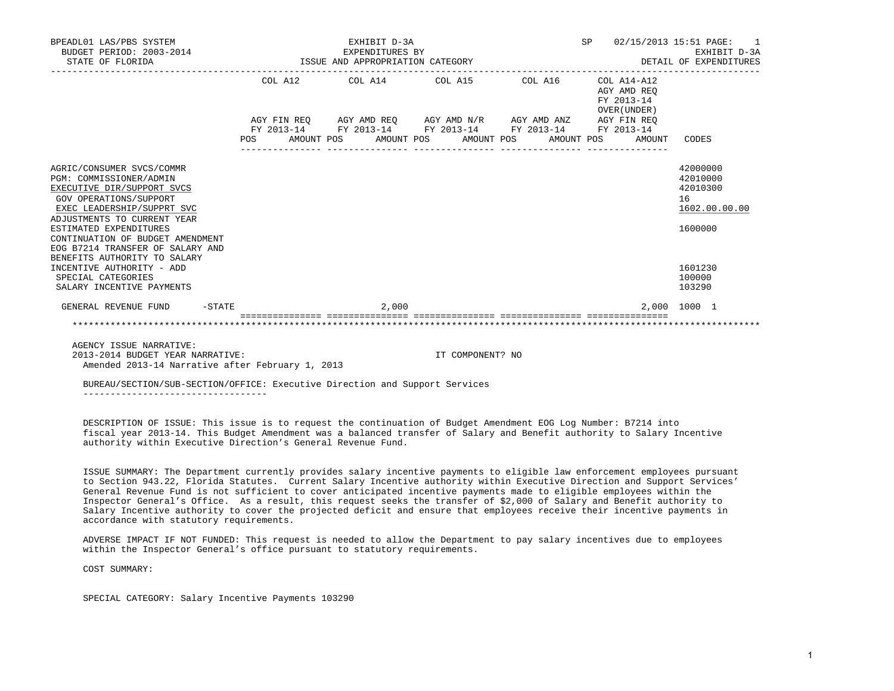| BPEADL01 LAS/PBS SYSTEM<br>BUDGET PERIOD: 2003-2014<br>STATE OF FLORIDA                                                                                                                                                                                                                                            | EXHIBIT D-3A<br>EXPENDITURES BY<br>ISSUE AND APPROPRIATION CATEGORY | SP<br>02/15/2013 15:51 PAGE:<br>EXHIBIT D-3A<br>DETAIL OF EXPENDITURES |                                           |                                                                    |
|--------------------------------------------------------------------------------------------------------------------------------------------------------------------------------------------------------------------------------------------------------------------------------------------------------------------|---------------------------------------------------------------------|------------------------------------------------------------------------|-------------------------------------------|--------------------------------------------------------------------|
|                                                                                                                                                                                                                                                                                                                    | COL A12 COL A14 COL A15 COL A16 COL A14-A12                         |                                                                        | AGY AMD REO<br>FY 2013-14<br>OVER (UNDER) |                                                                    |
|                                                                                                                                                                                                                                                                                                                    | AGY FIN REO AGY AMD REO AGY AMD N/R AGY AMD ANZ AGY FIN REO         |                                                                        |                                           |                                                                    |
|                                                                                                                                                                                                                                                                                                                    | FY 2013-14 FY 2013-14 FY 2013-14 FY 2013-14 FY 2013-14              |                                                                        |                                           |                                                                    |
|                                                                                                                                                                                                                                                                                                                    | POS AMOUNT POS AMOUNT POS AMOUNT POS AMOUNT POS AMOUNT              |                                                                        |                                           | CODES                                                              |
| AGRIC/CONSUMER SVCS/COMMR<br>PGM: COMMISSIONER/ADMIN<br>EXECUTIVE DIR/SUPPORT SVCS<br><b>GOV OPERATIONS/SUPPORT</b><br>EXEC LEADERSHIP/SUPPRT SVC<br>ADJUSTMENTS TO CURRENT YEAR<br>ESTIMATED EXPENDITURES<br>CONTINUATION OF BUDGET AMENDMENT<br>EOG B7214 TRANSFER OF SALARY AND<br>BENEFITS AUTHORITY TO SALARY |                                                                     |                                                                        |                                           | 42000000<br>42010000<br>42010300<br>16<br>1602.00.00.00<br>1600000 |
| INCENTIVE AUTHORITY - ADD<br>SPECIAL CATEGORIES<br>SALARY INCENTIVE PAYMENTS                                                                                                                                                                                                                                       |                                                                     |                                                                        |                                           | 1601230<br>100000<br>103290                                        |
| $-$ STATE<br>GENERAL REVENUE FUND                                                                                                                                                                                                                                                                                  | 2,000                                                               |                                                                        |                                           | 2,000 1000 1                                                       |
|                                                                                                                                                                                                                                                                                                                    |                                                                     |                                                                        |                                           |                                                                    |

AGENCY ISSUE NARRATIVE:

 2013-2014 BUDGET YEAR NARRATIVE: IT COMPONENT? NO Amended 2013-14 Narrative after February 1, 2013

 BUREAU/SECTION/SUB-SECTION/OFFICE: Executive Direction and Support Services ----------------------------------

 DESCRIPTION OF ISSUE: This issue is to request the continuation of Budget Amendment EOG Log Number: B7214 into fiscal year 2013-14. This Budget Amendment was a balanced transfer of Salary and Benefit authority to Salary Incentive authority within Executive Direction's General Revenue Fund.

 ISSUE SUMMARY: The Department currently provides salary incentive payments to eligible law enforcement employees pursuant to Section 943.22, Florida Statutes. Current Salary Incentive authority within Executive Direction and Support Services' General Revenue Fund is not sufficient to cover anticipated incentive payments made to eligible employees within the Inspector General's Office. As a result, this request seeks the transfer of \$2,000 of Salary and Benefit authority to Salary Incentive authority to cover the projected deficit and ensure that employees receive their incentive payments in accordance with statutory requirements.

 ADVERSE IMPACT IF NOT FUNDED: This request is needed to allow the Department to pay salary incentives due to employees within the Inspector General's office pursuant to statutory requirements.

COST SUMMARY:

SPECIAL CATEGORY: Salary Incentive Payments 103290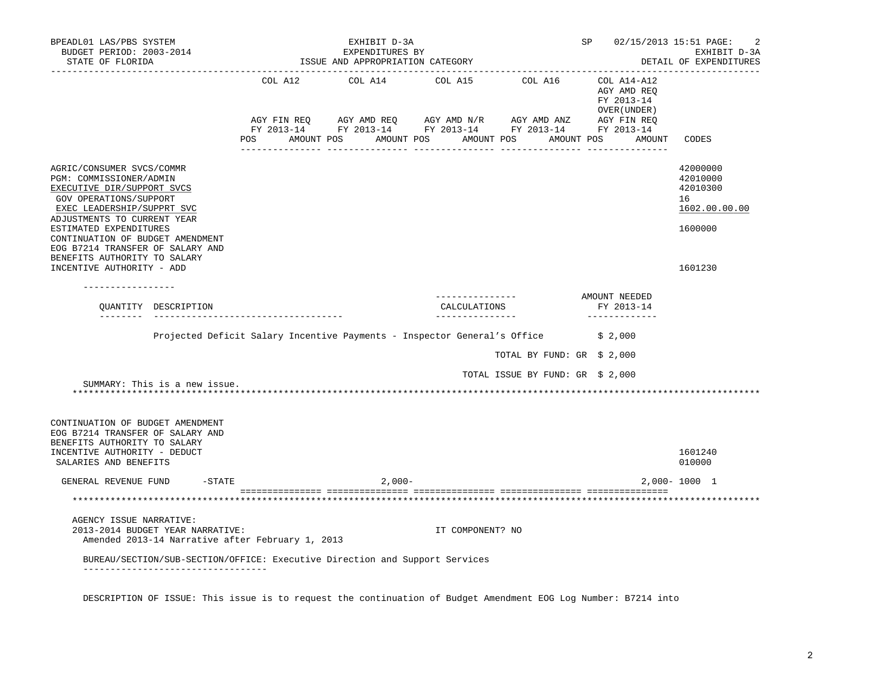| BPEADL01 LAS/PBS SYSTEM<br>BUDGET PERIOD: 2003-2014<br>STATE OF FLORIDA                                                                                                                                                                                                     |                                                                                   | EXHIBIT D-3A<br>EXPENDITURES BY<br>ISSUE AND APPROPRIATION CATEGORY |                                                                                                                                                                                      |                                  | SP 02/15/2013 15:51 PAGE:                                           | -2<br>EXHIBIT D-3A<br>DETAIL OF EXPENDITURES                       |
|-----------------------------------------------------------------------------------------------------------------------------------------------------------------------------------------------------------------------------------------------------------------------------|-----------------------------------------------------------------------------------|---------------------------------------------------------------------|--------------------------------------------------------------------------------------------------------------------------------------------------------------------------------------|----------------------------------|---------------------------------------------------------------------|--------------------------------------------------------------------|
|                                                                                                                                                                                                                                                                             | POS<br>AMOUNT POS                                                                 |                                                                     | COL A12 COL A14 COL A15 COL A16<br>AGY FIN REQ AGY AMD REQ AGY AMD N/R AGY AMD ANZ AGY FIN REQ<br>FY 2013-14 FY 2013-14 FY 2013-14 FY 2013-14 FY 2013-14<br>AMOUNT POS<br>AMOUNT POS | AMOUNT POS                       | COL A14-A12<br>AGY AMD REO<br>FY 2013-14<br>OVER (UNDER )<br>AMOUNT | CODES                                                              |
| AGRIC/CONSUMER SVCS/COMMR<br>PGM: COMMISSIONER/ADMIN<br>EXECUTIVE DIR/SUPPORT SVCS<br>GOV OPERATIONS/SUPPORT<br>EXEC LEADERSHIP/SUPPRT SVC<br>ADJUSTMENTS TO CURRENT YEAR<br>ESTIMATED EXPENDITURES<br>CONTINUATION OF BUDGET AMENDMENT<br>EOG B7214 TRANSFER OF SALARY AND |                                                                                   |                                                                     |                                                                                                                                                                                      |                                  |                                                                     | 42000000<br>42010000<br>42010300<br>16<br>1602.00.00.00<br>1600000 |
| BENEFITS AUTHORITY TO SALARY<br>INCENTIVE AUTHORITY - ADD<br>-----------------                                                                                                                                                                                              |                                                                                   |                                                                     |                                                                                                                                                                                      |                                  |                                                                     | 1601230                                                            |
| OUANTITY DESCRIPTION                                                                                                                                                                                                                                                        | ______________________________________                                            |                                                                     | ---------------<br>CALCULATIONS<br>_______________                                                                                                                                   |                                  | AMOUNT NEEDED<br>FY 2013-14<br>______________                       |                                                                    |
|                                                                                                                                                                                                                                                                             | Projected Deficit Salary Incentive Payments - Inspector General's Office \$ 2,000 |                                                                     |                                                                                                                                                                                      |                                  |                                                                     |                                                                    |
|                                                                                                                                                                                                                                                                             |                                                                                   |                                                                     |                                                                                                                                                                                      | TOTAL BY FUND: GR \$ 2,000       |                                                                     |                                                                    |
| SUMMARY: This is a new issue.                                                                                                                                                                                                                                               |                                                                                   |                                                                     |                                                                                                                                                                                      | TOTAL ISSUE BY FUND: GR \$ 2,000 |                                                                     |                                                                    |
| CONTINUATION OF BUDGET AMENDMENT<br>EOG B7214 TRANSFER OF SALARY AND<br>BENEFITS AUTHORITY TO SALARY<br>INCENTIVE AUTHORITY - DEDUCT<br>SALARIES AND BENEFITS                                                                                                               |                                                                                   |                                                                     |                                                                                                                                                                                      |                                  |                                                                     | 1601240<br>010000                                                  |
| $-STATE$<br>GENERAL REVENUE FUND                                                                                                                                                                                                                                            |                                                                                   | $2,000-$                                                            |                                                                                                                                                                                      |                                  |                                                                     | $2,000 - 1000$ 1                                                   |
|                                                                                                                                                                                                                                                                             |                                                                                   |                                                                     |                                                                                                                                                                                      |                                  |                                                                     |                                                                    |
| AGENCY ISSUE NARRATIVE:<br>2013-2014 BUDGET YEAR NARRATIVE:<br>Amended 2013-14 Narrative after February 1, 2013                                                                                                                                                             |                                                                                   |                                                                     | IT COMPONENT? NO                                                                                                                                                                     |                                  |                                                                     |                                                                    |
| BUREAU/SECTION/SUB-SECTION/OFFICE: Executive Direction and Support Services<br>___________________________________                                                                                                                                                          |                                                                                   |                                                                     |                                                                                                                                                                                      |                                  |                                                                     |                                                                    |

DESCRIPTION OF ISSUE: This issue is to request the continuation of Budget Amendment EOG Log Number: B7214 into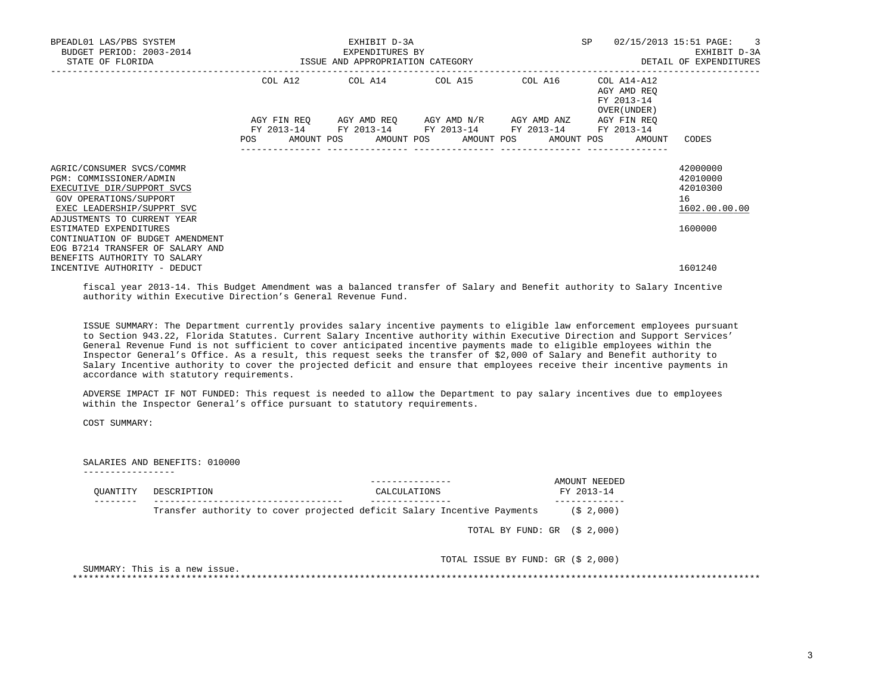| BPEADL01 LAS/PBS SYSTEM<br>BUDGET PERIOD: 2003-2014<br>STATE OF FLORIDA                                                                                                   | EXHIBIT D-3A<br>EXPENDITURES BY<br>ISSUE AND APPROPRIATION CATEGORY |  |                                                                                                                                                          |         | SP                                                       | $02/15/2013$ 15:51 PAGE: 3<br>EXHIBIT D-3A<br>DETAIL OF EXPENDITURES |
|---------------------------------------------------------------------------------------------------------------------------------------------------------------------------|---------------------------------------------------------------------|--|----------------------------------------------------------------------------------------------------------------------------------------------------------|---------|----------------------------------------------------------|----------------------------------------------------------------------|
|                                                                                                                                                                           |                                                                     |  | COL A12 COL A14 COL A15                                                                                                                                  | COL A16 | COL A14-A12<br>AGY AMD REO<br>FY 2013-14<br>OVER (UNDER) |                                                                      |
|                                                                                                                                                                           | POS                                                                 |  | AGY FIN REO AGY AMD REO AGY AMD N/R AGY AMD ANZ<br>FY 2013-14 FY 2013-14 FY 2013-14 FY 2013-14 FY 2013-14<br>AMOUNT POS AMOUNT POS AMOUNT POS AMOUNT POS |         | AGY FIN REO<br>AMOUNT                                    | CODES                                                                |
| AGRIC/CONSUMER SVCS/COMMR<br>PGM: COMMISSIONER/ADMIN<br>EXECUTIVE DIR/SUPPORT SVCS<br>GOV OPERATIONS/SUPPORT<br>EXEC LEADERSHIP/SUPPRT SVC<br>ADJUSTMENTS TO CURRENT YEAR |                                                                     |  |                                                                                                                                                          |         |                                                          | 42000000<br>42010000<br>42010300<br>16<br>1602.00.00.00              |
| ESTIMATED EXPENDITURES<br>CONTINUATION OF BUDGET AMENDMENT<br>EOG B7214 TRANSFER OF SALARY AND<br>BENEFITS AUTHORITY TO SALARY<br>INCENTIVE AUTHORITY - DEDUCT            |                                                                     |  |                                                                                                                                                          |         |                                                          | 1600000<br>1601240                                                   |

 fiscal year 2013-14. This Budget Amendment was a balanced transfer of Salary and Benefit authority to Salary Incentive authority within Executive Direction's General Revenue Fund.

 ISSUE SUMMARY: The Department currently provides salary incentive payments to eligible law enforcement employees pursuant to Section 943.22, Florida Statutes. Current Salary Incentive authority within Executive Direction and Support Services' General Revenue Fund is not sufficient to cover anticipated incentive payments made to eligible employees within the Inspector General's Office. As a result, this request seeks the transfer of \$2,000 of Salary and Benefit authority to Salary Incentive authority to cover the projected deficit and ensure that employees receive their incentive payments in accordance with statutory requirements.

 ADVERSE IMPACT IF NOT FUNDED: This request is needed to allow the Department to pay salary incentives due to employees within the Inspector General's office pursuant to statutory requirements.

COST SUMMARY:

SALARIES AND BENEFITS: 010000

| OUANTITY | DESCRIPTION | CALCULATIONS                                                            | AMOUNT NEEDED<br>FY 2013-14        |
|----------|-------------|-------------------------------------------------------------------------|------------------------------------|
|          |             | Transfer authority to cover projected deficit Salary Incentive Payments | (S <sub>2</sub> , 000)             |
|          |             |                                                                         | TOTAL BY FUND: $GR$ (\$ 2,000)     |
|          |             |                                                                         | TOTAL ISSUE BY FUND: GR (\$ 2,000) |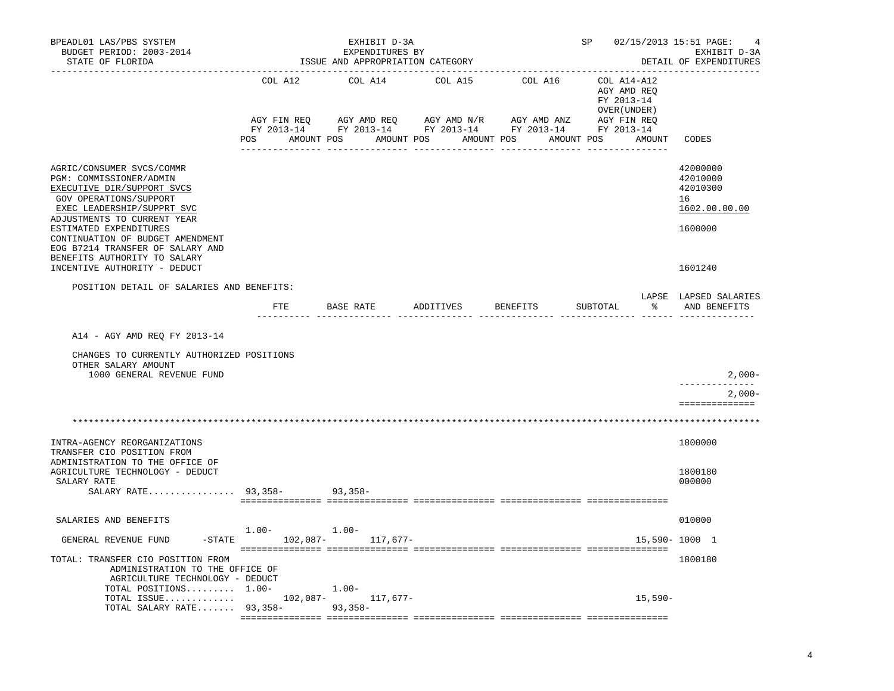| BPEADL01 LAS/PBS SYSTEM<br>BUDGET PERIOD: 2003-2014<br>STATE OF FLORIDA                                                                                                                                                                                                                                                                     |                                             | EXHIBIT D-3A<br>EXPENDITURES BY<br>ISSUE AND APPROPRIATION CATEGORY |         |                       | SP 02/15/2013 15:51 PAGE:                                              | EXHIBIT D-3A<br>DETAIL OF EXPENDITURES                                        |
|---------------------------------------------------------------------------------------------------------------------------------------------------------------------------------------------------------------------------------------------------------------------------------------------------------------------------------------------|---------------------------------------------|---------------------------------------------------------------------|---------|-----------------------|------------------------------------------------------------------------|-------------------------------------------------------------------------------|
|                                                                                                                                                                                                                                                                                                                                             | COL A12                                     | COL A14<br>POS AMOUNT POS AMOUNT POS AMOUNT POS                     | COL A15 | COL A16<br>AMOUNT POS | $COL A14- A12$<br>AGY AMD REQ<br>FY 2013-14<br>OVER (UNDER )<br>AMOUNT | CODES                                                                         |
| AGRIC/CONSUMER SVCS/COMMR<br>PGM: COMMISSIONER/ADMIN<br>EXECUTIVE DIR/SUPPORT SVCS<br>GOV OPERATIONS/SUPPORT<br>EXEC LEADERSHIP/SUPPRT SVC<br>ADJUSTMENTS TO CURRENT YEAR<br>ESTIMATED EXPENDITURES<br>CONTINUATION OF BUDGET AMENDMENT<br>EOG B7214 TRANSFER OF SALARY AND<br>BENEFITS AUTHORITY TO SALARY<br>INCENTIVE AUTHORITY - DEDUCT |                                             |                                                                     |         |                       |                                                                        | 42000000<br>42010000<br>42010300<br>16<br>1602.00.00.00<br>1600000<br>1601240 |
| POSITION DETAIL OF SALARIES AND BENEFITS:                                                                                                                                                                                                                                                                                                   |                                             |                                                                     |         |                       |                                                                        |                                                                               |
|                                                                                                                                                                                                                                                                                                                                             | __________ ____________                     | FTE BASE RATE ADDITIVES BENEFITS                                    |         |                       | SUBTOTAL<br>그 승규는 어려운 것이다.                                             | LAPSE LAPSED SALARIES<br>AND BENEFITS                                         |
| A14 - AGY AMD REQ FY 2013-14<br>CHANGES TO CURRENTLY AUTHORIZED POSITIONS<br>OTHER SALARY AMOUNT<br>1000 GENERAL REVENUE FUND                                                                                                                                                                                                               |                                             |                                                                     |         |                       |                                                                        | $2,000-$<br>--------------<br>$2,000-$                                        |
|                                                                                                                                                                                                                                                                                                                                             |                                             |                                                                     |         |                       |                                                                        | ==============                                                                |
| INTRA-AGENCY REORGANIZATIONS                                                                                                                                                                                                                                                                                                                |                                             |                                                                     |         |                       |                                                                        | 1800000                                                                       |
| TRANSFER CIO POSITION FROM<br>ADMINISTRATION TO THE OFFICE OF<br>AGRICULTURE TECHNOLOGY - DEDUCT<br>SALARY RATE<br>SALARY RATE 93,358- 93,358-                                                                                                                                                                                              |                                             |                                                                     |         |                       |                                                                        | 1800180<br>000000                                                             |
| SALARIES AND BENEFITS                                                                                                                                                                                                                                                                                                                       |                                             |                                                                     |         |                       |                                                                        | 010000                                                                        |
| GENERAL REVENUE FUND                                                                                                                                                                                                                                                                                                                        | $1.00 - 1.00 -$<br>-STATE 102,087- 117,677- |                                                                     |         |                       | 15,590-1000 1                                                          |                                                                               |
| TOTAL: TRANSFER CIO POSITION FROM<br>ADMINISTRATION TO THE OFFICE OF<br>AGRICULTURE TECHNOLOGY - DEDUCT<br>TOTAL POSITIONS $1.00-1.00-$<br>TOTAL ISSUE 102,087- 117,677-                                                                                                                                                                    |                                             |                                                                     |         |                       | 15,590-                                                                | 1800180                                                                       |
| TOTAL SALARY RATE 93,358-<br>93,358-                                                                                                                                                                                                                                                                                                        |                                             |                                                                     |         |                       |                                                                        |                                                                               |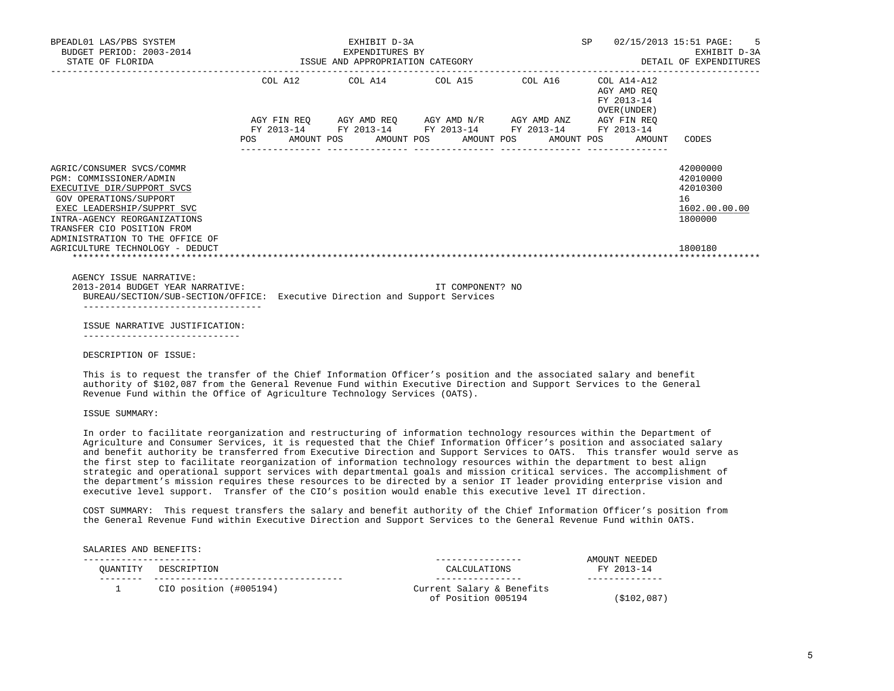| BPEADL01 LAS/PBS SYSTEM<br>BUDGET PERIOD: 2003-2014<br>STATE OF FLORIDA                                                                                                                                                                                                        | EXHIBIT D-3A<br>EXPENDITURES BY<br>EXPENDITURES BY<br>ISSUE AND APPROPRIATION CATEGORY |  |                                                                                                                                                                      |  |                                                          | SP 02/15/2013 15:51 PAGE: 5<br>EXHIBIT D-3A<br>DETAIL OF EXPENDITURES         |  |
|--------------------------------------------------------------------------------------------------------------------------------------------------------------------------------------------------------------------------------------------------------------------------------|----------------------------------------------------------------------------------------|--|----------------------------------------------------------------------------------------------------------------------------------------------------------------------|--|----------------------------------------------------------|-------------------------------------------------------------------------------|--|
|                                                                                                                                                                                                                                                                                |                                                                                        |  | COL A12 COL A14 COL A15 COL A16                                                                                                                                      |  | COL A14-A12<br>AGY AMD REO<br>FY 2013-14<br>OVER (UNDER) |                                                                               |  |
|                                                                                                                                                                                                                                                                                | <b>POS</b>                                                                             |  | AGY FIN REQ AGY AMD REQ AGY AMD N/R AGY AMD ANZ AGY FIN REQ<br>FY 2013-14 FY 2013-14 FY 2013-14 FY 2013-14 FY 2013-14<br>AMOUNT POS AMOUNT POS AMOUNT POS AMOUNT POS |  | AMOUNT                                                   | CODES                                                                         |  |
| AGRIC/CONSUMER SVCS/COMMR<br>PGM: COMMISSIONER/ADMIN<br>EXECUTIVE DIR/SUPPORT SVCS<br>GOV OPERATIONS/SUPPORT<br>EXEC LEADERSHIP/SUPPRT SVC<br>INTRA-AGENCY REORGANIZATIONS<br>TRANSFER CIO POSITION FROM<br>ADMINISTRATION TO THE OFFICE OF<br>AGRICULTURE TECHNOLOGY - DEDUCT |                                                                                        |  |                                                                                                                                                                      |  |                                                          | 42000000<br>42010000<br>42010300<br>16<br>1602.00.00.00<br>1800000<br>1800180 |  |
| AGENCY ISSUE NARRATIVE:<br>2013-2014 BUDGET YEAR NARRATIVE:<br>BUREAU/SECTION/SUB-SECTION/OFFICE: Executive Direction and Support Services                                                                                                                                     |                                                                                        |  | IT COMPONENT? NO                                                                                                                                                     |  |                                                          |                                                                               |  |
| ISSUE NARRATIVE JUSTIFICATION:<br>_____________________                                                                                                                                                                                                                        |                                                                                        |  |                                                                                                                                                                      |  |                                                          |                                                                               |  |

DESCRIPTION OF ISSUE:

 This is to request the transfer of the Chief Information Officer's position and the associated salary and benefit authority of \$102,087 from the General Revenue Fund within Executive Direction and Support Services to the General Revenue Fund within the Office of Agriculture Technology Services (OATS).

ISSUE SUMMARY:

 In order to facilitate reorganization and restructuring of information technology resources within the Department of Agriculture and Consumer Services, it is requested that the Chief Information Officer's position and associated salary and benefit authority be transferred from Executive Direction and Support Services to OATS. This transfer would serve as the first step to facilitate reorganization of information technology resources within the department to best align strategic and operational support services with departmental goals and mission critical services. The accomplishment of the department's mission requires these resources to be directed by a senior IT leader providing enterprise vision and executive level support. Transfer of the CIO's position would enable this executive level IT direction.

 COST SUMMARY: This request transfers the salary and benefit authority of the Chief Information Officer's position from the General Revenue Fund within Executive Direction and Support Services to the General Revenue Fund within OATS.

| SALARIES AND BENEFITS: |                        |                                                 |                             |
|------------------------|------------------------|-------------------------------------------------|-----------------------------|
| OUANTITY               | DESCRIPTION            | CALCULATIONS                                    | AMOUNT NEEDED<br>FY 2013-14 |
|                        |                        |                                                 |                             |
|                        | CIO position (#005194) | Current Salary & Benefits<br>of Position 005194 | (\$102,087)                 |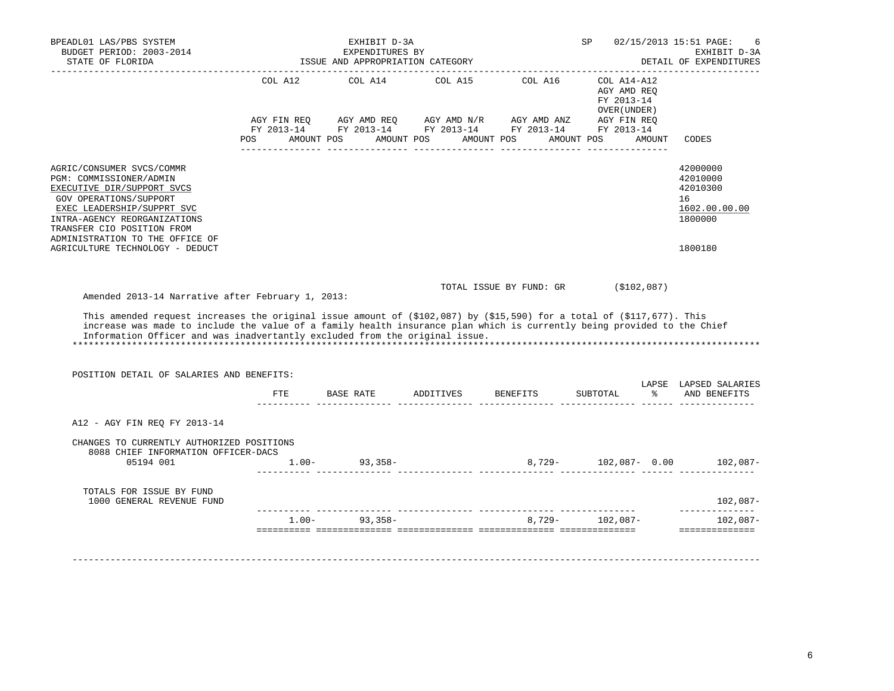| BPEADL01 LAS/PBS SYSTEM<br>BUDGET PERIOD: 2003-2014<br>STATE OF FLORIDA<br>____________________                                                                                                                                                                                                                                                                                                                                        |         | EXHIBIT D-3A<br>EXPENDITURES BY<br>ISSUE AND APPROPRIATION CATEGORY<br>_________________________________ |            |                                             | SP 02/15/2013 15:51 PAGE:                                 |        | 6<br>EXHIBIT D-3A<br>DETAIL OF EXPENDITURES                                   |
|----------------------------------------------------------------------------------------------------------------------------------------------------------------------------------------------------------------------------------------------------------------------------------------------------------------------------------------------------------------------------------------------------------------------------------------|---------|----------------------------------------------------------------------------------------------------------|------------|---------------------------------------------|-----------------------------------------------------------|--------|-------------------------------------------------------------------------------|
|                                                                                                                                                                                                                                                                                                                                                                                                                                        | POS FOR | COL A12 COL A14<br>AMOUNT POS                                                                            | AMOUNT POS | COL A15 COL A16<br>AMOUNT POS<br>AMOUNT POS | COL A14-A12<br>AGY AMD REO<br>FY 2013-14<br>OVER (UNDER ) | AMOUNT | CODES                                                                         |
| AGRIC/CONSUMER SVCS/COMMR<br>PGM: COMMISSIONER/ADMIN<br>EXECUTIVE DIR/SUPPORT SVCS<br>GOV OPERATIONS/SUPPORT<br>EXEC LEADERSHIP/SUPPRT SVC<br>INTRA-AGENCY REORGANIZATIONS<br>TRANSFER CIO POSITION FROM<br>ADMINISTRATION TO THE OFFICE OF<br>AGRICULTURE TECHNOLOGY - DEDUCT                                                                                                                                                         |         |                                                                                                          |            |                                             |                                                           |        | 42000000<br>42010000<br>42010300<br>16<br>1602.00.00.00<br>1800000<br>1800180 |
| Amended 2013-14 Narrative after February 1, 2013:<br>This amended request increases the original issue amount of $($102,087)$ by $($15,590)$ for a total of $($117,677)$ . This<br>increase was made to include the value of a family health insurance plan which is currently being provided to the Chief<br>Information Officer and was inadvertantly excluded from the original issue.<br>POSITION DETAIL OF SALARIES AND BENEFITS: |         |                                                                                                          |            | TOTAL ISSUE BY FUND: GR (\$102,087)         |                                                           |        | LAPSE LAPSED SALARIES                                                         |
|                                                                                                                                                                                                                                                                                                                                                                                                                                        | ETE     |                                                                                                          |            |                                             | SUBTOTAL                                                  |        | % AND BENEFITS                                                                |
| A12 - AGY FIN REO FY 2013-14<br>CHANGES TO CURRENTLY AUTHORIZED POSITIONS                                                                                                                                                                                                                                                                                                                                                              |         |                                                                                                          |            |                                             |                                                           |        |                                                                               |
| 8088 CHIEF INFORMATION OFFICER-DACS<br>05194 001                                                                                                                                                                                                                                                                                                                                                                                       |         | $1.00 - 93,358 -$                                                                                        |            |                                             |                                                           |        | 8,729- 102,087- 0.00 102,087-                                                 |
| TOTALS FOR ISSUE BY FUND<br>1000 GENERAL REVENUE FUND                                                                                                                                                                                                                                                                                                                                                                                  |         |                                                                                                          |            |                                             |                                                           |        | 102,087-                                                                      |
|                                                                                                                                                                                                                                                                                                                                                                                                                                        |         | $1.00 - 93.358 -$                                                                                        |            |                                             | $8,729 - 102,087 -$                                       |        | --------------<br>$102.087-$<br>==============                                |
|                                                                                                                                                                                                                                                                                                                                                                                                                                        |         |                                                                                                          |            |                                             |                                                           |        |                                                                               |

6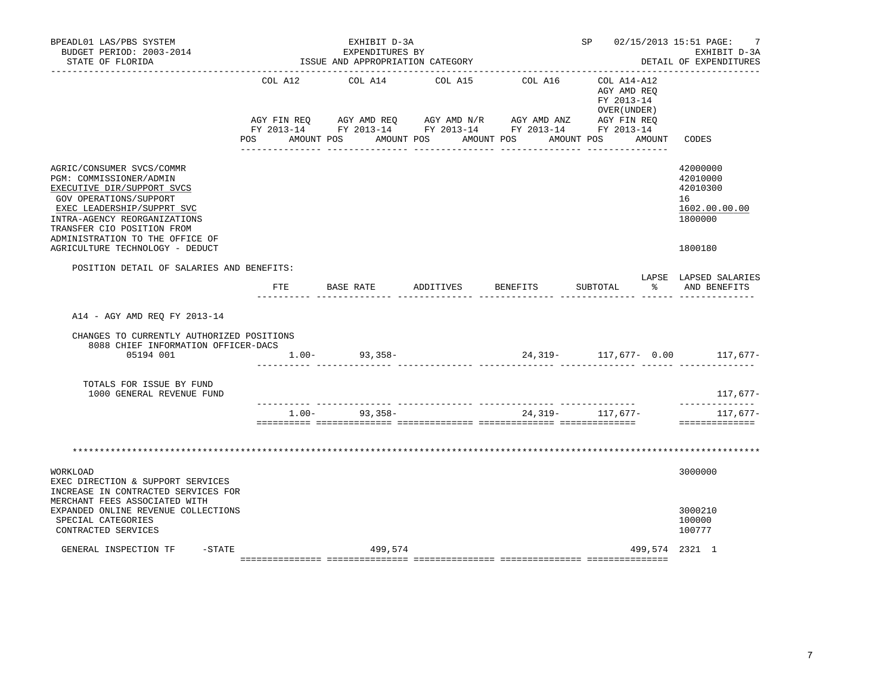| BPEADL01 LAS/PBS SYSTEM<br>BUDGET PERIOD: 2003-2014<br>STATE OF FLORIDA                                                                                                                                                                                                        |             | EXHIBIT D-3A<br>EXPENDITURES BY<br>ISSUE AND APPROPRIATION CATEGORY                                                       |           |                         | SP 02/15/2013 15:51 PAGE:                                | 7<br>EXHIBIT D-3A<br>DETAIL OF EXPENDITURES                                   |
|--------------------------------------------------------------------------------------------------------------------------------------------------------------------------------------------------------------------------------------------------------------------------------|-------------|---------------------------------------------------------------------------------------------------------------------------|-----------|-------------------------|----------------------------------------------------------|-------------------------------------------------------------------------------|
|                                                                                                                                                                                                                                                                                | COL A12     | COL A14                                                                                                                   | COL A15   | COL A16                 | COL A14-A12<br>AGY AMD REO<br>FY 2013-14<br>OVER (UNDER) |                                                                               |
|                                                                                                                                                                                                                                                                                | AGY FIN REQ | AGY AMD REQ AGY AMD N/R<br>FY 2013-14 FY 2013-14 FY 2013-14 FY 2013-14 FY 2013-14<br>POS AMOUNT POS AMOUNT POS AMOUNT POS |           | AGY AMD ANZ AGY FIN REQ | AMOUNT POS AMOUNT                                        | CODES                                                                         |
| AGRIC/CONSUMER SVCS/COMMR<br>PGM: COMMISSIONER/ADMIN<br>EXECUTIVE DIR/SUPPORT SVCS<br>GOV OPERATIONS/SUPPORT<br>EXEC LEADERSHIP/SUPPRT SVC<br>INTRA-AGENCY REORGANIZATIONS<br>TRANSFER CIO POSITION FROM<br>ADMINISTRATION TO THE OFFICE OF<br>AGRICULTURE TECHNOLOGY - DEDUCT |             |                                                                                                                           |           |                         |                                                          | 42000000<br>42010000<br>42010300<br>16<br>1602.00.00.00<br>1800000<br>1800180 |
| POSITION DETAIL OF SALARIES AND BENEFITS:                                                                                                                                                                                                                                      |             |                                                                                                                           |           |                         |                                                          |                                                                               |
|                                                                                                                                                                                                                                                                                | FTE         | BASE RATE                                                                                                                 | ADDITIVES | <b>BENEFITS</b>         | $\frac{1}{6}$<br>SUBTOTAL                                | LAPSE LAPSED SALARIES<br>AND BENEFITS                                         |
| A14 - AGY AMD REO FY 2013-14<br>CHANGES TO CURRENTLY AUTHORIZED POSITIONS<br>8088 CHIEF INFORMATION OFFICER-DACS<br>05194 001                                                                                                                                                  |             | $1.00 - 93,358 -$                                                                                                         |           |                         | $24,319-$ 117,677- 0.00 117,677-                         |                                                                               |
| TOTALS FOR ISSUE BY FUND<br>1000 GENERAL REVENUE FUND                                                                                                                                                                                                                          |             |                                                                                                                           |           |                         |                                                          | 117,677-                                                                      |
|                                                                                                                                                                                                                                                                                | $1.00-$     | 93,358-                                                                                                                   |           |                         | 24, 319 - 117, 677 -                                     | --------------<br>117,677-<br>==============                                  |
|                                                                                                                                                                                                                                                                                |             |                                                                                                                           |           |                         |                                                          |                                                                               |
| WORKLOAD<br>EXEC DIRECTION & SUPPORT SERVICES<br>INCREASE IN CONTRACTED SERVICES FOR<br>MERCHANT FEES ASSOCIATED WITH<br>EXPANDED ONLINE REVENUE COLLECTIONS<br>SPECIAL CATEGORIES                                                                                             |             |                                                                                                                           |           |                         |                                                          | 3000000<br>3000210<br>100000                                                  |
| CONTRACTED SERVICES<br>$-$ STATE<br>GENERAL INSPECTION TF                                                                                                                                                                                                                      |             | 499,574                                                                                                                   |           |                         | 499,574 2321 1                                           | 100777                                                                        |

7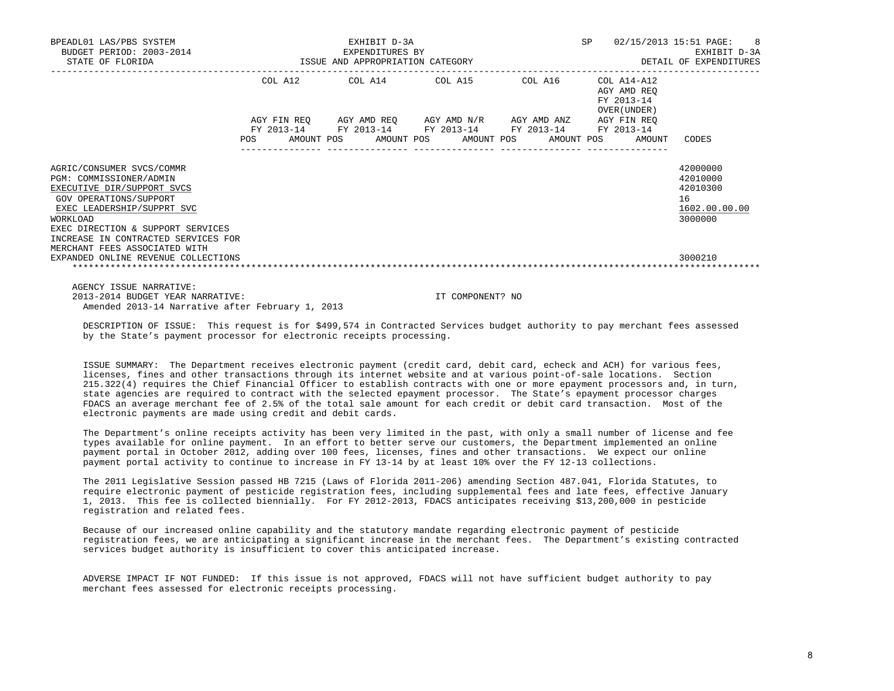| BPEADL01 LAS/PBS SYSTEM<br>BUDGET PERIOD: 2003-2014<br>STATE OF FLORIDA                                                                                                                                                            |     | EXHIBIT D-3A<br>EXPENDITURES BY<br>ISSUE AND APPROPRIATION CATEGORY                                                                |         | SP                                                       | 02/15/2013 15:51 PAGE: 8<br>EXHIBIT D-3A<br>DETAIL OF EXPENDITURES |
|------------------------------------------------------------------------------------------------------------------------------------------------------------------------------------------------------------------------------------|-----|------------------------------------------------------------------------------------------------------------------------------------|---------|----------------------------------------------------------|--------------------------------------------------------------------|
|                                                                                                                                                                                                                                    |     | COL A12 COL A14 COL A15                                                                                                            | COL A16 | COL A14-A12<br>AGY AMD REO<br>FY 2013-14<br>OVER (UNDER) |                                                                    |
|                                                                                                                                                                                                                                    | POS | AGY FIN REO AGY AMD REO AGY AMD N/R AGY AMD ANZ<br>FY 2013-14 FY 2013-14 FY 2013-14 FY 2013-14<br>AMOUNT POS AMOUNT POS AMOUNT POS |         | AGY FIN REO<br>FY 2013-14<br>AMOUNT POS<br>AMOUNT        | CODES                                                              |
| AGRIC/CONSUMER SVCS/COMMR<br>PGM: COMMISSIONER/ADMIN<br>EXECUTIVE DIR/SUPPORT SVCS<br>GOV OPERATIONS/SUPPORT<br>EXEC LEADERSHIP/SUPPRT SVC<br>WORKLOAD<br>EXEC DIRECTION & SUPPORT SERVICES<br>INCREASE IN CONTRACTED SERVICES FOR |     |                                                                                                                                    |         |                                                          | 42000000<br>42010000<br>42010300<br>16<br>1602.00.00.00<br>3000000 |
| MERCHANT FEES ASSOCIATED WITH<br>EXPANDED ONLINE REVENUE COLLECTIONS                                                                                                                                                               |     |                                                                                                                                    |         |                                                          | 3000210                                                            |

 AGENCY ISSUE NARRATIVE: 2013-2014 BUDGET YEAR NARRATIVE: IT COMPONENT? NO Amended 2013-14 Narrative after February 1, 2013

 DESCRIPTION OF ISSUE: This request is for \$499,574 in Contracted Services budget authority to pay merchant fees assessed by the State's payment processor for electronic receipts processing.

 ISSUE SUMMARY: The Department receives electronic payment (credit card, debit card, echeck and ACH) for various fees, licenses, fines and other transactions through its internet website and at various point-of-sale locations. Section 215.322(4) requires the Chief Financial Officer to establish contracts with one or more epayment processors and, in turn, state agencies are required to contract with the selected epayment processor. The State's epayment processor charges FDACS an average merchant fee of 2.5% of the total sale amount for each credit or debit card transaction. Most of the electronic payments are made using credit and debit cards.

 The Department's online receipts activity has been very limited in the past, with only a small number of license and fee types available for online payment. In an effort to better serve our customers, the Department implemented an online payment portal in October 2012, adding over 100 fees, licenses, fines and other transactions. We expect our online payment portal activity to continue to increase in FY 13-14 by at least 10% over the FY 12-13 collections.

 The 2011 Legislative Session passed HB 7215 (Laws of Florida 2011-206) amending Section 487.041, Florida Statutes, to require electronic payment of pesticide registration fees, including supplemental fees and late fees, effective January 1, 2013. This fee is collected biennially. For FY 2012-2013, FDACS anticipates receiving \$13,200,000 in pesticide registration and related fees.

 Because of our increased online capability and the statutory mandate regarding electronic payment of pesticide registration fees, we are anticipating a significant increase in the merchant fees. The Department's existing contracted services budget authority is insufficient to cover this anticipated increase.

 ADVERSE IMPACT IF NOT FUNDED: If this issue is not approved, FDACS will not have sufficient budget authority to pay merchant fees assessed for electronic receipts processing.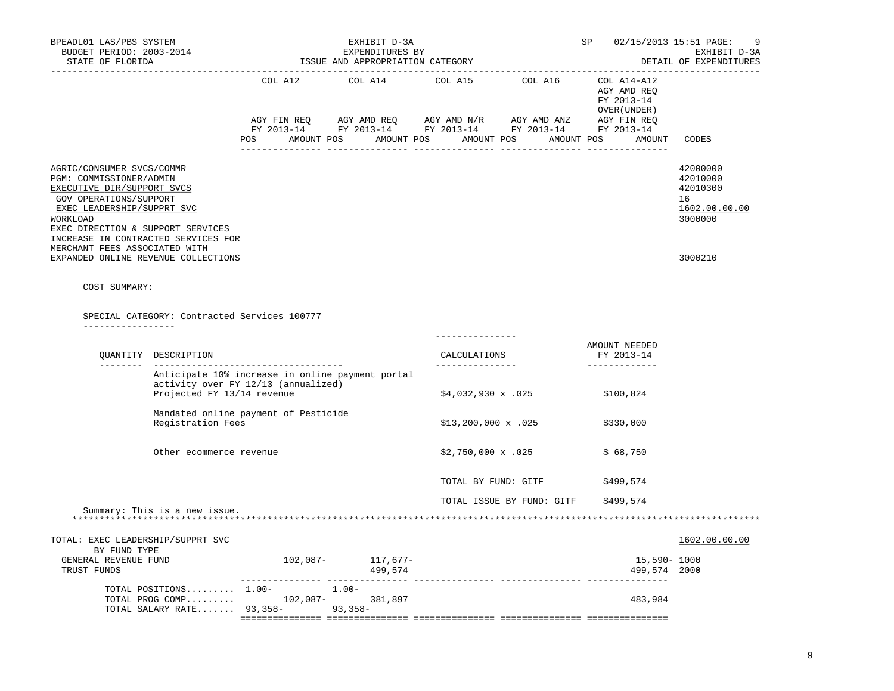| BPEADL01 LAS/PBS SYSTEM<br>BUDGET PERIOD: 2003-2014<br>STATE OF FLORIDA                                                                                                                                                                                             |                                              | --------------------------------                                                                       | EXHIBIT D-3A<br>EXPENDITURES BY<br>ISSUE AND APPROPRIATION CATEGORY |                                 | SP<br>02/15/2013 15:51 PAGE:<br>EXHIBIT D-3A<br>DETAIL OF EXPENDITURES<br>-------------------------------------- |                                                        |                                                                    |
|---------------------------------------------------------------------------------------------------------------------------------------------------------------------------------------------------------------------------------------------------------------------|----------------------------------------------|--------------------------------------------------------------------------------------------------------|---------------------------------------------------------------------|---------------------------------|------------------------------------------------------------------------------------------------------------------|--------------------------------------------------------|--------------------------------------------------------------------|
|                                                                                                                                                                                                                                                                     |                                              | COL A12                                                                                                |                                                                     |                                 | COL A14 COL A15 COL A16 COL A14-A12                                                                              | AGY AMD REQ<br>FY 2013-14<br>OVER ( UNDER )            |                                                                    |
|                                                                                                                                                                                                                                                                     |                                              |                                                                                                        |                                                                     |                                 |                                                                                                                  | POS AMOUNT POS AMOUNT POS AMOUNT POS AMOUNT POS AMOUNT | CODES                                                              |
| AGRIC/CONSUMER SVCS/COMMR<br>PGM: COMMISSIONER/ADMIN<br>EXECUTIVE DIR/SUPPORT SVCS<br>GOV OPERATIONS/SUPPORT<br>EXEC LEADERSHIP/SUPPRT SVC<br>WORKLOAD<br>EXEC DIRECTION & SUPPORT SERVICES<br>INCREASE IN CONTRACTED SERVICES FOR<br>MERCHANT FEES ASSOCIATED WITH |                                              |                                                                                                        |                                                                     |                                 |                                                                                                                  |                                                        | 42000000<br>42010000<br>42010300<br>16<br>1602.00.00.00<br>3000000 |
| EXPANDED ONLINE REVENUE COLLECTIONS                                                                                                                                                                                                                                 |                                              |                                                                                                        |                                                                     |                                 |                                                                                                                  |                                                        | 3000210                                                            |
| COST SUMMARY:                                                                                                                                                                                                                                                       |                                              |                                                                                                        |                                                                     |                                 |                                                                                                                  |                                                        |                                                                    |
|                                                                                                                                                                                                                                                                     | SPECIAL CATEGORY: Contracted Services 100777 |                                                                                                        |                                                                     |                                 |                                                                                                                  |                                                        |                                                                    |
| _________________                                                                                                                                                                                                                                                   |                                              |                                                                                                        |                                                                     |                                 |                                                                                                                  |                                                        |                                                                    |
|                                                                                                                                                                                                                                                                     | OUANTITY DESCRIPTION                         |                                                                                                        |                                                                     | CALCULATIONS<br>--------------- |                                                                                                                  | AMOUNT NEEDED<br>FY 2013-14                            |                                                                    |
|                                                                                                                                                                                                                                                                     | Projected FY 13/14 revenue                   | Anticipate 10% increase in online payment portal<br>activity over FY 12/13 (annualized)                |                                                                     | $$4,032,930 \times .025$        |                                                                                                                  | \$100,824                                              |                                                                    |
|                                                                                                                                                                                                                                                                     | Registration Fees                            | Mandated online payment of Pesticide                                                                   |                                                                     | $$13,200,000 \times .025$       |                                                                                                                  | \$330,000                                              |                                                                    |
|                                                                                                                                                                                                                                                                     | Other ecommerce revenue                      |                                                                                                        |                                                                     | $$2,750,000 \times .025$        |                                                                                                                  | \$68,750                                               |                                                                    |
|                                                                                                                                                                                                                                                                     |                                              |                                                                                                        |                                                                     | TOTAL BY FUND: GITF             |                                                                                                                  | \$499,574                                              |                                                                    |
|                                                                                                                                                                                                                                                                     |                                              |                                                                                                        |                                                                     |                                 | TOTAL ISSUE BY FUND: GITF                                                                                        | \$499,574                                              |                                                                    |
|                                                                                                                                                                                                                                                                     | Summary: This is a new issue.                |                                                                                                        |                                                                     |                                 |                                                                                                                  |                                                        |                                                                    |
| TOTAL: EXEC LEADERSHIP/SUPPRT SVC<br>BY FUND TYPE                                                                                                                                                                                                                   |                                              |                                                                                                        |                                                                     |                                 |                                                                                                                  |                                                        | 1602.00.00.00                                                      |
| GENERAL REVENUE FUND<br>TRUST FUNDS                                                                                                                                                                                                                                 |                                              | $102,087-$ 117,677-                                                                                    | 499,574                                                             |                                 |                                                                                                                  | 15,590- 1000<br>499,574 2000                           |                                                                    |
|                                                                                                                                                                                                                                                                     |                                              | TOTAL POSITIONS 1.00- 1.00-<br>TOTAL PROG COMP 102,087-381,897<br>TOTAL SALARY RATE 93,358-<br>93,358- |                                                                     |                                 |                                                                                                                  | 483,984                                                |                                                                    |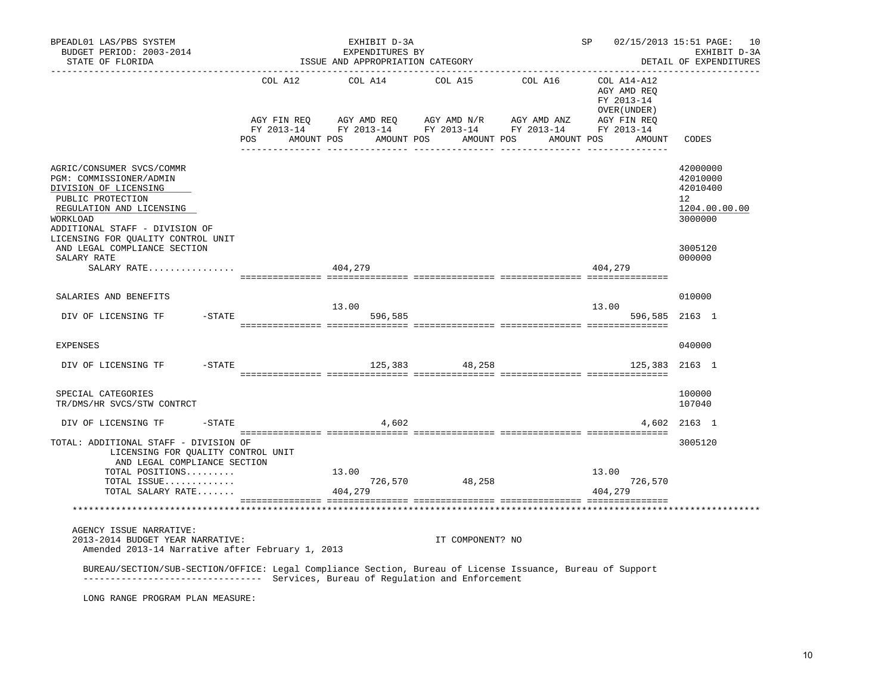| BPEADL01 LAS/PBS SYSTEM<br>BUDGET PERIOD: 2003-2014<br>STATE OF FLORIDA                                                                                                                                            |         | EXHIBIT D-3A<br>EXPENDITURES BY<br>ISSUE AND APPROPRIATION CATEGORY |                  | ______________________________ | SP 02/15/2013 15:51 PAGE: 10                              | EXHIBIT D-3A<br>DETAIL OF EXPENDITURES                             |
|--------------------------------------------------------------------------------------------------------------------------------------------------------------------------------------------------------------------|---------|---------------------------------------------------------------------|------------------|--------------------------------|-----------------------------------------------------------|--------------------------------------------------------------------|
|                                                                                                                                                                                                                    | COL A12 | COL A14                                                             | COL A15          | COL A16                        | COL A14-A12<br>AGY AMD REO<br>FY 2013-14<br>OVER (UNDER ) |                                                                    |
|                                                                                                                                                                                                                    | POS FOR | AMOUNT POS AMOUNT POS AMOUNT POS                                    |                  |                                | AMOUNT POS AMOUNT                                         | CODES                                                              |
| AGRIC/CONSUMER SVCS/COMMR<br>PGM: COMMISSIONER/ADMIN<br>DIVISION OF LICENSING<br>PUBLIC PROTECTION<br>REGULATION AND LICENSING<br>WORKLOAD<br>ADDITIONAL STAFF - DIVISION OF<br>LICENSING FOR QUALITY CONTROL UNIT |         |                                                                     |                  |                                |                                                           | 42000000<br>42010000<br>42010400<br>12<br>1204.00.00.00<br>3000000 |
| AND LEGAL COMPLIANCE SECTION<br>SALARY RATE                                                                                                                                                                        |         |                                                                     |                  |                                |                                                           | 3005120<br>000000                                                  |
| SALARY RATE                                                                                                                                                                                                        | 404,279 |                                                                     |                  |                                | 404,279                                                   |                                                                    |
| SALARIES AND BENEFITS                                                                                                                                                                                              |         | 13.00                                                               |                  |                                | 13.00                                                     | 010000                                                             |
| DIV OF LICENSING TF - STATE                                                                                                                                                                                        |         | 596,585                                                             |                  |                                | 596,585 2163 1                                            |                                                                    |
| EXPENSES                                                                                                                                                                                                           |         |                                                                     |                  |                                |                                                           | 040000                                                             |
| DIV OF LICENSING TF -STATE                                                                                                                                                                                         |         |                                                                     | 125,383 48,258   |                                | 125,383                                                   | 2163 1                                                             |
| SPECIAL CATEGORIES<br>TR/DMS/HR SVCS/STW CONTRCT                                                                                                                                                                   |         |                                                                     |                  |                                |                                                           | 100000<br>107040                                                   |
| DIV OF LICENSING TF<br>$-$ STATE                                                                                                                                                                                   |         | 4,602                                                               |                  |                                |                                                           | 4,602 2163 1                                                       |
| TOTAL: ADDITIONAL STAFF - DIVISION OF<br>LICENSING FOR QUALITY CONTROL UNIT<br>AND LEGAL COMPLIANCE SECTION                                                                                                        |         |                                                                     |                  |                                |                                                           | 3005120                                                            |
| TOTAL POSITIONS                                                                                                                                                                                                    |         | 13.00                                                               | $726,570$ 48,258 |                                | 13.00                                                     |                                                                    |
| TOTAL ISSUE<br>TOTAL SALARY RATE                                                                                                                                                                                   |         | 404,279                                                             |                  |                                | 726,570<br>404,279                                        |                                                                    |
|                                                                                                                                                                                                                    |         |                                                                     |                  |                                |                                                           |                                                                    |
| AGENCY ISSUE NARRATIVE:<br>2013-2014 BUDGET YEAR NARRATIVE:<br>Amended 2013-14 Narrative after February 1, 2013                                                                                                    |         |                                                                     | IT COMPONENT? NO |                                |                                                           |                                                                    |
| BUREAU/SECTION/SUB-SECTION/OFFICE: Legal Compliance Section, Bureau of License Issuance, Bureau of Support<br>-------------------------------- Services, Bureau of Regulation and Enforcement                      |         |                                                                     |                  |                                |                                                           |                                                                    |
| LONG RANGE PROGRAM PLAN MEASURE:                                                                                                                                                                                   |         |                                                                     |                  |                                |                                                           |                                                                    |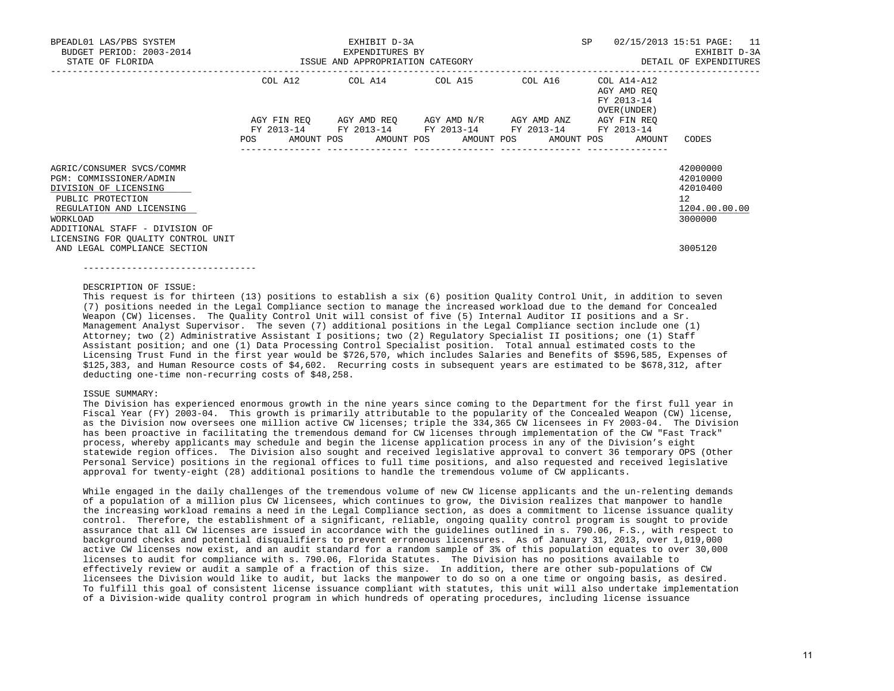| BPEADL01 LAS/PBS SYSTEM<br>BUDGET PERIOD: 2003-2014                  |                                  | EXHIBIT D-3A<br>EXPENDITURES BY |                                                             |                 | SP                                                       | 02/15/2013 15:51 PAGE: 11<br>EXHIBIT D-3A |
|----------------------------------------------------------------------|----------------------------------|---------------------------------|-------------------------------------------------------------|-----------------|----------------------------------------------------------|-------------------------------------------|
| STATE OF FLORIDA                                                     | ISSUE AND APPROPRIATION CATEGORY |                                 |                                                             |                 |                                                          | DETAIL OF EXPENDITURES                    |
|                                                                      |                                  |                                 | COL A12 COL A14 COL A15 COL A16                             |                 | COL A14-A12<br>AGY AMD REO<br>FY 2013-14<br>OVER (UNDER) |                                           |
|                                                                      | AGY FIN REO<br>FY 2013-14        |                                 | AGY AMD REO AGY AMD N/R<br>FY 2013-14 FY 2013-14 FY 2013-14 | AGY AMD ANZ     | AGY FIN REO<br>FY 2013-14                                |                                           |
|                                                                      | POS                              |                                 | ---------------                                             | --------------- | AMOUNT POS AMOUNT POS AMOUNT POS AMOUNT POS AMOUNT       | CODES                                     |
| AGRIC/CONSUMER SVCS/COMMR                                            |                                  |                                 |                                                             |                 |                                                          | 42000000                                  |
| PGM: COMMISSIONER/ADMIN                                              |                                  |                                 |                                                             |                 |                                                          | 42010000                                  |
| DIVISION OF LICENSING<br>PUBLIC PROTECTION                           |                                  |                                 |                                                             |                 |                                                          | 42010400<br>12                            |
| REGULATION AND LICENSING<br>WORKLOAD                                 |                                  |                                 |                                                             |                 |                                                          | 1204.00.00.00<br>3000000                  |
| ADDITIONAL STAFF - DIVISION OF<br>LICENSING FOR OUALITY CONTROL UNIT |                                  |                                 |                                                             |                 |                                                          |                                           |
| AND LEGAL COMPLIANCE SECTION                                         |                                  |                                 |                                                             |                 |                                                          | 3005120                                   |

#### DESCRIPTION OF ISSUE:

--------------------------------

 This request is for thirteen (13) positions to establish a six (6) position Quality Control Unit, in addition to seven (7) positions needed in the Legal Compliance section to manage the increased workload due to the demand for Concealed Weapon (CW) licenses. The Quality Control Unit will consist of five (5) Internal Auditor II positions and a Sr. Management Analyst Supervisor. The seven (7) additional positions in the Legal Compliance section include one (1) Attorney; two (2) Administrative Assistant I positions; two (2) Regulatory Specialist II positions; one (1) Staff Assistant position; and one (1) Data Processing Control Specialist position. Total annual estimated costs to the Licensing Trust Fund in the first year would be \$726,570, which includes Salaries and Benefits of \$596,585, Expenses of \$125,383, and Human Resource costs of \$4,602. Recurring costs in subsequent years are estimated to be \$678,312, after deducting one-time non-recurring costs of \$48,258.

#### ISSUE SUMMARY:

 The Division has experienced enormous growth in the nine years since coming to the Department for the first full year in Fiscal Year (FY) 2003-04. This growth is primarily attributable to the popularity of the Concealed Weapon (CW) license, as the Division now oversees one million active CW licenses; triple the 334,365 CW licensees in FY 2003-04. The Division has been proactive in facilitating the tremendous demand for CW licenses through implementation of the CW "Fast Track" process, whereby applicants may schedule and begin the license application process in any of the Division's eight statewide region offices. The Division also sought and received legislative approval to convert 36 temporary OPS (Other Personal Service) positions in the regional offices to full time positions, and also requested and received legislative approval for twenty-eight (28) additional positions to handle the tremendous volume of CW applicants.

 While engaged in the daily challenges of the tremendous volume of new CW license applicants and the un-relenting demands of a population of a million plus CW licensees, which continues to grow, the Division realizes that manpower to handle the increasing workload remains a need in the Legal Compliance section, as does a commitment to license issuance quality control. Therefore, the establishment of a significant, reliable, ongoing quality control program is sought to provide assurance that all CW licenses are issued in accordance with the guidelines outlined in s. 790.06, F.S., with respect to background checks and potential disqualifiers to prevent erroneous licensures. As of January 31, 2013, over 1,019,000 active CW licenses now exist, and an audit standard for a random sample of 3% of this population equates to over 30,000 licenses to audit for compliance with s. 790.06, Florida Statutes. The Division has no positions available to effectively review or audit a sample of a fraction of this size. In addition, there are other sub-populations of CW licensees the Division would like to audit, but lacks the manpower to do so on a one time or ongoing basis, as desired. To fulfill this goal of consistent license issuance compliant with statutes, this unit will also undertake implementation of a Division-wide quality control program in which hundreds of operating procedures, including license issuance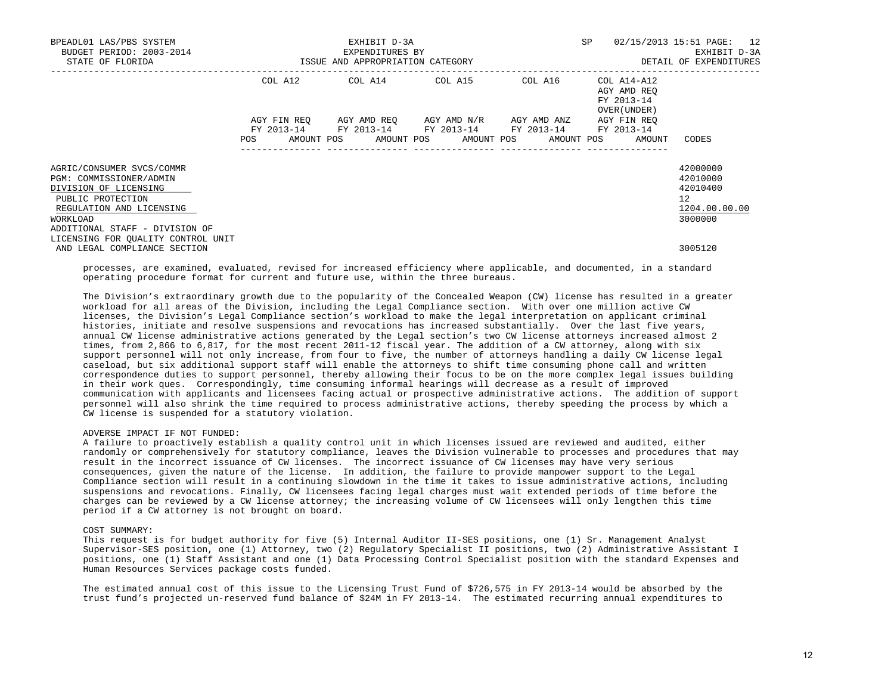| BPEADL01 LAS/PBS SYSTEM<br>BUDGET PERIOD: 2003-2014                    |                                  | EXHIBIT D-3A<br>EXPENDITURES BY |                                                                         |                        | SP                                                       | 02/15/2013 15:51 PAGE: 12<br>EXHIBIT D-3A |  |
|------------------------------------------------------------------------|----------------------------------|---------------------------------|-------------------------------------------------------------------------|------------------------|----------------------------------------------------------|-------------------------------------------|--|
| STATE OF FLORIDA                                                       | ISSUE AND APPROPRIATION CATEGORY |                                 |                                                                         | DETAIL OF EXPENDITURES |                                                          |                                           |  |
|                                                                        |                                  |                                 | COL A12 COL A14 COL A15 COL A16                                         |                        | COL A14-A12<br>AGY AMD REO<br>FY 2013-14<br>OVER (UNDER) |                                           |  |
|                                                                        | AGY FIN REO<br>FY 2013-14        |                                 | AGY AMD REO AGY AMD N/R AGY AMD ANZ<br>FY 2013-14 FY 2013-14 FY 2013-14 |                        | AGY FIN REO<br>FY 2013-14                                |                                           |  |
|                                                                        | <b>POS</b>                       |                                 | AMOUNT POS AMOUNT POS AMOUNT POS AMOUNT POS                             |                        | AMOUNT                                                   | CODES                                     |  |
| AGRIC/CONSUMER SVCS/COMMR<br>PGM: COMMISSIONER/ADMIN                   |                                  |                                 |                                                                         |                        |                                                          | 42000000<br>42010000                      |  |
| DIVISION OF LICENSING<br>PUBLIC PROTECTION                             |                                  |                                 |                                                                         |                        |                                                          | 42010400<br>12 <sup>1</sup>               |  |
| REGULATION AND LICENSING<br>WORKLOAD<br>ADDITIONAL STAFF - DIVISION OF |                                  |                                 |                                                                         |                        |                                                          | 1204.00.00.00<br>3000000                  |  |
| LICENSING FOR QUALITY CONTROL UNIT<br>AND LEGAL COMPLIANCE SECTION     |                                  |                                 |                                                                         |                        |                                                          | 3005120                                   |  |

 processes, are examined, evaluated, revised for increased efficiency where applicable, and documented, in a standard operating procedure format for current and future use, within the three bureaus.

 The Division's extraordinary growth due to the popularity of the Concealed Weapon (CW) license has resulted in a greater workload for all areas of the Division, including the Legal Compliance section. With over one million active CW licenses, the Division's Legal Compliance section's workload to make the legal interpretation on applicant criminal histories, initiate and resolve suspensions and revocations has increased substantially. Over the last five years, annual CW license administrative actions generated by the Legal section's two CW license attorneys increased almost 2 times, from 2,866 to 6,817, for the most recent 2011-12 fiscal year. The addition of a CW attorney, along with six support personnel will not only increase, from four to five, the number of attorneys handling a daily CW license legal caseload, but six additional support staff will enable the attorneys to shift time consuming phone call and written correspondence duties to support personnel, thereby allowing their focus to be on the more complex legal issues building in their work ques. Correspondingly, time consuming informal hearings will decrease as a result of improved communication with applicants and licensees facing actual or prospective administrative actions. The addition of support personnel will also shrink the time required to process administrative actions, thereby speeding the process by which a CW license is suspended for a statutory violation.

## ADVERSE IMPACT IF NOT FUNDED:

 A failure to proactively establish a quality control unit in which licenses issued are reviewed and audited, either randomly or comprehensively for statutory compliance, leaves the Division vulnerable to processes and procedures that may result in the incorrect issuance of CW licenses. The incorrect issuance of CW licenses may have very serious consequences, given the nature of the license. In addition, the failure to provide manpower support to the Legal Compliance section will result in a continuing slowdown in the time it takes to issue administrative actions, including suspensions and revocations. Finally, CW licensees facing legal charges must wait extended periods of time before the charges can be reviewed by a CW license attorney; the increasing volume of CW licensees will only lengthen this time period if a CW attorney is not brought on board.

#### COST SUMMARY:

 This request is for budget authority for five (5) Internal Auditor II-SES positions, one (1) Sr. Management Analyst Supervisor-SES position, one (1) Attorney, two (2) Regulatory Specialist II positions, two (2) Administrative Assistant I positions, one (1) Staff Assistant and one (1) Data Processing Control Specialist position with the standard Expenses and Human Resources Services package costs funded.

 The estimated annual cost of this issue to the Licensing Trust Fund of \$726,575 in FY 2013-14 would be absorbed by the trust fund's projected un-reserved fund balance of \$24M in FY 2013-14. The estimated recurring annual expenditures to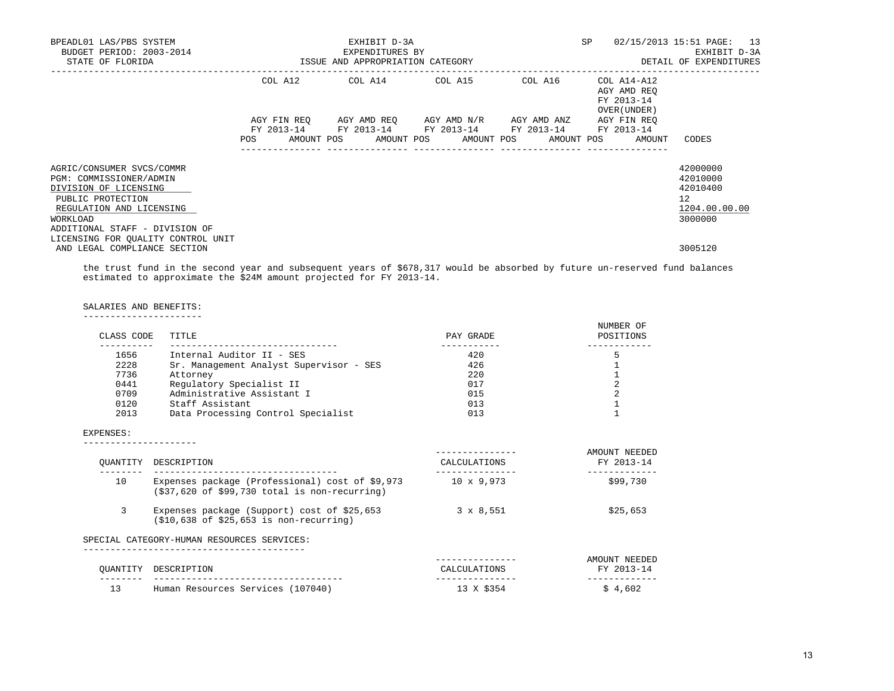| BPEADL01 LAS/PBS SYSTEM<br>BUDGET PERIOD: 2003-2014<br>STATE OF FLORIDA                                                                                                                                            |             | EXHIBIT D-3A<br>EXPENDITURES BY<br>ISSUE AND APPROPRIATION CATEGORY |                                                                        |             | SP                                                       | 02/15/2013 15:51 PAGE: 13<br>EXHIBIT D-3A<br>DETAIL OF EXPENDITURES             |
|--------------------------------------------------------------------------------------------------------------------------------------------------------------------------------------------------------------------|-------------|---------------------------------------------------------------------|------------------------------------------------------------------------|-------------|----------------------------------------------------------|---------------------------------------------------------------------------------|
|                                                                                                                                                                                                                    |             |                                                                     | COL A12 COL A14 COL A15                                                | COL A16     | COL A14-A12<br>AGY AMD REO<br>FY 2013-14<br>OVER (UNDER) |                                                                                 |
|                                                                                                                                                                                                                    | AGY FIN REO |                                                                     | AGY AMD REO AGY AMD N/R<br>FY 2013-14 FY 2013-14 FY 2013-14 FY 2013-14 | AGY AMD ANZ | AGY FIN REO<br>FY 2013-14                                |                                                                                 |
|                                                                                                                                                                                                                    | POS         |                                                                     | AMOUNT POS AMOUNT POS AMOUNT POS AMOUNT POS                            |             | AMOUNT                                                   | CODES                                                                           |
| AGRIC/CONSUMER SVCS/COMMR<br>PGM: COMMISSIONER/ADMIN<br>DIVISION OF LICENSING<br>PUBLIC PROTECTION<br>REGULATION AND LICENSING<br>WORKLOAD<br>ADDITIONAL STAFF - DIVISION OF<br>LICENSING FOR OUALITY CONTROL UNIT |             |                                                                     |                                                                        |             |                                                          | 42000000<br>42010000<br>42010400<br>12 <sup>°</sup><br>1204.00.00.00<br>3000000 |
| AND LEGAL COMPLIANCE SECTION                                                                                                                                                                                       |             |                                                                     |                                                                        |             |                                                          | 3005120                                                                         |

 the trust fund in the second year and subsequent years of \$678,317 would be absorbed by future un-reserved fund balances estimated to approximate the \$24M amount projected for FY 2013-14.

SALARIES AND BENEFITS:

|  | ----------------------<br>--------------------- |  |  |  |  |  |  |  |  |  |  |  |
|--|-------------------------------------------------|--|--|--|--|--|--|--|--|--|--|--|
|  |                                                 |  |  |  |  |  |  |  |  |  |  |  |

| CLASS CODE | TITLE                                   | PAY GRADE | NUMBER OF<br>POSITIONS |
|------------|-----------------------------------------|-----------|------------------------|
| 1656       | Internal Auditor II - SES               | 420       |                        |
| 2228       | Sr. Management Analyst Supervisor - SES | 426       |                        |
| 7736       | Attorney                                | 220       |                        |
| 0441       | Regulatory Specialist II                | 017       |                        |
| 0709       | Administrative Assistant I              | 015       |                        |
| 0120       | Staff Assistant                         | 013       |                        |
| 2013       | Data Processing Control Specialist      | 013       |                        |
|            |                                         |           |                        |

## EXPENSES:

---------------------

| OUANTITY | DESCRIPTION                                                                                                        | CALCULATIONS      | AMOUNT NEEDED<br>FY 2013-14 |
|----------|--------------------------------------------------------------------------------------------------------------------|-------------------|-----------------------------|
| 10       | Expenses package (Professional) cost of \$9,973<br>$(537, 620 \text{ of } $99,730 \text{ total is non-recurring})$ | $10 \times 9,973$ | \$99,730                    |
| 3        | Expenses package (Support) cost of \$25,653<br>$( $10, 638$ of \$25,653 is non-recurring)                          | $3 \times 8,551$  | \$25,653                    |
|          | SPECIAL CATEGORY-HUMAN RESOURCES SERVICES:                                                                         |                   |                             |
|          |                                                                                                                    |                   | AMOUNT NEEDED               |

| QUANTITY           | DESCRIPTION                            | JLATIONS<br>$\cap$ AT.O | <b>FV</b><br>2013-14 |
|--------------------|----------------------------------------|-------------------------|----------------------|
| -----              |                                        |                         |                      |
| 1 ว<br><u>ے بر</u> | (107040)<br>Human Resources Services ( |                         | .602                 |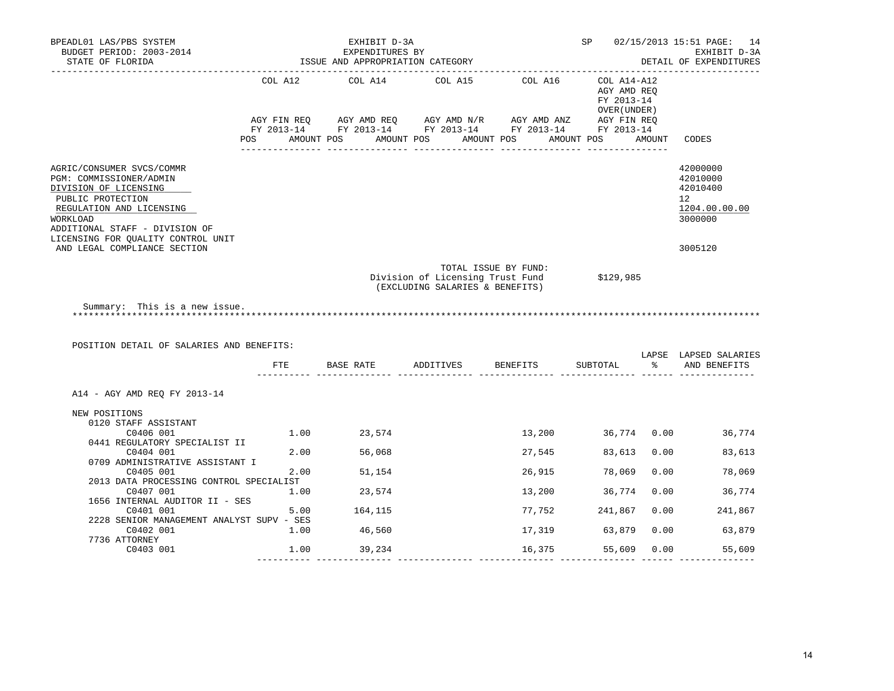| BPEADL01 LAS/PBS SYSTEM<br>BUDGET PERIOD: 2003-2014<br>STATE OF FLORIDA                                                                                                                                                                            |                       | EXHIBIT D-3A<br>EXPENDITURES BY<br>ISSUE AND APPROPRIATION CATEGORY |                                                                     |                                                                                                                                                                                                                                                                                                                      | SP                                                                     |        | 02/15/2013 15:51 PAGE: 14<br>EXHIBIT D-3A<br>DETAIL OF EXPENDITURES<br>_______________ |
|----------------------------------------------------------------------------------------------------------------------------------------------------------------------------------------------------------------------------------------------------|-----------------------|---------------------------------------------------------------------|---------------------------------------------------------------------|----------------------------------------------------------------------------------------------------------------------------------------------------------------------------------------------------------------------------------------------------------------------------------------------------------------------|------------------------------------------------------------------------|--------|----------------------------------------------------------------------------------------|
|                                                                                                                                                                                                                                                    | COL A12<br><b>POS</b> | COL A14                                                             | COL A15<br>AMOUNT POS AMOUNT POS AMOUNT POS                         | COL A16<br>$AGY \text{ } FIN \text{ } REQ \text{ } \hspace{5mm} AGY \text{ } AMD \text{ } REQ \text{ } \hspace{5mm} AGY \text{ } AMD \text{ } N/R \text{ } \hspace{5mm} AGY \text{ } AMD \text{ } ANZ \text{ } \hspace{5mm} AGY \text{ } FIN \text{ } REQ$<br>FY 2013-14 FY 2013-14 FY 2013-14 FY 2013-14 FY 2013-14 | COL A14-A12<br>AGY AMD REQ<br>FY 2013-14<br>OVER (UNDER)<br>AMOUNT POS | AMOUNT | CODES                                                                                  |
| AGRIC/CONSUMER SVCS/COMMR<br>PGM: COMMISSIONER/ADMIN<br>DIVISION OF LICENSING<br>PUBLIC PROTECTION<br>REGULATION AND LICENSING<br>WORKLOAD<br>ADDITIONAL STAFF - DIVISION OF<br>LICENSING FOR QUALITY CONTROL UNIT<br>AND LEGAL COMPLIANCE SECTION |                       |                                                                     |                                                                     |                                                                                                                                                                                                                                                                                                                      |                                                                        |        | 42000000<br>42010000<br>42010400<br>12<br>1204.00.00.00<br>3000000<br>3005120          |
| Summary: This is a new issue.                                                                                                                                                                                                                      |                       |                                                                     | Division of Licensing Trust Fund<br>(EXCLUDING SALARIES & BENEFITS) | TOTAL ISSUE BY FUND:                                                                                                                                                                                                                                                                                                 | \$129,985                                                              |        |                                                                                        |
| POSITION DETAIL OF SALARIES AND BENEFITS:                                                                                                                                                                                                          |                       |                                                                     |                                                                     |                                                                                                                                                                                                                                                                                                                      |                                                                        |        |                                                                                        |
|                                                                                                                                                                                                                                                    | FTE                   | BASE RATE                                                           | ADDITIVES BENEFITS                                                  |                                                                                                                                                                                                                                                                                                                      | SUBTOTAL                                                               |        | LAPSE LAPSED SALARIES<br>% AND BENEFITS                                                |
| A14 - AGY AMD REO FY 2013-14                                                                                                                                                                                                                       |                       |                                                                     |                                                                     |                                                                                                                                                                                                                                                                                                                      |                                                                        |        |                                                                                        |
| NEW POSITIONS<br>0120 STAFF ASSISTANT<br>C0406 001                                                                                                                                                                                                 |                       | 1.00 23,574                                                         |                                                                     | 13,200                                                                                                                                                                                                                                                                                                               | 36,774 0.00                                                            |        | 36,774                                                                                 |
| 0441 REGULATORY SPECIALIST II<br>C0404 001                                                                                                                                                                                                         |                       | 2.00 56,068                                                         |                                                                     | 27,545                                                                                                                                                                                                                                                                                                               | 83,613                                                                 | 0.00   | 83,613                                                                                 |
| 0709 ADMINISTRATIVE ASSISTANT I                                                                                                                                                                                                                    |                       |                                                                     |                                                                     |                                                                                                                                                                                                                                                                                                                      |                                                                        |        |                                                                                        |
| C0405 001<br>2013 DATA PROCESSING CONTROL SPECIALIST                                                                                                                                                                                               | 2.00                  | 51,154                                                              |                                                                     | 26,915                                                                                                                                                                                                                                                                                                               | 78,069                                                                 | 0.00   | 78,069                                                                                 |
| C0407 001                                                                                                                                                                                                                                          | 1.00                  | 23,574                                                              |                                                                     | 13,200                                                                                                                                                                                                                                                                                                               | 36,774                                                                 | 0.00   | 36,774                                                                                 |
| 1656 INTERNAL AUDITOR II - SES<br>C0401 001                                                                                                                                                                                                        | 5.00                  | 164,115                                                             |                                                                     | 77,752                                                                                                                                                                                                                                                                                                               | 241,867                                                                | 0.00   | 241,867                                                                                |
| 2228 SENIOR MANAGEMENT ANALYST SUPV - SES                                                                                                                                                                                                          |                       |                                                                     |                                                                     |                                                                                                                                                                                                                                                                                                                      |                                                                        |        |                                                                                        |
| C0402 001<br>7736 ATTORNEY                                                                                                                                                                                                                         | 1.00                  | 46,560                                                              |                                                                     | 17,319                                                                                                                                                                                                                                                                                                               | 63,879                                                                 | 0.00   | 63,879                                                                                 |

---------- -------------- -------------- -------------- -------------- ------ --------------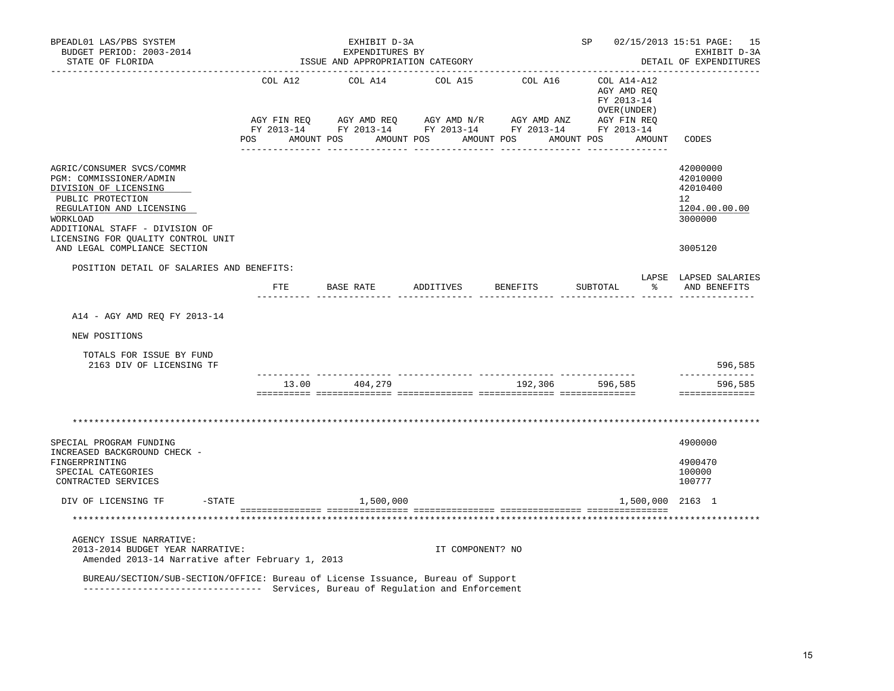| BPEADL01 LAS/PBS SYSTEM<br>BUDGET PERIOD: 2003-2014<br>STATE OF FLORIDA                                                                                                                                                                            | EXHIBIT D-3A<br>EXPENDITURES BY<br>ISSUE AND APPROPRIATION CATEGORY |                  |                                                                                                                                                                                                                                                                                                                                                                                                                                                                                                                | SP and the set of the set of the set of the set of the set of the set of the set of the set of the set of the set of the set of the set of the set of the set of the set of the set of the set of the set of the set of the se | 02/15/2013 15:51 PAGE: 15<br>EXHIBIT D-3A<br>DETAIL OF EXPENDITURES                     |
|----------------------------------------------------------------------------------------------------------------------------------------------------------------------------------------------------------------------------------------------------|---------------------------------------------------------------------|------------------|----------------------------------------------------------------------------------------------------------------------------------------------------------------------------------------------------------------------------------------------------------------------------------------------------------------------------------------------------------------------------------------------------------------------------------------------------------------------------------------------------------------|--------------------------------------------------------------------------------------------------------------------------------------------------------------------------------------------------------------------------------|-----------------------------------------------------------------------------------------|
|                                                                                                                                                                                                                                                    |                                                                     |                  | $\begin{tabular}{lllllllllllll} \multicolumn{4}{l}{{\text{COL A14}} } & \multicolumn{4}{c}{{\text{COL A15}} } & \multicolumn{4}{c}{{\text{COL A16}} } & \multicolumn{4}{c}{{\text{COL A12}} }\\ & \multicolumn{4}{c}{{\text{COL A14}} } & \multicolumn{4}{c}{{\text{COL A15}} } & \multicolumn{4}{c}{{\text{COL A16}} } & \multicolumn{4}{c}{{\text{COL A12}} }\\ & \multicolumn{4}{c}{{\text{AGY AMD REQ}}} & & \multicolumn{4}{c}{{\text{COL A14}} } & \$<br>POS AMOUNT POS AMOUNT POS AMOUNT POS AMOUNT POS | FY 2013-14<br>OVER (UNDER )<br>AMOUNT                                                                                                                                                                                          | CODES                                                                                   |
| AGRIC/CONSUMER SVCS/COMMR<br>PGM: COMMISSIONER/ADMIN<br>DIVISION OF LICENSING<br>PUBLIC PROTECTION<br>REGULATION AND LICENSING<br>WORKLOAD<br>ADDITIONAL STAFF - DIVISION OF<br>LICENSING FOR OUALITY CONTROL UNIT<br>AND LEGAL COMPLIANCE SECTION |                                                                     |                  |                                                                                                                                                                                                                                                                                                                                                                                                                                                                                                                |                                                                                                                                                                                                                                | 42000000<br>42010000<br>42010400<br>$12^{\circ}$<br>1204.00.00.00<br>3000000<br>3005120 |
| POSITION DETAIL OF SALARIES AND BENEFITS:                                                                                                                                                                                                          |                                                                     |                  |                                                                                                                                                                                                                                                                                                                                                                                                                                                                                                                | FTE BASE RATE ADDITIVES BENEFITS SUBTOTAL $\frac{1}{2}$ and benefits                                                                                                                                                           | LAPSE LAPSED SALARIES                                                                   |
|                                                                                                                                                                                                                                                    |                                                                     |                  |                                                                                                                                                                                                                                                                                                                                                                                                                                                                                                                |                                                                                                                                                                                                                                |                                                                                         |
| A14 - AGY AMD REQ FY 2013-14                                                                                                                                                                                                                       |                                                                     |                  |                                                                                                                                                                                                                                                                                                                                                                                                                                                                                                                |                                                                                                                                                                                                                                |                                                                                         |
| NEW POSITIONS                                                                                                                                                                                                                                      |                                                                     |                  |                                                                                                                                                                                                                                                                                                                                                                                                                                                                                                                |                                                                                                                                                                                                                                |                                                                                         |
| TOTALS FOR ISSUE BY FUND<br>2163 DIV OF LICENSING TF                                                                                                                                                                                               |                                                                     |                  |                                                                                                                                                                                                                                                                                                                                                                                                                                                                                                                |                                                                                                                                                                                                                                | 596,585                                                                                 |
|                                                                                                                                                                                                                                                    | 13.00   404,279                                                     |                  |                                                                                                                                                                                                                                                                                                                                                                                                                                                                                                                | 192,306 596,585                                                                                                                                                                                                                | --------------<br>596,585<br>==============                                             |
| SPECIAL PROGRAM FUNDING<br>INCREASED BACKGROUND CHECK -<br>FINGERPRINTING                                                                                                                                                                          |                                                                     |                  |                                                                                                                                                                                                                                                                                                                                                                                                                                                                                                                |                                                                                                                                                                                                                                | 4900000<br>4900470                                                                      |
| SPECIAL CATEGORIES<br>CONTRACTED SERVICES                                                                                                                                                                                                          |                                                                     |                  |                                                                                                                                                                                                                                                                                                                                                                                                                                                                                                                |                                                                                                                                                                                                                                | 100000<br>100777                                                                        |
| DIV OF LICENSING TF<br>$-$ STATE                                                                                                                                                                                                                   | 1,500,000                                                           |                  |                                                                                                                                                                                                                                                                                                                                                                                                                                                                                                                | 1,500,000 2163 1                                                                                                                                                                                                               |                                                                                         |
|                                                                                                                                                                                                                                                    |                                                                     |                  |                                                                                                                                                                                                                                                                                                                                                                                                                                                                                                                |                                                                                                                                                                                                                                |                                                                                         |
| AGENCY ISSUE NARRATIVE:<br>2013-2014 BUDGET YEAR NARRATIVE:<br>Amended 2013-14 Narrative after February 1, 2013<br>BUREAU/SECTION/SUB-SECTION/OFFICE: Bureau of License Issuance, Bureau of Support                                                |                                                                     | IT COMPONENT? NO |                                                                                                                                                                                                                                                                                                                                                                                                                                                                                                                |                                                                                                                                                                                                                                |                                                                                         |
| -------------------------------- Services, Bureau of Regulation and Enforcement                                                                                                                                                                    |                                                                     |                  |                                                                                                                                                                                                                                                                                                                                                                                                                                                                                                                |                                                                                                                                                                                                                                |                                                                                         |

15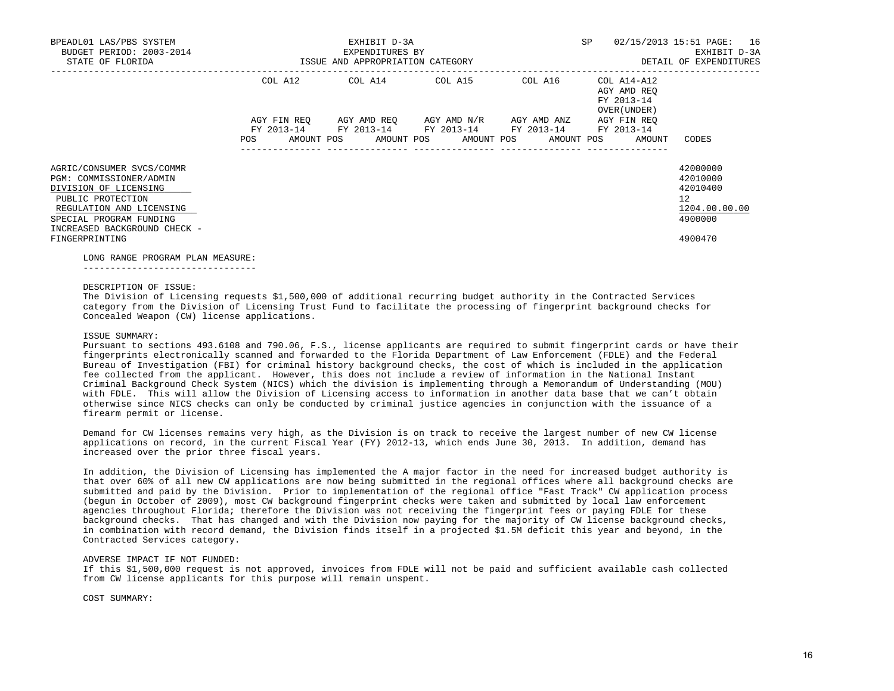| BPEADL01 LAS/PBS SYSTEM<br>BUDGET PERIOD: 2003-2014<br>STATE OF FLORIDA                                                                                                                   | ISSUE AND APPROPRIATION CATEGORY | EXHIBIT D-3A<br>EXPENDITURES BY                                                                                       | SP      | 02/15/2013 15:51 PAGE: 16<br>EXHIBIT D-3A<br>DETAIL OF EXPENDITURES |                                                                    |
|-------------------------------------------------------------------------------------------------------------------------------------------------------------------------------------------|----------------------------------|-----------------------------------------------------------------------------------------------------------------------|---------|---------------------------------------------------------------------|--------------------------------------------------------------------|
|                                                                                                                                                                                           |                                  | COL A12 COL A14 COL A15                                                                                               | COL A16 | COL A14-A12<br>AGY AMD REO<br>FY 2013-14<br>OVER (UNDER)            |                                                                    |
|                                                                                                                                                                                           | POS                              | AGY FIN REQ AGY AMD REQ AGY AMD N/R AGY AMD ANZ AGY FIN REQ<br>FY 2013-14 FY 2013-14 FY 2013-14 FY 2013-14 FY 2013-14 |         | AMOUNT POS AMOUNT POS AMOUNT POS AMOUNT POS AMOUNT                  | CODES                                                              |
| AGRIC/CONSUMER SVCS/COMMR<br>PGM: COMMISSIONER/ADMIN<br>DIVISION OF LICENSING<br>PUBLIC PROTECTION<br>REGULATION AND LICENSING<br>SPECIAL PROGRAM FUNDING<br>INCREASED BACKGROUND CHECK - |                                  |                                                                                                                       |         |                                                                     | 42000000<br>42010000<br>42010400<br>12<br>1204.00.00.00<br>4900000 |
| FINGERPRINTING                                                                                                                                                                            |                                  |                                                                                                                       |         |                                                                     | 4900470                                                            |

#### LONG RANGE PROGRAM PLAN MEASURE:

--------------------------------

#### DESCRIPTION OF ISSUE:

 The Division of Licensing requests \$1,500,000 of additional recurring budget authority in the Contracted Services category from the Division of Licensing Trust Fund to facilitate the processing of fingerprint background checks for Concealed Weapon (CW) license applications.

## ISSUE SUMMARY:

 Pursuant to sections 493.6108 and 790.06, F.S., license applicants are required to submit fingerprint cards or have their fingerprints electronically scanned and forwarded to the Florida Department of Law Enforcement (FDLE) and the Federal Bureau of Investigation (FBI) for criminal history background checks, the cost of which is included in the application fee collected from the applicant. However, this does not include a review of information in the National Instant Criminal Background Check System (NICS) which the division is implementing through a Memorandum of Understanding (MOU) with FDLE. This will allow the Division of Licensing access to information in another data base that we can't obtain otherwise since NICS checks can only be conducted by criminal justice agencies in conjunction with the issuance of a firearm permit or license.

 Demand for CW licenses remains very high, as the Division is on track to receive the largest number of new CW license applications on record, in the current Fiscal Year (FY) 2012-13, which ends June 30, 2013. In addition, demand has increased over the prior three fiscal years.

 In addition, the Division of Licensing has implemented the A major factor in the need for increased budget authority is that over 60% of all new CW applications are now being submitted in the regional offices where all background checks are submitted and paid by the Division. Prior to implementation of the regional office "Fast Track" CW application process (begun in October of 2009), most CW background fingerprint checks were taken and submitted by local law enforcement agencies throughout Florida; therefore the Division was not receiving the fingerprint fees or paying FDLE for these background checks. That has changed and with the Division now paying for the majority of CW license background checks, in combination with record demand, the Division finds itself in a projected \$1.5M deficit this year and beyond, in the Contracted Services category.

#### ADVERSE IMPACT IF NOT FUNDED:

 If this \$1,500,000 request is not approved, invoices from FDLE will not be paid and sufficient available cash collected from CW license applicants for this purpose will remain unspent.

#### COST SUMMARY: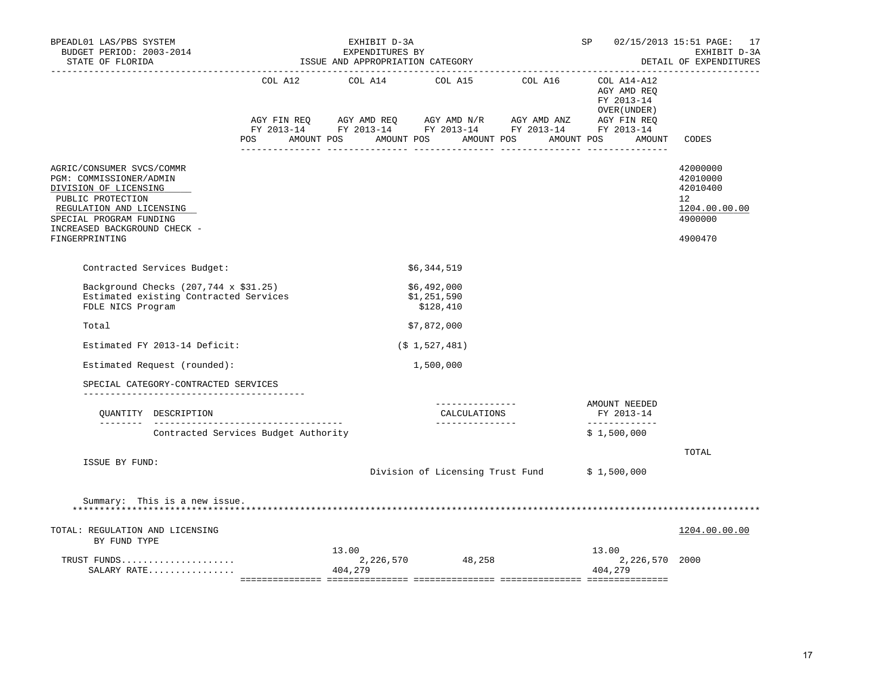| BPEADL01 LAS/PBS SYSTEM<br>BUDGET PERIOD: 2003-2014<br>STATE OF FLORIDA<br>---------------------                                                                                                            |                                      | EXHIBIT D-3A<br>EXPENDITURES BY<br>ISSUE AND APPROPRIATION CATEGORY                                                                             |                                                     | SP <sub>2</sub>                                      | 02/15/2013 15:51 PAGE: 17<br>EXHIBIT D-3A<br>DETAIL OF EXPENDITURES<br>______________ |
|-------------------------------------------------------------------------------------------------------------------------------------------------------------------------------------------------------------|--------------------------------------|-------------------------------------------------------------------------------------------------------------------------------------------------|-----------------------------------------------------|------------------------------------------------------|---------------------------------------------------------------------------------------|
|                                                                                                                                                                                                             |                                      | AGY FIN REQ AGY AMD REQ AGY AMD N/R AGY AMD ANZ AGY FIN REQ FY 2013-14 FY 2013-14 FY 2013-14<br>POS AMOUNT POS AMOUNT POS AMOUNT POS AMOUNT POS |                                                     | AGY AMD REQ<br>FY 2013-14<br>OVER (UNDER )<br>AMOUNT | CODES                                                                                 |
| AGRIC/CONSUMER SVCS/COMMR<br>PGM: COMMISSIONER/ADMIN<br>DIVISION OF LICENSING<br>PUBLIC PROTECTION<br>REGULATION AND LICENSING<br>SPECIAL PROGRAM FUNDING<br>INCREASED BACKGROUND CHECK -<br>FINGERPRINTING |                                      |                                                                                                                                                 |                                                     |                                                      | 42000000<br>42010000<br>42010400<br>12<br>1204.00.00.00<br>4900000<br>4900470         |
| Contracted Services Budget:                                                                                                                                                                                 |                                      |                                                                                                                                                 | \$6,344,519                                         |                                                      |                                                                                       |
| Background Checks (207,744 x \$31.25)<br>Estimated existing Contracted Services<br>FDLE NICS Program                                                                                                        |                                      |                                                                                                                                                 | \$6,492,000<br>\$1,251,590<br>\$128,410             |                                                      |                                                                                       |
| Total                                                                                                                                                                                                       |                                      |                                                                                                                                                 | \$7,872,000                                         |                                                      |                                                                                       |
| Estimated FY 2013-14 Deficit:                                                                                                                                                                               |                                      |                                                                                                                                                 | (S <sub>1</sub> , 527, 481)                         |                                                      |                                                                                       |
| Estimated Request (rounded):                                                                                                                                                                                |                                      |                                                                                                                                                 | 1,500,000                                           |                                                      |                                                                                       |
| SPECIAL CATEGORY-CONTRACTED SERVICES<br>______________________________________                                                                                                                              |                                      |                                                                                                                                                 |                                                     |                                                      |                                                                                       |
| OUANTITY DESCRIPTION                                                                                                                                                                                        |                                      |                                                                                                                                                 | ---------------<br>CALCULATIONS<br>________________ | AMOUNT NEEDED<br>FY 2013-14<br>-------------         |                                                                                       |
|                                                                                                                                                                                                             | Contracted Services Budget Authority |                                                                                                                                                 |                                                     | \$1,500,000                                          |                                                                                       |
| ISSUE BY FUND:                                                                                                                                                                                              |                                      |                                                                                                                                                 | Division of Licensing Trust Fund \$1,500,000        |                                                      | TOTAL                                                                                 |
| Summary: This is a new issue.                                                                                                                                                                               |                                      |                                                                                                                                                 |                                                     |                                                      |                                                                                       |
| TOTAL: REGULATION AND LICENSING<br>BY FUND TYPE                                                                                                                                                             |                                      |                                                                                                                                                 |                                                     |                                                      | 1204.00.00.00                                                                         |
| TRUST FUNDS<br>SALARY RATE                                                                                                                                                                                  |                                      | 13.00<br>404,279                                                                                                                                | 2,226,570 48,258                                    | 13.00<br>2,226,570 2000<br>404,279                   |                                                                                       |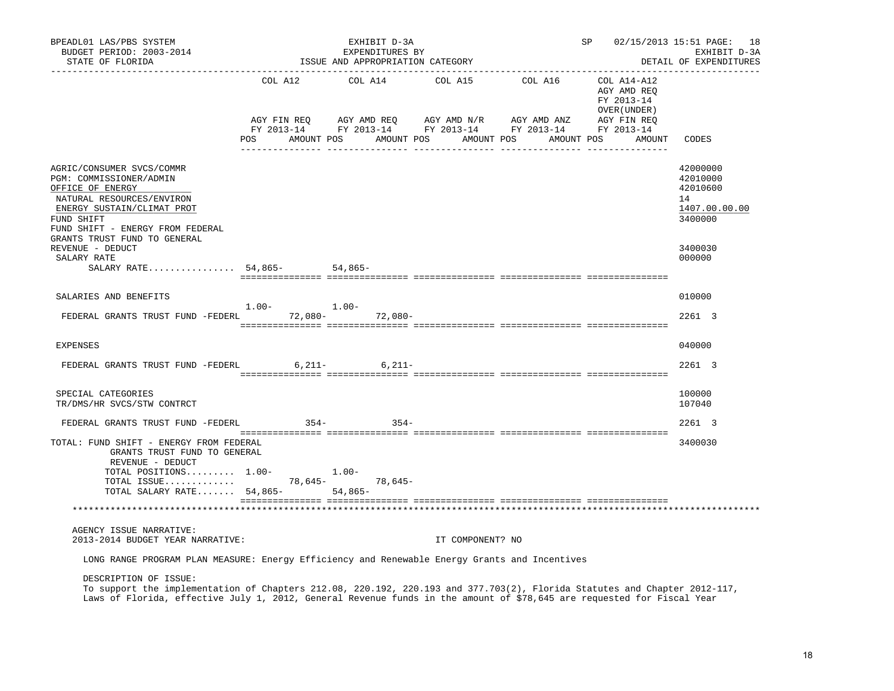| BPEADL01 LAS/PBS SYSTEM<br>BUDGET PERIOD: 2003-2014<br>STATE OF FLORIDA                                                                                                                                                                                                      |                                   | EXHIBIT D-3A<br>EXPENDITURES BY<br>ISSUE AND APPROPRIATION CATEGORY                                                                                                     |                  | SP 02/15/2013 15:51 PAGE: 18<br>EXHIBIT D-3A<br>DETAIL OF EXPENDITURES |                                                                     |                                                                    |
|------------------------------------------------------------------------------------------------------------------------------------------------------------------------------------------------------------------------------------------------------------------------------|-----------------------------------|-------------------------------------------------------------------------------------------------------------------------------------------------------------------------|------------------|------------------------------------------------------------------------|---------------------------------------------------------------------|--------------------------------------------------------------------|
|                                                                                                                                                                                                                                                                              | COL A12<br>AGY FIN REO<br>POS FOR | COL A14<br>AGY AMD REQ      AGY AMD N/R      AGY AMD ANZ      AGY FIN REQ<br>FY 2013-14 FY 2013-14 FY 2013-14 FY 2013-14 FY 2013-14<br>AMOUNT POS AMOUNT POS AMOUNT POS | COL A15 COL A16  | AMOUNT POS                                                             | COL A14-A12<br>AGY AMD REQ<br>FY 2013-14<br>OVER (UNDER )<br>AMOUNT | CODES                                                              |
| AGRIC/CONSUMER SVCS/COMMR<br>PGM: COMMISSIONER/ADMIN<br>OFFICE OF ENERGY<br>NATURAL RESOURCES/ENVIRON<br>ENERGY SUSTAIN/CLIMAT PROT<br>FUND SHIFT<br>FUND SHIFT - ENERGY FROM FEDERAL                                                                                        |                                   |                                                                                                                                                                         |                  |                                                                        |                                                                     | 42000000<br>42010000<br>42010600<br>14<br>1407.00.00.00<br>3400000 |
| GRANTS TRUST FUND TO GENERAL<br>REVENUE - DEDUCT<br>SALARY RATE<br>SALARY RATE 54,865- 54,865-                                                                                                                                                                               |                                   |                                                                                                                                                                         |                  |                                                                        |                                                                     | 3400030<br>000000                                                  |
| SALARIES AND BENEFITS                                                                                                                                                                                                                                                        |                                   |                                                                                                                                                                         |                  |                                                                        |                                                                     | 010000                                                             |
| FEDERAL GRANTS TRUST FUND -FEDERL 72,080- 72,080-                                                                                                                                                                                                                            | $1.00 - 1.00 -$                   |                                                                                                                                                                         |                  |                                                                        |                                                                     | 2261 3                                                             |
| <b>EXPENSES</b>                                                                                                                                                                                                                                                              |                                   |                                                                                                                                                                         |                  |                                                                        |                                                                     | 040000                                                             |
| FEDERAL GRANTS TRUST FUND -FEDERL                                                                                                                                                                                                                                            |                                   | $6,211 6,211-$                                                                                                                                                          |                  |                                                                        |                                                                     | 2261 3                                                             |
| SPECIAL CATEGORIES<br>TR/DMS/HR SVCS/STW CONTRCT                                                                                                                                                                                                                             |                                   |                                                                                                                                                                         |                  |                                                                        |                                                                     | 100000<br>107040                                                   |
| FEDERAL GRANTS TRUST FUND -FEDERL                                                                                                                                                                                                                                            | $354-$                            | $354 -$                                                                                                                                                                 |                  |                                                                        |                                                                     | 2261 3                                                             |
| TOTAL: FUND SHIFT - ENERGY FROM FEDERAL<br>GRANTS TRUST FUND TO GENERAL<br>REVENUE - DEDUCT                                                                                                                                                                                  |                                   |                                                                                                                                                                         |                  |                                                                        |                                                                     | 3400030                                                            |
| TOTAL POSITIONS $1.00-$<br>TOTAL SALARY RATE $54,865-$                                                                                                                                                                                                                       |                                   | $1.00-$<br>54,865-                                                                                                                                                      |                  |                                                                        |                                                                     |                                                                    |
|                                                                                                                                                                                                                                                                              |                                   |                                                                                                                                                                         |                  |                                                                        |                                                                     |                                                                    |
| AGENCY ISSUE NARRATIVE:<br>2013-2014 BUDGET YEAR NARRATIVE:                                                                                                                                                                                                                  |                                   |                                                                                                                                                                         | IT COMPONENT? NO |                                                                        |                                                                     |                                                                    |
| LONG RANGE PROGRAM PLAN MEASURE: Energy Efficiency and Renewable Energy Grants and Incentives                                                                                                                                                                                |                                   |                                                                                                                                                                         |                  |                                                                        |                                                                     |                                                                    |
| DESCRIPTION OF ISSUE:<br>To support the implementation of Chapters 212.08, 220.192, 220.193 and 377.703(2), Florida Statutes and Chapter 2012-117,<br>Laws of Florida, effective July 1, 2012, General Revenue funds in the amount of \$78,645 are requested for Fiscal Year |                                   |                                                                                                                                                                         |                  |                                                                        |                                                                     |                                                                    |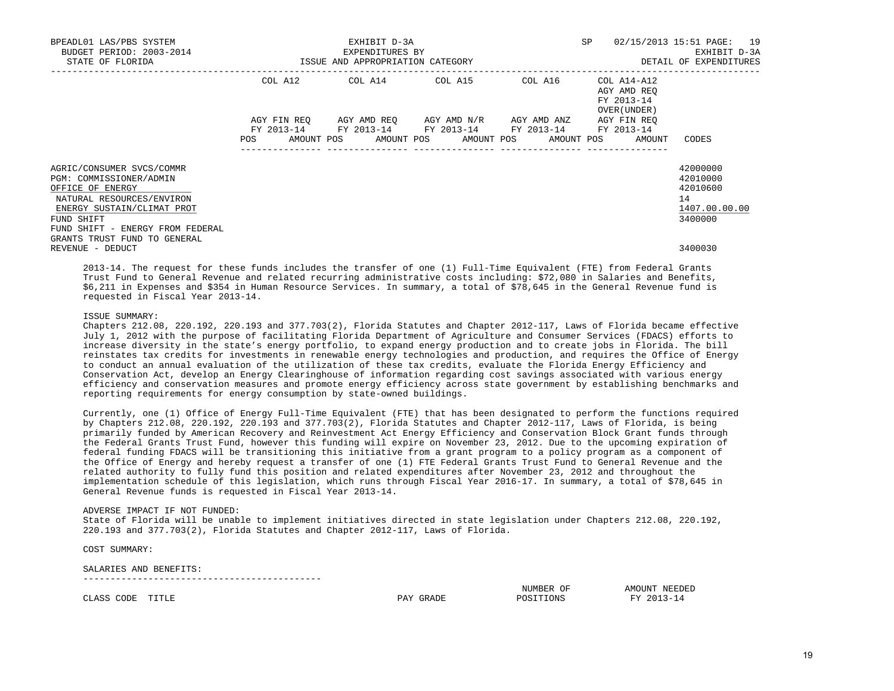| BPEADL01 LAS/PBS SYSTEM<br>BUDGET PERIOD: 2003-2014                                                                                                                                   |                                                                                                                                             | EXHIBIT D-3A<br>EXPENDITURES BY                                                 | SP                                  | 02/15/2013 15:51 PAGE: 19<br>EXHIBIT D-3A |                                                          |                                                                    |
|---------------------------------------------------------------------------------------------------------------------------------------------------------------------------------------|---------------------------------------------------------------------------------------------------------------------------------------------|---------------------------------------------------------------------------------|-------------------------------------|-------------------------------------------|----------------------------------------------------------|--------------------------------------------------------------------|
| STATE OF FLORIDA                                                                                                                                                                      | ISSUE AND APPROPRIATION CATEGORY                                                                                                            |                                                                                 |                                     |                                           |                                                          | DETAIL OF EXPENDITURES                                             |
|                                                                                                                                                                                       |                                                                                                                                             | COL A12 COL A14 COL A15 COL A16                                                 |                                     |                                           | COL A14-A12<br>AGY AMD REO<br>FY 2013-14<br>OVER (UNDER) |                                                                    |
|                                                                                                                                                                                       | AGY FIN REO<br>FY 2013-14<br>POS FOR THE POST OF THE STATE STATE STATE STATE STATE STATE STATE STATE STATE STATE STATE STATE STATE STATE ST | FY 2013-14 FY 2013-14 FY 2013-14<br>AMOUNT POS AMOUNT POS AMOUNT POS AMOUNT POS | AGY AMD REO AGY AMD N/R AGY AMD ANZ |                                           | AGY FIN REO<br>FY 2013-14<br>AMOUNT                      | CODES                                                              |
| AGRIC/CONSUMER SVCS/COMMR<br>PGM: COMMISSIONER/ADMIN<br>OFFICE OF ENERGY<br>NATURAL RESOURCES/ENVIRON<br>ENERGY SUSTAIN/CLIMAT PROT<br>FUND SHIFT<br>FUND SHIFT - ENERGY FROM FEDERAL |                                                                                                                                             |                                                                                 |                                     |                                           |                                                          | 42000000<br>42010000<br>42010600<br>14<br>1407.00.00.00<br>3400000 |
| GRANTS TRUST FUND TO GENERAL<br>REVENUE - DEDUCT                                                                                                                                      |                                                                                                                                             |                                                                                 |                                     |                                           |                                                          | 3400030                                                            |

 2013-14. The request for these funds includes the transfer of one (1) Full-Time Equivalent (FTE) from Federal Grants Trust Fund to General Revenue and related recurring administrative costs including: \$72,080 in Salaries and Benefits, \$6,211 in Expenses and \$354 in Human Resource Services. In summary, a total of \$78,645 in the General Revenue fund is requested in Fiscal Year 2013-14.

### ISSUE SUMMARY:

 Chapters 212.08, 220.192, 220.193 and 377.703(2), Florida Statutes and Chapter 2012-117, Laws of Florida became effective July 1, 2012 with the purpose of facilitating Florida Department of Agriculture and Consumer Services (FDACS) efforts to increase diversity in the state's energy portfolio, to expand energy production and to create jobs in Florida. The bill reinstates tax credits for investments in renewable energy technologies and production, and requires the Office of Energy to conduct an annual evaluation of the utilization of these tax credits, evaluate the Florida Energy Efficiency and Conservation Act, develop an Energy Clearinghouse of information regarding cost savings associated with various energy efficiency and conservation measures and promote energy efficiency across state government by establishing benchmarks and reporting requirements for energy consumption by state-owned buildings.

 Currently, one (1) Office of Energy Full-Time Equivalent (FTE) that has been designated to perform the functions required by Chapters 212.08, 220.192, 220.193 and 377.703(2), Florida Statutes and Chapter 2012-117, Laws of Florida, is being primarily funded by American Recovery and Reinvestment Act Energy Efficiency and Conservation Block Grant funds through the Federal Grants Trust Fund, however this funding will expire on November 23, 2012. Due to the upcoming expiration of federal funding FDACS will be transitioning this initiative from a grant program to a policy program as a component of the Office of Energy and hereby request a transfer of one (1) FTE Federal Grants Trust Fund to General Revenue and the related authority to fully fund this position and related expenditures after November 23, 2012 and throughout the implementation schedule of this legislation, which runs through Fiscal Year 2016-17. In summary, a total of \$78,645 in General Revenue funds is requested in Fiscal Year 2013-14.

#### ADVERSE IMPACT IF NOT FUNDED:

 State of Florida will be unable to implement initiatives directed in state legislation under Chapters 212.08, 220.192, 220.193 and 377.703(2), Florida Statutes and Chapter 2012-117, Laws of Florida.

COST SUMMARY:

#### SALARIES AND BENEFITS: --------------------------------------------

|                                                   |                         |                                                 | NUMBER<br>UE                               | <b>AMINT</b><br>I) H<br>שפשכם |
|---------------------------------------------------|-------------------------|-------------------------------------------------|--------------------------------------------|-------------------------------|
| $AT \times 7$<br>. .ODF.<br>$\cdot$ $\sim$<br>שבע | m <del>.</del> m .<br>. | DΔ<br>$\overline{\phantom{a}}$<br>-----<br>$ -$ | $\bigcap_{\mathbb{R}}$<br>∍∩פ<br>m<br>TOMS | $\cap$ $\cap$ $\cap$<br>T T T |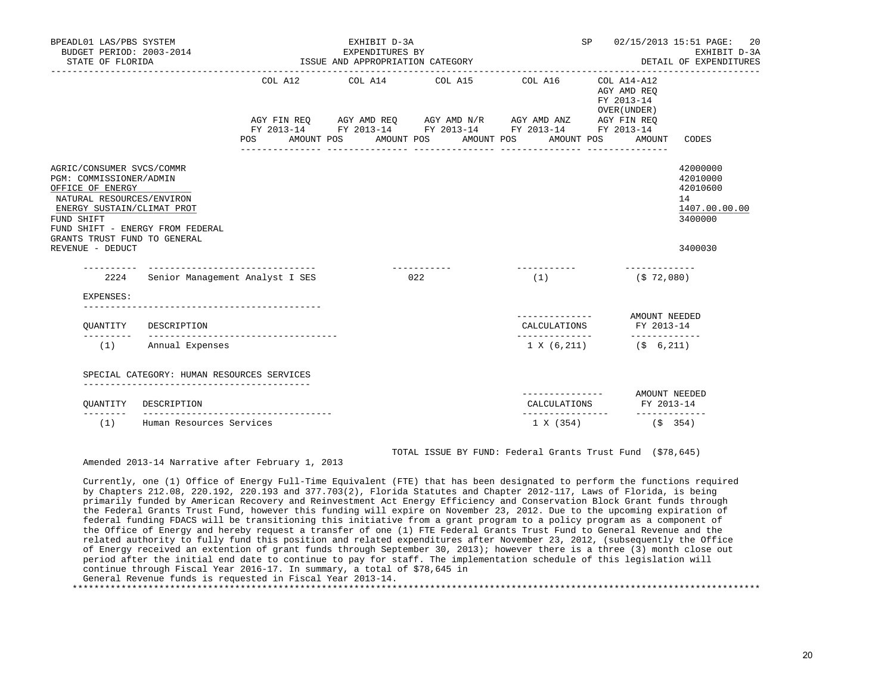| BPEADL01 LAS/PBS SYSTEM<br>BUDGET PERIOD: 2003-2014<br>STATE OF FLORIDA                                                                                                                                                                   |                                                                             |         |            | EXHIBIT D-3A<br>EXPENDITURES BY<br>ISSUE AND APPROPRIATION CATEGORY |                     |                                                                                                                                                                                                       |                               | <b>SP</b> | 02/15/2013 15:51 PAGE:<br>EXHIBIT D-3A<br>DETAIL OF EXPENDITURES |                                                                               |  |
|-------------------------------------------------------------------------------------------------------------------------------------------------------------------------------------------------------------------------------------------|-----------------------------------------------------------------------------|---------|------------|---------------------------------------------------------------------|---------------------|-------------------------------------------------------------------------------------------------------------------------------------------------------------------------------------------------------|-------------------------------|-----------|------------------------------------------------------------------|-------------------------------------------------------------------------------|--|
|                                                                                                                                                                                                                                           |                                                                             | POS FOR | AMOUNT POS | AMOUNT POS<br>----------------                                      |                     | COL A12 COL A14 COL A15 COL A16 COL A14-A12<br>AGY FIN REQ AGY AMD REQ AGY AMD N/R AGY AMD ANZ AGY FIN REQ<br>FY 2013-14 FY 2013-14 FY 2013-14 FY 2013-14 FY 2013-14<br>AMOUNT POS<br>_______________ | AMOUNT POS<br>_______________ |           | AGY AMD REO<br>FY 2013-14<br>OVER (UNDER)<br>AMOUNT              | CODES                                                                         |  |
| AGRIC/CONSUMER SVCS/COMMR<br>PGM: COMMISSIONER/ADMIN<br>OFFICE OF ENERGY<br>NATURAL RESOURCES/ENVIRON<br>ENERGY SUSTAIN/CLIMAT PROT<br>FUND SHIFT<br>FUND SHIFT - ENERGY FROM FEDERAL<br>GRANTS TRUST FUND TO GENERAL<br>REVENUE - DEDUCT |                                                                             |         |            |                                                                     |                     |                                                                                                                                                                                                       |                               |           |                                                                  | 42000000<br>42010000<br>42010600<br>14<br>1407.00.00.00<br>3400000<br>3400030 |  |
|                                                                                                                                                                                                                                           | 2224 Senior Management Analyst I SES                                        |         |            |                                                                     | ------------<br>022 |                                                                                                                                                                                                       | (1)                           |           | (\$72,080)                                                       |                                                                               |  |
| EXPENSES:                                                                                                                                                                                                                                 |                                                                             |         |            |                                                                     |                     |                                                                                                                                                                                                       |                               |           |                                                                  |                                                                               |  |
| OUANTITY                                                                                                                                                                                                                                  | DESCRIPTION                                                                 |         |            |                                                                     |                     |                                                                                                                                                                                                       | CALCULATIONS                  |           | FY 2013-14                                                       |                                                                               |  |
| ---------                                                                                                                                                                                                                                 | (1) Annual Expenses                                                         |         |            |                                                                     |                     |                                                                                                                                                                                                       | 1 X (6,211)                   |           | $(5 \t 6, 211)$                                                  |                                                                               |  |
|                                                                                                                                                                                                                                           | SPECIAL CATEGORY: HUMAN RESOURCES SERVICES<br>_____________________________ |         |            |                                                                     |                     |                                                                                                                                                                                                       |                               |           |                                                                  |                                                                               |  |
| OUANTITY                                                                                                                                                                                                                                  | DESCRIPTION                                                                 |         |            |                                                                     |                     |                                                                                                                                                                                                       | ---------------               |           | CALCULATIONS FY 2013-14                                          | AMOUNT NEEDED                                                                 |  |
| (1)                                                                                                                                                                                                                                       | Human Resources Services                                                    |         |            |                                                                     |                     |                                                                                                                                                                                                       | . <u>.</u><br>1 X (354)       |           | (S 354)                                                          | -------------                                                                 |  |

TOTAL ISSUE BY FUND: Federal Grants Trust Fund (\$78,645)

Amended 2013-14 Narrative after February 1, 2013

 Currently, one (1) Office of Energy Full-Time Equivalent (FTE) that has been designated to perform the functions required by Chapters 212.08, 220.192, 220.193 and 377.703(2), Florida Statutes and Chapter 2012-117, Laws of Florida, is being primarily funded by American Recovery and Reinvestment Act Energy Efficiency and Conservation Block Grant funds through the Federal Grants Trust Fund, however this funding will expire on November 23, 2012. Due to the upcoming expiration of federal funding FDACS will be transitioning this initiative from a grant program to a policy program as a component of the Office of Energy and hereby request a transfer of one (1) FTE Federal Grants Trust Fund to General Revenue and the related authority to fully fund this position and related expenditures after November 23, 2012, (subsequently the Office of Energy received an extention of grant funds through September 30, 2013); however there is a three (3) month close out period after the initial end date to continue to pay for staff. The implementation schedule of this legislation will continue through Fiscal Year 2016-17. In summary, a total of \$78,645 in General Revenue funds is requested in Fiscal Year 2013-14.

\*\*\*\*\*\*\*\*\*\*\*\*\*\*\*\*\*\*\*\*\*\*\*\*\*\*\*\*\*\*\*\*\*\*\*\*\*\*\*\*\*\*\*\*\*\*\*\*\*\*\*\*\*\*\*\*\*\*\*\*\*\*\*\*\*\*\*\*\*\*\*\*\*\*\*\*\*\*\*\*\*\*\*\*\*\*\*\*\*\*\*\*\*\*\*\*\*\*\*\*\*\*\*\*\*\*\*\*\*\*\*\*\*\*\*\*\*\*\*\*\*\*\*\*\*\*\*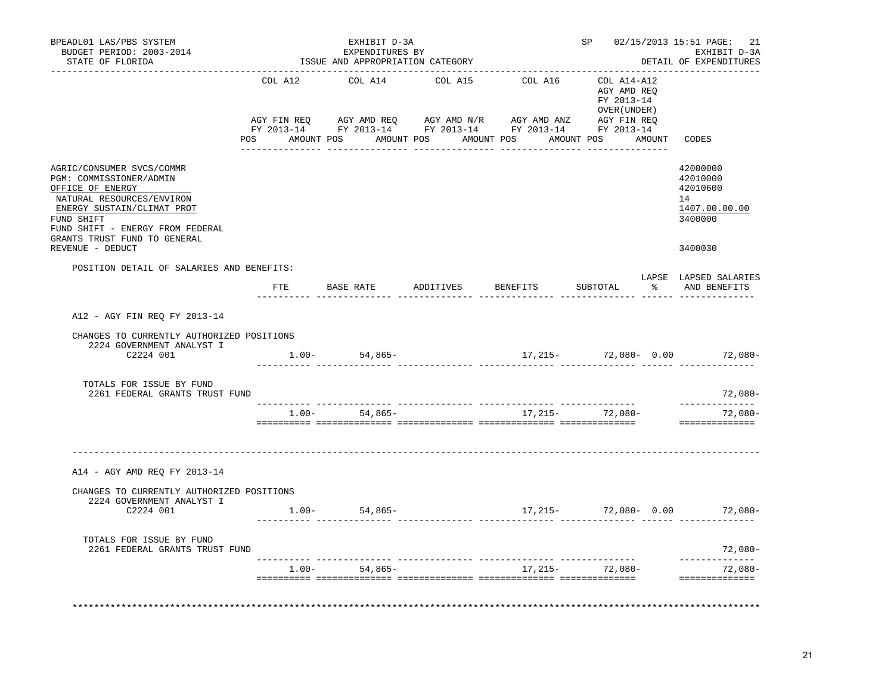| BPEADL01 LAS/PBS SYSTEM<br>BUDGET PERIOD: 2003-2014<br>STATE OF FLORIDA                                                                                                                                                                   |         | EXHIBIT D-3A<br>EXPENDITURES BY<br>ISSUE AND APPROPRIATION CATEGORY                                                                                                                                                                                                                                                                                    |         |          | . _ _ _ _ _ _ _ _ _ _ _ _ _ _                             |        | SP 02/15/2013 15:51 PAGE:<br>21<br>EXHIBIT D-3A<br>DETAIL OF EXPENDITURES     |  |
|-------------------------------------------------------------------------------------------------------------------------------------------------------------------------------------------------------------------------------------------|---------|--------------------------------------------------------------------------------------------------------------------------------------------------------------------------------------------------------------------------------------------------------------------------------------------------------------------------------------------------------|---------|----------|-----------------------------------------------------------|--------|-------------------------------------------------------------------------------|--|
|                                                                                                                                                                                                                                           | COL A12 | COL A14<br>$\begin{array}{lllllll} \text{AGY}\ \text{FIN}\ \text{REQ} \qquad & \text{AGY}\ \text{AMD}\ \text{REQ} \qquad & \text{AGY}\ \text{AMD}\ \text{N/R} \qquad & \text{AGY}\ \text{MID}\ \text{ANZ} \qquad & \text{AGY}\ \text{FIN}\ \text{REQ} \qquad & \text{FY}\ 2013-14 \qquad & \text{FY}\ 2013-14 \qquad & \text{FY}\ 2013-14 \end{array}$ | COL A15 | COL A16  | COL A14-A12<br>AGY AMD REO<br>FY 2013-14<br>OVER (UNDER ) |        |                                                                               |  |
|                                                                                                                                                                                                                                           |         | POS AMOUNT POS AMOUNT POS AMOUNT POS                                                                                                                                                                                                                                                                                                                   |         |          | AMOUNT POS                                                | AMOUNT | CODES                                                                         |  |
| AGRIC/CONSUMER SVCS/COMMR<br>PGM: COMMISSIONER/ADMIN<br>OFFICE OF ENERGY<br>NATURAL RESOURCES/ENVIRON<br>ENERGY SUSTAIN/CLIMAT PROT<br>FUND SHIFT<br>FUND SHIFT - ENERGY FROM FEDERAL<br>GRANTS TRUST FUND TO GENERAL<br>REVENUE - DEDUCT |         |                                                                                                                                                                                                                                                                                                                                                        |         |          |                                                           |        | 42000000<br>42010000<br>42010600<br>14<br>1407.00.00.00<br>3400000<br>3400030 |  |
| POSITION DETAIL OF SALARIES AND BENEFITS:                                                                                                                                                                                                 |         |                                                                                                                                                                                                                                                                                                                                                        |         |          |                                                           |        |                                                                               |  |
|                                                                                                                                                                                                                                           |         | FTE BASE RATE ADDITIVES                                                                                                                                                                                                                                                                                                                                |         | BENEFITS | SUBTOTAL                                                  |        | LAPSE LAPSED SALARIES<br>% AND BENEFITS                                       |  |
| A12 - AGY FIN REO FY 2013-14<br>CHANGES TO CURRENTLY AUTHORIZED POSITIONS<br>2224 GOVERNMENT ANALYST I<br>C2224 001                                                                                                                       |         | $1.00 - 54,865 -$                                                                                                                                                                                                                                                                                                                                      |         |          |                                                           |        | $17,215$ - $72,080$ - 0.00 $72,080$ -                                         |  |
| TOTALS FOR ISSUE BY FUND<br>2261 FEDERAL GRANTS TRUST FUND                                                                                                                                                                                |         |                                                                                                                                                                                                                                                                                                                                                        |         |          |                                                           |        | 72,080-                                                                       |  |
|                                                                                                                                                                                                                                           | 1.00-   | 54,865-                                                                                                                                                                                                                                                                                                                                                |         |          | 17,215- 72,080-                                           |        | ______________<br>$72,080-$<br>==============                                 |  |
| A14 - AGY AMD REQ FY 2013-14                                                                                                                                                                                                              |         |                                                                                                                                                                                                                                                                                                                                                        |         |          |                                                           |        |                                                                               |  |
| CHANGES TO CURRENTLY AUTHORIZED POSITIONS<br>2224 GOVERNMENT ANALYST I                                                                                                                                                                    |         |                                                                                                                                                                                                                                                                                                                                                        |         |          |                                                           |        |                                                                               |  |
| C2224 001                                                                                                                                                                                                                                 |         | $1.00 - 54,865 -$                                                                                                                                                                                                                                                                                                                                      |         |          |                                                           |        | $17,215-72,080-0.00$ 72,080-                                                  |  |
| TOTALS FOR ISSUE BY FUND<br>2261 FEDERAL GRANTS TRUST FUND                                                                                                                                                                                |         |                                                                                                                                                                                                                                                                                                                                                        |         |          |                                                           |        | 72,080-                                                                       |  |
|                                                                                                                                                                                                                                           | $1.00-$ | 54,865-                                                                                                                                                                                                                                                                                                                                                |         |          | 17,215- 72,080-                                           |        | ------------<br>72,080-<br>==============                                     |  |
|                                                                                                                                                                                                                                           |         |                                                                                                                                                                                                                                                                                                                                                        |         |          |                                                           |        |                                                                               |  |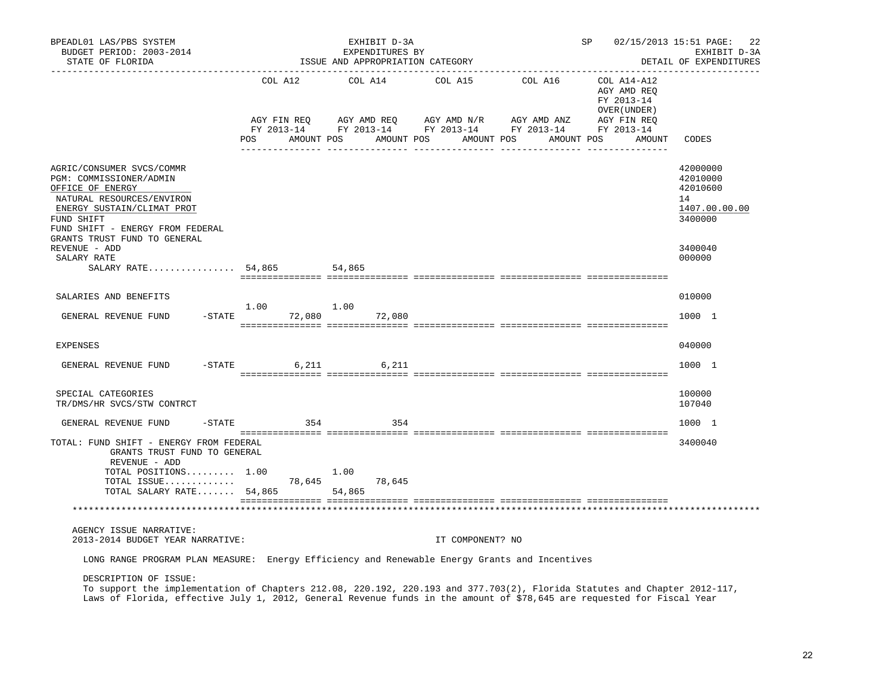| BPEADL01 LAS/PBS SYSTEM<br>BUDGET PERIOD: 2003-2014<br>STATE OF FLORIDA                                                                                                                                                                                                      |                                      |            |                       | EXHIBIT D-3A<br>EXPENDITURES BY | ISSUE AND APPROPRIATION CATEGORY |                                                                                                                                        | SP                                                                                | 02/15/2013 15:51 PAGE:<br>22<br>EXHIBIT D-3A<br>DETAIL OF EXPENDITURES |
|------------------------------------------------------------------------------------------------------------------------------------------------------------------------------------------------------------------------------------------------------------------------------|--------------------------------------|------------|-----------------------|---------------------------------|----------------------------------|----------------------------------------------------------------------------------------------------------------------------------------|-----------------------------------------------------------------------------------|------------------------------------------------------------------------|
|                                                                                                                                                                                                                                                                              | COL A12<br>AGY FIN REO<br><b>POS</b> | FY 2013-14 | COL A14<br>AMOUNT POS |                                 | COL A15<br>AMOUNT POS            | COL A16<br>AGY AMD REQ      AGY AMD N/R      AGY AMD ANZ      AGY FIN REQ<br>FY 2013-14 FY 2013-14 FY 2013-14 FY 2013-14<br>AMOUNT POS | COL A14-A12<br>AGY AMD REQ<br>FY 2013-14<br>OVER (UNDER )<br>AMOUNT POS<br>AMOUNT | CODES                                                                  |
| AGRIC/CONSUMER SVCS/COMMR<br>PGM: COMMISSIONER/ADMIN<br>OFFICE OF ENERGY<br>NATURAL RESOURCES/ENVIRON<br>ENERGY SUSTAIN/CLIMAT PROT<br>FUND SHIFT<br>FUND SHIFT - ENERGY FROM FEDERAL<br>GRANTS TRUST FUND TO GENERAL                                                        |                                      |            |                       |                                 |                                  |                                                                                                                                        |                                                                                   | 42000000<br>42010000<br>42010600<br>14<br>1407.00.00.00<br>3400000     |
| REVENUE - ADD                                                                                                                                                                                                                                                                |                                      |            |                       |                                 |                                  |                                                                                                                                        |                                                                                   | 3400040                                                                |
| SALARY RATE<br>SALARY RATE $54,865$                                                                                                                                                                                                                                          |                                      |            | 54,865                |                                 |                                  |                                                                                                                                        |                                                                                   | 000000                                                                 |
|                                                                                                                                                                                                                                                                              |                                      |            |                       |                                 |                                  |                                                                                                                                        |                                                                                   |                                                                        |
| SALARIES AND BENEFITS                                                                                                                                                                                                                                                        |                                      |            |                       |                                 |                                  |                                                                                                                                        |                                                                                   | 010000                                                                 |
| GENERAL REVENUE FUND                                                                                                                                                                                                                                                         | 1.00<br>$-STATE$                     | 72,080     | 1.00                  | 72,080                          |                                  |                                                                                                                                        |                                                                                   | 1000 1                                                                 |
| <b>EXPENSES</b>                                                                                                                                                                                                                                                              |                                      |            |                       |                                 |                                  |                                                                                                                                        |                                                                                   | 040000                                                                 |
| GENERAL REVENUE FUND                                                                                                                                                                                                                                                         | $-STATE$                             | 6,211      |                       | 6,211                           |                                  |                                                                                                                                        |                                                                                   | 1000 1                                                                 |
| SPECIAL CATEGORIES<br>TR/DMS/HR SVCS/STW CONTRCT                                                                                                                                                                                                                             |                                      |            |                       |                                 |                                  |                                                                                                                                        |                                                                                   | 100000<br>107040                                                       |
| GENERAL REVENUE FUND<br>$-$ STATE                                                                                                                                                                                                                                            |                                      | 354        |                       | 354                             |                                  |                                                                                                                                        |                                                                                   | 1000 1                                                                 |
| TOTAL: FUND SHIFT - ENERGY FROM FEDERAL<br>GRANTS TRUST FUND TO GENERAL<br>REVENUE - ADD<br>TOTAL POSITIONS 1.00                                                                                                                                                             |                                      |            | 1.00                  |                                 |                                  |                                                                                                                                        |                                                                                   | 3400040                                                                |
| TOTAL ISSUE<br>TOTAL SALARY RATE 54,865                                                                                                                                                                                                                                      |                                      |            | 78,645<br>54,865      | 78,645                          |                                  |                                                                                                                                        |                                                                                   |                                                                        |
|                                                                                                                                                                                                                                                                              |                                      |            |                       |                                 |                                  |                                                                                                                                        |                                                                                   |                                                                        |
| AGENCY ISSUE NARRATIVE:<br>2013-2014 BUDGET YEAR NARRATIVE:                                                                                                                                                                                                                  |                                      |            |                       |                                 | IT COMPONENT? NO                 |                                                                                                                                        |                                                                                   |                                                                        |
| LONG RANGE PROGRAM PLAN MEASURE: Energy Efficiency and Renewable Energy Grants and Incentives                                                                                                                                                                                |                                      |            |                       |                                 |                                  |                                                                                                                                        |                                                                                   |                                                                        |
| DESCRIPTION OF ISSUE:<br>To support the implementation of Chapters 212.08, 220.192, 220.193 and 377.703(2), Florida Statutes and Chapter 2012-117,<br>Laws of Florida, effective July 1, 2012, General Revenue funds in the amount of \$78,645 are requested for Fiscal Year |                                      |            |                       |                                 |                                  |                                                                                                                                        |                                                                                   |                                                                        |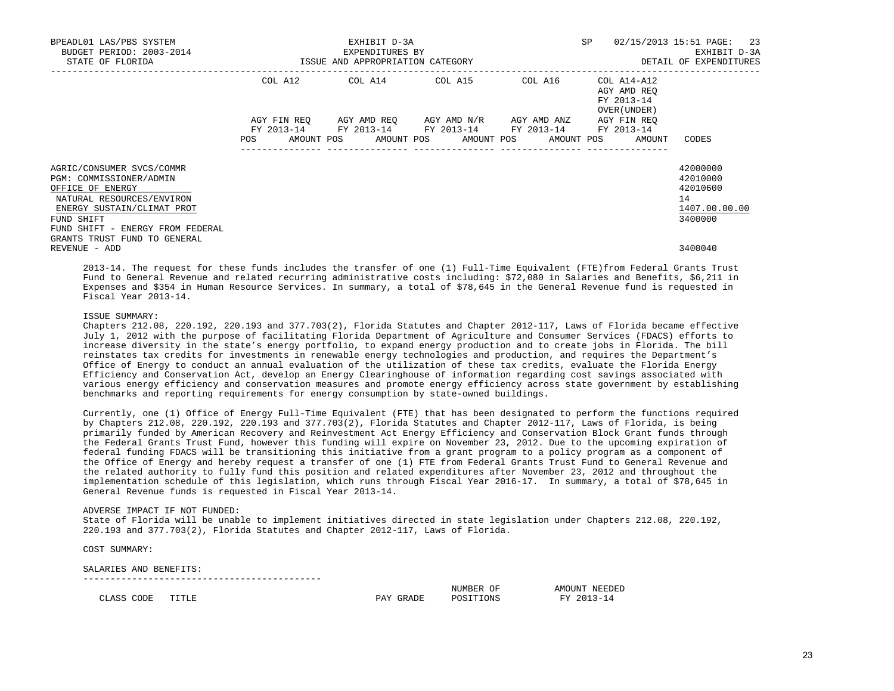| BPEADL01 LAS/PBS SYSTEM<br>BUDGET PERIOD: 2003-2014                                                                                                                                                                   |                                                                                                                               | EXHIBIT D-3A<br>EXPENDITURES BY                                                            |                                     | SP                                                       | 02/15/2013 15:51 PAGE: 23<br>EXHIBIT D-3A                          |
|-----------------------------------------------------------------------------------------------------------------------------------------------------------------------------------------------------------------------|-------------------------------------------------------------------------------------------------------------------------------|--------------------------------------------------------------------------------------------|-------------------------------------|----------------------------------------------------------|--------------------------------------------------------------------|
| STATE OF FLORIDA                                                                                                                                                                                                      | ISSUE AND APPROPRIATION CATEGORY                                                                                              |                                                                                            |                                     |                                                          | DETAIL OF EXPENDITURES                                             |
|                                                                                                                                                                                                                       |                                                                                                                               | COL A12 COL A14 COL A15 COL A16                                                            |                                     | COL A14-A12<br>AGY AMD REO<br>FY 2013-14<br>OVER (UNDER) |                                                                    |
|                                                                                                                                                                                                                       | AGY FIN REO<br>POS FOR THE POST OF THE POST OF THE POST OF THE POST OF THE POST OF THE POST OF THE POST OF THE POST OF THE PO | FY 2013-14 FY 2013-14 FY 2013-14 FY 2013-14<br>AMOUNT POS AMOUNT POS AMOUNT POS AMOUNT POS | AGY AMD REO AGY AMD N/R AGY AMD ANZ | AGY FIN REO<br>FY 2013-14<br>AMOUNT                      | CODES                                                              |
| AGRIC/CONSUMER SVCS/COMMR<br>PGM: COMMISSIONER/ADMIN<br>OFFICE OF ENERGY<br>NATURAL RESOURCES/ENVIRON<br>ENERGY SUSTAIN/CLIMAT PROT<br>FUND SHIFT<br>FUND SHIFT - ENERGY FROM FEDERAL<br>GRANTS TRUST FUND TO GENERAL |                                                                                                                               |                                                                                            |                                     |                                                          | 42000000<br>42010000<br>42010600<br>14<br>1407.00.00.00<br>3400000 |
| REVENUE - ADD                                                                                                                                                                                                         |                                                                                                                               |                                                                                            |                                     |                                                          | 3400040                                                            |

 2013-14. The request for these funds includes the transfer of one (1) Full-Time Equivalent (FTE)from Federal Grants Trust Fund to General Revenue and related recurring administrative costs including: \$72,080 in Salaries and Benefits, \$6,211 in Expenses and \$354 in Human Resource Services. In summary, a total of \$78,645 in the General Revenue fund is requested in Fiscal Year 2013-14.

### ISSUE SUMMARY:

 Chapters 212.08, 220.192, 220.193 and 377.703(2), Florida Statutes and Chapter 2012-117, Laws of Florida became effective July 1, 2012 with the purpose of facilitating Florida Department of Agriculture and Consumer Services (FDACS) efforts to increase diversity in the state's energy portfolio, to expand energy production and to create jobs in Florida. The bill reinstates tax credits for investments in renewable energy technologies and production, and requires the Department's Office of Energy to conduct an annual evaluation of the utilization of these tax credits, evaluate the Florida Energy Efficiency and Conservation Act, develop an Energy Clearinghouse of information regarding cost savings associated with various energy efficiency and conservation measures and promote energy efficiency across state government by establishing benchmarks and reporting requirements for energy consumption by state-owned buildings.

 Currently, one (1) Office of Energy Full-Time Equivalent (FTE) that has been designated to perform the functions required by Chapters 212.08, 220.192, 220.193 and 377.703(2), Florida Statutes and Chapter 2012-117, Laws of Florida, is being primarily funded by American Recovery and Reinvestment Act Energy Efficiency and Conservation Block Grant funds through the Federal Grants Trust Fund, however this funding will expire on November 23, 2012. Due to the upcoming expiration of federal funding FDACS will be transitioning this initiative from a grant program to a policy program as a component of the Office of Energy and hereby request a transfer of one (1) FTE from Federal Grants Trust Fund to General Revenue and the related authority to fully fund this position and related expenditures after November 23, 2012 and throughout the implementation schedule of this legislation, which runs through Fiscal Year 2016-17. In summary, a total of \$78,645 in General Revenue funds is requested in Fiscal Year 2013-14.

#### ADVERSE IMPACT IF NOT FUNDED:

--------------------------------------------

 State of Florida will be unable to implement initiatives directed in state legislation under Chapters 212.08, 220.192, 220.193 and 377.703(2), Florida Statutes and Chapter 2012-117, Laws of Florida.

COST SUMMARY:

#### SALARIES AND BENEFITS:

|                                                         |                                                                    |                   | ΟF<br>NUMBER                                              | TNTT<br>NH.<br>---  |
|---------------------------------------------------------|--------------------------------------------------------------------|-------------------|-----------------------------------------------------------|---------------------|
| $\sim$ $-$<br>$\sim$<br>.JDF.<br>$\cdot$ $\sim$<br>$ -$ | $\sim$ 10 $\times$ 100 $\times$ 100 $\times$ 100 $\times$<br>- - - | ---<br>∣≟⊷ ∆<br>∼ | ¬⌒ ⋅<br>UN 2<br>$\sim$ $\sim$ $\sim$ $\sim$ $\sim$ $\sim$ | <b>TITLE</b><br>. . |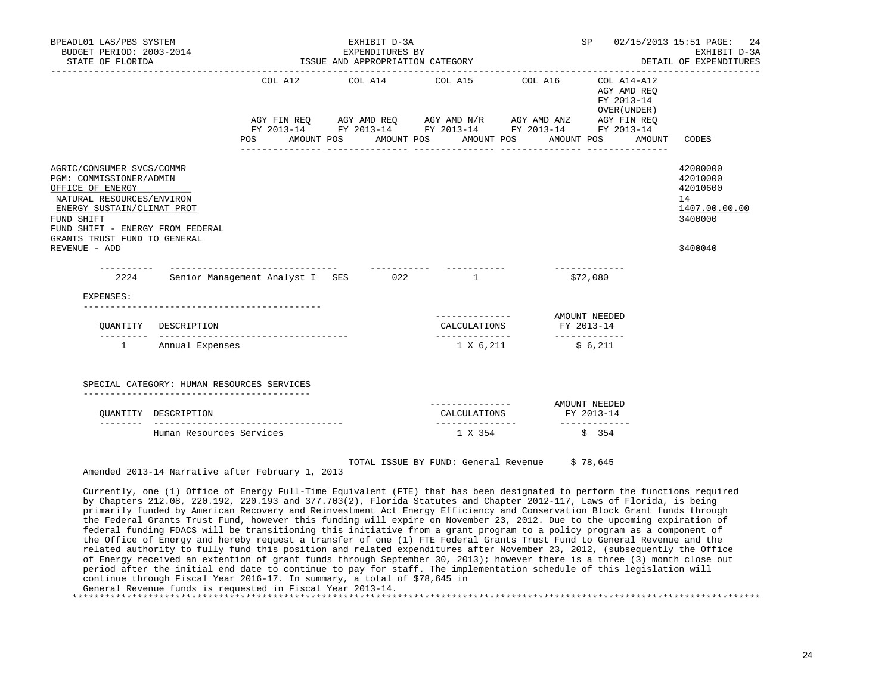| BPEADL01 LAS/PBS SYSTEM<br>BUDGET PERIOD: 2003-2014<br>STATE OF FLORIDA                                                                                                                                                                |                                                                                    |                |  | EXHIBIT D-3A<br>EXPENDITURES BY<br>ISSUE AND APPROPRIATION CATEGORY |                                                                                                                                                                                                       |                  | SP                          |                                                      | 02/15/2013 15:51 PAGE:<br>24<br>EXHIBIT D-3A<br>DETAIL OF EXPENDITURES        |
|----------------------------------------------------------------------------------------------------------------------------------------------------------------------------------------------------------------------------------------|------------------------------------------------------------------------------------|----------------|--|---------------------------------------------------------------------|-------------------------------------------------------------------------------------------------------------------------------------------------------------------------------------------------------|------------------|-----------------------------|------------------------------------------------------|-------------------------------------------------------------------------------|
|                                                                                                                                                                                                                                        |                                                                                    | POS AMOUNT POS |  | ________________                                                    | COL A12 COL A14 COL A15 COL A16<br>AGY FIN REQ AGY AMD REQ AGY AMD N/R AGY AMD ANZ AGY FIN REQ<br>FY 2013-14 FY 2013-14 FY 2013-14 FY 2013-14 FY 2013-14<br>AMOUNT POS AMOUNT POS<br>________________ | ________________ | FY 2013-14<br>AMOUNT POS    | COL A14-A12<br>AGY AMD REQ<br>OVER (UNDER)<br>AMOUNT | CODES                                                                         |
| AGRIC/CONSUMER SVCS/COMMR<br>PGM: COMMISSIONER/ADMIN<br>OFFICE OF ENERGY<br>NATURAL RESOURCES/ENVIRON<br>ENERGY SUSTAIN/CLIMAT PROT<br>FUND SHIFT<br>FUND SHIFT - ENERGY FROM FEDERAL<br>GRANTS TRUST FUND TO GENERAL<br>REVENUE - ADD |                                                                                    |                |  |                                                                     |                                                                                                                                                                                                       |                  |                             |                                                      | 42000000<br>42010000<br>42010600<br>14<br>1407.00.00.00<br>3400000<br>3400040 |
| -----------                                                                                                                                                                                                                            | ______________________________________<br>2224 Senior Management Analyst I SES 022 |                |  |                                                                     | $\mathbf{1}$                                                                                                                                                                                          |                  | \$72,080                    |                                                      |                                                                               |
| EXPENSES:                                                                                                                                                                                                                              | ----------------------------------                                                 |                |  |                                                                     |                                                                                                                                                                                                       |                  |                             |                                                      |                                                                               |
| OUANTITY                                                                                                                                                                                                                               | DESCRIPTION                                                                        |                |  |                                                                     | ------------- AMOUNT NEEDED<br>CALCULATIONS<br>_______________                                                                                                                                        | FY 2013-14       | -------------               |                                                      |                                                                               |
| $1 \quad \cdots$                                                                                                                                                                                                                       | Annual Expenses                                                                    |                |  |                                                                     | 1 X 6,211                                                                                                                                                                                             |                  | \$6,211                     |                                                      |                                                                               |
|                                                                                                                                                                                                                                        | SPECIAL CATEGORY: HUMAN RESOURCES SERVICES                                         |                |  |                                                                     |                                                                                                                                                                                                       |                  |                             |                                                      |                                                                               |
|                                                                                                                                                                                                                                        | OUANTITY DESCRIPTION<br>-------------------------------------                      |                |  |                                                                     | CALCULATIONS                                                                                                                                                                                          | AMOUNT NEEDED    | FY 2013-14<br>------------- |                                                      |                                                                               |
|                                                                                                                                                                                                                                        | Human Resources Services                                                           |                |  |                                                                     | 1 X 354                                                                                                                                                                                               |                  | \$354                       |                                                      |                                                                               |

TOTAL ISSUE BY FUND: General Revenue \$ 78,645

Amended 2013-14 Narrative after February 1, 2013

 Currently, one (1) Office of Energy Full-Time Equivalent (FTE) that has been designated to perform the functions required by Chapters 212.08, 220.192, 220.193 and 377.703(2), Florida Statutes and Chapter 2012-117, Laws of Florida, is being primarily funded by American Recovery and Reinvestment Act Energy Efficiency and Conservation Block Grant funds through the Federal Grants Trust Fund, however this funding will expire on November 23, 2012. Due to the upcoming expiration of federal funding FDACS will be transitioning this initiative from a grant program to a policy program as a component of the Office of Energy and hereby request a transfer of one (1) FTE Federal Grants Trust Fund to General Revenue and the related authority to fully fund this position and related expenditures after November 23, 2012, (subsequently the Office of Energy received an extention of grant funds through September 30, 2013); however there is a three (3) month close out period after the initial end date to continue to pay for staff. The implementation schedule of this legislation will continue through Fiscal Year 2016-17. In summary, a total of \$78,645 in General Revenue funds is requested in Fiscal Year 2013-14. \*\*\*\*\*\*\*\*\*\*\*\*\*\*\*\*\*\*\*\*\*\*\*\*\*\*\*\*\*\*\*\*\*\*\*\*\*\*\*\*\*\*\*\*\*\*\*\*\*\*\*\*\*\*\*\*\*\*\*\*\*\*\*\*\*\*\*\*\*\*\*\*\*\*\*\*\*\*\*\*\*\*\*\*\*\*\*\*\*\*\*\*\*\*\*\*\*\*\*\*\*\*\*\*\*\*\*\*\*\*\*\*\*\*\*\*\*\*\*\*\*\*\*\*\*\*\*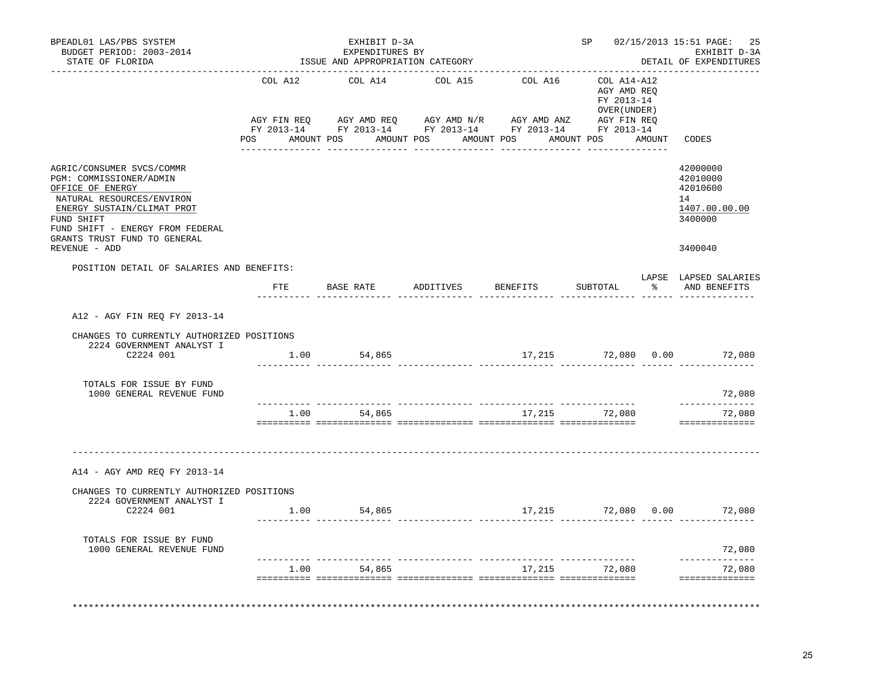| COL A12<br>POSITION DETAIL OF SALARIES AND BENEFITS:<br>ETE | COL A14<br>BASE RATE ADDITIVES | COL A15<br>POS AMOUNT POS AMOUNT POS AMOUNT POS | COL A16  | COL A14-A12<br>AGY AMD REO<br>FY 2013-14<br>OVER (UNDER )<br>AMOUNT POS | AMOUNT | CODES<br>42000000<br>42010000<br>42010600<br>14<br>1407.00.00.00<br>3400000<br>3400040   |
|-------------------------------------------------------------|--------------------------------|-------------------------------------------------|----------|-------------------------------------------------------------------------|--------|------------------------------------------------------------------------------------------|
|                                                             |                                |                                                 |          |                                                                         |        |                                                                                          |
|                                                             |                                |                                                 |          |                                                                         |        |                                                                                          |
|                                                             |                                |                                                 | BENEFITS | SUBTOTAL                                                                |        | LAPSE LAPSED SALARIES<br>% AND BENEFITS                                                  |
|                                                             |                                |                                                 |          |                                                                         |        |                                                                                          |
| CHANGES TO CURRENTLY AUTHORIZED POSITIONS                   |                                |                                                 |          |                                                                         |        |                                                                                          |
|                                                             |                                |                                                 |          |                                                                         |        | 72,080<br>--------------                                                                 |
| 1.00                                                        | 54,865                         |                                                 |          |                                                                         |        | 72,080<br>==============                                                                 |
|                                                             |                                |                                                 |          |                                                                         |        |                                                                                          |
| CHANGES TO CURRENTLY AUTHORIZED POSITIONS                   |                                |                                                 |          |                                                                         |        |                                                                                          |
|                                                             |                                |                                                 |          |                                                                         |        | 72,080                                                                                   |
| 1.00                                                        | 54,865                         |                                                 |          |                                                                         |        | . _ _ _ _ _ _ _ _ _ _ _<br>72,080<br>==============                                      |
|                                                             |                                | 1.00 54,865<br>1.00 54,865                      |          |                                                                         |        | 17,215 72,080 0.00 72,080<br>17,215 72,080<br>17,215 72,080 0.00 72,080<br>17,215 72,080 |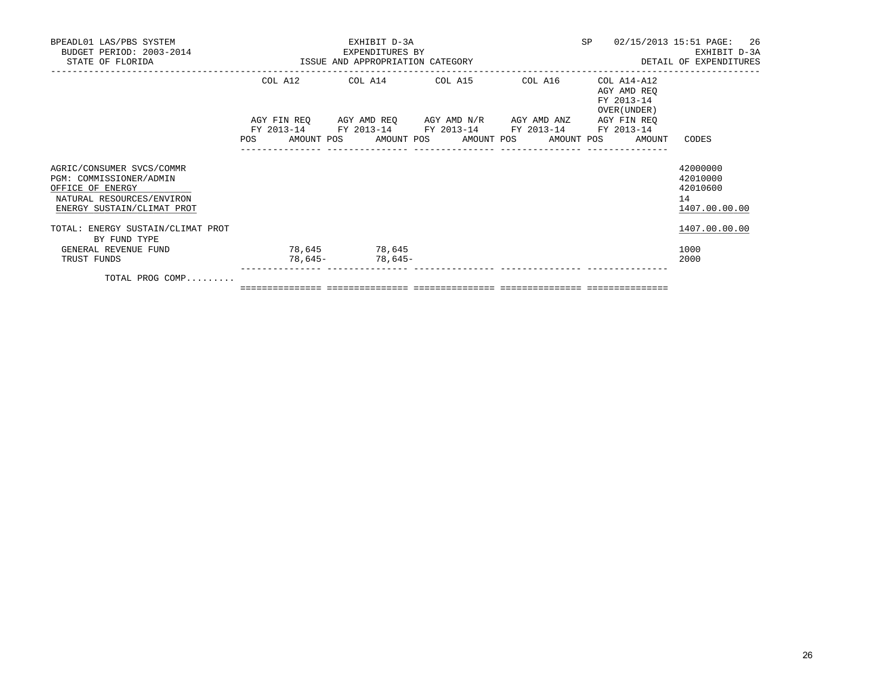| BPEADL01 LAS/PBS SYSTEM<br>BUDGET PERIOD: 2003-2014<br>ISSUE AND APPROPRIATION CATEGORY<br>STATE OF FLORIDA                         |         | EXHIBIT D-3A<br>EXPENDITURES BY                                                                                       |  |         | SP |                                                          | 02/15/2013 15:51 PAGE: 26<br>EXHIBIT D-3A<br>DETAIL OF EXPENDITURES |
|-------------------------------------------------------------------------------------------------------------------------------------|---------|-----------------------------------------------------------------------------------------------------------------------|--|---------|----|----------------------------------------------------------|---------------------------------------------------------------------|
|                                                                                                                                     |         | COL A12 COL A14 COL A15                                                                                               |  | COL A16 |    | COL A14-A12<br>AGY AMD REO<br>FY 2013-14<br>OVER (UNDER) |                                                                     |
|                                                                                                                                     |         | AGY FIN REQ AGY AMD REQ AGY AMD N/R AGY AMD ANZ AGY FIN REQ<br>FY 2013-14 FY 2013-14 FY 2013-14 FY 2013-14 FY 2013-14 |  |         |    |                                                          |                                                                     |
|                                                                                                                                     |         | POS AMOUNT POS AMOUNT POS AMOUNT POS AMOUNT POS                                                                       |  |         |    | AMOUNT                                                   | CODES                                                               |
| AGRIC/CONSUMER SVCS/COMMR<br>PGM: COMMISSIONER/ADMIN<br>OFFICE OF ENERGY<br>NATURAL RESOURCES/ENVIRON<br>ENERGY SUSTAIN/CLIMAT PROT |         |                                                                                                                       |  |         |    |                                                          | 42000000<br>42010000<br>42010600<br>14<br>1407.00.00.00             |
| TOTAL: ENERGY SUSTAIN/CLIMAT PROT<br>BY FUND TYPE                                                                                   |         |                                                                                                                       |  |         |    |                                                          | 1407.00.00.00                                                       |
| GENERAL REVENUE FUND<br>TRUST FUNDS                                                                                                 | 78,645- | 78,645 78,645<br>78,645-                                                                                              |  |         |    |                                                          | 1000<br>2000                                                        |
| $max_{\tau}$ $max_{\tau}$ $max_{\tau}$                                                                                              |         |                                                                                                                       |  |         |    |                                                          |                                                                     |

TOTAL PROG COMP.........

=============== =============== =============== =============== ===============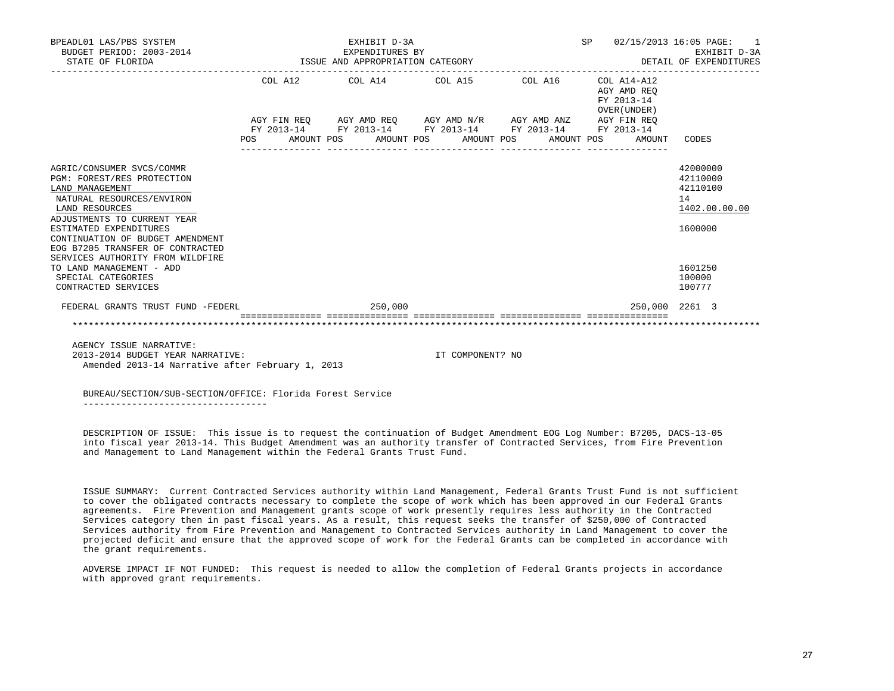| BPEADL01 LAS/PBS SYSTEM<br>BUDGET PERIOD: 2003-2014<br>STATE OF FLORIDA                                                                                                                                                                                    |         |  |         | SP<br>$02/15/2013$ 16:05 PAGE: 1<br>EXHIBIT D-3A<br>EXPENDITURES BY<br>ISSUE AND APPROPRIATION CATEGORY<br>EXHIBIT D-3A<br>DETAIL OF EXPENDITURES |                                  |                                                                      |  |                                           |                                                                    |  |  |
|------------------------------------------------------------------------------------------------------------------------------------------------------------------------------------------------------------------------------------------------------------|---------|--|---------|---------------------------------------------------------------------------------------------------------------------------------------------------|----------------------------------|----------------------------------------------------------------------|--|-------------------------------------------|--------------------------------------------------------------------|--|--|
|                                                                                                                                                                                                                                                            |         |  |         |                                                                                                                                                   |                                  | COL A12 COL A14 COL A15 COL A16 COL A14-A12                          |  | AGY AMD REO<br>FY 2013-14<br>OVER (UNDER) |                                                                    |  |  |
|                                                                                                                                                                                                                                                            |         |  |         |                                                                                                                                                   |                                  | AGY FIN REQ AGY AMD REQ AGY AMD N/R AGY AMD ANZ AGY FIN REQ          |  |                                           |                                                                    |  |  |
|                                                                                                                                                                                                                                                            | POS FOR |  |         |                                                                                                                                                   | AMOUNT POS AMOUNT POS AMOUNT POS | FY 2013-14 FY 2013-14 FY 2013-14 FY 2013-14 FY 2013-14<br>AMOUNT POS |  | AMOUNT                                    | CODES                                                              |  |  |
| AGRIC/CONSUMER SVCS/COMMR<br>PGM: FOREST/RES PROTECTION<br>LAND MANAGEMENT<br>NATURAL RESOURCES/ENVIRON<br>LAND RESOURCES<br>ADJUSTMENTS TO CURRENT YEAR<br>ESTIMATED EXPENDITURES<br>CONTINUATION OF BUDGET AMENDMENT<br>EOG B7205 TRANSFER OF CONTRACTED |         |  |         |                                                                                                                                                   |                                  |                                                                      |  |                                           | 42000000<br>42110000<br>42110100<br>14<br>1402.00.00.00<br>1600000 |  |  |
| SERVICES AUTHORITY FROM WILDFIRE<br>TO LAND MANAGEMENT - ADD<br>SPECIAL CATEGORIES<br>CONTRACTED SERVICES                                                                                                                                                  |         |  |         |                                                                                                                                                   |                                  |                                                                      |  |                                           | 1601250<br>100000<br>100777                                        |  |  |
| FEDERAL GRANTS TRUST FUND -FEDERL                                                                                                                                                                                                                          |         |  | 250,000 |                                                                                                                                                   |                                  |                                                                      |  | 250.000 2261 3                            |                                                                    |  |  |
|                                                                                                                                                                                                                                                            |         |  |         |                                                                                                                                                   |                                  |                                                                      |  |                                           |                                                                    |  |  |

 AGENCY ISSUE NARRATIVE: 2013-2014 BUDGET YEAR NARRATIVE: IT COMPONENT? NO Amended 2013-14 Narrative after February 1, 2013

 BUREAU/SECTION/SUB-SECTION/OFFICE: Florida Forest Service ----------------------------------

 DESCRIPTION OF ISSUE: This issue is to request the continuation of Budget Amendment EOG Log Number: B7205, DACS-13-05 into fiscal year 2013-14. This Budget Amendment was an authority transfer of Contracted Services, from Fire Prevention and Management to Land Management within the Federal Grants Trust Fund.

 ISSUE SUMMARY: Current Contracted Services authority within Land Management, Federal Grants Trust Fund is not sufficient to cover the obligated contracts necessary to complete the scope of work which has been approved in our Federal Grants agreements. Fire Prevention and Management grants scope of work presently requires less authority in the Contracted Services category then in past fiscal years. As a result, this request seeks the transfer of \$250,000 of Contracted Services authority from Fire Prevention and Management to Contracted Services authority in Land Management to cover the projected deficit and ensure that the approved scope of work for the Federal Grants can be completed in accordance with the grant requirements.

 ADVERSE IMPACT IF NOT FUNDED: This request is needed to allow the completion of Federal Grants projects in accordance with approved grant requirements.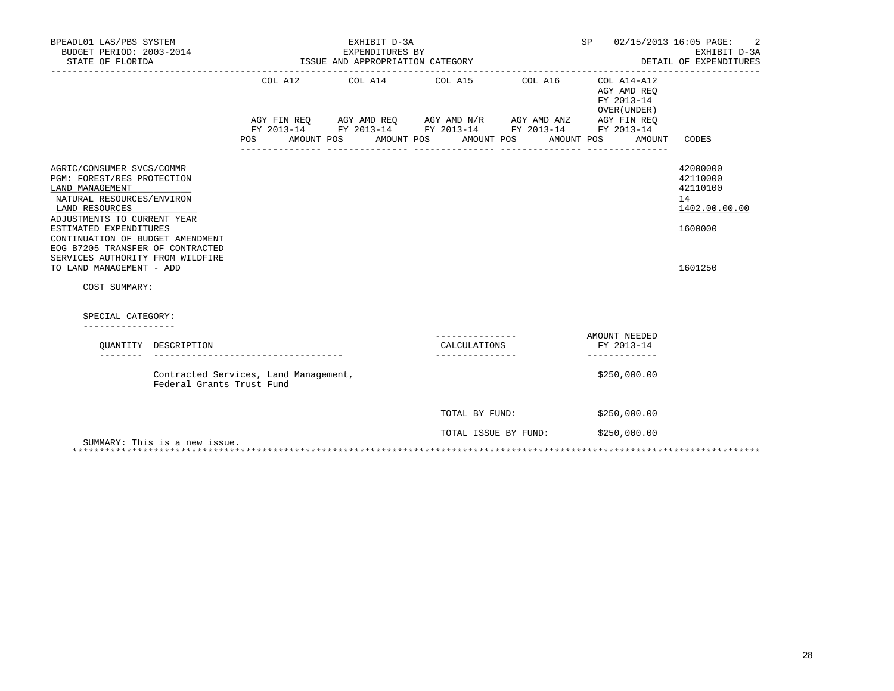| BPEADL01 LAS/PBS SYSTEM<br>BUDGET PERIOD: 2003-2014<br>STATE OF FLORIDA                                                                                           |                               | ISSUE AND APPROPRIATION CATEGORY      |                          | SP                                                                                                                    | 02/15/2013 16:05 PAGE:<br>2<br>EXHIBIT D-3A<br>DETAIL OF EXPENDITURES |                                                          |                                                         |
|-------------------------------------------------------------------------------------------------------------------------------------------------------------------|-------------------------------|---------------------------------------|--------------------------|-----------------------------------------------------------------------------------------------------------------------|-----------------------------------------------------------------------|----------------------------------------------------------|---------------------------------------------------------|
|                                                                                                                                                                   |                               |                                       | COL A12 COL A14 COL A15  | AGY FIN REQ AGY AMD REQ AGY AMD N/R AGY AMD ANZ AGY FIN REQ<br>FY 2013-14 FY 2013-14 FY 2013-14 FY 2013-14 FY 2013-14 | COL A16                                                               | COL A14-A12<br>AGY AMD REO<br>FY 2013-14<br>OVER (UNDER) |                                                         |
|                                                                                                                                                                   |                               | <b>POS</b>                            | AMOUNT POS<br>AMOUNT POS | AMOUNT POS                                                                                                            | AMOUNT POS                                                            | AMOUNT                                                   | CODES                                                   |
| AGRIC/CONSUMER SVCS/COMMR<br>PGM: FOREST/RES PROTECTION<br>LAND MANAGEMENT<br>NATURAL RESOURCES/ENVIRON<br>LAND RESOURCES                                         |                               |                                       |                          |                                                                                                                       |                                                                       |                                                          | 42000000<br>42110000<br>42110100<br>14<br>1402.00.00.00 |
| ADJUSTMENTS TO CURRENT YEAR<br>ESTIMATED EXPENDITURES<br>CONTINUATION OF BUDGET AMENDMENT<br>EOG B7205 TRANSFER OF CONTRACTED<br>SERVICES AUTHORITY FROM WILDFIRE |                               |                                       |                          |                                                                                                                       |                                                                       |                                                          | 1600000                                                 |
| TO LAND MANAGEMENT - ADD<br>COST SUMMARY:                                                                                                                         |                               |                                       |                          |                                                                                                                       |                                                                       |                                                          | 1601250                                                 |
| SPECIAL CATEGORY:                                                                                                                                                 |                               |                                       |                          |                                                                                                                       |                                                                       |                                                          |                                                         |
| _________________                                                                                                                                                 | OUANTITY DESCRIPTION          |                                       |                          | CALCULATIONS                                                                                                          |                                                                       | AMOUNT NEEDED<br>FY 2013-14<br>-------------             |                                                         |
|                                                                                                                                                                   | Federal Grants Trust Fund     | Contracted Services, Land Management, |                          |                                                                                                                       |                                                                       | \$250,000.00                                             |                                                         |
|                                                                                                                                                                   |                               |                                       |                          | TOTAL BY FUND:                                                                                                        |                                                                       | \$250,000.00                                             |                                                         |
|                                                                                                                                                                   | SUMMARY: This is a new issue. |                                       |                          | TOTAL ISSUE BY FUND:                                                                                                  |                                                                       | \$250,000.00                                             |                                                         |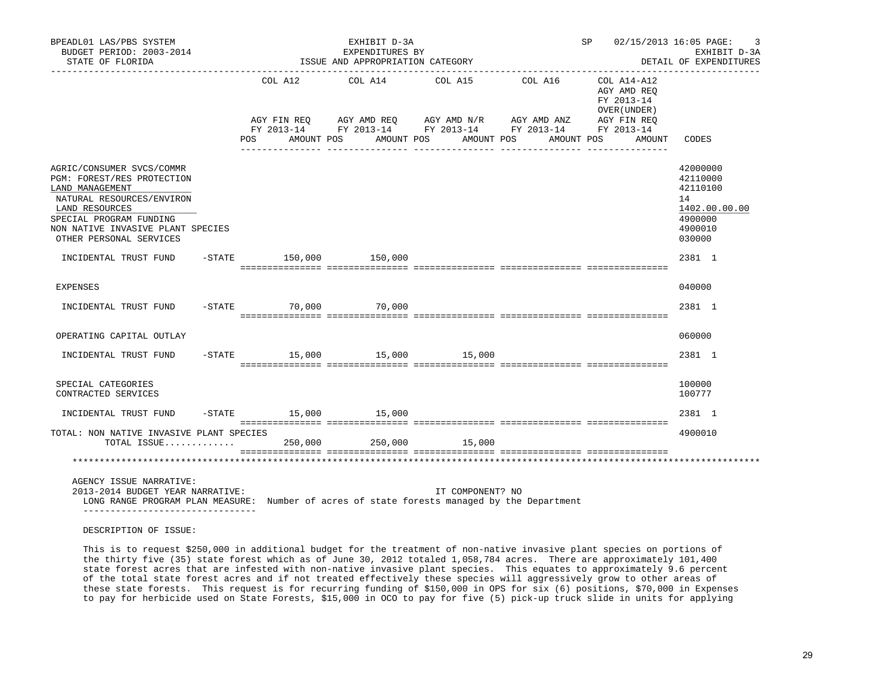| BPEADL01 LAS/PBS SYSTEM<br>BUDGET PERIOD: 2003-2014<br>STATE OF FLORIDA                                                                                    |                                      | EXHIBIT D-3A<br>EXPENDITURES BY<br>ISSUE AND APPROPRIATION CATEGORY | SP 02/15/2013 16:05 PAGE:                                                                                                                                        | 3<br>EXHIBIT D-3A<br>DETAIL OF EXPENDITURES |                                                                                              |                                                         |
|------------------------------------------------------------------------------------------------------------------------------------------------------------|--------------------------------------|---------------------------------------------------------------------|------------------------------------------------------------------------------------------------------------------------------------------------------------------|---------------------------------------------|----------------------------------------------------------------------------------------------|---------------------------------------------------------|
|                                                                                                                                                            | AGY FIN REO                          |                                                                     | COL A12 COL A14 COL A15<br>AGY AMD REQ AGY AMD N/R AGY AMD ANZ<br>FY 2013-14 FY 2013-14 FY 2013-14 FY 2013-14 FY 2013-14<br>POS AMOUNT POS AMOUNT POS AMOUNT POS | COL A16                                     | COL A14-A12<br>AGY AMD REQ<br>FY 2013-14<br>OVER (UNDER)<br>AGY FIN REQ<br>AMOUNT POS AMOUNT | CODES                                                   |
| AGRIC/CONSUMER SVCS/COMMR<br>PGM: FOREST/RES PROTECTION<br>LAND MANAGEMENT<br>NATURAL RESOURCES/ENVIRON<br>LAND RESOURCES                                  |                                      |                                                                     |                                                                                                                                                                  |                                             |                                                                                              | 42000000<br>42110000<br>42110100<br>14<br>1402.00.00.00 |
| SPECIAL PROGRAM FUNDING<br>NON NATIVE INVASIVE PLANT SPECIES<br>OTHER PERSONAL SERVICES                                                                    |                                      |                                                                     |                                                                                                                                                                  |                                             |                                                                                              | 4900000<br>4900010<br>030000                            |
| INCIDENTAL TRUST FUND -STATE 150,000 150,000                                                                                                               |                                      |                                                                     |                                                                                                                                                                  |                                             |                                                                                              | 2381 1                                                  |
| <b>EXPENSES</b>                                                                                                                                            |                                      |                                                                     |                                                                                                                                                                  |                                             |                                                                                              | 040000                                                  |
| INCIDENTAL TRUST FUND                                                                                                                                      | $-$ STATE 70,000 70,000              |                                                                     |                                                                                                                                                                  |                                             |                                                                                              | 2381 1                                                  |
| OPERATING CAPITAL OUTLAY                                                                                                                                   |                                      |                                                                     |                                                                                                                                                                  |                                             |                                                                                              | 060000                                                  |
| INCIDENTAL TRUST FUND                                                                                                                                      | $-$ STATE $15,000$ $15,000$ $15,000$ |                                                                     |                                                                                                                                                                  |                                             |                                                                                              | 2381 1                                                  |
| SPECIAL CATEGORIES<br>CONTRACTED SERVICES                                                                                                                  |                                      |                                                                     |                                                                                                                                                                  |                                             |                                                                                              | 100000<br>100777                                        |
| INCIDENTAL TRUST FUND                                                                                                                                      | $-STATE$ 15,000 15,000               |                                                                     |                                                                                                                                                                  |                                             |                                                                                              | 2381 1                                                  |
| TOTAL: NON NATIVE INVASIVE PLANT SPECIES<br>TOTAL ISSUE                                                                                                    | 250,000                              |                                                                     | 250,000 15,000                                                                                                                                                   |                                             |                                                                                              | 4900010                                                 |
|                                                                                                                                                            |                                      |                                                                     |                                                                                                                                                                  |                                             |                                                                                              |                                                         |
| AGENCY ISSUE NARRATIVE:<br>2013-2014 BUDGET YEAR NARRATIVE:<br>LONG RANGE PROGRAM PLAN MEASURE: Number of acres of state forests managed by the Department |                                      |                                                                     | IT COMPONENT? NO                                                                                                                                                 |                                             |                                                                                              |                                                         |

DESCRIPTION OF ISSUE:

 This is to request \$250,000 in additional budget for the treatment of non-native invasive plant species on portions of the thirty five (35) state forest which as of June 30, 2012 totaled 1,058,784 acres. There are approximately 101,400 state forest acres that are infested with non-native invasive plant species. This equates to approximately 9.6 percent of the total state forest acres and if not treated effectively these species will aggressively grow to other areas of these state forests. This request is for recurring funding of \$150,000 in OPS for six (6) positions, \$70,000 in Expenses to pay for herbicide used on State Forests, \$15,000 in OCO to pay for five (5) pick-up truck slide in units for applying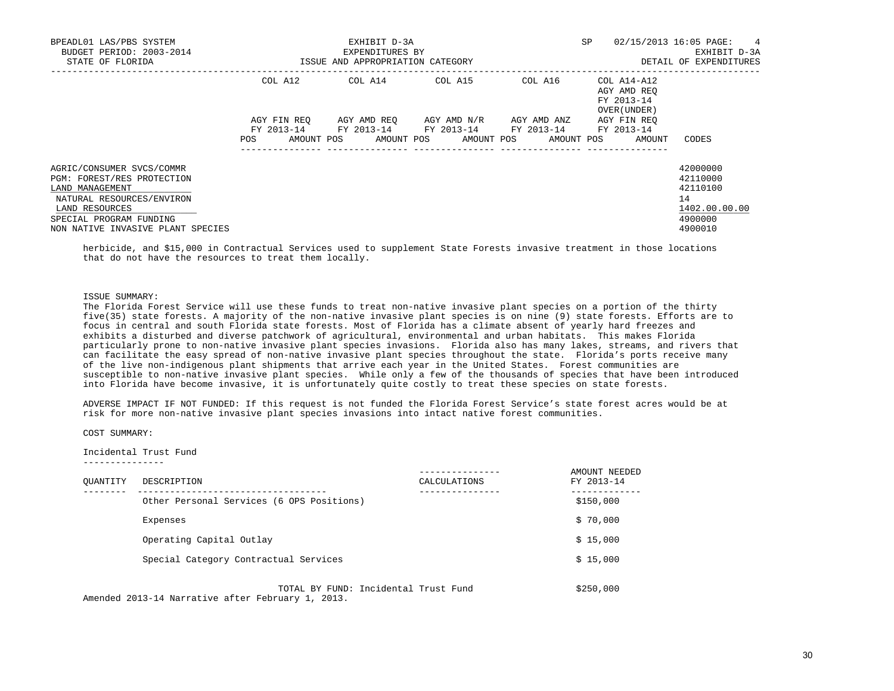| BPEADL01 LAS/PBS SYSTEM<br>BUDGET PERIOD: 2003-2014<br>STATE OF FLORIDA | EXHIBIT D-3A<br>EXPENDITURES BY<br>ISSUE AND APPROPRIATION CATEGORY |            |  |                          |  |                          |             | <b>SP</b>  |                            | 02/15/2013 16:05 PAGE:<br>4<br>EXHIBIT D-3A<br>DETAIL OF EXPENDITURES |               |
|-------------------------------------------------------------------------|---------------------------------------------------------------------|------------|--|--------------------------|--|--------------------------|-------------|------------|----------------------------|-----------------------------------------------------------------------|---------------|
|                                                                         | COL A12                                                             |            |  | COL A14                  |  | COL A15                  |             | COL A16    | FY 2013-14<br>OVER (UNDER) | COL A14-A12<br>AGY AMD REO                                            |               |
|                                                                         | AGY FIN REO                                                         |            |  | AGY AMD REO              |  | AGY AMD N/R              | AGY AMD ANZ |            |                            | AGY FIN REO                                                           |               |
|                                                                         | FY 2013-14<br>POS                                                   | AMOUNT POS |  | FY 2013-14<br>AMOUNT POS |  | FY 2013-14<br>AMOUNT POS | FY 2013-14  | AMOUNT POS | FY 2013-14                 | AMOUNT                                                                | CODES         |
| AGRIC/CONSUMER SVCS/COMMR                                               |                                                                     |            |  |                          |  |                          |             |            |                            |                                                                       | 42000000      |
| PGM: FOREST/RES PROTECTION                                              |                                                                     |            |  |                          |  |                          |             |            |                            |                                                                       | 42110000      |
| LAND MANAGEMENT                                                         |                                                                     |            |  |                          |  |                          |             |            |                            |                                                                       | 42110100      |
| NATURAL RESOURCES/ENVIRON                                               |                                                                     |            |  |                          |  |                          |             |            |                            |                                                                       | 14            |
| LAND RESOURCES                                                          |                                                                     |            |  |                          |  |                          |             |            |                            |                                                                       | 1402.00.00.00 |
| SPECIAL PROGRAM FUNDING                                                 |                                                                     |            |  |                          |  |                          |             |            |                            |                                                                       | 4900000       |
| NON NATIVE INVASIVE PLANT SPECIES                                       |                                                                     |            |  |                          |  |                          |             |            |                            |                                                                       | 4900010       |

 herbicide, and \$15,000 in Contractual Services used to supplement State Forests invasive treatment in those locations that do not have the resources to treat them locally.

#### ISSUE SUMMARY:

 The Florida Forest Service will use these funds to treat non-native invasive plant species on a portion of the thirty five(35) state forests. A majority of the non-native invasive plant species is on nine (9) state forests. Efforts are to focus in central and south Florida state forests. Most of Florida has a climate absent of yearly hard freezes and exhibits a disturbed and diverse patchwork of agricultural, environmental and urban habitats. This makes Florida particularly prone to non-native invasive plant species invasions. Florida also has many lakes, streams, and rivers that can facilitate the easy spread of non-native invasive plant species throughout the state. Florida's ports receive many of the live non-indigenous plant shipments that arrive each year in the United States. Forest communities are susceptible to non-native invasive plant species. While only a few of the thousands of species that have been introduced into Florida have become invasive, it is unfortunately quite costly to treat these species on state forests.

 ADVERSE IMPACT IF NOT FUNDED: If this request is not funded the Florida Forest Service's state forest acres would be at risk for more non-native invasive plant species invasions into intact native forest communities.

COST SUMMARY:

 Incidental Trust Fund ---------------

| OUANTITY | DESCRIPTION                               | CALCULATIONS | AMOUNT NEEDED<br>FY 2013-14 |
|----------|-------------------------------------------|--------------|-----------------------------|
|          | Other Personal Services (6 OPS Positions) |              | \$150,000                   |
|          | Expenses                                  |              | \$70,000                    |
|          | Operating Capital Outlay                  |              | \$15,000                    |
|          | Special Category Contractual Services     |              | \$15,000                    |
|          | TOTAL BY FUND: Incidental Trust Fund      |              | \$250,000                   |

Amended 2013-14 Narrative after February 1, 2013.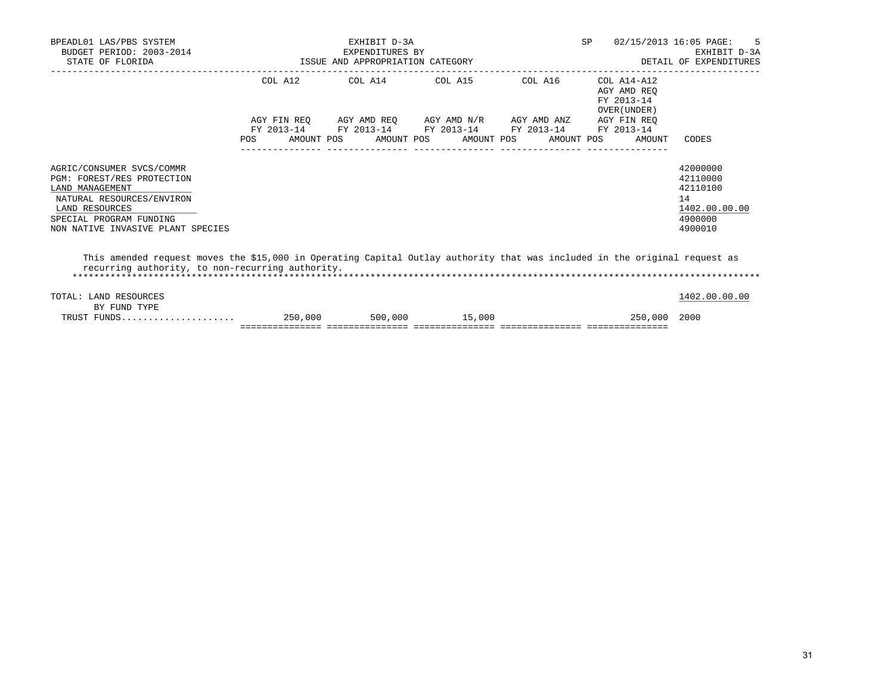| BPEADL01 LAS/PBS SYSTEM<br>BUDGET PERIOD: 2003-2014<br>STATE OF FLORIDA                                                                                                                   |                          | EXHIBIT D-3A<br>EXPENDITURES BY<br>ISSUE AND APPROPRIATION CATEGORY |                                                              | <b>SP</b>  | 02/15/2013 16:05 PAGE:<br>-5<br>EXHIBIT D-3A<br>DETAIL OF EXPENDITURES |                                                                               |
|-------------------------------------------------------------------------------------------------------------------------------------------------------------------------------------------|--------------------------|---------------------------------------------------------------------|--------------------------------------------------------------|------------|------------------------------------------------------------------------|-------------------------------------------------------------------------------|
|                                                                                                                                                                                           |                          |                                                                     | COL A12 COL A14 COL A15 COL A16                              |            | COL A14-A12<br>AGY AMD REO<br>FY 2013-14                               |                                                                               |
|                                                                                                                                                                                           |                          |                                                                     | AGY FIN REO AGY AMD REO AGY AMD N/R AGY AMD ANZ AGY FIN REO  |            | OVER (UNDER)                                                           |                                                                               |
|                                                                                                                                                                                           | FY 2013-14<br><b>POS</b> | AMOUNT POS                                                          | FY 2013-14 FY 2013-14 FY 2013-14<br>AMOUNT POS<br>AMOUNT POS | AMOUNT POS | FY 2013-14<br>AMOUNT                                                   | CODES                                                                         |
| AGRIC/CONSUMER SVCS/COMMR<br>PGM: FOREST/RES PROTECTION<br>LAND MANAGEMENT<br>NATURAL RESOURCES/ENVIRON<br>LAND RESOURCES<br>SPECIAL PROGRAM FUNDING<br>NON NATIVE INVASIVE PLANT SPECIES |                          |                                                                     |                                                              |            |                                                                        | 42000000<br>42110000<br>42110100<br>14<br>1402.00.00.00<br>4900000<br>4900010 |
| This amended request moves the \$15,000 in Operating Capital Outlay authority that was included in the original request as<br>recurring authority, to non-recurring authority.            |                          |                                                                     |                                                              |            |                                                                        |                                                                               |
| TOTAL: LAND RESOURCES                                                                                                                                                                     |                          |                                                                     |                                                              |            |                                                                        | 1402.00.00.00                                                                 |
| BY FUND TYPE<br>TRUST FUNDS                                                                                                                                                               | 250,000                  |                                                                     | 500,000 15,000                                               |            | 250,000                                                                | 2000                                                                          |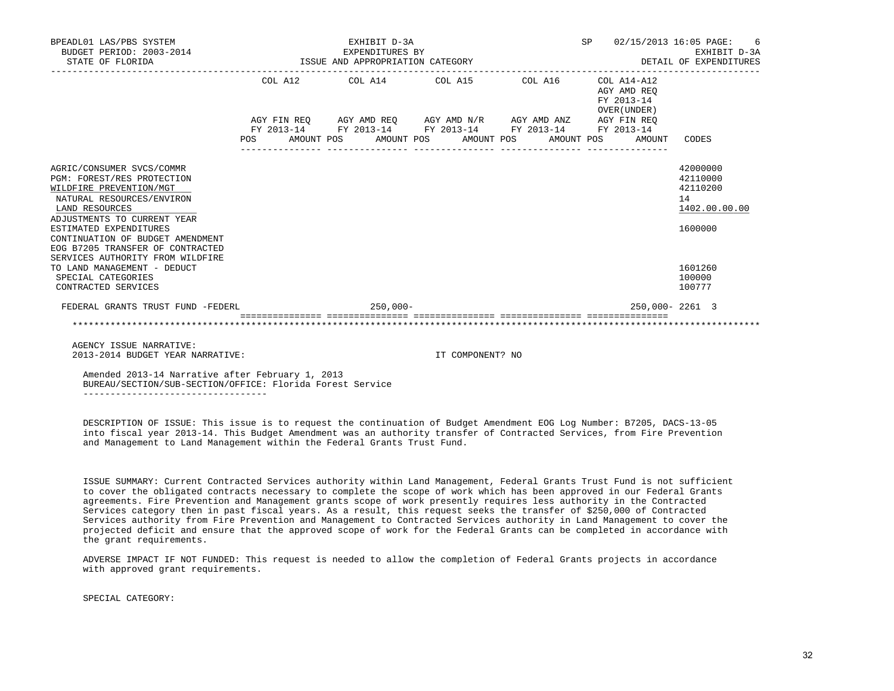| BPEADL01 LAS/PBS SYSTEM<br>BUDGET PERIOD: 2003-2014<br>STATE OF FLORIDA                                                                                                                                                                                                                                | EXHIBIT D-3A<br>EXPENDITURES BY<br>ISSUE AND APPROPRIATION CATEGORY |  |  |             |  |                                                             | SP 02/15/2013 16:05 PAGE: 6<br>DETAIL OF EXPENDITURES |  |  |                                                          | EXHIBIT D-3A                                                       |
|--------------------------------------------------------------------------------------------------------------------------------------------------------------------------------------------------------------------------------------------------------------------------------------------------------|---------------------------------------------------------------------|--|--|-------------|--|-------------------------------------------------------------|-------------------------------------------------------|--|--|----------------------------------------------------------|--------------------------------------------------------------------|
|                                                                                                                                                                                                                                                                                                        |                                                                     |  |  |             |  | COL A12 COL A14 COL A15 COL A16                             |                                                       |  |  | COL A14-A12<br>AGY AMD REO<br>FY 2013-14<br>OVER (UNDER) |                                                                    |
|                                                                                                                                                                                                                                                                                                        |                                                                     |  |  |             |  | AGY FIN REO AGY AMD REO AGY AMD N/R AGY AMD ANZ AGY FIN REO |                                                       |  |  |                                                          |                                                                    |
|                                                                                                                                                                                                                                                                                                        |                                                                     |  |  |             |  | FY 2013-14 FY 2013-14 FY 2013-14 FY 2013-14 FY 2013-14      |                                                       |  |  |                                                          |                                                                    |
|                                                                                                                                                                                                                                                                                                        | POS FOR                                                             |  |  |             |  | AMOUNT POS AMOUNT POS AMOUNT POS AMOUNT POS                 |                                                       |  |  | AMOUNT                                                   | CODES                                                              |
| AGRIC/CONSUMER SVCS/COMMR<br>PGM: FOREST/RES PROTECTION<br>WILDFIRE PREVENTION/MGT<br>NATURAL RESOURCES/ENVIRON<br>LAND RESOURCES<br>ADJUSTMENTS TO CURRENT YEAR<br>ESTIMATED EXPENDITURES<br>CONTINUATION OF BUDGET AMENDMENT<br>EOG B7205 TRANSFER OF CONTRACTED<br>SERVICES AUTHORITY FROM WILDFIRE |                                                                     |  |  |             |  |                                                             |                                                       |  |  |                                                          | 42000000<br>42110000<br>42110200<br>14<br>1402.00.00.00<br>1600000 |
| TO LAND MANAGEMENT - DEDUCT<br>SPECIAL CATEGORIES<br>CONTRACTED SERVICES                                                                                                                                                                                                                               |                                                                     |  |  |             |  |                                                             |                                                       |  |  |                                                          | 1601260<br>100000<br>100777                                        |
| FEDERAL GRANTS TRUST FUND -FEDERL                                                                                                                                                                                                                                                                      |                                                                     |  |  | $250,000 -$ |  |                                                             |                                                       |  |  | 250,000-2261 3                                           |                                                                    |
|                                                                                                                                                                                                                                                                                                        |                                                                     |  |  |             |  |                                                             |                                                       |  |  |                                                          |                                                                    |

 AGENCY ISSUE NARRATIVE: 2013-2014 BUDGET YEAR NARRATIVE: IT COMPONENT? NO

 Amended 2013-14 Narrative after February 1, 2013 BUREAU/SECTION/SUB-SECTION/OFFICE: Florida Forest Service ----------------------------------

 DESCRIPTION OF ISSUE: This issue is to request the continuation of Budget Amendment EOG Log Number: B7205, DACS-13-05 into fiscal year 2013-14. This Budget Amendment was an authority transfer of Contracted Services, from Fire Prevention and Management to Land Management within the Federal Grants Trust Fund.

 ISSUE SUMMARY: Current Contracted Services authority within Land Management, Federal Grants Trust Fund is not sufficient to cover the obligated contracts necessary to complete the scope of work which has been approved in our Federal Grants agreements. Fire Prevention and Management grants scope of work presently requires less authority in the Contracted Services category then in past fiscal years. As a result, this request seeks the transfer of \$250,000 of Contracted Services authority from Fire Prevention and Management to Contracted Services authority in Land Management to cover the projected deficit and ensure that the approved scope of work for the Federal Grants can be completed in accordance with the grant requirements.

 ADVERSE IMPACT IF NOT FUNDED: This request is needed to allow the completion of Federal Grants projects in accordance with approved grant requirements.

SPECIAL CATEGORY: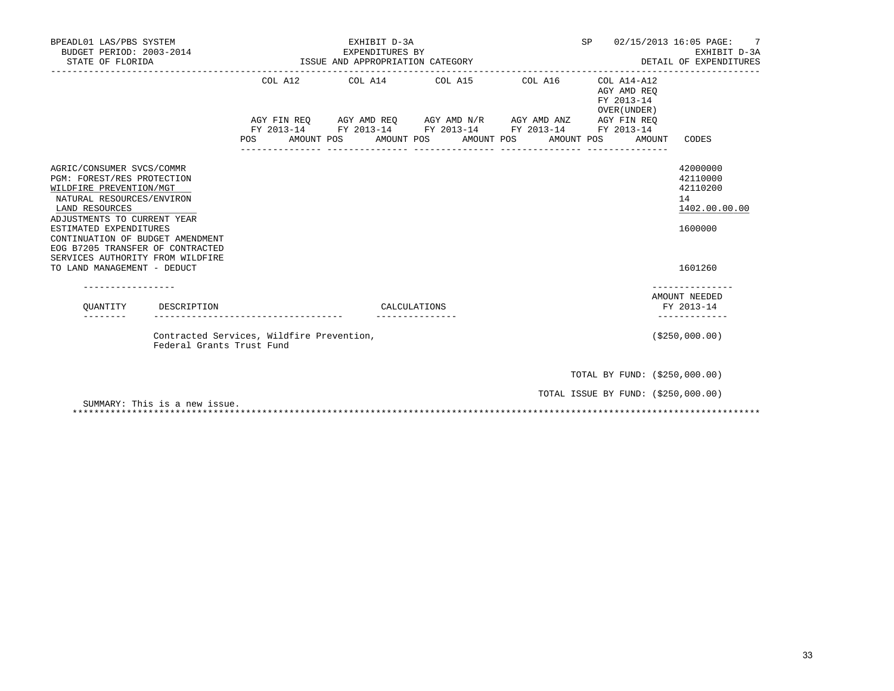| BPEADL01 LAS/PBS SYSTEM<br>BUDGET PERIOD: 2003-2014<br>STATE OF FLORIDA                                                                                                                                                                                                                                                               |                                           | EXHIBIT D-3A<br>EXPENDITURES BY<br>ISSUE AND APPROPRIATION CATEGORY | SP                    | 7<br>02/15/2013 16:05 PAGE:<br>EXHIBIT D-3A<br>DETAIL OF EXPENDITURES |                                                          |                                                                               |
|---------------------------------------------------------------------------------------------------------------------------------------------------------------------------------------------------------------------------------------------------------------------------------------------------------------------------------------|-------------------------------------------|---------------------------------------------------------------------|-----------------------|-----------------------------------------------------------------------|----------------------------------------------------------|-------------------------------------------------------------------------------|
|                                                                                                                                                                                                                                                                                                                                       | COL A12<br><b>POS</b>                     | COL A14 COL A15 COL A16<br>AMOUNT POS                               | AMOUNT POS AMOUNT POS | AMOUNT POS                                                            | COL A14-A12<br>AGY AMD REO<br>FY 2013-14<br>OVER (UNDER) | --------------<br>AMOUNT<br>CODES                                             |
| AGRIC/CONSUMER SVCS/COMMR<br>PGM: FOREST/RES PROTECTION<br>WILDFIRE PREVENTION/MGT<br>NATURAL RESOURCES/ENVIRON<br>LAND RESOURCES<br>ADJUSTMENTS TO CURRENT YEAR<br>ESTIMATED EXPENDITURES<br>CONTINUATION OF BUDGET AMENDMENT<br>EOG B7205 TRANSFER OF CONTRACTED<br>SERVICES AUTHORITY FROM WILDFIRE<br>TO LAND MANAGEMENT - DEDUCT |                                           |                                                                     |                       |                                                                       |                                                          | 42000000<br>42110000<br>42110200<br>14<br>1402.00.00.00<br>1600000<br>1601260 |
| OUANTITY<br>DESCRIPTION                                                                                                                                                                                                                                                                                                               | --------------------------                |                                                                     | CALCULATIONS          |                                                                       |                                                          | AMOUNT NEEDED<br>FY 2013-14                                                   |
| Federal Grants Trust Fund                                                                                                                                                                                                                                                                                                             | Contracted Services, Wildfire Prevention, |                                                                     |                       |                                                                       |                                                          | ( \$250,000.00)                                                               |
|                                                                                                                                                                                                                                                                                                                                       |                                           |                                                                     |                       |                                                                       |                                                          | TOTAL BY FUND: (\$250,000.00)                                                 |
| SUMMARY: This is a new issue.                                                                                                                                                                                                                                                                                                         |                                           |                                                                     |                       |                                                                       |                                                          | TOTAL ISSUE BY FUND: (\$250,000.00)                                           |

\*\*\*\*\*\*\*\*\*\*\*\*\*\*\*\*\*\*\*\*\*\*\*\*\*\*\*\*\*\*\*\*\*\*\*\*\*\*\*\*\*\*\*\*\*\*\*\*\*\*\*\*\*\*\*\*\*\*\*\*\*\*\*\*\*\*\*\*\*\*\*\*\*\*\*\*\*\*\*\*\*\*\*\*\*\*\*\*\*\*\*\*\*\*\*\*\*\*\*\*\*\*\*\*\*\*\*\*\*\*\*\*\*\*\*\*\*\*\*\*\*\*\*\*\*\*\*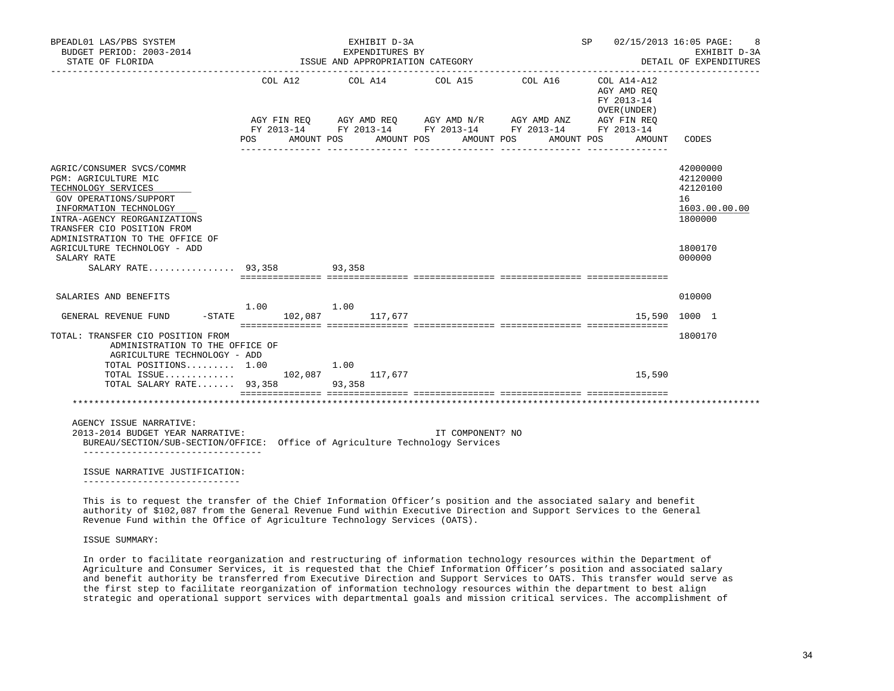| BPEADL01 LAS/PBS SYSTEM<br>BUDGET PERIOD: 2003-2014<br>STATE OF FLORIDA                                                                                                                                                       |        |                        |                | EXHIBIT D-3A<br>EXPENDITURES BY<br>ISSUE AND APPROPRIATION CATEGORY |         |                                                                                              |         |            |                                                          | SP 02/15/2013 16:05 PAGE:<br>-8<br>EXHIBIT D-3A<br>DETAIL OF EXPENDITURES |
|-------------------------------------------------------------------------------------------------------------------------------------------------------------------------------------------------------------------------------|--------|------------------------|----------------|---------------------------------------------------------------------|---------|----------------------------------------------------------------------------------------------|---------|------------|----------------------------------------------------------|---------------------------------------------------------------------------|
|                                                                                                                                                                                                                               |        | COL A12 COL A14        |                |                                                                     | COL A15 | AGY FIN REQ AGY AMD REQ AGY AMD N/R AGY AMD ANZ AGY FIN REQ FY 2013-14 FY 2013-14 FY 2013-14 | COL A16 |            | COL A14-A12<br>AGY AMD REO<br>FY 2013-14<br>OVER (UNDER) |                                                                           |
|                                                                                                                                                                                                                               | POS DO | AMOUNT POS             |                | AMOUNT POS                                                          |         | AMOUNT POS                                                                                   |         | AMOUNT POS | AMOUNT                                                   | CODES                                                                     |
| AGRIC/CONSUMER SVCS/COMMR<br>PGM: AGRICULTURE MIC<br>TECHNOLOGY SERVICES<br>GOV OPERATIONS/SUPPORT<br>INFORMATION TECHNOLOGY<br>INTRA-AGENCY REORGANIZATIONS<br>TRANSFER CIO POSITION FROM<br>ADMINISTRATION TO THE OFFICE OF |        |                        |                |                                                                     |         |                                                                                              |         |            |                                                          | 42000000<br>42120000<br>42120100<br>16<br>1603.00.00.00<br>1800000        |
| AGRICULTURE TECHNOLOGY - ADD<br>SALARY RATE                                                                                                                                                                                   |        |                        |                |                                                                     |         |                                                                                              |         |            |                                                          | 1800170<br>000000                                                         |
| SALARY RATE 93,358 93,358                                                                                                                                                                                                     |        |                        |                |                                                                     |         |                                                                                              |         |            |                                                          |                                                                           |
|                                                                                                                                                                                                                               |        |                        |                |                                                                     |         |                                                                                              |         |            |                                                          |                                                                           |
| SALARIES AND BENEFITS                                                                                                                                                                                                         |        | $1.00$ $1.00$          |                |                                                                     |         |                                                                                              |         |            |                                                          | 010000                                                                    |
| GENERAL REVENUE FUND                                                                                                                                                                                                          |        | -STATE 102,087 117,677 |                |                                                                     |         |                                                                                              |         |            |                                                          | 15,590 1000 1                                                             |
| TOTAL: TRANSFER CIO POSITION FROM<br>ADMINISTRATION TO THE OFFICE OF<br>AGRICULTURE TECHNOLOGY - ADD                                                                                                                          |        |                        |                |                                                                     |         |                                                                                              |         |            |                                                          | 1800170                                                                   |
| TOTAL POSITIONS 1.00<br>$\texttt{TOTAL}$ ISSUE 102,087<br>TOTAL SALARY RATE 93,358                                                                                                                                            |        |                        | 1.00<br>93,358 | 117,677                                                             |         |                                                                                              |         |            | 15,590                                                   |                                                                           |
|                                                                                                                                                                                                                               |        |                        |                |                                                                     |         |                                                                                              |         |            |                                                          |                                                                           |
| AGENCY ISSUE NARRATIVE:<br>2013-2014 BUDGET YEAR NARRATIVE:<br>BUREAU/SECTION/SUB-SECTION/OFFICE: Office of Agriculture Technology Services<br>--------------------------                                                     |        |                        |                |                                                                     |         | IT COMPONENT? NO                                                                             |         |            |                                                          |                                                                           |
| ISSUE NARRATIVE JUSTIFICATION:                                                                                                                                                                                                |        |                        |                |                                                                     |         |                                                                                              |         |            |                                                          |                                                                           |

-----------------------------

 This is to request the transfer of the Chief Information Officer's position and the associated salary and benefit authority of \$102,087 from the General Revenue Fund within Executive Direction and Support Services to the General Revenue Fund within the Office of Agriculture Technology Services (OATS).

ISSUE SUMMARY:

 In order to facilitate reorganization and restructuring of information technology resources within the Department of Agriculture and Consumer Services, it is requested that the Chief Information Officer's position and associated salary and benefit authority be transferred from Executive Direction and Support Services to OATS. This transfer would serve as the first step to facilitate reorganization of information technology resources within the department to best align strategic and operational support services with departmental goals and mission critical services. The accomplishment of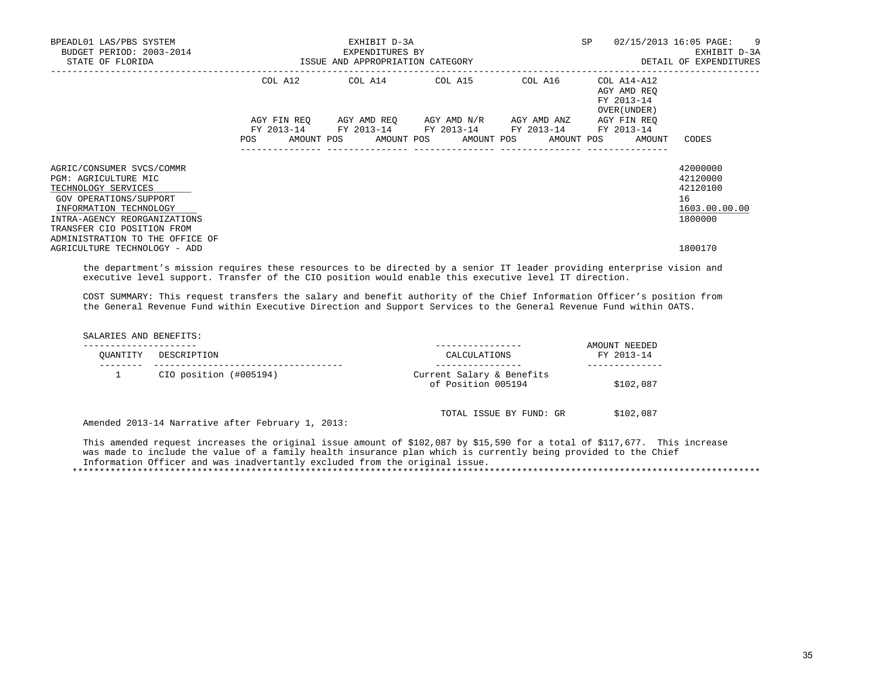| BPEADL01 LAS/PBS SYSTEM<br>BUDGET PERIOD: 2003-2014<br>STATE OF FLORIDA                                                                                                                                                       | ISSUE AND APPROPRIATION CATEGORY | EXHIBIT D-3A<br>EXPENDITURES BY | SP                                                                                            | 02/15/2013 16:05 PAGE: 9<br>EXHIBIT D-3A<br>DETAIL OF EXPENDITURES |                                                                             |                                                                    |
|-------------------------------------------------------------------------------------------------------------------------------------------------------------------------------------------------------------------------------|----------------------------------|---------------------------------|-----------------------------------------------------------------------------------------------|--------------------------------------------------------------------|-----------------------------------------------------------------------------|--------------------------------------------------------------------|
|                                                                                                                                                                                                                               |                                  |                                 | COL A12 COL A14 COL A15 COL A16                                                               |                                                                    | COL A14-A12<br>AGY AMD REO<br>FY 2013-14<br>OVER (UNDER)                    |                                                                    |
|                                                                                                                                                                                                                               | AGY FIN REO                      |                                 | AGY AMD REO AGY AMD N/R AGY AMD ANZ<br>FY 2013-14 FY 2013-14 FY 2013-14 FY 2013-14 FY 2013-14 |                                                                    | AGY FIN REO<br>POS AMOUNT POS AMOUNT POS AMOUNT POS AMOUNT POS AMOUNT CODES |                                                                    |
| AGRIC/CONSUMER SVCS/COMMR<br>PGM: AGRICULTURE MIC<br>TECHNOLOGY SERVICES<br>GOV OPERATIONS/SUPPORT<br>INFORMATION TECHNOLOGY<br>INTRA-AGENCY REORGANIZATIONS<br>TRANSFER CIO POSITION FROM<br>ADMINISTRATION TO THE OFFICE OF |                                  |                                 |                                                                                               |                                                                    |                                                                             | 42000000<br>42120000<br>42120100<br>16<br>1603.00.00.00<br>1800000 |
| AGRICULTURE TECHNOLOGY - ADD                                                                                                                                                                                                  |                                  |                                 |                                                                                               |                                                                    |                                                                             | 1800170                                                            |

 the department's mission requires these resources to be directed by a senior IT leader providing enterprise vision and executive level support. Transfer of the CIO position would enable this executive level IT direction.

 COST SUMMARY: This request transfers the salary and benefit authority of the Chief Information Officer's position from the General Revenue Fund within Executive Direction and Support Services to the General Revenue Fund within OATS.

SALARIES AND BENEFITS:

| OUANTITY | DESCRIPTION                                       | CALCULATIONS                                    | AMOUNT NEEDED<br>FY 2013-14 |
|----------|---------------------------------------------------|-------------------------------------------------|-----------------------------|
|          | CIO position (#005194)                            | Current Salary & Benefits<br>of Position 005194 | \$102,087                   |
|          | Amended 2013-14 Narrative after February 1, 2013: | TOTAL ISSUE BY FUND: GR                         | \$102,087                   |

 This amended request increases the original issue amount of \$102,087 by \$15,590 for a total of \$117,677. This increase was made to include the value of a family health insurance plan which is currently being provided to the Chief Information Officer and was inadvertantly excluded from the original issue. \*\*\*\*\*\*\*\*\*\*\*\*\*\*\*\*\*\*\*\*\*\*\*\*\*\*\*\*\*\*\*\*\*\*\*\*\*\*\*\*\*\*\*\*\*\*\*\*\*\*\*\*\*\*\*\*\*\*\*\*\*\*\*\*\*\*\*\*\*\*\*\*\*\*\*\*\*\*\*\*\*\*\*\*\*\*\*\*\*\*\*\*\*\*\*\*\*\*\*\*\*\*\*\*\*\*\*\*\*\*\*\*\*\*\*\*\*\*\*\*\*\*\*\*\*\*\*

35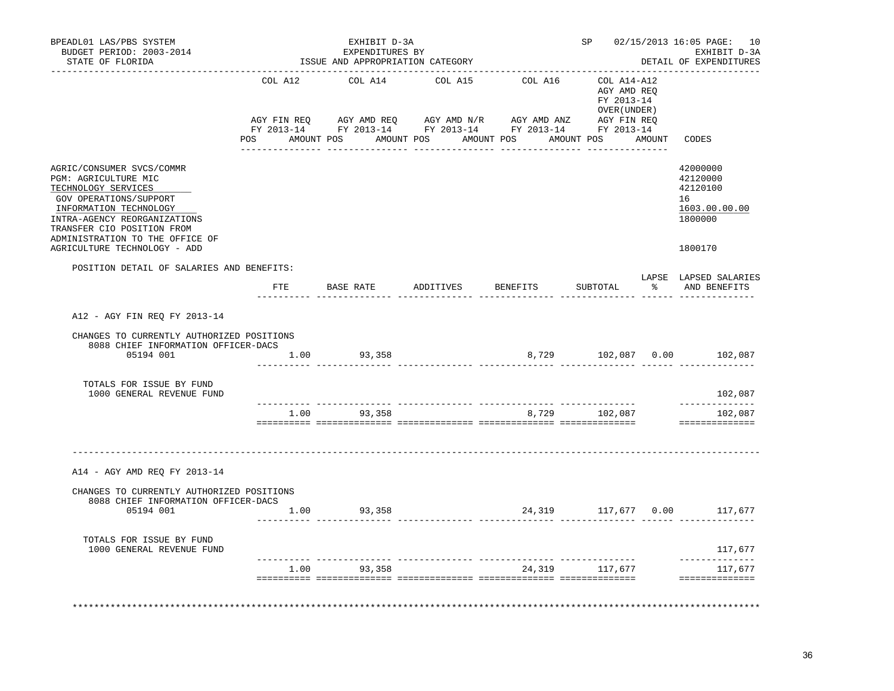| BPEADL01 LAS/PBS SYSTEM<br>BUDGET PERIOD: 2003-2014<br>STATE OF FLORIDA                                                                                                                                                                                       |         | EXHIBIT D-3A<br>EXPENDITURES BY<br>ISSUE AND APPROPRIATION CATEGORY |                                      |          |                                                           | SP 02/15/2013 16:05 PAGE: 10<br>EXHIBIT D-3A<br>DETAIL OF EXPENDITURES        |
|---------------------------------------------------------------------------------------------------------------------------------------------------------------------------------------------------------------------------------------------------------------|---------|---------------------------------------------------------------------|--------------------------------------|----------|-----------------------------------------------------------|-------------------------------------------------------------------------------|
|                                                                                                                                                                                                                                                               | COL A12 | COL A14                                                             | COL A15                              | COL A16  | COL A14-A12<br>AGY AMD REO<br>FY 2013-14<br>OVER (UNDER ) |                                                                               |
|                                                                                                                                                                                                                                                               |         |                                                                     | POS AMOUNT POS AMOUNT POS AMOUNT POS |          | AMOUNT POS AMOUNT                                         | CODES                                                                         |
| AGRIC/CONSUMER SVCS/COMMR<br>PGM: AGRICULTURE MIC<br>TECHNOLOGY SERVICES<br>GOV OPERATIONS/SUPPORT<br>INFORMATION TECHNOLOGY<br>INTRA-AGENCY REORGANIZATIONS<br>TRANSFER CIO POSITION FROM<br>ADMINISTRATION TO THE OFFICE OF<br>AGRICULTURE TECHNOLOGY - ADD |         |                                                                     |                                      |          |                                                           | 42000000<br>42120000<br>42120100<br>16<br>1603.00.00.00<br>1800000<br>1800170 |
| POSITION DETAIL OF SALARIES AND BENEFITS:                                                                                                                                                                                                                     |         |                                                                     |                                      |          |                                                           |                                                                               |
|                                                                                                                                                                                                                                                               | ETE     | BASE RATE ADDITIVES                                                 |                                      | BENEFITS | SUBTOTAL                                                  | LAPSE LAPSED SALARIES<br>% AND BENEFITS                                       |
| A12 - AGY FIN REQ FY 2013-14<br>CHANGES TO CURRENTLY AUTHORIZED POSITIONS<br>8088 CHIEF INFORMATION OFFICER-DACS<br>05194 001                                                                                                                                 | 1.00    | 93,358                                                              |                                      |          |                                                           | 8,729 102,087 0.00 102,087                                                    |
| TOTALS FOR ISSUE BY FUND<br>1000 GENERAL REVENUE FUND                                                                                                                                                                                                         |         |                                                                     |                                      |          |                                                           | 102,087<br>--------------                                                     |
|                                                                                                                                                                                                                                                               | 1.00    | 93,358                                                              |                                      |          | 8,729 102,087                                             | 102,087<br>==============                                                     |
| A14 - AGY AMD REO FY 2013-14                                                                                                                                                                                                                                  |         |                                                                     |                                      |          |                                                           |                                                                               |
| CHANGES TO CURRENTLY AUTHORIZED POSITIONS<br>8088 CHIEF INFORMATION OFFICER-DACS                                                                                                                                                                              |         |                                                                     |                                      |          |                                                           |                                                                               |
| 05194 001                                                                                                                                                                                                                                                     |         | 1.00 93,358                                                         |                                      |          |                                                           | 24,319 117,677 0.00 117,677                                                   |
| TOTALS FOR ISSUE BY FUND<br>1000 GENERAL REVENUE FUND                                                                                                                                                                                                         |         |                                                                     |                                      |          |                                                           | 117,677                                                                       |
|                                                                                                                                                                                                                                                               | 1.00    | 93,358                                                              |                                      |          | 24,319 117,677                                            | -------------<br>117,677                                                      |
|                                                                                                                                                                                                                                                               |         |                                                                     |                                      |          |                                                           | ==============                                                                |

36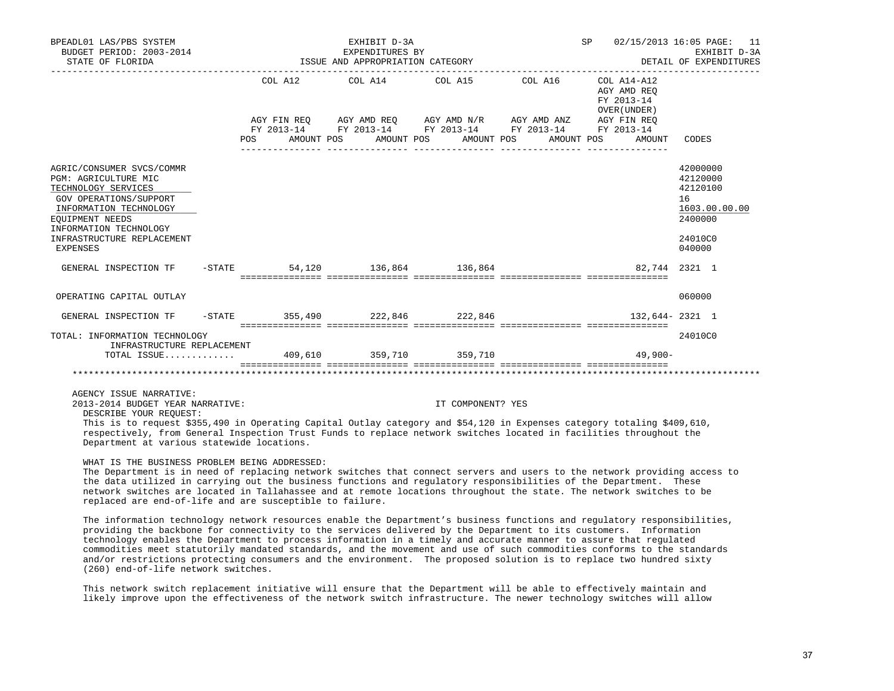| BPEADL01 LAS/PBS SYSTEM<br>BUDGET PERIOD: 2003-2014<br>STATE OF FLORIDA                                                                                                          |                                      | EXHIBIT D-3A<br>EXPENDITURES BY<br>ISSUE AND APPROPRIATION CATEGORY | SP 02/15/2013 16:05 PAGE: 11                                                                   | EXHIBIT D-3A<br>DETAIL OF EXPENDITURES                   |                                                                    |
|----------------------------------------------------------------------------------------------------------------------------------------------------------------------------------|--------------------------------------|---------------------------------------------------------------------|------------------------------------------------------------------------------------------------|----------------------------------------------------------|--------------------------------------------------------------------|
|                                                                                                                                                                                  |                                      |                                                                     | COL A12 COL A14 COL A15 COL A16<br>AGY FIN REQ AGY AMD REQ AGY AMD N/R AGY AMD ANZ AGY FIN REQ | COL A14-A12<br>AGY AMD REO<br>FY 2013-14<br>OVER (UNDER) |                                                                    |
|                                                                                                                                                                                  | POS AMOUNT POS AMOUNT POS AMOUNT POS |                                                                     | FY 2013-14 FY 2013-14 FY 2013-14 FY 2013-14 FY 2013-14                                         | AMOUNT POS AMOUNT CODES                                  |                                                                    |
|                                                                                                                                                                                  |                                      |                                                                     |                                                                                                |                                                          |                                                                    |
| AGRIC/CONSUMER SVCS/COMMR<br>PGM: AGRICULTURE MIC<br>TECHNOLOGY SERVICES<br>GOV OPERATIONS/SUPPORT<br>INFORMATION TECHNOLOGY<br><b>EOUIPMENT NEEDS</b><br>INFORMATION TECHNOLOGY |                                      |                                                                     |                                                                                                |                                                          | 42000000<br>42120000<br>42120100<br>16<br>1603.00.00.00<br>2400000 |
| INFRASTRUCTURE REPLACEMENT<br><b>EXPENSES</b>                                                                                                                                    |                                      |                                                                     |                                                                                                |                                                          | 24010C0<br>040000                                                  |
| GENERAL INSPECTION TF -STATE 54,120 136,864 136,864                                                                                                                              |                                      |                                                                     |                                                                                                | 82,744 2321 1                                            |                                                                    |
| OPERATING CAPITAL OUTLAY                                                                                                                                                         |                                      |                                                                     |                                                                                                |                                                          | 060000                                                             |
| GENERAL INSPECTION TF -STATE 355,490 222.846 222.846                                                                                                                             |                                      |                                                                     |                                                                                                | 132,644-2321 1                                           |                                                                    |
| TOTAL: INFORMATION TECHNOLOGY<br>INFRASTRUCTURE REPLACEMENT                                                                                                                      |                                      |                                                                     |                                                                                                |                                                          | 24010C0                                                            |
| TOTAL ISSUE 409,610 359,710 359,710                                                                                                                                              |                                      |                                                                     |                                                                                                | $49,900-$                                                |                                                                    |
|                                                                                                                                                                                  |                                      |                                                                     |                                                                                                |                                                          |                                                                    |

AGENCY ISSUE NARRATIVE:

2013-2014 BUDGET YEAR NARRATIVE: IT COMPONENT? YES

DESCRIBE YOUR REQUEST:

 This is to request \$355,490 in Operating Capital Outlay category and \$54,120 in Expenses category totaling \$409,610, respectively, from General Inspection Trust Funds to replace network switches located in facilities throughout the Department at various statewide locations.

#### WHAT IS THE BUSINESS PROBLEM BEING ADDRESSED:

 The Department is in need of replacing network switches that connect servers and users to the network providing access to the data utilized in carrying out the business functions and regulatory responsibilities of the Department. These network switches are located in Tallahassee and at remote locations throughout the state. The network switches to be replaced are end-of-life and are susceptible to failure.

 The information technology network resources enable the Department's business functions and regulatory responsibilities, providing the backbone for connectivity to the services delivered by the Department to its customers. Information technology enables the Department to process information in a timely and accurate manner to assure that regulated commodities meet statutorily mandated standards, and the movement and use of such commodities conforms to the standards and/or restrictions protecting consumers and the environment. The proposed solution is to replace two hundred sixty (260) end-of-life network switches.

 This network switch replacement initiative will ensure that the Department will be able to effectively maintain and likely improve upon the effectiveness of the network switch infrastructure. The newer technology switches will allow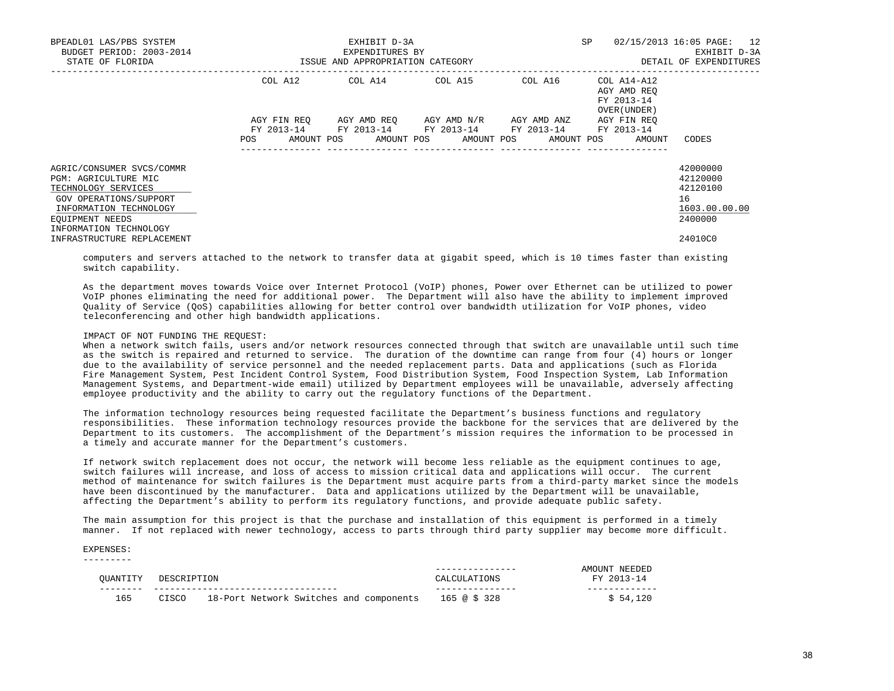| BPEADL01 LAS/PBS SYSTEM<br>BUDGET PERIOD: 2003-2014<br>STATE OF FLORIDA                                                                                                   |                                                | EXHIBIT D-3A<br>EXPENDITURES BY<br>ISSUE AND APPROPRIATION CATEGORY | <b>SP</b>                                                                                        | 02/15/2013 16:05 PAGE: 12<br>EXHIBIT D-3A<br>DETAIL OF EXPENDITURES |                                                          |                                                                    |
|---------------------------------------------------------------------------------------------------------------------------------------------------------------------------|------------------------------------------------|---------------------------------------------------------------------|--------------------------------------------------------------------------------------------------|---------------------------------------------------------------------|----------------------------------------------------------|--------------------------------------------------------------------|
|                                                                                                                                                                           | COL A12                                        | COL A14                                                             | COL A15                                                                                          | COL A16                                                             | COL A14-A12<br>AGY AMD REO<br>FY 2013-14<br>OVER (UNDER) |                                                                    |
|                                                                                                                                                                           | AGY FIN REO<br>FY 2013-14<br>AMOUNT POS<br>POS |                                                                     | AGY AMD REO AGY AMD N/R AGY AMD ANZ<br>FY 2013-14 FY 2013-14 FY 2013-14<br>AMOUNT POS AMOUNT POS | AMOUNT POS                                                          | AGY FIN REO<br>FY 2013-14<br>AMOUNT                      | CODES                                                              |
| AGRIC/CONSUMER SVCS/COMMR<br>PGM: AGRICULTURE MIC<br>TECHNOLOGY SERVICES<br>GOV OPERATIONS/SUPPORT<br>INFORMATION TECHNOLOGY<br>EOUIPMENT NEEDS<br>INFORMATION TECHNOLOGY |                                                |                                                                     |                                                                                                  |                                                                     |                                                          | 42000000<br>42120000<br>42120100<br>16<br>1603.00.00.00<br>2400000 |
| INFRASTRUCTURE REPLACEMENT                                                                                                                                                |                                                |                                                                     |                                                                                                  |                                                                     |                                                          | 24010C0                                                            |

 computers and servers attached to the network to transfer data at gigabit speed, which is 10 times faster than existing switch capability.

 As the department moves towards Voice over Internet Protocol (VoIP) phones, Power over Ethernet can be utilized to power VoIP phones eliminating the need for additional power. The Department will also have the ability to implement improved Quality of Service (QoS) capabilities allowing for better control over bandwidth utilization for VoIP phones, video teleconferencing and other high bandwidth applications.

## IMPACT OF NOT FUNDING THE REQUEST:

 When a network switch fails, users and/or network resources connected through that switch are unavailable until such time as the switch is repaired and returned to service. The duration of the downtime can range from four (4) hours or longer due to the availability of service personnel and the needed replacement parts. Data and applications (such as Florida Fire Management System, Pest Incident Control System, Food Distribution System, Food Inspection System, Lab Information Management Systems, and Department-wide email) utilized by Department employees will be unavailable, adversely affecting employee productivity and the ability to carry out the regulatory functions of the Department.

 The information technology resources being requested facilitate the Department's business functions and regulatory responsibilities. These information technology resources provide the backbone for the services that are delivered by the Department to its customers. The accomplishment of the Department's mission requires the information to be processed in a timely and accurate manner for the Department's customers.

 If network switch replacement does not occur, the network will become less reliable as the equipment continues to age, switch failures will increase, and loss of access to mission critical data and applications will occur. The current method of maintenance for switch failures is the Department must acquire parts from a third-party market since the models have been discontinued by the manufacturer. Data and applications utilized by the Department will be unavailable, affecting the Department's ability to perform its regulatory functions, and provide adequate public safety.

 The main assumption for this project is that the purchase and installation of this equipment is performed in a timely manner. If not replaced with newer technology, access to parts through third party supplier may become more difficult.

#### EXPENSES: ---------

| OUANTITY | DESCRIPTION |                                         | CALCIILAT <sup>-</sup><br>'IONS | AMOUNT NEEDED<br>$2013 - 14$ |
|----------|-------------|-----------------------------------------|---------------------------------|------------------------------|
| 165      | CISCO       | 18-Port Network Switches and components | 165 @ \$ 328                    | \$54.120                     |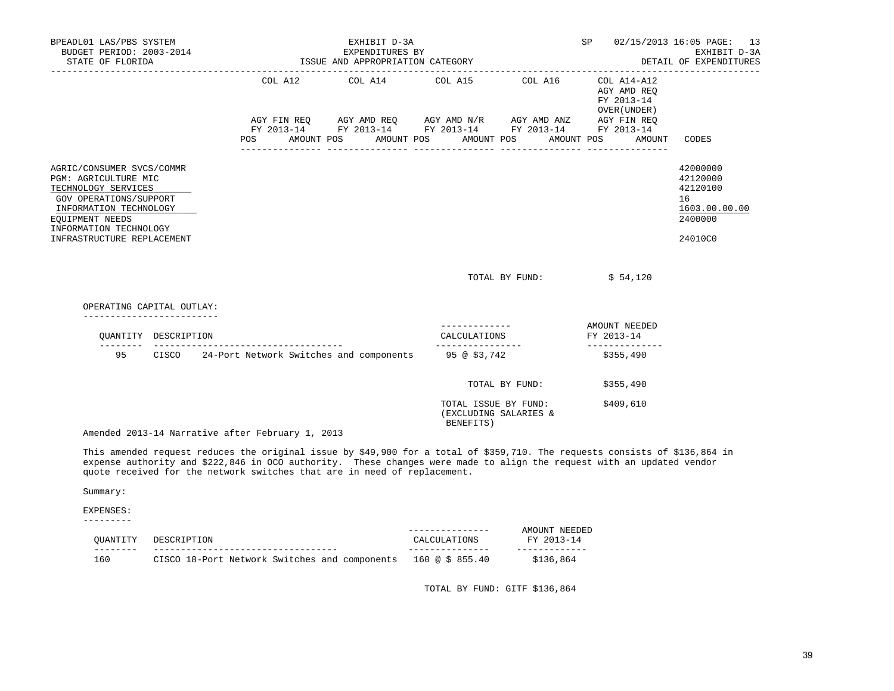| BPEADL01 LAS/PBS SYSTEM<br>EXHIBIT D-3A<br>BUDGET PERIOD: 2003-2014<br>EXPENDITURES BY<br>EXPENDITURES BY<br>ISSUE AND APPROPRIATION CATEGORY<br>STATE OF FLORIDA                                       |                      |                                                               |            |                                                                                                                                                  |            |  |                                                            |                |                                                          | SP         |                                 | 02/15/2013 16:05 PAGE: 13<br>EXHIBIT D-3A<br>DETAIL OF EXPENDITURES           |
|---------------------------------------------------------------------------------------------------------------------------------------------------------------------------------------------------------|----------------------|---------------------------------------------------------------|------------|--------------------------------------------------------------------------------------------------------------------------------------------------|------------|--|------------------------------------------------------------|----------------|----------------------------------------------------------|------------|---------------------------------|-------------------------------------------------------------------------------|
|                                                                                                                                                                                                         |                      |                                                               |            | COL A12 COL A14 COL A15<br>AGY FIN REQ AGY AMD REQ AGY AMD N/R AGY AMD ANZ AGY FIN REQ<br>FY 2013-14 FY 2013-14 FY 2013-14 FY 2013-14 FY 2013-14 |            |  |                                                            | COL A16        | COL A14-A12<br>AGY AMD REO<br>FY 2013-14<br>OVER (UNDER) |            |                                 |                                                                               |
|                                                                                                                                                                                                         |                      | POS                                                           | AMOUNT POS |                                                                                                                                                  | AMOUNT POS |  | ________________                                           | AMOUNT POS     |                                                          | AMOUNT POS | AMOUNT                          | CODES                                                                         |
| AGRIC/CONSUMER SVCS/COMMR<br>PGM: AGRICULTURE MIC<br>TECHNOLOGY SERVICES<br>GOV OPERATIONS/SUPPORT<br>INFORMATION TECHNOLOGY<br>EOUIPMENT NEEDS<br>INFORMATION TECHNOLOGY<br>INFRASTRUCTURE REPLACEMENT |                      |                                                               |            |                                                                                                                                                  |            |  |                                                            |                |                                                          |            |                                 | 42000000<br>42120000<br>42120100<br>16<br>1603.00.00.00<br>2400000<br>24010C0 |
|                                                                                                                                                                                                         |                      |                                                               |            |                                                                                                                                                  |            |  |                                                            |                | TOTAL BY FUND:                                           |            | \$54,120                        |                                                                               |
| OPERATING CAPITAL OUTLAY:                                                                                                                                                                               |                      |                                                               |            |                                                                                                                                                  |            |  |                                                            |                |                                                          |            |                                 |                                                                               |
| --------------------------                                                                                                                                                                              | OUANTITY DESCRIPTION | ______________________________                                |            |                                                                                                                                                  |            |  | CALCULATIONS<br>_________________                          |                |                                                          | FY 2013-14 | AMOUNT NEEDED<br>-------------- |                                                                               |
|                                                                                                                                                                                                         |                      | 95 CISCO 24-Port Network Switches and components 95 @ \$3,742 |            |                                                                                                                                                  |            |  |                                                            |                |                                                          | \$355,490  |                                 |                                                                               |
|                                                                                                                                                                                                         |                      |                                                               |            |                                                                                                                                                  |            |  |                                                            | TOTAL BY FUND: |                                                          |            | \$355,490                       |                                                                               |
|                                                                                                                                                                                                         |                      | Amended 2013-14 Narrative after February 1, 2013              |            |                                                                                                                                                  |            |  | TOTAL ISSUE BY FUND:<br>(EXCLUDING SALARIES &<br>BENEFITS) |                |                                                          |            | \$409,610                       |                                                                               |
|                                                                                                                                                                                                         |                      |                                                               |            |                                                                                                                                                  |            |  |                                                            |                |                                                          |            |                                 |                                                                               |

 This amended request reduces the original issue by \$49,900 for a total of \$359,710. The requests consists of \$136,864 in expense authority and \$222,846 in OCO authority. These changes were made to align the request with an updated vendor quote received for the network switches that are in need of replacement.

Summary:

EXPENSES:

---------

| OUANTITY   | TON<br>DESCRIPT.                              | CALCULATIONS    | AMOIINT<br>NEEDEL<br>FY 2013-14 |
|------------|-----------------------------------------------|-----------------|---------------------------------|
| ---<br>160 | CISCO 18-Port Network Switches and components | 160 @ \$ 855.40 | 136.864<br>C 1                  |

TOTAL BY FUND: GITF \$136,864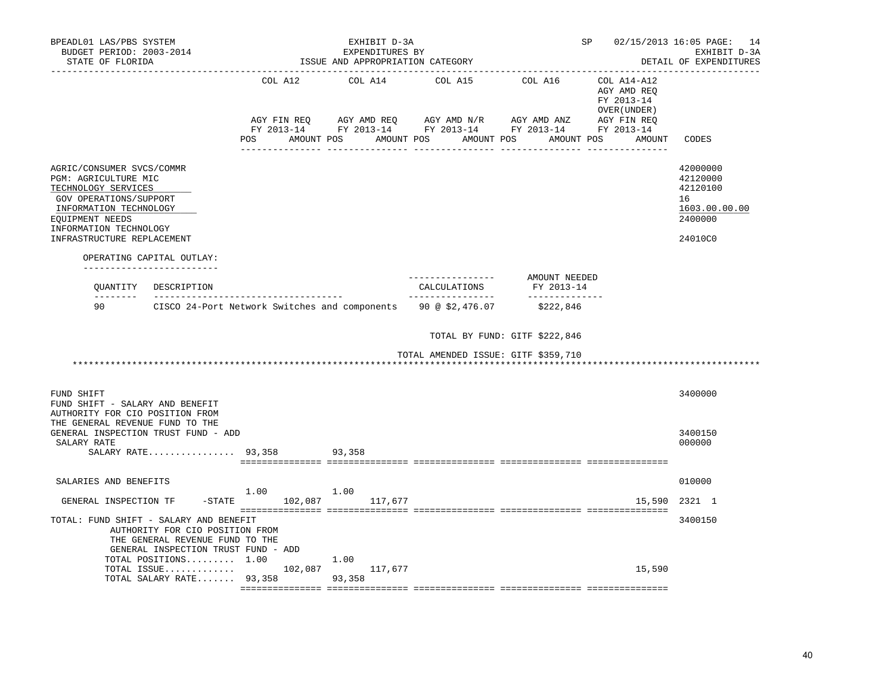| BPEADL01 LAS/PBS SYSTEM<br>BUDGET PERIOD: 2003-2014<br>STATE OF FLORIDA                                                                                                                                      | ISSUE AND APPROPRIATION CATEGORY     | -------------------------------- | SP 02/15/2013 16:05 PAGE: 14<br>EXHIBIT D-3A<br>DETAIL OF EXPENDITURES                                                                                             |                               |                                                                               |                                                                               |
|--------------------------------------------------------------------------------------------------------------------------------------------------------------------------------------------------------------|--------------------------------------|----------------------------------|--------------------------------------------------------------------------------------------------------------------------------------------------------------------|-------------------------------|-------------------------------------------------------------------------------|-------------------------------------------------------------------------------|
|                                                                                                                                                                                                              | COL A12                              | COL A14                          | COL A15 COL A16<br>AGY FIN REQ AGY AMD REQ AGY AMD N/R AGY AMD ANZ AGY FIN REQ FY 2013-14 FY 2013-14 FY 2013-14 FY 2013-14<br>POS AMOUNT POS AMOUNT POS AMOUNT POS |                               | COL A14-A12<br>AGY AMD REO<br>FY 2013-14<br>OVER (UNDER)<br>AMOUNT POS AMOUNT | CODES                                                                         |
| AGRIC/CONSUMER SVCS/COMMR<br>PGM: AGRICULTURE MIC<br>TECHNOLOGY SERVICES<br>GOV OPERATIONS/SUPPORT<br>INFORMATION TECHNOLOGY<br>EQUIPMENT NEEDS<br>INFORMATION TECHNOLOGY<br>INFRASTRUCTURE REPLACEMENT      |                                      |                                  |                                                                                                                                                                    |                               |                                                                               | 42000000<br>42120000<br>42120100<br>16<br>1603.00.00.00<br>2400000<br>24010C0 |
| OPERATING CAPITAL OUTLAY:<br>-----------------------                                                                                                                                                         |                                      |                                  |                                                                                                                                                                    |                               |                                                                               |                                                                               |
| QUANTITY DESCRIPTION                                                                                                                                                                                         |                                      |                                  | ----------------<br>CALCULATIONS                                                                                                                                   | AMOUNT NEEDED<br>FY 2013-14   |                                                                               |                                                                               |
| 90<br>CISCO 24-Port Network Switches and components 90 @ \$2,476.07                                                                                                                                          |                                      |                                  | ________________                                                                                                                                                   | _______________<br>\$222,846  |                                                                               |                                                                               |
|                                                                                                                                                                                                              |                                      |                                  |                                                                                                                                                                    | TOTAL BY FUND: GITF \$222,846 |                                                                               |                                                                               |
|                                                                                                                                                                                                              |                                      |                                  | TOTAL AMENDED ISSUE: GITF \$359,710                                                                                                                                |                               |                                                                               |                                                                               |
| FUND SHIFT<br>FUND SHIFT - SALARY AND BENEFIT<br>AUTHORITY FOR CIO POSITION FROM                                                                                                                             |                                      |                                  |                                                                                                                                                                    |                               |                                                                               | 3400000                                                                       |
| THE GENERAL REVENUE FUND TO THE<br>GENERAL INSPECTION TRUST FUND - ADD<br>SALARY RATE<br>SALARY RATE 93,358                                                                                                  |                                      | 93,358                           |                                                                                                                                                                    |                               |                                                                               | 3400150<br>000000                                                             |
| SALARIES AND BENEFITS                                                                                                                                                                                        |                                      |                                  |                                                                                                                                                                    |                               |                                                                               | 010000                                                                        |
| GENERAL INSPECTION TF                                                                                                                                                                                        | $1.00$ $1.00$<br>$-$ STATE $102,087$ | 117,677                          |                                                                                                                                                                    |                               | 15,590                                                                        | 2321 1                                                                        |
| TOTAL: FUND SHIFT - SALARY AND BENEFIT<br>AUTHORITY FOR CIO POSITION FROM<br>THE GENERAL REVENUE FUND TO THE<br>GENERAL INSPECTION TRUST FUND - ADD<br>TOTAL POSITIONS $1.00$<br>TOTAL ISSUE 102,087 117,677 |                                      | 1.00                             |                                                                                                                                                                    |                               | 15,590                                                                        | 3400150                                                                       |
| TOTAL SALARY RATE 93,358 93,358                                                                                                                                                                              |                                      |                                  |                                                                                                                                                                    |                               |                                                                               |                                                                               |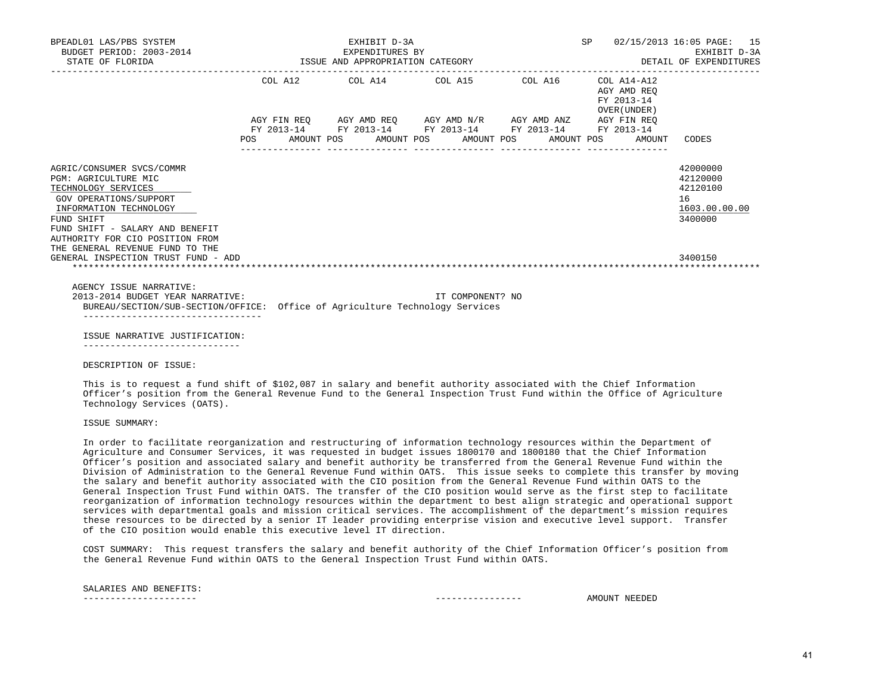| BPEADL01 LAS/PBS SYSTEM<br>BUDGET PERIOD: 2003-2014<br>STATE OF FLORIDA                                                                                                                                                                             |            |  |  | EXHIBIT D-3A<br>EXPENDITURES BY<br>ISSUE AND APPROPRIATION CATEGORY |                                                                                                       |  | SP 02/15/2013 16:05 PAGE: 15<br>EXHIBIT D-3A<br>DETAIL OF EXPENDITURES |                                           |                                                                    |
|-----------------------------------------------------------------------------------------------------------------------------------------------------------------------------------------------------------------------------------------------------|------------|--|--|---------------------------------------------------------------------|-------------------------------------------------------------------------------------------------------|--|------------------------------------------------------------------------|-------------------------------------------|--------------------------------------------------------------------|
|                                                                                                                                                                                                                                                     |            |  |  |                                                                     | COL A12 COL A14 COL A15 COL A16 COL A14-A12                                                           |  |                                                                        | AGY AMD REO<br>FY 2013-14<br>OVER (UNDER) |                                                                    |
|                                                                                                                                                                                                                                                     |            |  |  |                                                                     |                                                                                                       |  | AGY FIN REQ AGY AMD REQ AGY AMD N/R AGY AMD ANZ AGY FIN REO            |                                           |                                                                    |
|                                                                                                                                                                                                                                                     | <b>POS</b> |  |  |                                                                     | FY 2013-14 FY 2013-14 FY 2013-14 FY 2013-14 FY 2013-14<br>AMOUNT POS AMOUNT POS AMOUNT POS AMOUNT POS |  |                                                                        | AMOUNT                                    | CODES                                                              |
| AGRIC/CONSUMER SVCS/COMMR<br>PGM: AGRICULTURE MIC<br>TECHNOLOGY SERVICES<br>GOV OPERATIONS/SUPPORT<br>INFORMATION TECHNOLOGY<br>FUND SHIFT<br>FUND SHIFT - SALARY AND BENEFIT<br>AUTHORITY FOR CIO POSITION FROM<br>THE GENERAL REVENUE FUND TO THE |            |  |  |                                                                     |                                                                                                       |  |                                                                        |                                           | 42000000<br>42120000<br>42120100<br>16<br>1603.00.00.00<br>3400000 |
| GENERAL INSPECTION TRUST FUND - ADD                                                                                                                                                                                                                 |            |  |  |                                                                     |                                                                                                       |  |                                                                        |                                           | 3400150                                                            |
| AGENCY ISSUE NARRATIVE:<br>2013-2014 BUDGET YEAR NARRATIVE:<br>BUREAU/SECTION/SUB-SECTION/OFFICE: Office of Agriculture Technology Services                                                                                                         |            |  |  |                                                                     | IT COMPONENT? NO                                                                                      |  |                                                                        |                                           |                                                                    |
| ISSUE NARRATIVE JUSTIFICATION:                                                                                                                                                                                                                      |            |  |  |                                                                     |                                                                                                       |  |                                                                        |                                           |                                                                    |

-----------------------------

DESCRIPTION OF ISSUE:

 This is to request a fund shift of \$102,087 in salary and benefit authority associated with the Chief Information Officer's position from the General Revenue Fund to the General Inspection Trust Fund within the Office of Agriculture Technology Services (OATS).

ISSUE SUMMARY:

 In order to facilitate reorganization and restructuring of information technology resources within the Department of Agriculture and Consumer Services, it was requested in budget issues 1800170 and 1800180 that the Chief Information Officer's position and associated salary and benefit authority be transferred from the General Revenue Fund within the Division of Administration to the General Revenue Fund within OATS. This issue seeks to complete this transfer by moving the salary and benefit authority associated with the CIO position from the General Revenue Fund within OATS to the General Inspection Trust Fund within OATS. The transfer of the CIO position would serve as the first step to facilitate reorganization of information technology resources within the department to best align strategic and operational support services with departmental goals and mission critical services. The accomplishment of the department's mission requires these resources to be directed by a senior IT leader providing enterprise vision and executive level support. Transfer of the CIO position would enable this executive level IT direction.

 COST SUMMARY: This request transfers the salary and benefit authority of the Chief Information Officer's position from the General Revenue Fund within OATS to the General Inspection Trust Fund within OATS.

SALARIES AND BENEFITS:

--------------------- ---------------- AMOUNT NEEDED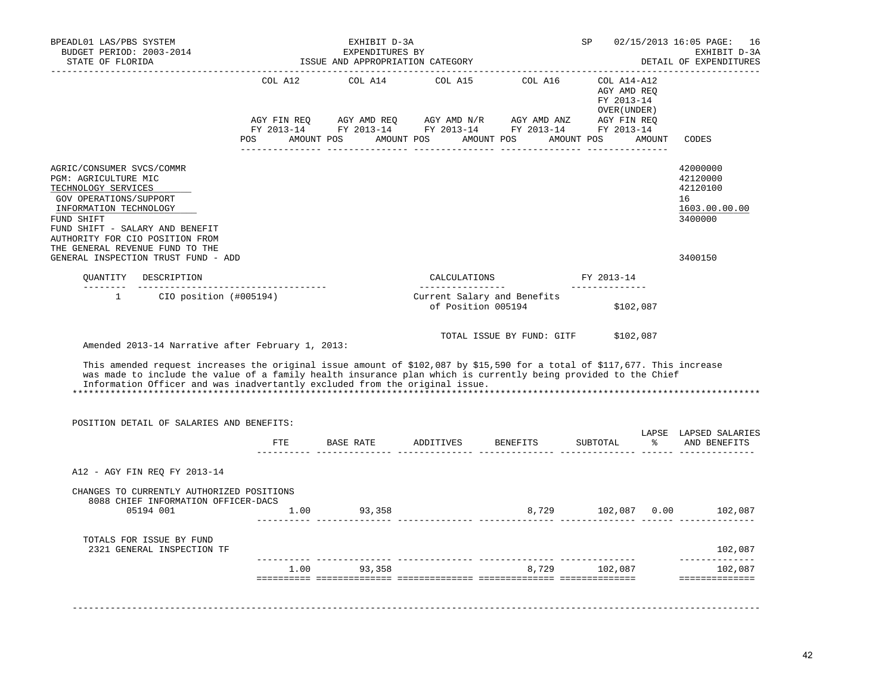| BPEADL01 LAS/PBS SYSTEM<br>BUDGET PERIOD: 2003-2014<br>STATE OF FLORIDA                                                                                                                                                                                                                                                                                                         |                                                                | EXHIBIT D-3A<br>EXPENDITURES BY<br>ISSUE AND APPROPRIATION CATEGORY | SP                                      |                                                                                                                  | 02/15/2013 16:05 PAGE: 16<br>EXHIBIT D-3A<br>DETAIL OF EXPENDITURES                    |        |                                                                               |
|---------------------------------------------------------------------------------------------------------------------------------------------------------------------------------------------------------------------------------------------------------------------------------------------------------------------------------------------------------------------------------|----------------------------------------------------------------|---------------------------------------------------------------------|-----------------------------------------|------------------------------------------------------------------------------------------------------------------|----------------------------------------------------------------------------------------|--------|-------------------------------------------------------------------------------|
|                                                                                                                                                                                                                                                                                                                                                                                 | COL A12<br>AGY FIN REQ<br>POS AMOUNT POS AMOUNT POS AMOUNT POS | COL A14                                                             |                                         | COL A15 COL A16<br>AGY AMD REQ AGY AMD N/R AGY AMD ANZ<br>FY 2013-14 FY 2013-14 FY 2013-14 FY 2013-14 FY 2013-14 | COL A14-A12<br>AGY AMD REO<br>FY 2013-14<br>OVER (UNDER )<br>AGY FIN REQ<br>AMOUNT POS | AMOUNT | CODES                                                                         |
| AGRIC/CONSUMER SVCS/COMMR<br>PGM: AGRICULTURE MIC<br>TECHNOLOGY SERVICES<br>GOV OPERATIONS/SUPPORT<br>INFORMATION TECHNOLOGY<br>FUND SHIFT<br>FUND SHIFT - SALARY AND BENEFIT<br>AUTHORITY FOR CIO POSITION FROM<br>THE GENERAL REVENUE FUND TO THE<br>GENERAL INSPECTION TRUST FUND - ADD                                                                                      |                                                                |                                                                     |                                         |                                                                                                                  |                                                                                        |        | 42000000<br>42120000<br>42120100<br>16<br>1603.00.00.00<br>3400000<br>3400150 |
| OUANTITY DESCRIPTION                                                                                                                                                                                                                                                                                                                                                            |                                                                |                                                                     | CALCULATIONS                            |                                                                                                                  | FY 2013-14                                                                             |        |                                                                               |
| --------<br>$\mathbf{1}$<br>$CIO$ position $(#005194)$                                                                                                                                                                                                                                                                                                                          |                                                                |                                                                     | _________________<br>of Position 005194 | Current Salary and Benefits                                                                                      | ______________<br>\$102,087                                                            |        |                                                                               |
| Amended 2013-14 Narrative after February 1, 2013:<br>This amended request increases the original issue amount of \$102,087 by \$15,590 for a total of \$117,677. This increase<br>was made to include the value of a family health insurance plan which is currently being provided to the Chief<br>Information Officer and was inadvertantly excluded from the original issue. |                                                                |                                                                     |                                         | TOTAL ISSUE BY FUND: GITF                                                                                        | \$102,087                                                                              |        |                                                                               |
| POSITION DETAIL OF SALARIES AND BENEFITS:                                                                                                                                                                                                                                                                                                                                       |                                                                |                                                                     |                                         |                                                                                                                  |                                                                                        |        |                                                                               |
|                                                                                                                                                                                                                                                                                                                                                                                 | ETE                                                            | BASE RATE                                                           | ADDITIVES                               | BENEFITS                                                                                                         | SUBTOTAL                                                                               | ፝ዼ     | LAPSE LAPSED SALARIES<br>AND BENEFITS                                         |
| A12 - AGY FIN REQ FY 2013-14                                                                                                                                                                                                                                                                                                                                                    |                                                                |                                                                     |                                         |                                                                                                                  |                                                                                        |        |                                                                               |
| CHANGES TO CURRENTLY AUTHORIZED POSITIONS<br>8088 CHIEF INFORMATION OFFICER-DACS<br>05194 001                                                                                                                                                                                                                                                                                   | 1.00                                                           | 93,358                                                              |                                         |                                                                                                                  | 8,729 102,087 0.00                                                                     |        | 102,087                                                                       |
| TOTALS FOR ISSUE BY FUND<br>2321 GENERAL INSPECTION TF                                                                                                                                                                                                                                                                                                                          |                                                                |                                                                     |                                         |                                                                                                                  |                                                                                        |        | 102,087                                                                       |
|                                                                                                                                                                                                                                                                                                                                                                                 |                                                                | 1.00 93,358                                                         |                                         |                                                                                                                  | 8,729 102,087                                                                          |        | ______________<br>102,087                                                     |
|                                                                                                                                                                                                                                                                                                                                                                                 |                                                                |                                                                     |                                         |                                                                                                                  |                                                                                        |        | ==============                                                                |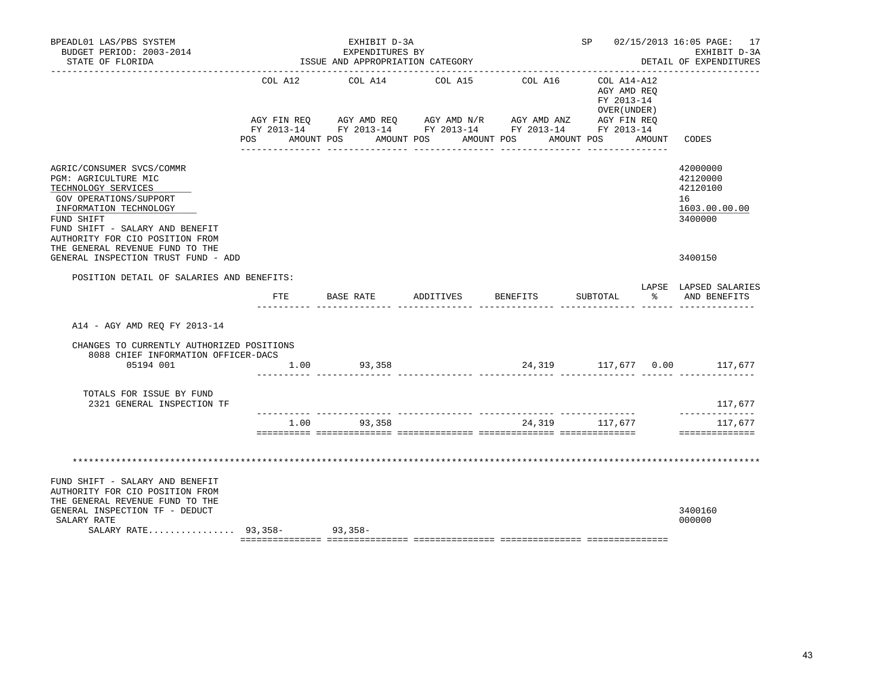| BPEADL01 LAS/PBS SYSTEM<br>BUDGET PERIOD: 2003-2014<br>STATE OF FLORIDA                                                                                                                                                                                                                    |                                                                                                                | EXHIBIT D-3A<br>EXPENDITURES BY<br>ISSUE AND APPROPRIATION CATEGORY |                 |              | SP 02/15/2013 16:05 PAGE: 17<br>EXHIBIT D-3A<br>DETAIL OF EXPENDITURES |   |                                                                               |
|--------------------------------------------------------------------------------------------------------------------------------------------------------------------------------------------------------------------------------------------------------------------------------------------|----------------------------------------------------------------------------------------------------------------|---------------------------------------------------------------------|-----------------|--------------|------------------------------------------------------------------------|---|-------------------------------------------------------------------------------|
|                                                                                                                                                                                                                                                                                            | COL A12                                                                                                        | COL A14                                                             | COL A15         | COL A16      | COL A14-A12<br>AGY AMD REQ<br>FY 2013-14<br>OVER (UNDER)               |   |                                                                               |
|                                                                                                                                                                                                                                                                                            | POS FOR THE POST OF THE STATE STATE STATE STATE STATE STATE STATE STATE STATE STATE STATE STATE STATE STATE ST | AMOUNT POS AMOUNT POS AMOUNT POS                                    | _______________ | ____________ | AMOUNT POS AMOUNT                                                      |   | CODES                                                                         |
| AGRIC/CONSUMER SVCS/COMMR<br>PGM: AGRICULTURE MIC<br>TECHNOLOGY SERVICES<br>GOV OPERATIONS/SUPPORT<br>INFORMATION TECHNOLOGY<br>FUND SHIFT<br>FUND SHIFT - SALARY AND BENEFIT<br>AUTHORITY FOR CIO POSITION FROM<br>THE GENERAL REVENUE FUND TO THE<br>GENERAL INSPECTION TRUST FUND - ADD |                                                                                                                |                                                                     |                 |              |                                                                        |   | 42000000<br>42120000<br>42120100<br>16<br>1603.00.00.00<br>3400000<br>3400150 |
| POSITION DETAIL OF SALARIES AND BENEFITS:                                                                                                                                                                                                                                                  |                                                                                                                |                                                                     |                 |              |                                                                        |   |                                                                               |
|                                                                                                                                                                                                                                                                                            | FTE.                                                                                                           | BASE RATE                                                           | ADDITIVES       | BENEFITS     | SUBTOTAL                                                               | ႜ | LAPSE LAPSED SALARIES<br>AND BENEFITS                                         |
| A14 - AGY AMD REQ FY 2013-14                                                                                                                                                                                                                                                               |                                                                                                                |                                                                     |                 |              |                                                                        |   |                                                                               |
| CHANGES TO CURRENTLY AUTHORIZED POSITIONS<br>8088 CHIEF INFORMATION OFFICER-DACS                                                                                                                                                                                                           |                                                                                                                |                                                                     |                 |              |                                                                        |   |                                                                               |
| 05194 001                                                                                                                                                                                                                                                                                  |                                                                                                                | 1.00 93,358                                                         |                 |              |                                                                        |   | 24,319 117,677 0.00 117,677                                                   |
| TOTALS FOR ISSUE BY FUND<br>2321 GENERAL INSPECTION TF                                                                                                                                                                                                                                     |                                                                                                                |                                                                     |                 |              |                                                                        |   | 117,677                                                                       |
|                                                                                                                                                                                                                                                                                            | 1.00                                                                                                           | 93,358                                                              |                 |              | 24,319 117,677                                                         |   | --------------<br>117,677<br>==============                                   |
| FUND SHIFT - SALARY AND BENEFIT                                                                                                                                                                                                                                                            |                                                                                                                |                                                                     |                 |              |                                                                        |   |                                                                               |
| AUTHORITY FOR CIO POSITION FROM<br>THE GENERAL REVENUE FUND TO THE<br>GENERAL INSPECTION TF - DEDUCT<br>SALARY RATE<br>SALARY RATE $93,358-$                                                                                                                                               |                                                                                                                | $93,358-$                                                           |                 |              |                                                                        |   | 3400160<br>000000                                                             |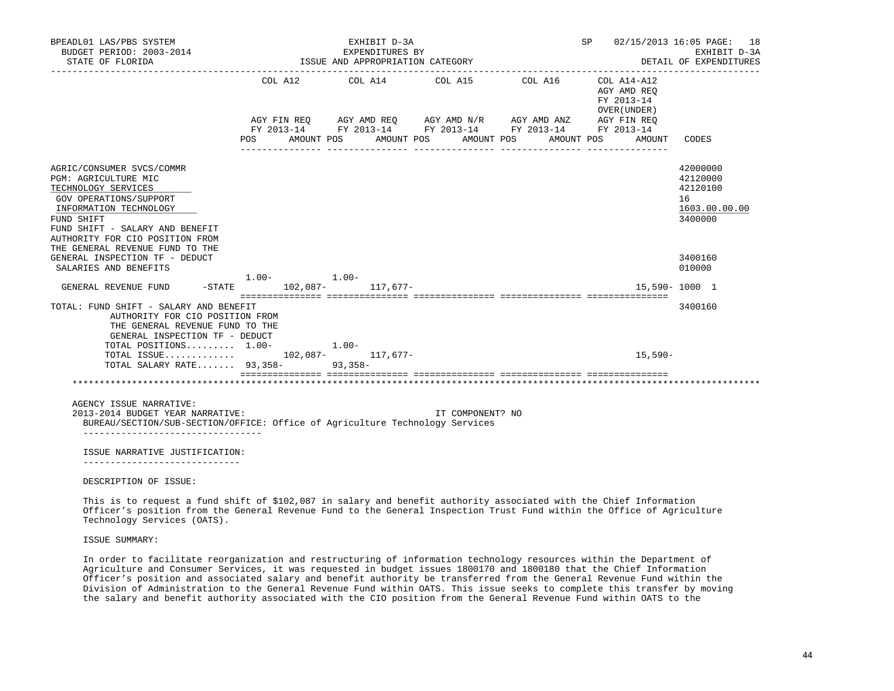| BPEADL01 LAS/PBS SYSTEM<br>BUDGET PERIOD: 2003-2014<br>STATE OF FLORIDA                                                                                                                                                               |                          | EXHIBIT D-3A<br>EXPENDITURES BY<br>ISSUE AND APPROPRIATION CATEGORY | SP 02/15/2013 16:05 PAGE: 18 | EXHIBIT D-3A<br>DETAIL OF EXPENDITURES                                                        |                                                                                   |                                                                    |
|---------------------------------------------------------------------------------------------------------------------------------------------------------------------------------------------------------------------------------------|--------------------------|---------------------------------------------------------------------|------------------------------|-----------------------------------------------------------------------------------------------|-----------------------------------------------------------------------------------|--------------------------------------------------------------------|
|                                                                                                                                                                                                                                       | COL A12 COL A14<br>POS   | AGY FIN REQ AGY AMD REQ AGY AMD N/R AGY AMD ANZ<br>AMOUNT POS       | COL A15<br>AMOUNT POS        | COL A16<br>FY 2013-14 FY 2013-14 FY 2013-14 FY 2013-14 FY 2013-14<br>AMOUNT POS<br>AMOUNT POS | COL A14-A12<br>AGY AMD REO<br>FY 2013-14<br>OVER (UNDER)<br>AGY FIN REQ<br>AMOUNT | CODES                                                              |
| AGRIC/CONSUMER SVCS/COMMR<br>PGM: AGRICULTURE MIC<br>TECHNOLOGY SERVICES<br>GOV OPERATIONS/SUPPORT<br>INFORMATION TECHNOLOGY<br>FUND SHIFT<br>FUND SHIFT - SALARY AND BENEFIT<br>AUTHORITY FOR CIO POSITION FROM                      |                          |                                                                     |                              |                                                                                               |                                                                                   | 42000000<br>42120000<br>42120100<br>16<br>1603.00.00.00<br>3400000 |
| THE GENERAL REVENUE FUND TO THE<br>GENERAL INSPECTION TF - DEDUCT<br>SALARIES AND BENEFITS                                                                                                                                            | $1.00 - 1.00 -$          |                                                                     |                              |                                                                                               |                                                                                   | 3400160<br>010000                                                  |
| GENERAL REVENUE FUND                                                                                                                                                                                                                  | -STATE 102,087- 117,677- |                                                                     |                              |                                                                                               |                                                                                   | 15,590-1000 1                                                      |
| TOTAL: FUND SHIFT - SALARY AND BENEFIT<br>AUTHORITY FOR CIO POSITION FROM<br>THE GENERAL REVENUE FUND TO THE<br>GENERAL INSPECTION TF - DEDUCT<br>TOTAL POSITIONS 1.00-<br>TOTAL ISSUE 102,087- 117,677-<br>TOTAL SALARY RATE 93,358- | $1.00 -$                 | $93,358-$                                                           |                              |                                                                                               | $15,590-$                                                                         | 3400160                                                            |
| AGENCY ISSUE NARRATIVE:<br>2013-2014 BUDGET YEAR NARRATIVE:<br>BUREAU/SECTION/SUB-SECTION/OFFICE: Office of Agriculture Technology Services                                                                                           |                          |                                                                     | IT COMPONENT? NO             |                                                                                               |                                                                                   |                                                                    |
| --------------------------------<br>ISSUE NARRATIVE JUSTIFICATION:<br>___________________________<br>DESCRIPTION OF ISSUE:                                                                                                            |                          |                                                                     |                              |                                                                                               |                                                                                   |                                                                    |

 This is to request a fund shift of \$102,087 in salary and benefit authority associated with the Chief Information Officer's position from the General Revenue Fund to the General Inspection Trust Fund within the Office of Agriculture Technology Services (OATS).

## ISSUE SUMMARY:

 In order to facilitate reorganization and restructuring of information technology resources within the Department of Agriculture and Consumer Services, it was requested in budget issues 1800170 and 1800180 that the Chief Information Officer's position and associated salary and benefit authority be transferred from the General Revenue Fund within the Division of Administration to the General Revenue Fund within OATS. This issue seeks to complete this transfer by moving the salary and benefit authority associated with the CIO position from the General Revenue Fund within OATS to the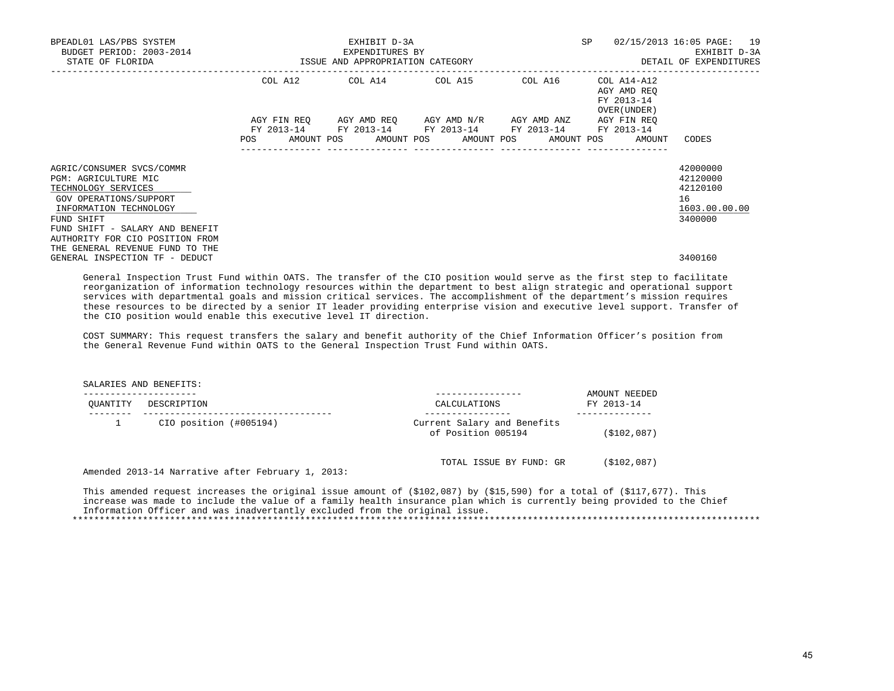| BPEADL01 LAS/PBS SYSTEM<br>BUDGET PERIOD: 2003-2014<br>STATE OF FLORIDA                                                                                                                                          | 3-2014 EXPENDITURES BY EXPENDITURES BY SAMPLISSUE AND APPROPRIATION CATEGORY | EXHIBIT D-3A | SP 02/15/2013 16:05 PAGE: 19                                                                                          | EXHIBIT D-3A<br>DETAIL OF EXPENDITURES |                                                    |                                                                    |
|------------------------------------------------------------------------------------------------------------------------------------------------------------------------------------------------------------------|------------------------------------------------------------------------------|--------------|-----------------------------------------------------------------------------------------------------------------------|----------------------------------------|----------------------------------------------------|--------------------------------------------------------------------|
|                                                                                                                                                                                                                  |                                                                              |              | COL A12 COL A14 COL A15 COL A16 COL A14-A12                                                                           |                                        | AGY AMD REO<br>FY 2013-14<br>OVER (UNDER)          |                                                                    |
|                                                                                                                                                                                                                  | <b>POS</b>                                                                   |              | AGY FIN REQ AGY AMD REQ AGY AMD N/R AGY AMD ANZ AGY FIN REQ<br>FY 2013-14 FY 2013-14 FY 2013-14 FY 2013-14 FY 2013-14 |                                        | AMOUNT POS AMOUNT POS AMOUNT POS AMOUNT POS AMOUNT | CODES                                                              |
| AGRIC/CONSUMER SVCS/COMMR<br>PGM: AGRICULTURE MIC<br>TECHNOLOGY SERVICES<br>GOV OPERATIONS/SUPPORT<br>INFORMATION TECHNOLOGY<br>FUND SHIFT<br>FUND SHIFT - SALARY AND BENEFIT<br>AUTHORITY FOR CIO POSITION FROM |                                                                              |              |                                                                                                                       |                                        |                                                    | 42000000<br>42120000<br>42120100<br>16<br>1603.00.00.00<br>3400000 |
| THE GENERAL REVENUE FUND TO THE<br>GENERAL INSPECTION TF - DEDUCT                                                                                                                                                |                                                                              |              |                                                                                                                       |                                        |                                                    | 3400160                                                            |

 General Inspection Trust Fund within OATS. The transfer of the CIO position would serve as the first step to facilitate reorganization of information technology resources within the department to best align strategic and operational support services with departmental goals and mission critical services. The accomplishment of the department's mission requires these resources to be directed by a senior IT leader providing enterprise vision and executive level support. Transfer of the CIO position would enable this executive level IT direction.

 COST SUMMARY: This request transfers the salary and benefit authority of the Chief Information Officer's position from the General Revenue Fund within OATS to the General Inspection Trust Fund within OATS.

SALARIES AND BENEFITS:

| OUANTITY | DESCRIPTION            | CALCULATIONS                                      | AMOUNT NEEDED<br>FY 2013-14 |
|----------|------------------------|---------------------------------------------------|-----------------------------|
|          | CIO position (#005194) | Current Salary and Benefits<br>of Position 005194 | (\$102,087)                 |
|          | $\sim$ $\sim$ $\sim$   | TOTAL ISSUE BY FUND: GR                           | (\$102,087)                 |

Amended 2013-14 Narrative after February 1, 2013:

This amended request increases the original issue amount of (\$102,087) by (\$15,590) for a total of (\$117,677). This increase was made to include the value of a family health insurance plan which is currently being provided to the Chief Information Officer and was inadvertantly excluded from the original issue. \*\*\*\*\*\*\*\*\*\*\*\*\*\*\*\*\*\*\*\*\*\*\*\*\*\*\*\*\*\*\*\*\*\*\*\*\*\*\*\*\*\*\*\*\*\*\*\*\*\*\*\*\*\*\*\*\*\*\*\*\*\*\*\*\*\*\*\*\*\*\*\*\*\*\*\*\*\*\*\*\*\*\*\*\*\*\*\*\*\*\*\*\*\*\*\*\*\*\*\*\*\*\*\*\*\*\*\*\*\*\*\*\*\*\*\*\*\*\*\*\*\*\*\*\*\*\*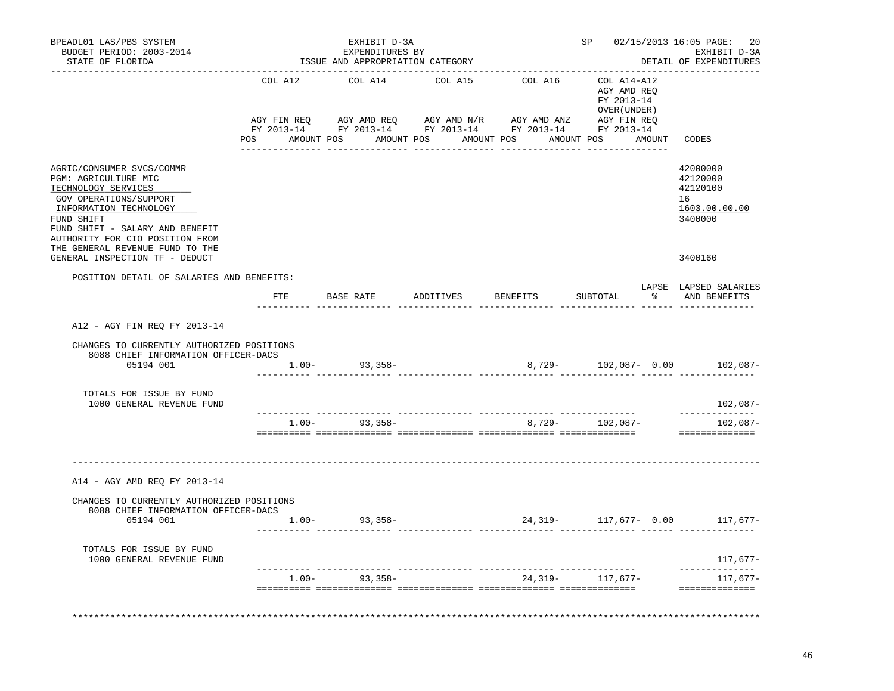| BPEADL01 LAS/PBS SYSTEM<br>BUDGET PERIOD: 2003-2014<br>STATE OF FLORIDA                                                                                                                                          |                                      |         |                   | EXHIBIT D-3A<br>EXPENDITURES BY | ISSUE AND APPROPRIATION CATEGORY |         |        |                                                           |               | SP 02/15/2013 16:05 PAGE:<br>20<br>EXHIBIT D-3A<br>DETAIL OF EXPENDITURES |
|------------------------------------------------------------------------------------------------------------------------------------------------------------------------------------------------------------------|--------------------------------------|---------|-------------------|---------------------------------|----------------------------------|---------|--------|-----------------------------------------------------------|---------------|---------------------------------------------------------------------------|
|                                                                                                                                                                                                                  | COL A12                              |         | COL A14           |                                 | COL A15                          | COL A16 |        | COL A14-A12<br>AGY AMD REO<br>FY 2013-14<br>OVER (UNDER ) |               |                                                                           |
|                                                                                                                                                                                                                  | POS AMOUNT POS AMOUNT POS AMOUNT POS |         |                   |                                 |                                  |         |        | AMOUNT POS AMOUNT                                         |               | CODES                                                                     |
| AGRIC/CONSUMER SVCS/COMMR<br>PGM: AGRICULTURE MIC<br>TECHNOLOGY SERVICES<br>GOV OPERATIONS/SUPPORT<br>INFORMATION TECHNOLOGY<br>FUND SHIFT<br>FUND SHIFT - SALARY AND BENEFIT<br>AUTHORITY FOR CIO POSITION FROM |                                      |         |                   |                                 |                                  |         |        |                                                           |               | 42000000<br>42120000<br>42120100<br>16<br>1603.00.00.00<br>3400000        |
| THE GENERAL REVENUE FUND TO THE<br>GENERAL INSPECTION TF - DEDUCT                                                                                                                                                |                                      |         |                   |                                 |                                  |         |        |                                                           |               | 3400160                                                                   |
| POSITION DETAIL OF SALARIES AND BENEFITS:                                                                                                                                                                        | FTE                                  |         | BASE RATE         |                                 |                                  |         |        | ADDITIVES BENEFITS SUBTOTAL                               | $\frac{1}{2}$ | LAPSE LAPSED SALARIES<br>AND BENEFITS                                     |
| A12 - AGY FIN REQ FY 2013-14<br>CHANGES TO CURRENTLY AUTHORIZED POSITIONS<br>8088 CHIEF INFORMATION OFFICER-DACS<br>05194 001                                                                                    |                                      |         | $1.00 - 93,358 -$ |                                 |                                  |         |        |                                                           |               | 8,729- 102,087- 0.00 102,087-                                             |
| TOTALS FOR ISSUE BY FUND<br>1000 GENERAL REVENUE FUND                                                                                                                                                            |                                      |         |                   |                                 |                                  |         |        |                                                           |               | $102,087-$                                                                |
|                                                                                                                                                                                                                  |                                      | $1.00-$ |                   | $93,358-$                       |                                  |         | 8,729- | ___ _______________<br>102,087-                           |               | ---------<br>$102,087-$<br>==============                                 |
| A14 - AGY AMD REQ FY 2013-14                                                                                                                                                                                     |                                      |         |                   |                                 |                                  |         |        |                                                           |               |                                                                           |
| CHANGES TO CURRENTLY AUTHORIZED POSITIONS<br>8088 CHIEF INFORMATION OFFICER-DACS<br>05194 001                                                                                                                    |                                      |         | $1.00 - 93,358 -$ |                                 |                                  |         |        |                                                           |               | $24,319-$ 117,677- 0.00 117,677-                                          |
| TOTALS FOR ISSUE BY FUND<br>1000 GENERAL REVENUE FUND                                                                                                                                                            |                                      |         |                   |                                 |                                  |         |        |                                                           |               | 117,677-                                                                  |
|                                                                                                                                                                                                                  |                                      |         | $1.00 - 93,358 -$ |                                 |                                  |         |        | 24, 319 - 117, 677 -                                      |               | ______________<br>117,677-<br>==============                              |
|                                                                                                                                                                                                                  |                                      |         |                   |                                 |                                  |         |        |                                                           |               |                                                                           |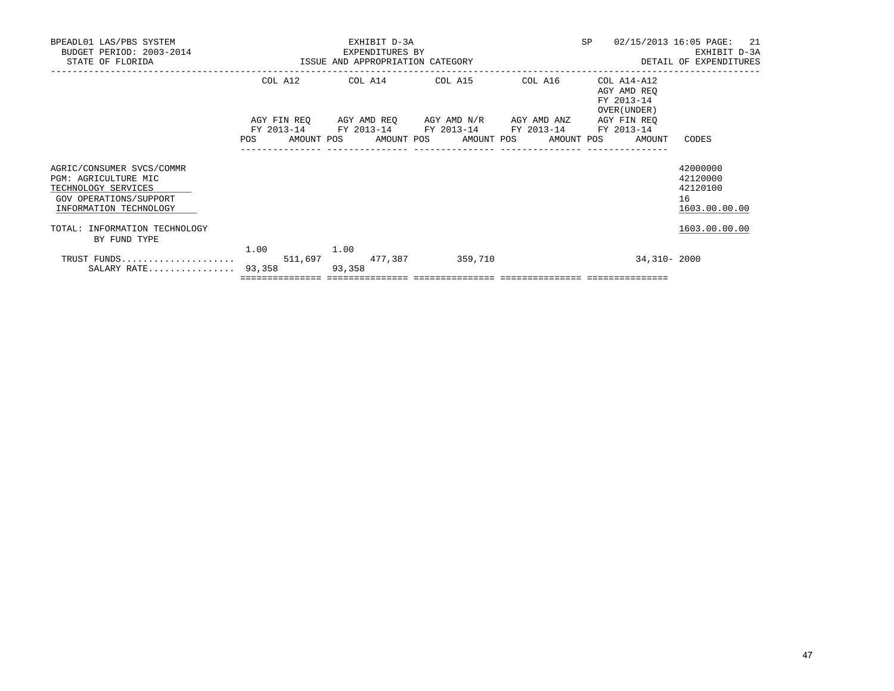| BPEADL01 LAS/PBS SYSTEM<br>BUDGET PERIOD: 2003-2014<br>STATE OF FLORIDA                                                      | <b>SP</b><br>EXHIBIT D-3A<br>EXPENDITURES BY<br>ISSUE AND APPROPRIATION CATEGORY |      |                |  |  |                                                                                                                                                           |  |            |  |                                                          | 02/15/2013 16:05 PAGE: 21<br>EXHIBIT D-3A<br>DETAIL OF EXPENDITURES |
|------------------------------------------------------------------------------------------------------------------------------|----------------------------------------------------------------------------------|------|----------------|--|--|-----------------------------------------------------------------------------------------------------------------------------------------------------------|--|------------|--|----------------------------------------------------------|---------------------------------------------------------------------|
|                                                                                                                              |                                                                                  |      |                |  |  | COL A12 COL A14 COL A15                                                                                                                                   |  | COL A16    |  | COL A14-A12<br>AGY AMD REO<br>FY 2013-14<br>OVER (UNDER) |                                                                     |
|                                                                                                                              | POS                                                                              |      |                |  |  | AGY FIN REO AGY AMD REO AGY AMD N/R AGY AMD ANZ AGY FIN REO<br>FY 2013-14 FY 2013-14 FY 2013-14 FY 2013-14 FY 2013-14<br>AMOUNT POS AMOUNT POS AMOUNT POS |  | AMOUNT POS |  | AMOUNT                                                   | CODES                                                               |
|                                                                                                                              |                                                                                  |      |                |  |  |                                                                                                                                                           |  |            |  |                                                          |                                                                     |
| AGRIC/CONSUMER SVCS/COMMR<br>PGM: AGRICULTURE MIC<br>TECHNOLOGY SERVICES<br>GOV OPERATIONS/SUPPORT<br>INFORMATION TECHNOLOGY |                                                                                  |      |                |  |  |                                                                                                                                                           |  |            |  |                                                          | 42000000<br>42120000<br>42120100<br>16<br>1603.00.00.00             |
| TOTAL: INFORMATION TECHNOLOGY<br>BY FUND TYPE                                                                                |                                                                                  |      |                |  |  |                                                                                                                                                           |  |            |  |                                                          | 1603.00.00.00                                                       |
| TRUST FUNDS<br>SALARY RATE                                                                                                   | 93,358                                                                           | 1.00 | 1.00<br>93,358 |  |  | 511,697 477,387 359,710                                                                                                                                   |  |            |  | 34,310-2000                                              |                                                                     |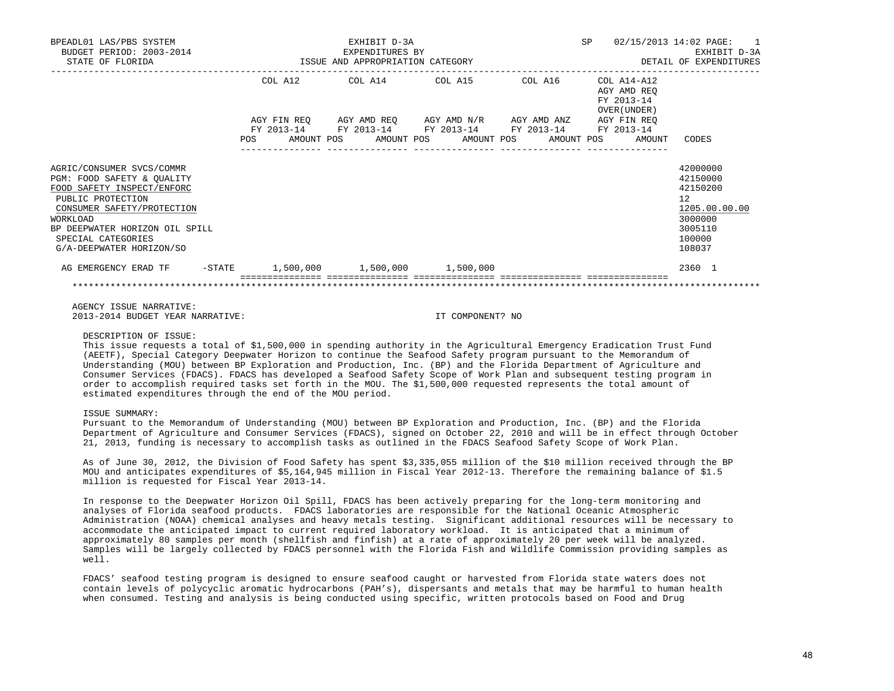| BPEADL01 LAS/PBS SYSTEM<br>BUDGET PERIOD: 2003-2014<br>STATE OF FLORIDA                                                                                                                                                                  | EXHIBIT D-3A<br>EXPENDITURES BY<br>ISSUE AND APPROPRIATION CATEGORY |         |  |                 |  |                                                                                                                       |  | SP         |  | 02/15/2013 14:02 PAGE: 1<br>EXHIBIT D-3A<br>DETAIL OF EXPENDITURES |                                                                                                   |
|------------------------------------------------------------------------------------------------------------------------------------------------------------------------------------------------------------------------------------------|---------------------------------------------------------------------|---------|--|-----------------|--|-----------------------------------------------------------------------------------------------------------------------|--|------------|--|--------------------------------------------------------------------|---------------------------------------------------------------------------------------------------|
|                                                                                                                                                                                                                                          |                                                                     | COL A12 |  | COL A14 COL A15 |  | AGY FIN REO AGY AMD REO AGY AMD N/R AGY AMD ANZ AGY FIN REO<br>FY 2013-14 FY 2013-14 FY 2013-14 FY 2013-14 FY 2013-14 |  | COL A16    |  | COL A14-A12<br>AGY AMD REO<br>FY 2013-14<br>OVER (UNDER)           |                                                                                                   |
|                                                                                                                                                                                                                                          | <b>POS</b>                                                          |         |  |                 |  | AMOUNT POS AMOUNT POS AMOUNT POS                                                                                      |  | AMOUNT POS |  | AMOUNT                                                             | CODES                                                                                             |
| AGRIC/CONSUMER SVCS/COMMR<br>PGM: FOOD SAFETY & OUALITY<br>FOOD SAFETY INSPECT/ENFORC<br>PUBLIC PROTECTION<br>CONSUMER SAFETY/PROTECTION<br>WORKLOAD<br>BP DEEPWATER HORIZON OIL SPILL<br>SPECIAL CATEGORIES<br>G/A-DEEPWATER HORIZON/SO |                                                                     |         |  |                 |  |                                                                                                                       |  |            |  |                                                                    | 42000000<br>42150000<br>42150200<br>12<br>1205.00.00.00<br>3000000<br>3005110<br>100000<br>108037 |
| AG EMERGENCY ERAD TF                                                                                                                                                                                                                     |                                                                     |         |  |                 |  | $-$ STATE $1,500,000$ $1,500,000$ $1,500,000$                                                                         |  |            |  |                                                                    | 2360 1                                                                                            |
|                                                                                                                                                                                                                                          |                                                                     |         |  |                 |  |                                                                                                                       |  |            |  |                                                                    |                                                                                                   |

 AGENCY ISSUE NARRATIVE: 2013-2014 BUDGET YEAR NARRATIVE: IT COMPONENT? NO

DESCRIPTION OF ISSUE:

 This issue requests a total of \$1,500,000 in spending authority in the Agricultural Emergency Eradication Trust Fund (AEETF), Special Category Deepwater Horizon to continue the Seafood Safety program pursuant to the Memorandum of Understanding (MOU) between BP Exploration and Production, Inc. (BP) and the Florida Department of Agriculture and Consumer Services (FDACS). FDACS has developed a Seafood Safety Scope of Work Plan and subsequent testing program in order to accomplish required tasks set forth in the MOU. The \$1,500,000 requested represents the total amount of estimated expenditures through the end of the MOU period.

#### ISSUE SUMMARY:

 Pursuant to the Memorandum of Understanding (MOU) between BP Exploration and Production, Inc. (BP) and the Florida Department of Agriculture and Consumer Services (FDACS), signed on October 22, 2010 and will be in effect through October 21, 2013, funding is necessary to accomplish tasks as outlined in the FDACS Seafood Safety Scope of Work Plan.

 As of June 30, 2012, the Division of Food Safety has spent \$3,335,055 million of the \$10 million received through the BP MOU and anticipates expenditures of \$5,164,945 million in Fiscal Year 2012-13. Therefore the remaining balance of \$1.5 million is requested for Fiscal Year 2013-14.

 In response to the Deepwater Horizon Oil Spill, FDACS has been actively preparing for the long-term monitoring and analyses of Florida seafood products. FDACS laboratories are responsible for the National Oceanic Atmospheric Administration (NOAA) chemical analyses and heavy metals testing. Significant additional resources will be necessary to accommodate the anticipated impact to current required laboratory workload. It is anticipated that a minimum of approximately 80 samples per month (shellfish and finfish) at a rate of approximately 20 per week will be analyzed. Samples will be largely collected by FDACS personnel with the Florida Fish and Wildlife Commission providing samples as well.

 FDACS' seafood testing program is designed to ensure seafood caught or harvested from Florida state waters does not contain levels of polycyclic aromatic hydrocarbons (PAH's), dispersants and metals that may be harmful to human health when consumed. Testing and analysis is being conducted using specific, written protocols based on Food and Drug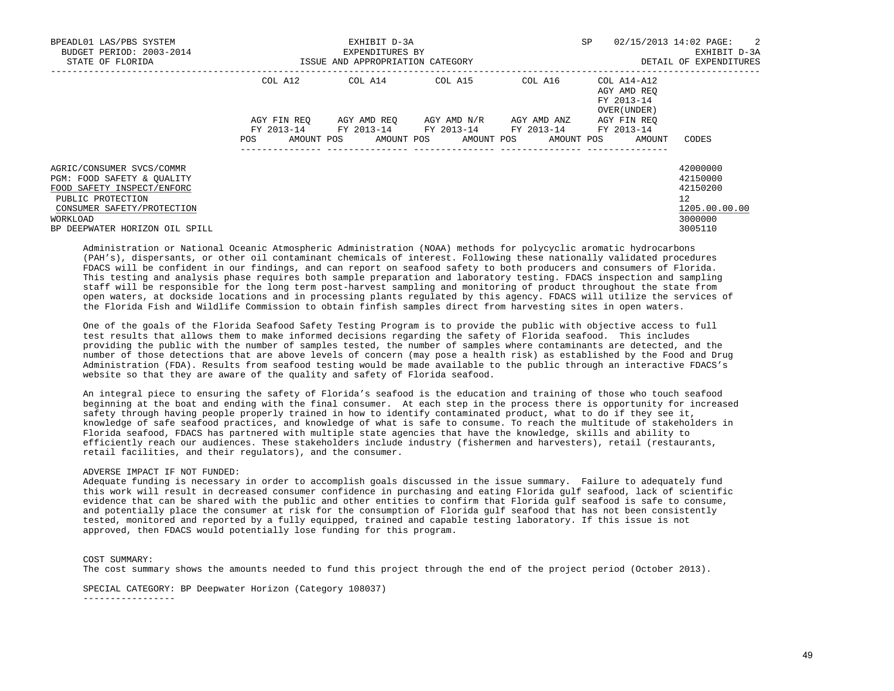| BPEADL01 LAS/PBS SYSTEM<br>BUDGET PERIOD: 2003-2014<br>STATE OF FLORIDA | SP<br>EXHIBIT D-3A<br>EXPENDITURES BY<br>ISSUE AND APPROPRIATION CATEGORY<br>---------------- |  |  |                                                                                                       |  |  |  |                     |  | $02/15/2013$ $14:02$ PAGE: 2<br>EXHIBIT D-3A<br>DETAIL OF EXPENDITURES |                               |
|-------------------------------------------------------------------------|-----------------------------------------------------------------------------------------------|--|--|-------------------------------------------------------------------------------------------------------|--|--|--|---------------------|--|------------------------------------------------------------------------|-------------------------------|
|                                                                         | COL A12                                                                                       |  |  | COL A14 COL A15                                                                                       |  |  |  | COL A16 COL A14-A12 |  | AGY AMD REO<br>FY 2013-14<br>OVER (UNDER)                              |                               |
|                                                                         | AGY FIN REO                                                                                   |  |  | AGY AMD REO AGY AMD N/R                                                                               |  |  |  | AGY AMD ANZ         |  | AGY FIN REO                                                            |                               |
|                                                                         | POS                                                                                           |  |  | FY 2013-14 FY 2013-14 FY 2013-14 FY 2013-14 FY 2013-14<br>AMOUNT POS AMOUNT POS AMOUNT POS AMOUNT POS |  |  |  |                     |  | AMOUNT                                                                 | CODES                         |
| AGRIC/CONSUMER SVCS/COMMR                                               |                                                                                               |  |  |                                                                                                       |  |  |  |                     |  |                                                                        | 42000000                      |
| PGM: FOOD SAFETY & QUALITY                                              |                                                                                               |  |  |                                                                                                       |  |  |  |                     |  |                                                                        | 42150000                      |
| FOOD SAFETY INSPECT/ENFORC                                              |                                                                                               |  |  |                                                                                                       |  |  |  |                     |  |                                                                        | 42150200                      |
| PUBLIC PROTECTION<br>CONSUMER SAFETY/PROTECTION                         |                                                                                               |  |  |                                                                                                       |  |  |  |                     |  |                                                                        | $12^{\circ}$<br>1205.00.00.00 |
| WORKLOAD                                                                |                                                                                               |  |  |                                                                                                       |  |  |  |                     |  |                                                                        | 3000000                       |
| BP DEEPWATER HORIZON OIL SPILL                                          |                                                                                               |  |  |                                                                                                       |  |  |  |                     |  |                                                                        | 3005110                       |

 Administration or National Oceanic Atmospheric Administration (NOAA) methods for polycyclic aromatic hydrocarbons (PAH's), dispersants, or other oil contaminant chemicals of interest. Following these nationally validated procedures FDACS will be confident in our findings, and can report on seafood safety to both producers and consumers of Florida. This testing and analysis phase requires both sample preparation and laboratory testing. FDACS inspection and sampling staff will be responsible for the long term post-harvest sampling and monitoring of product throughout the state from open waters, at dockside locations and in processing plants regulated by this agency. FDACS will utilize the services of the Florida Fish and Wildlife Commission to obtain finfish samples direct from harvesting sites in open waters.

 One of the goals of the Florida Seafood Safety Testing Program is to provide the public with objective access to full test results that allows them to make informed decisions regarding the safety of Florida seafood. This includes providing the public with the number of samples tested, the number of samples where contaminants are detected, and the number of those detections that are above levels of concern (may pose a health risk) as established by the Food and Drug Administration (FDA). Results from seafood testing would be made available to the public through an interactive FDACS's website so that they are aware of the quality and safety of Florida seafood.

 An integral piece to ensuring the safety of Florida's seafood is the education and training of those who touch seafood beginning at the boat and ending with the final consumer. At each step in the process there is opportunity for increased safety through having people properly trained in how to identify contaminated product, what to do if they see it, knowledge of safe seafood practices, and knowledge of what is safe to consume. To reach the multitude of stakeholders in Florida seafood, FDACS has partnered with multiple state agencies that have the knowledge, skills and ability to efficiently reach our audiences. These stakeholders include industry (fishermen and harvesters), retail (restaurants, retail facilities, and their regulators), and the consumer.

#### ADVERSE IMPACT IF NOT FUNDED:

 Adequate funding is necessary in order to accomplish goals discussed in the issue summary. Failure to adequately fund this work will result in decreased consumer confidence in purchasing and eating Florida gulf seafood, lack of scientific evidence that can be shared with the public and other entities to confirm that Florida gulf seafood is safe to consume, and potentially place the consumer at risk for the consumption of Florida gulf seafood that has not been consistently tested, monitored and reported by a fully equipped, trained and capable testing laboratory. If this issue is not approved, then FDACS would potentially lose funding for this program.

# COST SUMMARY:

The cost summary shows the amounts needed to fund this project through the end of the project period (October 2013).

SPECIAL CATEGORY: BP Deepwater Horizon (Category 108037)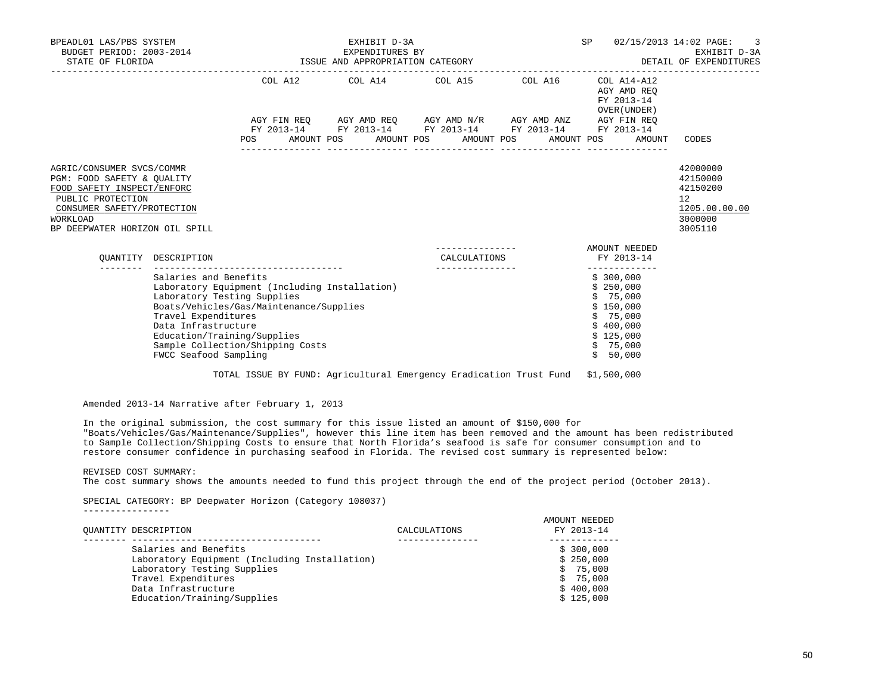| BPEADL01 LAS/PBS SYSTEM<br>BUDGET PERIOD: 2003-2014<br>STATE OF FLORIDA |                       | ISSUE AND APPROPRIATION CATEGORY              | SP                                                          | 02/15/2013 14:02 PAGE: 3<br>EXHIBIT D-3A<br>DETAIL OF EXPENDITURES |            |                                                          |                    |
|-------------------------------------------------------------------------|-----------------------|-----------------------------------------------|-------------------------------------------------------------|--------------------------------------------------------------------|------------|----------------------------------------------------------|--------------------|
|                                                                         |                       |                                               | COL A12 COL A14 COL A15 COL A16                             |                                                                    |            | COL A14-A12<br>AGY AMD REO<br>FY 2013-14<br>OVER (UNDER) |                    |
|                                                                         |                       |                                               | AGY FIN REQ AGY AMD REQ AGY AMD N/R AGY AMD ANZ AGY FIN REQ |                                                                    |            |                                                          |                    |
|                                                                         |                       |                                               | FY 2013-14 FY 2013-14 FY 2013-14 FY 2013-14 FY 2013-14      |                                                                    |            |                                                          |                    |
|                                                                         |                       | POS                                           | AMOUNT POS AMOUNT POS                                       |                                                                    | AMOUNT POS | AMOUNT POS<br>AMOUNT                                     | CODES              |
|                                                                         |                       |                                               |                                                             |                                                                    |            |                                                          | 42000000           |
| AGRIC/CONSUMER SVCS/COMMR<br>PGM: FOOD SAFETY & OUALITY                 |                       |                                               |                                                             |                                                                    |            |                                                          | 42150000           |
| FOOD SAFETY INSPECT/ENFORC                                              |                       |                                               |                                                             |                                                                    |            |                                                          | 42150200           |
| PUBLIC PROTECTION                                                       |                       |                                               |                                                             |                                                                    |            |                                                          | 12                 |
| CONSUMER SAFETY/PROTECTION                                              |                       |                                               |                                                             |                                                                    |            |                                                          | 1205.00.00.00      |
| WORKLOAD<br>BP DEEPWATER HORIZON OIL SPILL                              |                       |                                               |                                                             |                                                                    |            |                                                          | 3000000<br>3005110 |
|                                                                         |                       |                                               |                                                             |                                                                    |            | AMOUNT NEEDED                                            |                    |
|                                                                         | OUANTITY DESCRIPTION  |                                               |                                                             | CALCULATIONS                                                       |            | FY 2013-14                                               |                    |
|                                                                         | Salaries and Benefits |                                               |                                                             |                                                                    |            | \$300,000                                                |                    |
|                                                                         |                       | Laboratory Equipment (Including Installation) |                                                             |                                                                    |            | \$250.000                                                |                    |
|                                                                         |                       | Laboratory Testing Supplies                   |                                                             |                                                                    |            | \$75,000                                                 |                    |
|                                                                         | Travel Expenditures   | Boats/Vehicles/Gas/Maintenance/Supplies       |                                                             |                                                                    |            | \$150,000<br>\$75,000                                    |                    |
|                                                                         | Data Infrastructure   |                                               |                                                             |                                                                    |            | \$400,000                                                |                    |
|                                                                         |                       | Education/Training/Supplies                   |                                                             |                                                                    |            | \$125,000                                                |                    |
|                                                                         |                       | Sample Collection/Shipping Costs              |                                                             |                                                                    |            | \$75,000                                                 |                    |

TOTAL ISSUE BY FUND: Agricultural Emergency Eradication Trust Fund \$1,500,000

Amended 2013-14 Narrative after February 1, 2013

FWCC Seafood Sampling

 In the original submission, the cost summary for this issue listed an amount of \$150,000 for "Boats/Vehicles/Gas/Maintenance/Supplies", however this line item has been removed and the amount has been redistributed to Sample Collection/Shipping Costs to ensure that North Florida's seafood is safe for consumer consumption and to restore consumer confidence in purchasing seafood in Florida. The revised cost summary is represented below:

REVISED COST SUMMARY:

The cost summary shows the amounts needed to fund this project through the end of the project period (October 2013).

Sample Collection/Shipping Costs<br>FWCC Seafood Sampling  $\frac{1}{5}$  50,000

 SPECIAL CATEGORY: BP Deepwater Horizon (Category 108037) ----------------

| OUANTITY DESCRIPTION                          | CALCULATIONS | AMOUNT NEEDED<br>FY 2013-14 |
|-----------------------------------------------|--------------|-----------------------------|
| Salaries and Benefits                         |              | \$300,000                   |
| Laboratory Equipment (Including Installation) |              | \$250,000                   |
| Laboratory Testing Supplies                   |              | \$75,000                    |
| Travel Expenditures                           |              | \$75,000                    |
| Data Infrastructure                           |              | \$400,000                   |
| Education/Training/Supplies                   |              | \$125.000                   |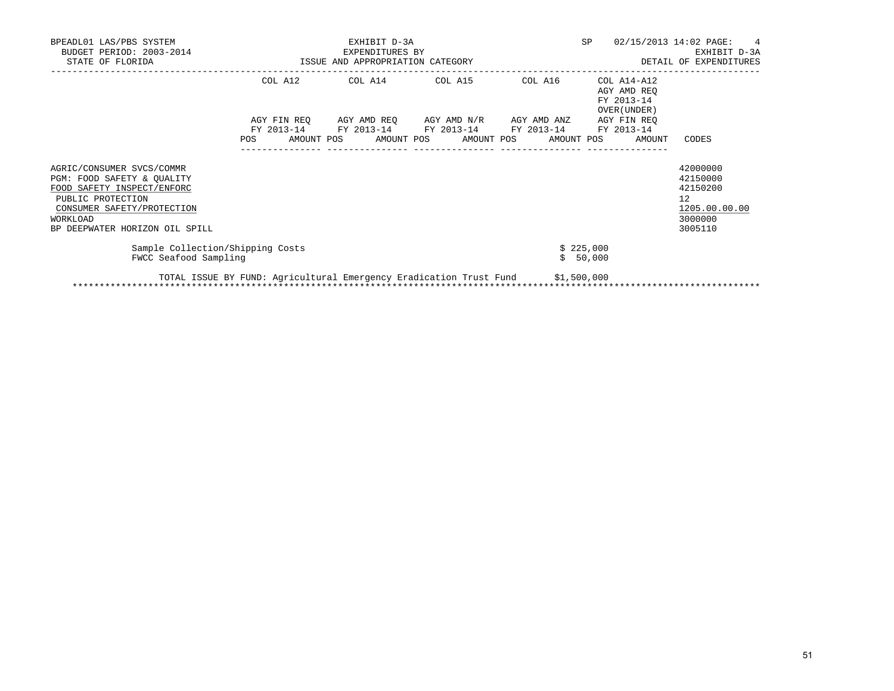| BPEADL01 LAS/PBS SYSTEM<br>BUDGET PERIOD: 2003-2014<br>STATE OF FLORIDA                                                                                                                |            | EXHIBIT D-3A<br>EXPENDITURES BY<br>ISSUE AND APPROPRIATION CATEGORY | SP                               | 02/15/2013 14:02 PAGE:<br>$\overline{4}$<br>EXHIBIT D-3A<br>DETAIL OF EXPENDITURES |                                                          |                                                                               |
|----------------------------------------------------------------------------------------------------------------------------------------------------------------------------------------|------------|---------------------------------------------------------------------|----------------------------------|------------------------------------------------------------------------------------|----------------------------------------------------------|-------------------------------------------------------------------------------|
|                                                                                                                                                                                        |            | COL A12 COL A14 COL A15 COL A16                                     |                                  |                                                                                    | COL A14-A12<br>AGY AMD REO<br>FY 2013-14<br>OVER (UNDER) |                                                                               |
|                                                                                                                                                                                        | FY 2013-14 | AGY FIN REO AGY AMD REO AGY AMD N/R AGY AMD ANZ AGY FIN REO         | FY 2013-14 FY 2013-14 FY 2013-14 |                                                                                    | FY 2013-14                                               |                                                                               |
|                                                                                                                                                                                        | POS        | AMOUNT POS AMOUNT POS AMOUNT POS AMOUNT POS                         |                                  |                                                                                    | AMOUNT                                                   | CODES                                                                         |
| AGRIC/CONSUMER SVCS/COMMR<br>PGM: FOOD SAFETY & OUALITY<br>FOOD SAFETY INSPECT/ENFORC<br>PUBLIC PROTECTION<br>CONSUMER SAFETY/PROTECTION<br>WORKLOAD<br>BP DEEPWATER HORIZON OIL SPILL |            |                                                                     |                                  |                                                                                    |                                                          | 42000000<br>42150000<br>42150200<br>12<br>1205.00.00.00<br>3000000<br>3005110 |
| Sample Collection/Shipping Costs<br>FWCC Seafood Sampling                                                                                                                              |            |                                                                     |                                  |                                                                                    | \$225,000<br>\$50,000                                    |                                                                               |
|                                                                                                                                                                                        |            | TOTAL ISSUE BY FUND: Agricultural Emergency Eradication Trust Fund  |                                  | \$1,500,000                                                                        |                                                          |                                                                               |

\*\*\*\*\*\*\*\*\*\*\*\*\*\*\*\*\*\*\*\*\*\*\*\*\*\*\*\*\*\*\*\*\*\*\*\*\*\*\*\*\*\*\*\*\*\*\*\*\*\*\*\*\*\*\*\*\*\*\*\*\*\*\*\*\*\*\*\*\*\*\*\*\*\*\*\*\*\*\*\*\*\*\*\*\*\*\*\*\*\*\*\*\*\*\*\*\*\*\*\*\*\*\*\*\*\*\*\*\*\*\*\*\*\*\*\*\*\*\*\*\*\*\*\*\*\*\*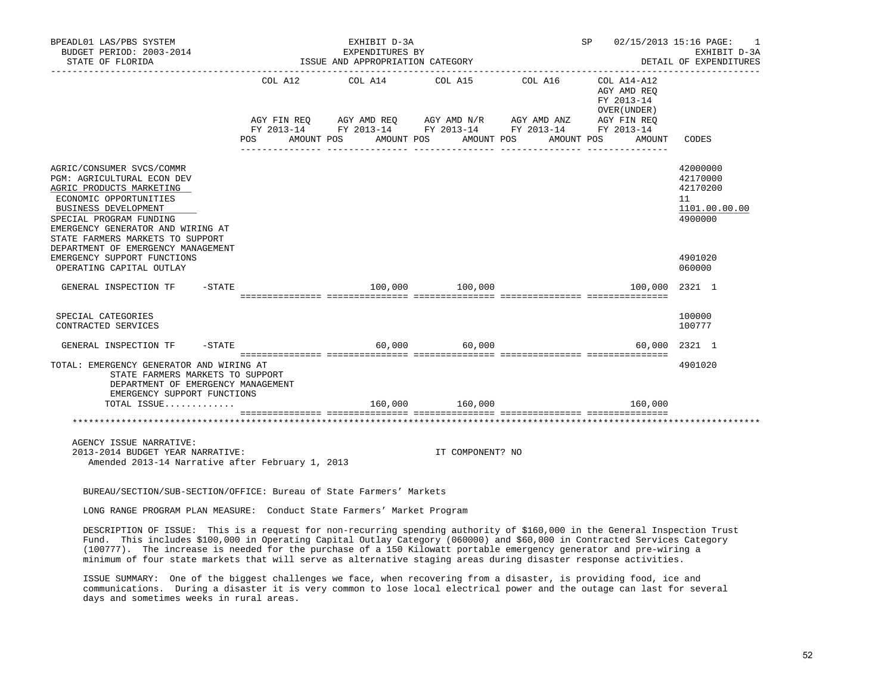| BPEADL01 LAS/PBS SYSTEM<br>BUDGET PERIOD: 2003-2014<br>STATE OF FLORIDA                                                                                                                                                                   |                          | EXHIBIT D-3A<br>EXPENDITURES BY<br>ISSUE AND APPROPRIATION CATEGORY |                 |                                                          | SP 02/15/2013 15:16 PAGE:<br>1<br>EXHIBIT D-3A<br>DETAIL OF EXPENDITURES |
|-------------------------------------------------------------------------------------------------------------------------------------------------------------------------------------------------------------------------------------------|--------------------------|---------------------------------------------------------------------|-----------------|----------------------------------------------------------|--------------------------------------------------------------------------|
|                                                                                                                                                                                                                                           |                          |                                                                     |                 |                                                          |                                                                          |
|                                                                                                                                                                                                                                           |                          | COL A12 COL A14 COL A15                                             | COL A16         | COL A14-A12<br>AGY AMD REO<br>FY 2013-14<br>OVER (UNDER) |                                                                          |
|                                                                                                                                                                                                                                           |                          |                                                                     |                 | AGY FIN REQ                                              |                                                                          |
|                                                                                                                                                                                                                                           | <b>POS</b><br>AMOUNT POS | AMOUNT POS                                                          | AMOUNT POS      | AMOUNT POS<br>AMOUNT                                     | CODES                                                                    |
| AGRIC/CONSUMER SVCS/COMMR<br>PGM: AGRICULTURAL ECON DEV<br>AGRIC PRODUCTS MARKETING<br>ECONOMIC OPPORTUNITIES<br>BUSINESS DEVELOPMENT<br>SPECIAL PROGRAM FUNDING<br>EMERGENCY GENERATOR AND WIRING AT<br>STATE FARMERS MARKETS TO SUPPORT |                          |                                                                     |                 |                                                          | 42000000<br>42170000<br>42170200<br>11<br>1101.00.00.00<br>4900000       |
| DEPARTMENT OF EMERGENCY MANAGEMENT<br>EMERGENCY SUPPORT FUNCTIONS<br>OPERATING CAPITAL OUTLAY                                                                                                                                             |                          |                                                                     |                 |                                                          | 4901020<br>060000                                                        |
| $-$ STATE<br>GENERAL INSPECTION TF                                                                                                                                                                                                        |                          |                                                                     | 100,000 100,000 | 100,000                                                  | 2321 1                                                                   |
| SPECIAL CATEGORIES<br>CONTRACTED SERVICES                                                                                                                                                                                                 |                          |                                                                     |                 |                                                          | 100000<br>100777                                                         |
| GENERAL INSPECTION TF<br>-STATE                                                                                                                                                                                                           |                          |                                                                     | 60,000 60,000   | 60,000                                                   | 2321 1                                                                   |
| TOTAL: EMERGENCY GENERATOR AND WIRING AT<br>STATE FARMERS MARKETS TO SUPPORT<br>DEPARTMENT OF EMERGENCY MANAGEMENT<br>EMERGENCY SUPPORT FUNCTIONS                                                                                         |                          |                                                                     | 160,000 160,000 |                                                          | 4901020                                                                  |
| TOTAL ISSUE                                                                                                                                                                                                                               |                          |                                                                     |                 | 160,000                                                  |                                                                          |
|                                                                                                                                                                                                                                           |                          |                                                                     |                 |                                                          |                                                                          |
| AGENCY ISSUE NARRATIVE:                                                                                                                                                                                                                   |                          |                                                                     |                 |                                                          |                                                                          |

 2013-2014 BUDGET YEAR NARRATIVE: IT COMPONENT? NO Amended 2013-14 Narrative after February 1, 2013

BUREAU/SECTION/SUB-SECTION/OFFICE: Bureau of State Farmers' Markets

LONG RANGE PROGRAM PLAN MEASURE: Conduct State Farmers' Market Program

 DESCRIPTION OF ISSUE: This is a request for non-recurring spending authority of \$160,000 in the General Inspection Trust Fund. This includes \$100,000 in Operating Capital Outlay Category (060000) and \$60,000 in Contracted Services Category (100777). The increase is needed for the purchase of a 150 Kilowatt portable emergency generator and pre-wiring a minimum of four state markets that will serve as alternative staging areas during disaster response activities.

 ISSUE SUMMARY: One of the biggest challenges we face, when recovering from a disaster, is providing food, ice and communications. During a disaster it is very common to lose local electrical power and the outage can last for several days and sometimes weeks in rural areas.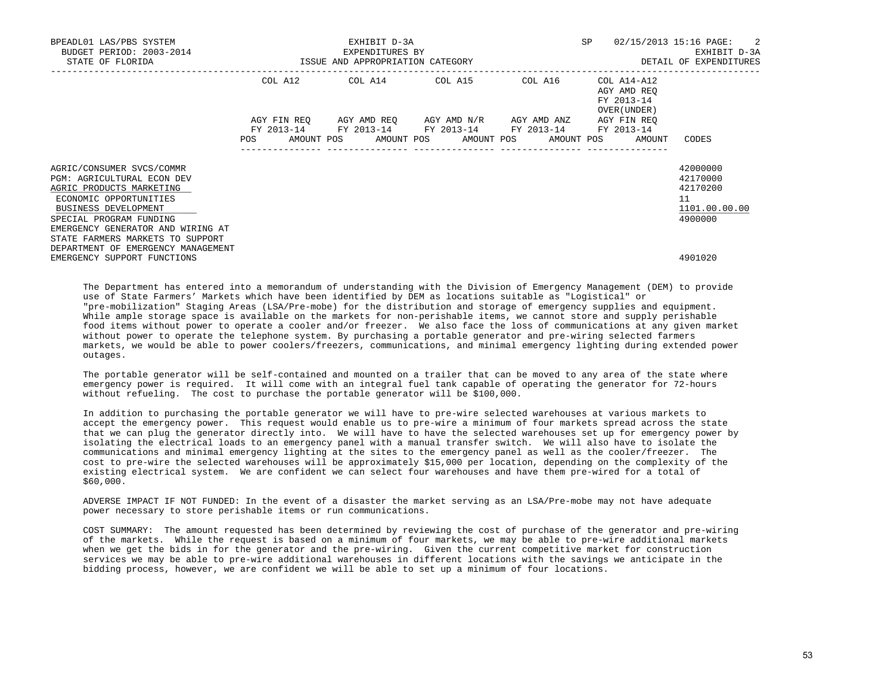| BPEADL01 LAS/PBS SYSTEM            |                                  | EXHIBIT D-3A<br>EXPENDITURES BY | SP                                              | $02/15/2013$ 15:16 PAGE: 2 |                             |               |
|------------------------------------|----------------------------------|---------------------------------|-------------------------------------------------|----------------------------|-----------------------------|---------------|
| BUDGET PERIOD: 2003-2014           |                                  | EXHIBIT D-3A                    |                                                 |                            |                             |               |
| STATE OF FLORIDA                   | ISSUE AND APPROPRIATION CATEGORY |                                 |                                                 | DETAIL OF EXPENDITURES     |                             |               |
|                                    | COL A12                          |                                 | COL A14 COL A15 COL A16                         |                            | COL A14-A12                 |               |
|                                    |                                  |                                 |                                                 |                            | AGY AMD REO                 |               |
|                                    |                                  |                                 |                                                 |                            | FY 2013-14                  |               |
|                                    |                                  |                                 | AGY FIN REO AGY AMD REO AGY AMD N/R AGY AMD ANZ |                            | OVER (UNDER)<br>AGY FIN REO |               |
|                                    |                                  |                                 | FY 2013-14 FY 2013-14 FY 2013-14 FY 2013-14     |                            | FY 2013-14                  |               |
|                                    | POS                              |                                 | AMOUNT POS AMOUNT POS AMOUNT POS AMOUNT POS     |                            | AMOUNT                      | CODES         |
|                                    |                                  |                                 |                                                 |                            |                             |               |
|                                    |                                  |                                 |                                                 |                            |                             |               |
| AGRIC/CONSUMER SVCS/COMMR          |                                  |                                 |                                                 |                            |                             | 42000000      |
| <b>PGM: AGRICULTURAL ECON DEV</b>  |                                  |                                 |                                                 |                            |                             | 42170000      |
| AGRIC PRODUCTS MARKETING           |                                  |                                 |                                                 |                            |                             | 42170200      |
| ECONOMIC OPPORTUNITIES             |                                  |                                 |                                                 |                            |                             | 11            |
| BUSINESS DEVELOPMENT               |                                  |                                 |                                                 |                            |                             | 1101.00.00.00 |
| SPECIAL PROGRAM FUNDING            |                                  |                                 |                                                 |                            |                             | 4900000       |
| EMERGENCY GENERATOR AND WIRING AT  |                                  |                                 |                                                 |                            |                             |               |
| STATE FARMERS MARKETS TO SUPPORT   |                                  |                                 |                                                 |                            |                             |               |
| DEPARTMENT OF EMERGENCY MANAGEMENT |                                  |                                 |                                                 |                            |                             |               |
| EMERGENCY SUPPORT FUNCTIONS        |                                  |                                 |                                                 |                            |                             | 4901020       |

 The Department has entered into a memorandum of understanding with the Division of Emergency Management (DEM) to provide use of State Farmers' Markets which have been identified by DEM as locations suitable as "Logistical" or "pre-mobilization" Staging Areas (LSA/Pre-mobe) for the distribution and storage of emergency supplies and equipment. While ample storage space is available on the markets for non-perishable items, we cannot store and supply perishable food items without power to operate a cooler and/or freezer. We also face the loss of communications at any given market without power to operate the telephone system. By purchasing a portable generator and pre-wiring selected farmers markets, we would be able to power coolers/freezers, communications, and minimal emergency lighting during extended power outages.

 The portable generator will be self-contained and mounted on a trailer that can be moved to any area of the state where emergency power is required. It will come with an integral fuel tank capable of operating the generator for 72-hours without refueling. The cost to purchase the portable generator will be \$100,000.

 In addition to purchasing the portable generator we will have to pre-wire selected warehouses at various markets to accept the emergency power. This request would enable us to pre-wire a minimum of four markets spread across the state that we can plug the generator directly into. We will have to have the selected warehouses set up for emergency power by isolating the electrical loads to an emergency panel with a manual transfer switch. We will also have to isolate the communications and minimal emergency lighting at the sites to the emergency panel as well as the cooler/freezer. The cost to pre-wire the selected warehouses will be approximately \$15,000 per location, depending on the complexity of the existing electrical system. We are confident we can select four warehouses and have them pre-wired for a total of \$60,000.

 ADVERSE IMPACT IF NOT FUNDED: In the event of a disaster the market serving as an LSA/Pre-mobe may not have adequate power necessary to store perishable items or run communications.

 COST SUMMARY: The amount requested has been determined by reviewing the cost of purchase of the generator and pre-wiring of the markets. While the request is based on a minimum of four markets, we may be able to pre-wire additional markets when we get the bids in for the generator and the pre-wiring. Given the current competitive market for construction services we may be able to pre-wire additional warehouses in different locations with the savings we anticipate in the bidding process, however, we are confident we will be able to set up a minimum of four locations.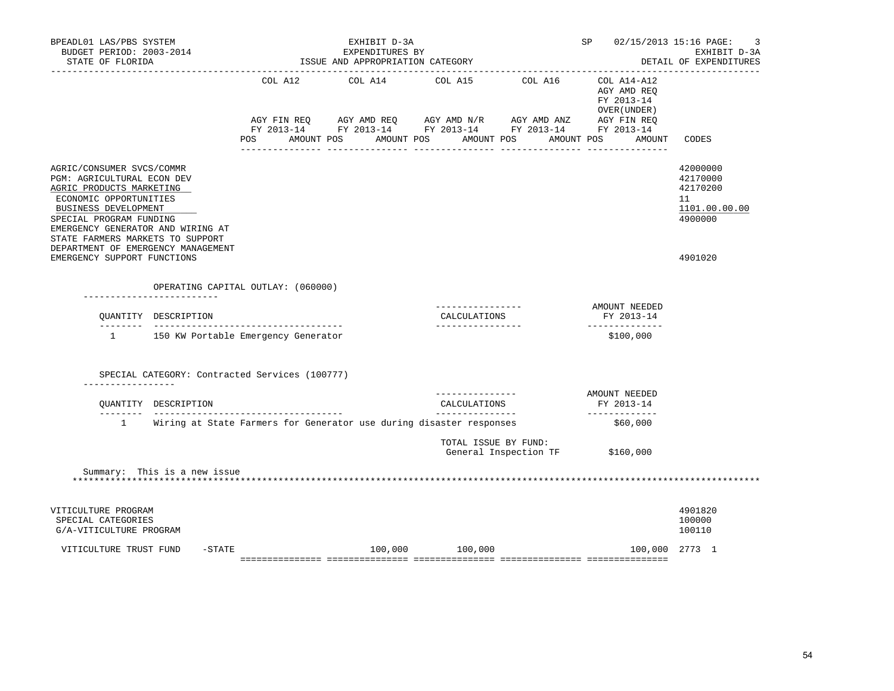| BPEADL01 LAS/PBS SYSTEM<br>BUDGET PERIOD: 2003-2014<br>STATE OF FLORIDA<br>____________________________________                                                                                                                           |                                                                     | EXHIBIT D-3A<br>EXPENDITURES BY<br>ISSUE AND APPROPRIATION CATEGORY |                                                                                                                                                                          |                       | SP                                                                 | 02/15/2013 15:16 PAGE:<br>3<br>EXHIBIT D-3A<br>DETAIL OF EXPENDITURES |
|-------------------------------------------------------------------------------------------------------------------------------------------------------------------------------------------------------------------------------------------|---------------------------------------------------------------------|---------------------------------------------------------------------|--------------------------------------------------------------------------------------------------------------------------------------------------------------------------|-----------------------|--------------------------------------------------------------------|-----------------------------------------------------------------------|
|                                                                                                                                                                                                                                           | AGY FIN REO<br>AMOUNT POS<br>POS FOR                                |                                                                     | COL A12 COL A14 COL A15 COL A16<br>AGY AMD REQ AGY AMD N/R AGY AMD ANZ AGY FIN REQ<br>FY 2013-14 FY 2013-14 FY 2013-14 FY 2013-14 FY 2013-14<br>AMOUNT POS<br>AMOUNT POS | AMOUNT POS            | COL A14-A12<br>AGY AMD REQ<br>FY 2013-14<br>OVER (UNDER)<br>AMOUNT | CODES                                                                 |
| AGRIC/CONSUMER SVCS/COMMR<br>PGM: AGRICULTURAL ECON DEV<br>AGRIC PRODUCTS MARKETING<br>ECONOMIC OPPORTUNITIES<br>BUSINESS DEVELOPMENT<br>SPECIAL PROGRAM FUNDING<br>EMERGENCY GENERATOR AND WIRING AT<br>STATE FARMERS MARKETS TO SUPPORT |                                                                     |                                                                     |                                                                                                                                                                          |                       |                                                                    | 42000000<br>42170000<br>42170200<br>11<br>1101.00.00.00<br>4900000    |
| DEPARTMENT OF EMERGENCY MANAGEMENT<br>EMERGENCY SUPPORT FUNCTIONS                                                                                                                                                                         |                                                                     |                                                                     |                                                                                                                                                                          |                       |                                                                    | 4901020                                                               |
|                                                                                                                                                                                                                                           | OPERATING CAPITAL OUTLAY: (060000)                                  |                                                                     |                                                                                                                                                                          |                       |                                                                    |                                                                       |
| OUANTITY DESCRIPTION                                                                                                                                                                                                                      |                                                                     |                                                                     | ________________<br>CALCULATIONS<br>_________________                                                                                                                    |                       | AMOUNT NEEDED<br>FY 2013-14<br>--------------                      |                                                                       |
| 1 150 KW Portable Emergency Generator                                                                                                                                                                                                     |                                                                     |                                                                     |                                                                                                                                                                          |                       | \$100,000                                                          |                                                                       |
| SPECIAL CATEGORY: Contracted Services (100777)                                                                                                                                                                                            |                                                                     |                                                                     |                                                                                                                                                                          |                       |                                                                    |                                                                       |
| . _ _ _ _ _ _ _ _ _ _ _ _ _ _ _ _<br>OUANTITY DESCRIPTION                                                                                                                                                                                 |                                                                     |                                                                     | . _ _ _ _ _ _ _ _ _ _ _ _ _ _ _<br>CALCULATIONS<br>_______________                                                                                                       |                       | AMOUNT NEEDED<br>FY 2013-14<br>_____________                       |                                                                       |
| $1 \quad \cdots$                                                                                                                                                                                                                          | Wiring at State Farmers for Generator use during disaster responses |                                                                     |                                                                                                                                                                          |                       | \$60,000                                                           |                                                                       |
|                                                                                                                                                                                                                                           |                                                                     |                                                                     | TOTAL ISSUE BY FUND:                                                                                                                                                     | General Inspection TF | \$160,000                                                          |                                                                       |
| Summary: This is a new issue                                                                                                                                                                                                              |                                                                     |                                                                     |                                                                                                                                                                          |                       |                                                                    |                                                                       |
| VITICULTURE PROGRAM<br>SPECIAL CATEGORIES<br>G/A-VITICULTURE PROGRAM                                                                                                                                                                      |                                                                     |                                                                     |                                                                                                                                                                          |                       |                                                                    | 4901820<br>100000<br>100110                                           |
| $-$ STATE<br>VITICULTURE TRUST FUND                                                                                                                                                                                                       |                                                                     | 100,000                                                             | 100,000                                                                                                                                                                  |                       | 100,000 2773 1                                                     |                                                                       |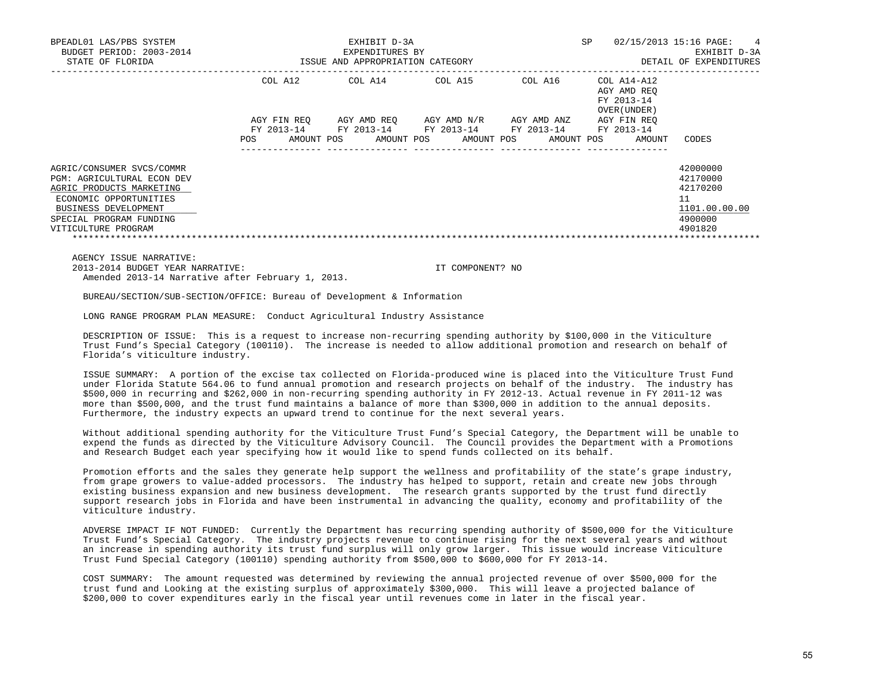| BPEADL01 LAS/PBS SYSTEM<br>BUDGET PERIOD: 2003-2014 |                                  | EXHIBIT D-3A<br>EXPENDITURES BY |                                                                        |             | <b>SP</b>                                                | 02/15/2013 15:16 PAGE:<br>$\overline{4}$<br>EXHIBIT D-3A |
|-----------------------------------------------------|----------------------------------|---------------------------------|------------------------------------------------------------------------|-------------|----------------------------------------------------------|----------------------------------------------------------|
| STATE OF FLORIDA                                    | ISSUE AND APPROPRIATION CATEGORY |                                 | DETAIL OF EXPENDITURES                                                 |             |                                                          |                                                          |
|                                                     | COL A12                          | COL A14                         | COL A15                                                                | COL A16     | COL A14-A12<br>AGY AMD REO<br>FY 2013-14<br>OVER (UNDER) |                                                          |
|                                                     | AGY FIN REO                      |                                 | AGY AMD REO AGY AMD N/R<br>FY 2013-14 FY 2013-14 FY 2013-14 FY 2013-14 | AGY AMD ANZ | AGY FIN REO<br>FY 2013-14                                |                                                          |
|                                                     | AMOUNT POS<br><b>POS</b>         | AMOUNT POS                      | AMOUNT POS                                                             | AMOUNT POS  | AMOUNT                                                   | CODES                                                    |
| AGRIC/CONSUMER SVCS/COMMR                           |                                  |                                 |                                                                        |             |                                                          | 42000000                                                 |
| <b>PGM: AGRICULTURAL ECON DEV</b>                   |                                  |                                 |                                                                        |             |                                                          | 42170000                                                 |
| AGRIC PRODUCTS MARKETING                            |                                  |                                 |                                                                        |             |                                                          | 42170200                                                 |
| ECONOMIC OPPORTUNITIES                              |                                  |                                 |                                                                        |             |                                                          | 11                                                       |
| BUSINESS DEVELOPMENT                                |                                  |                                 |                                                                        |             |                                                          | 1101.00.00.00                                            |
| SPECIAL PROGRAM FUNDING                             |                                  |                                 |                                                                        |             |                                                          | 4900000                                                  |
| VITICULTURE PROGRAM                                 |                                  |                                 |                                                                        |             |                                                          | 4901820                                                  |

 AGENCY ISSUE NARRATIVE: 2013-2014 BUDGET YEAR NARRATIVE: IT COMPONENT? NO Amended 2013-14 Narrative after February 1, 2013.

BUREAU/SECTION/SUB-SECTION/OFFICE: Bureau of Development & Information

LONG RANGE PROGRAM PLAN MEASURE: Conduct Agricultural Industry Assistance

 DESCRIPTION OF ISSUE: This is a request to increase non-recurring spending authority by \$100,000 in the Viticulture Trust Fund's Special Category (100110). The increase is needed to allow additional promotion and research on behalf of Florida's viticulture industry.

 ISSUE SUMMARY: A portion of the excise tax collected on Florida-produced wine is placed into the Viticulture Trust Fund under Florida Statute 564.06 to fund annual promotion and research projects on behalf of the industry. The industry has \$500,000 in recurring and \$262,000 in non-recurring spending authority in FY 2012-13. Actual revenue in FY 2011-12 was more than \$500,000, and the trust fund maintains a balance of more than \$300,000 in addition to the annual deposits. Furthermore, the industry expects an upward trend to continue for the next several years.

 Without additional spending authority for the Viticulture Trust Fund's Special Category, the Department will be unable to expend the funds as directed by the Viticulture Advisory Council. The Council provides the Department with a Promotions and Research Budget each year specifying how it would like to spend funds collected on its behalf.

 Promotion efforts and the sales they generate help support the wellness and profitability of the state's grape industry, from grape growers to value-added processors. The industry has helped to support, retain and create new jobs through existing business expansion and new business development. The research grants supported by the trust fund directly support research jobs in Florida and have been instrumental in advancing the quality, economy and profitability of the viticulture industry.

 ADVERSE IMPACT IF NOT FUNDED: Currently the Department has recurring spending authority of \$500,000 for the Viticulture Trust Fund's Special Category. The industry projects revenue to continue rising for the next several years and without an increase in spending authority its trust fund surplus will only grow larger. This issue would increase Viticulture Trust Fund Special Category (100110) spending authority from \$500,000 to \$600,000 for FY 2013-14.

 COST SUMMARY: The amount requested was determined by reviewing the annual projected revenue of over \$500,000 for the trust fund and Looking at the existing surplus of approximately \$300,000. This will leave a projected balance of \$200,000 to cover expenditures early in the fiscal year until revenues come in later in the fiscal year.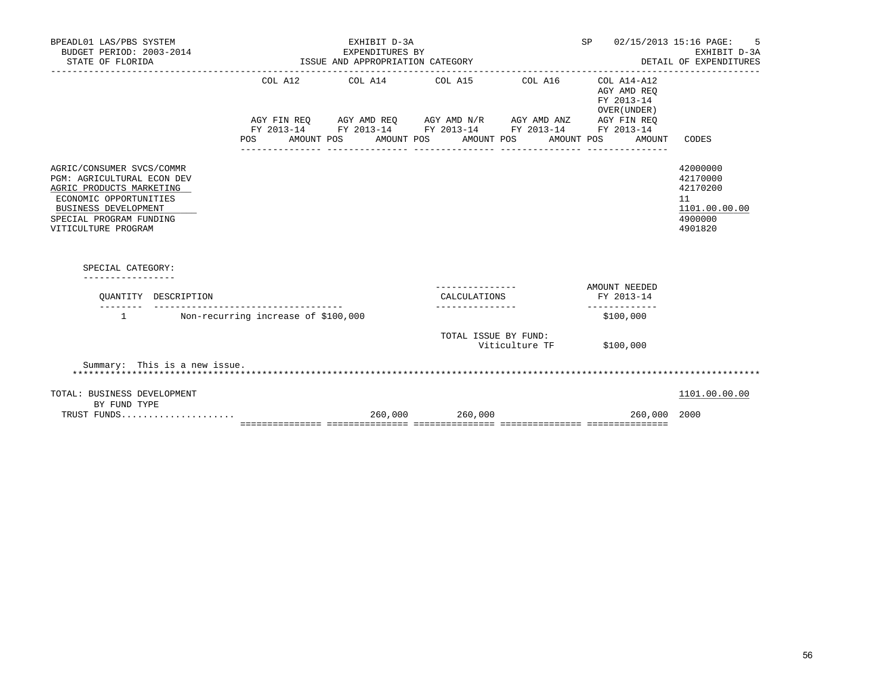| BPEADL01 LAS/PBS SYSTEM<br>BUDGET PERIOD: 2003-2014<br>STATE OF FLORIDA                                                                                                                                             | EXPENDITURES BY<br>ISSUE AND APPROPRIATION CATEGORY | SP 02/15/2013 15:16 PAGE: | 5<br>EXHIBIT D-3A<br>DETAIL OF EXPENDITURES                                                            |                 |                                                                                   |                                                                               |
|---------------------------------------------------------------------------------------------------------------------------------------------------------------------------------------------------------------------|-----------------------------------------------------|---------------------------|--------------------------------------------------------------------------------------------------------|-----------------|-----------------------------------------------------------------------------------|-------------------------------------------------------------------------------|
|                                                                                                                                                                                                                     |                                                     | ---------------           | COL A12 COL A14 COL A15 COL A16 COL A14-A12<br>POS AMOUNT POS AMOUNT POS AMOUNT POS<br>_______________ | _______________ | AGY AMD REO<br>FY 2013-14<br>OVER (UNDER)<br>AMOUNT POS AMOUNT<br>_______________ | CODES                                                                         |
| AGRIC/CONSUMER SVCS/COMMR<br>PGM: AGRICULTURAL ECON DEV<br>AGRIC PRODUCTS MARKETING<br>ECONOMIC OPPORTUNITIES<br><b>BUSINESS DEVELOPMENT</b><br>SPECIAL PROGRAM FUNDING<br>VITICULTURE PROGRAM<br>SPECIAL CATEGORY: |                                                     |                           |                                                                                                        |                 |                                                                                   | 42000000<br>42170000<br>42170200<br>11<br>1101.00.00.00<br>4900000<br>4901820 |
| OUANTITY DESCRIPTION                                                                                                                                                                                                |                                                     |                           | CALCULATIONS                                                                                           |                 | AMOUNT NEEDED<br>FY 2013-14                                                       |                                                                               |
| 1 Non-recurring increase of \$100,000                                                                                                                                                                               |                                                     |                           | _______________                                                                                        |                 | _____________<br>\$100,000                                                        |                                                                               |
|                                                                                                                                                                                                                     |                                                     |                           | TOTAL ISSUE BY FUND:                                                                                   | Viticulture TF  | \$100,000                                                                         |                                                                               |
| Summary: This is a new issue.                                                                                                                                                                                       |                                                     |                           |                                                                                                        |                 |                                                                                   |                                                                               |
| TOTAL: BUSINESS DEVELOPMENT<br>BY FUND TYPE                                                                                                                                                                         |                                                     |                           |                                                                                                        |                 |                                                                                   | 1101.00.00.00                                                                 |
| TRUST FUNDS                                                                                                                                                                                                         |                                                     |                           | 260,000 260,000                                                                                        |                 | 260,000 2000                                                                      |                                                                               |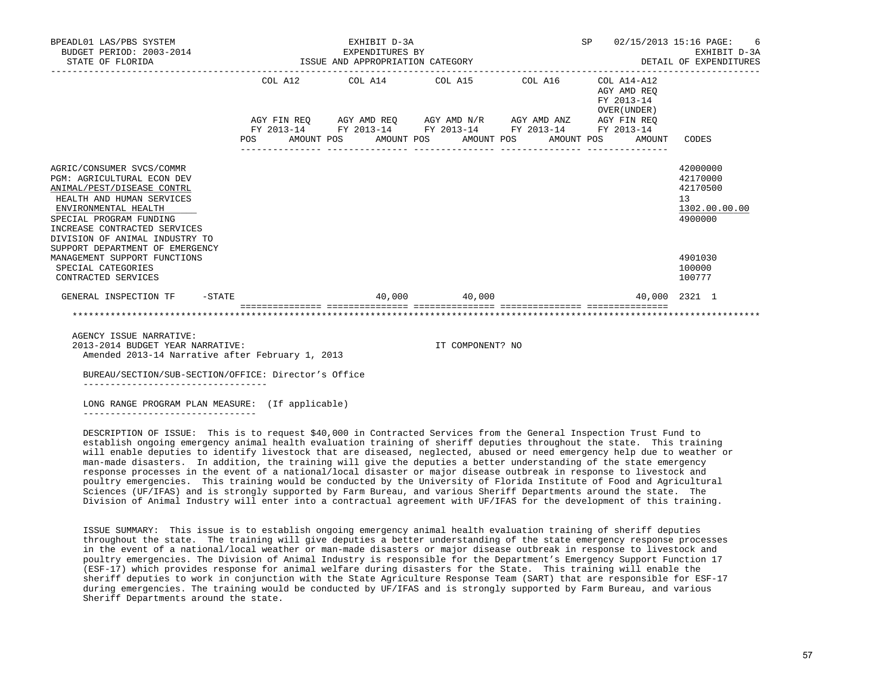| BPEADL01 LAS/PBS SYSTEM<br>BUDGET PERIOD: 2003-2014<br>STATE OF FLORIDA                                                                                                                                                                        |  |  | EXHIBIT D-3A<br>EXPENDITURES BY<br>ISSUE AND APPROPRIATION CATEGORY |  |  |                                                                                                                       |  |  | SP 02/15/2013 15:16 PAGE: 6<br>EXHIBIT D-3A<br>DETAIL OF EXPENDITURES |                                                              |                                                                    |
|------------------------------------------------------------------------------------------------------------------------------------------------------------------------------------------------------------------------------------------------|--|--|---------------------------------------------------------------------|--|--|-----------------------------------------------------------------------------------------------------------------------|--|--|-----------------------------------------------------------------------|--------------------------------------------------------------|--------------------------------------------------------------------|
|                                                                                                                                                                                                                                                |  |  | COL A12 COL A14 COL A15 COL A16 COL A14-A12                         |  |  |                                                                                                                       |  |  | AGY AMD REO<br>FY 2013-14<br>OVER (UNDER)                             |                                                              |                                                                    |
|                                                                                                                                                                                                                                                |  |  |                                                                     |  |  | AGY FIN REQ AGY AMD REQ AGY AMD N/R AGY AMD ANZ AGY FIN REQ<br>FY 2013-14 FY 2013-14 FY 2013-14 FY 2013-14 FY 2013-14 |  |  |                                                                       |                                                              |                                                                    |
|                                                                                                                                                                                                                                                |  |  |                                                                     |  |  |                                                                                                                       |  |  |                                                                       | POS AMOUNT POS AMOUNT POS AMOUNT POS AMOUNT POS AMOUNT CODES |                                                                    |
| AGRIC/CONSUMER SVCS/COMMR<br><b>PGM: AGRICULTURAL ECON DEV</b><br>ANIMAL/PEST/DISEASE CONTRL<br>HEALTH AND HUMAN SERVICES<br>ENVIRONMENTAL HEALTH<br>SPECIAL PROGRAM FUNDING<br>INCREASE CONTRACTED SERVICES<br>DIVISION OF ANIMAL INDUSTRY TO |  |  |                                                                     |  |  |                                                                                                                       |  |  |                                                                       |                                                              | 42000000<br>42170000<br>42170500<br>13<br>1302.00.00.00<br>4900000 |
| SUPPORT DEPARTMENT OF EMERGENCY<br>MANAGEMENT SUPPORT FUNCTIONS<br>SPECIAL CATEGORIES<br>CONTRACTED SERVICES                                                                                                                                   |  |  |                                                                     |  |  |                                                                                                                       |  |  |                                                                       |                                                              | 4901030<br>100000<br>100777                                        |
| GENERAL INSPECTION TF -STATE                                                                                                                                                                                                                   |  |  |                                                                     |  |  | 40,000 40,000                                                                                                         |  |  |                                                                       |                                                              | 40,000 2321 1                                                      |
|                                                                                                                                                                                                                                                |  |  |                                                                     |  |  |                                                                                                                       |  |  |                                                                       |                                                              |                                                                    |
| AGENCY ISSUE NARRATIVE:                                                                                                                                                                                                                        |  |  |                                                                     |  |  |                                                                                                                       |  |  |                                                                       |                                                              |                                                                    |

 2013-2014 BUDGET YEAR NARRATIVE: IT COMPONENT? NO Amended 2013-14 Narrative after February 1, 2013

 BUREAU/SECTION/SUB-SECTION/OFFICE: Director's Office ----------------------------------

 LONG RANGE PROGRAM PLAN MEASURE: (If applicable) --------------------------------

 DESCRIPTION OF ISSUE: This is to request \$40,000 in Contracted Services from the General Inspection Trust Fund to establish ongoing emergency animal health evaluation training of sheriff deputies throughout the state. This training will enable deputies to identify livestock that are diseased, neglected, abused or need emergency help due to weather or man-made disasters. In addition, the training will give the deputies a better understanding of the state emergency response processes in the event of a national/local disaster or major disease outbreak in response to livestock and poultry emergencies. This training would be conducted by the University of Florida Institute of Food and Agricultural Sciences (UF/IFAS) and is strongly supported by Farm Bureau, and various Sheriff Departments around the state. The Division of Animal Industry will enter into a contractual agreement with UF/IFAS for the development of this training.

 ISSUE SUMMARY: This issue is to establish ongoing emergency animal health evaluation training of sheriff deputies throughout the state. The training will give deputies a better understanding of the state emergency response processes in the event of a national/local weather or man-made disasters or major disease outbreak in response to livestock and poultry emergencies. The Division of Animal Industry is responsible for the Department's Emergency Support Function 17 (ESF-17) which provides response for animal welfare during disasters for the State. This training will enable the sheriff deputies to work in conjunction with the State Agriculture Response Team (SART) that are responsible for ESF-17 during emergencies. The training would be conducted by UF/IFAS and is strongly supported by Farm Bureau, and various Sheriff Departments around the state.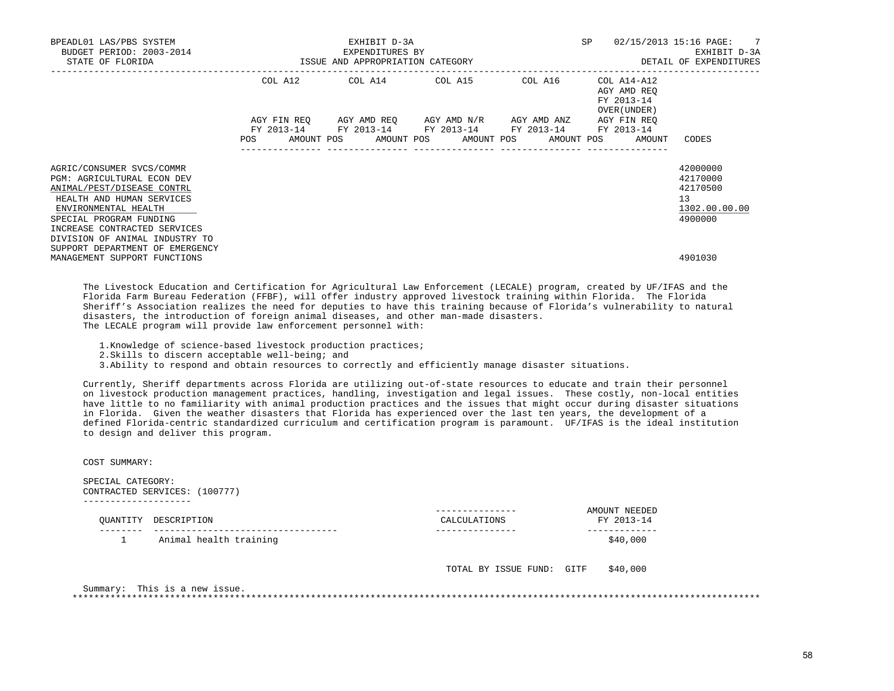| BPEADL01 LAS/PBS SYSTEM<br>BUDGET PERIOD: 2003-2014<br>STATE OF FLORIDA                                                                                                                                                                                                    | ISSUE AND APPROPRIATION CATEGORY | EXHIBIT D-3A<br>EXPENDITURES BY | SP                                                                                                                                            | 02/15/2013 15:16 PAGE: 7<br>EXHIBIT D-3A<br>DETAIL OF EXPENDITURES |                                                          |                                                                    |
|----------------------------------------------------------------------------------------------------------------------------------------------------------------------------------------------------------------------------------------------------------------------------|----------------------------------|---------------------------------|-----------------------------------------------------------------------------------------------------------------------------------------------|--------------------------------------------------------------------|----------------------------------------------------------|--------------------------------------------------------------------|
|                                                                                                                                                                                                                                                                            |                                  |                                 | COL A12 COL A14 COL A15                                                                                                                       | ------------<br>COL A16                                            | COL A14-A12<br>AGY AMD REO<br>FY 2013-14<br>OVER (UNDER) |                                                                    |
|                                                                                                                                                                                                                                                                            | POS                              |                                 | AGY FIN REQ 6GY AMD REQ 6GY AMD N/R 6GY AMD ANZ<br>FY 2013-14 FY 2013-14 FY 2013-14 FY 2013-14<br>AMOUNT POS AMOUNT POS AMOUNT POS AMOUNT POS |                                                                    | AGY FIN REO<br>FY 2013-14<br>AMOUNT                      | CODES                                                              |
| AGRIC/CONSUMER SVCS/COMMR<br>PGM: AGRICULTURAL ECON DEV<br>ANIMAL/PEST/DISEASE CONTRL<br>HEALTH AND HUMAN SERVICES<br>ENVIRONMENTAL HEALTH<br>SPECIAL PROGRAM FUNDING<br>INCREASE CONTRACTED SERVICES<br>DIVISION OF ANIMAL INDUSTRY TO<br>SUPPORT DEPARTMENT OF EMERGENCY |                                  |                                 |                                                                                                                                               |                                                                    |                                                          | 42000000<br>42170000<br>42170500<br>13<br>1302.00.00.00<br>4900000 |
| MANAGEMENT SUPPORT FUNCTIONS                                                                                                                                                                                                                                               |                                  |                                 |                                                                                                                                               |                                                                    |                                                          | 4901030                                                            |

 The Livestock Education and Certification for Agricultural Law Enforcement (LECALE) program, created by UF/IFAS and the Florida Farm Bureau Federation (FFBF), will offer industry approved livestock training within Florida. The Florida Sheriff's Association realizes the need for deputies to have this training because of Florida's vulnerability to natural disasters, the introduction of foreign animal diseases, and other man-made disasters. The LECALE program will provide law enforcement personnel with:

1.Knowledge of science-based livestock production practices;

2.Skills to discern acceptable well-being; and

3.Ability to respond and obtain resources to correctly and efficiently manage disaster situations.

 Currently, Sheriff departments across Florida are utilizing out-of-state resources to educate and train their personnel on livestock production management practices, handling, investigation and legal issues. These costly, non-local entities have little to no familiarity with animal production practices and the issues that might occur during disaster situations in Florida. Given the weather disasters that Florida has experienced over the last ten years, the development of a defined Florida-centric standardized curriculum and certification program is paramount. UF/IFAS is the ideal institution to design and deliver this program.

COST SUMMARY:

SPECIAL CATEGORY:

 CONTRACTED SERVICES: (100777) -------------------- --------------- AMOUNT NEEDED QUANTITY DESCRIPTION CALCULATIONS FY 2013-14 -------- ---------------------------------- --------------- ------------- 1 Animal health training

TOTAL BY ISSUE FUND: GITF \$40,000

 Summary: This is a new issue. \*\*\*\*\*\*\*\*\*\*\*\*\*\*\*\*\*\*\*\*\*\*\*\*\*\*\*\*\*\*\*\*\*\*\*\*\*\*\*\*\*\*\*\*\*\*\*\*\*\*\*\*\*\*\*\*\*\*\*\*\*\*\*\*\*\*\*\*\*\*\*\*\*\*\*\*\*\*\*\*\*\*\*\*\*\*\*\*\*\*\*\*\*\*\*\*\*\*\*\*\*\*\*\*\*\*\*\*\*\*\*\*\*\*\*\*\*\*\*\*\*\*\*\*\*\*\*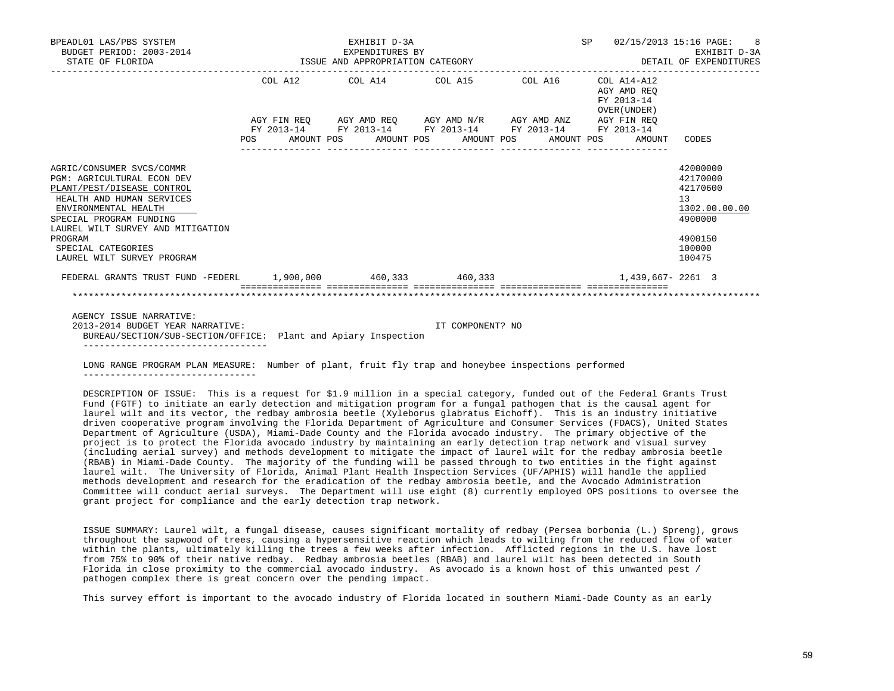| BPEADL01 LAS/PBS SYSTEM<br>BUDGET PERIOD: 2003-2014<br>STATE OF FLORIDA                                                                                                                                                                                                          | EXHIBIT D-3A<br>3-2014 EXPENDITURES BY<br>ISSUE AND APPROPRIATION CATEGORY |  |  |  |  | SP 02/15/2013 15:16 PAGE: 8<br>EXHIBIT D-3A<br>DETAIL OF EXPENDITURES |  |  |                                           |                                                                                                   |
|----------------------------------------------------------------------------------------------------------------------------------------------------------------------------------------------------------------------------------------------------------------------------------|----------------------------------------------------------------------------|--|--|--|--|-----------------------------------------------------------------------|--|--|-------------------------------------------|---------------------------------------------------------------------------------------------------|
|                                                                                                                                                                                                                                                                                  |                                                                            |  |  |  |  | COL A12 COL A14 COL A15 COL A16 COL A14-A12                           |  |  | AGY AMD REO<br>FY 2013-14<br>OVER (UNDER) |                                                                                                   |
|                                                                                                                                                                                                                                                                                  |                                                                            |  |  |  |  | AGY FIN REO AGY AMD REO AGY AMD N/R AGY AMD ANZ AGY FIN REO           |  |  |                                           |                                                                                                   |
|                                                                                                                                                                                                                                                                                  |                                                                            |  |  |  |  | FY 2013-14 FY 2013-14 FY 2013-14 FY 2013-14 FY 2013-14                |  |  |                                           |                                                                                                   |
|                                                                                                                                                                                                                                                                                  |                                                                            |  |  |  |  | POS AMOUNT POS AMOUNT POS AMOUNT POS AMOUNT POS                       |  |  | AMOUNT                                    | CODES                                                                                             |
| AGRIC/CONSUMER SVCS/COMMR<br><b>PGM: AGRICULTURAL ECON DEV</b><br>PLANT/PEST/DISEASE CONTROL<br>HEALTH AND HUMAN SERVICES<br>ENVIRONMENTAL HEALTH<br>SPECIAL PROGRAM FUNDING<br>LAUREL WILT SURVEY AND MITIGATION<br>PROGRAM<br>SPECIAL CATEGORIES<br>LAUREL WILT SURVEY PROGRAM |                                                                            |  |  |  |  |                                                                       |  |  |                                           | 42000000<br>42170000<br>42170600<br>13<br>1302.00.00.00<br>4900000<br>4900150<br>100000<br>100475 |
| FEDERAL GRANTS TRUST FUND -FEDERL 1,900,000 460,333 460,333 460,333 1 460,334 1,439,667-2261 3                                                                                                                                                                                   |                                                                            |  |  |  |  |                                                                       |  |  |                                           |                                                                                                   |
|                                                                                                                                                                                                                                                                                  |                                                                            |  |  |  |  |                                                                       |  |  |                                           |                                                                                                   |
| AGENCY ISSUE NARRATIVE:<br>2013-2014 BUDGET YEAR NARRATIVE:<br>BUREAU/SECTION/SUB-SECTION/OFFICE: Plant and Apiary Inspection                                                                                                                                                    |                                                                            |  |  |  |  | IT COMPONENT? NO                                                      |  |  |                                           |                                                                                                   |

----------------------------------

 LONG RANGE PROGRAM PLAN MEASURE: Number of plant, fruit fly trap and honeybee inspections performed --------------------------------

 DESCRIPTION OF ISSUE: This is a request for \$1.9 million in a special category, funded out of the Federal Grants Trust Fund (FGTF) to initiate an early detection and mitigation program for a fungal pathogen that is the causal agent for laurel wilt and its vector, the redbay ambrosia beetle (Xyleborus glabratus Eichoff). This is an industry initiative driven cooperative program involving the Florida Department of Agriculture and Consumer Services (FDACS), United States Department of Agriculture (USDA), Miami-Dade County and the Florida avocado industry. The primary objective of the project is to protect the Florida avocado industry by maintaining an early detection trap network and visual survey (including aerial survey) and methods development to mitigate the impact of laurel wilt for the redbay ambrosia beetle (RBAB) in Miami-Dade County. The majority of the funding will be passed through to two entities in the fight against laurel wilt. The University of Florida, Animal Plant Health Inspection Services (UF/APHIS) will handle the applied methods development and research for the eradication of the redbay ambrosia beetle, and the Avocado Administration Committee will conduct aerial surveys. The Department will use eight (8) currently employed OPS positions to oversee the grant project for compliance and the early detection trap network.

 ISSUE SUMMARY: Laurel wilt, a fungal disease, causes significant mortality of redbay (Persea borbonia (L.) Spreng), grows throughout the sapwood of trees, causing a hypersensitive reaction which leads to wilting from the reduced flow of water within the plants, ultimately killing the trees a few weeks after infection. Afflicted regions in the U.S. have lost from 75% to 90% of their native redbay. Redbay ambrosia beetles (RBAB) and laurel wilt has been detected in South Florida in close proximity to the commercial avocado industry. As avocado is a known host of this unwanted pest / pathogen complex there is great concern over the pending impact.

This survey effort is important to the avocado industry of Florida located in southern Miami-Dade County as an early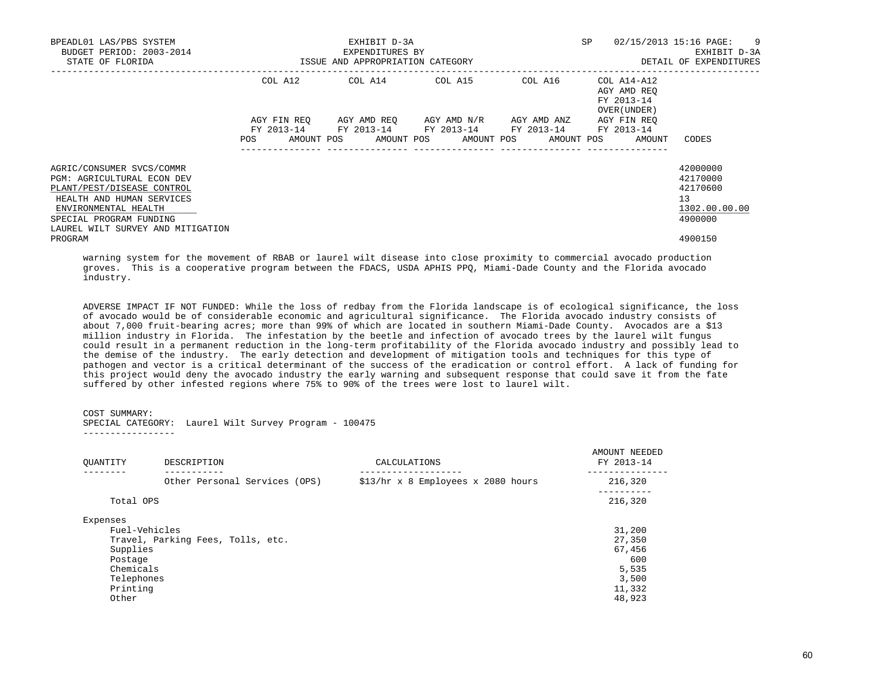| BPEADL01 LAS/PBS SYSTEM<br>BUDGET PERIOD: 2003-2014<br>STATE OF FLORIDA | ISSUE AND APPROPRIATION CATEGORY | EXHIBIT D-3A<br>EXPENDITURES BY |                                                 |         | <b>SP</b><br>02/15/2013 15:16 PAGE: 9<br>DETAIL OF EXPENDITURES |               |  |
|-------------------------------------------------------------------------|----------------------------------|---------------------------------|-------------------------------------------------|---------|-----------------------------------------------------------------|---------------|--|
|                                                                         | COL A12                          |                                 | COL A14 COL A15                                 | COL A16 | COL A14-A12<br>AGY AMD REO<br>FY 2013-14<br>OVER (UNDER)        |               |  |
|                                                                         |                                  |                                 | AGY FIN REO AGY AMD REO AGY AMD N/R AGY AMD ANZ |         | AGY FIN REO                                                     |               |  |
|                                                                         | FY 2013-14                       |                                 | FY 2013-14 FY 2013-14 FY 2013-14                |         | FY 2013-14                                                      |               |  |
|                                                                         | POS                              |                                 | AMOUNT POS AMOUNT POS AMOUNT POS AMOUNT POS     |         | AMOUNT                                                          | CODES         |  |
| AGRIC/CONSUMER SVCS/COMMR                                               |                                  |                                 |                                                 |         |                                                                 | 42000000      |  |
| PGM: AGRICULTURAL ECON DEV                                              |                                  |                                 |                                                 |         |                                                                 | 42170000      |  |
| PLANT/PEST/DISEASE CONTROL                                              |                                  |                                 |                                                 |         |                                                                 | 42170600      |  |
| HEALTH AND HUMAN SERVICES                                               |                                  |                                 |                                                 |         |                                                                 | 13            |  |
| ENVIRONMENTAL HEALTH                                                    |                                  |                                 |                                                 |         |                                                                 | 1302.00.00.00 |  |
| SPECIAL PROGRAM FUNDING<br>LAUREL WILT SURVEY AND MITIGATION            |                                  |                                 |                                                 |         |                                                                 | 4900000       |  |
| PROGRAM                                                                 |                                  |                                 |                                                 |         |                                                                 | 4900150       |  |

 warning system for the movement of RBAB or laurel wilt disease into close proximity to commercial avocado production groves. This is a cooperative program between the FDACS, USDA APHIS PPQ, Miami-Dade County and the Florida avocado industry.

 ADVERSE IMPACT IF NOT FUNDED: While the loss of redbay from the Florida landscape is of ecological significance, the loss of avocado would be of considerable economic and agricultural significance. The Florida avocado industry consists of about 7,000 fruit-bearing acres; more than 99% of which are located in southern Miami-Dade County. Avocados are a \$13 million industry in Florida. The infestation by the beetle and infection of avocado trees by the laurel wilt fungus could result in a permanent reduction in the long-term profitability of the Florida avocado industry and possibly lead to the demise of the industry. The early detection and development of mitigation tools and techniques for this type of pathogen and vector is a critical determinant of the success of the eradication or control effort. A lack of funding for this project would deny the avocado industry the early warning and subsequent response that could save it from the fate suffered by other infested regions where 75% to 90% of the trees were lost to laurel wilt.

## COST SUMMARY:

SPECIAL CATEGORY: Laurel Wilt Survey Program - 100475

-----------------

| OUANTITY                                                                                         | DESCRIPTION                       | CALCULATIONS                       | AMOUNT NEEDED<br>FY 2013-14                                             |
|--------------------------------------------------------------------------------------------------|-----------------------------------|------------------------------------|-------------------------------------------------------------------------|
|                                                                                                  | Other Personal Services (OPS)     | \$13/hr x 8 Employees x 2080 hours | 216,320                                                                 |
| Total OPS                                                                                        |                                   |                                    | .<br>216,320                                                            |
| Expenses<br>Fuel-Vehicles<br>Supplies<br>Postage<br>Chemicals<br>Telephones<br>Printing<br>Other | Travel, Parking Fees, Tolls, etc. |                                    | 31,200<br>27,350<br>67,456<br>600<br>5,535<br>3,500<br>11,332<br>48,923 |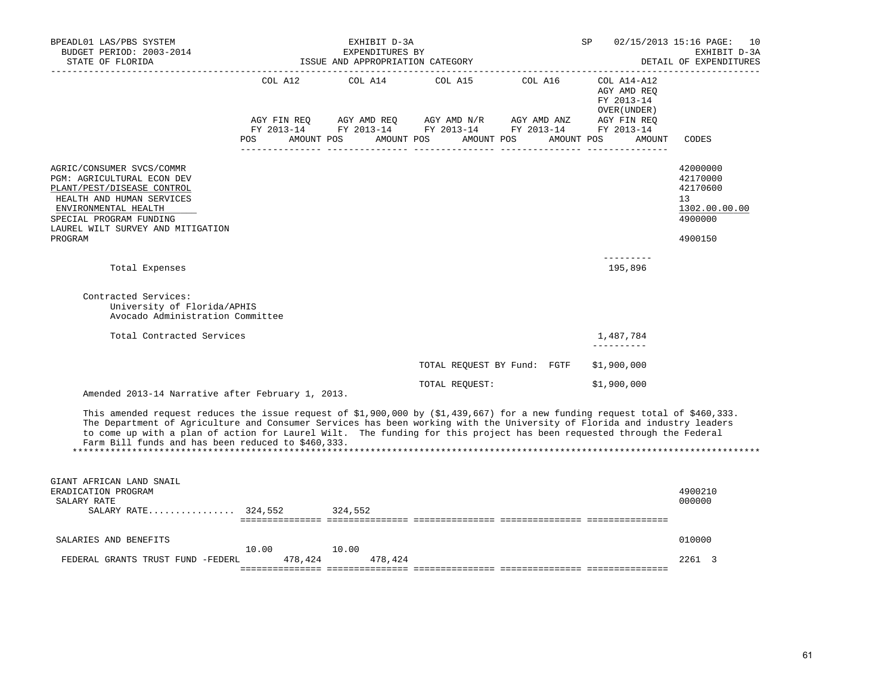| BPEADL01 LAS/PBS SYSTEM<br>BUDGET PERIOD: 2003-2014<br>STATE OF FLORIDA                                                                                                                                                                                                                                                                                                                                                                 |                                      | EXHIBIT D-3A<br>EXPENDITURES BY<br>ISSUE AND APPROPRIATION CATEGORY |                                                            | SP                     | 02/15/2013 15:16 PAGE: 10<br>EXHIBIT D-3A<br>DETAIL OF EXPENDITURES<br>------------------ |                                                                               |
|-----------------------------------------------------------------------------------------------------------------------------------------------------------------------------------------------------------------------------------------------------------------------------------------------------------------------------------------------------------------------------------------------------------------------------------------|--------------------------------------|---------------------------------------------------------------------|------------------------------------------------------------|------------------------|-------------------------------------------------------------------------------------------|-------------------------------------------------------------------------------|
|                                                                                                                                                                                                                                                                                                                                                                                                                                         | COL A12<br>AGY FIN REO<br>FY 2013-14 | COL A14<br>AGY AMD REO                                              | COL A15<br>AGY AMD N/R<br>FY 2013-14 FY 2013-14 FY 2013-14 | COL A16<br>AGY AMD ANZ | $COL A14 - A12$<br>AGY AMD REQ<br>FY 2013-14<br>OVER (UNDER)<br>AGY FIN REQ<br>FY 2013-14 |                                                                               |
|                                                                                                                                                                                                                                                                                                                                                                                                                                         | POS.<br>AMOUNT POS                   | AMOUNT POS                                                          | AMOUNT POS                                                 | AMOUNT POS             | AMOUNT                                                                                    | CODES                                                                         |
| AGRIC/CONSUMER SVCS/COMMR<br>PGM: AGRICULTURAL ECON DEV<br>PLANT/PEST/DISEASE CONTROL<br>HEALTH AND HUMAN SERVICES<br>ENVIRONMENTAL HEALTH<br>SPECIAL PROGRAM FUNDING<br>LAUREL WILT SURVEY AND MITIGATION<br>PROGRAM                                                                                                                                                                                                                   |                                      |                                                                     |                                                            |                        |                                                                                           | 42000000<br>42170000<br>42170600<br>13<br>1302.00.00.00<br>4900000<br>4900150 |
| Total Expenses                                                                                                                                                                                                                                                                                                                                                                                                                          |                                      |                                                                     |                                                            |                        | --------<br>195,896                                                                       |                                                                               |
| Contracted Services:<br>University of Florida/APHIS<br>Avocado Administration Committee                                                                                                                                                                                                                                                                                                                                                 |                                      |                                                                     |                                                            |                        |                                                                                           |                                                                               |
| Total Contracted Services                                                                                                                                                                                                                                                                                                                                                                                                               |                                      |                                                                     |                                                            |                        | 1,487,784<br>----------                                                                   |                                                                               |
|                                                                                                                                                                                                                                                                                                                                                                                                                                         |                                      |                                                                     | TOTAL REQUEST BY Fund: FGTF                                |                        | \$1,900,000                                                                               |                                                                               |
| Amended 2013-14 Narrative after February 1, 2013.                                                                                                                                                                                                                                                                                                                                                                                       |                                      |                                                                     | TOTAL REOUEST:                                             |                        | \$1,900,000                                                                               |                                                                               |
| This amended request reduces the issue request of \$1,900,000 by (\$1,439,667) for a new funding request total of \$460,333.<br>The Department of Agriculture and Consumer Services has been working with the University of Florida and industry leaders<br>to come up with a plan of action for Laurel Wilt. The funding for this project has been requested through the Federal<br>Farm Bill funds and has been reduced to \$460,333. |                                      |                                                                     |                                                            |                        |                                                                                           |                                                                               |
| GIANT AFRICAN LAND SNAIL<br>ERADICATION PROGRAM<br>SALARY RATE<br>SALARY RATE 324,552                                                                                                                                                                                                                                                                                                                                                   |                                      | 324,552                                                             |                                                            |                        |                                                                                           | 4900210<br>000000                                                             |
| SALARIES AND BENEFITS                                                                                                                                                                                                                                                                                                                                                                                                                   |                                      |                                                                     |                                                            |                        |                                                                                           | 010000                                                                        |
| FEDERAL GRANTS TRUST FUND -FEDERL                                                                                                                                                                                                                                                                                                                                                                                                       | 10.00<br>478,424                     | 10.00<br>478,424                                                    |                                                            |                        |                                                                                           | 2261 3                                                                        |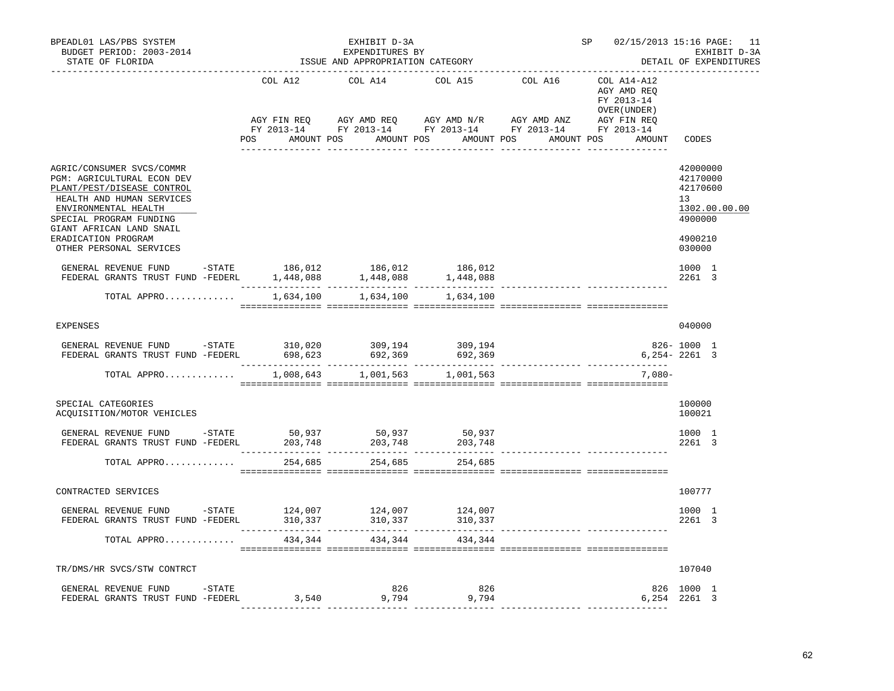| BPEADL01 LAS/PBS SYSTEM<br>BUDGET PERIOD: 2003-2014<br>STATE OF FLORIDA                                                                                                                                   |                   | EXHIBIT D-3A<br>EXPENDITURES BY<br>ISSUE AND APPROPRIATION CATEGORY                                                                                                                                                                                                                                                                         |                   | SP      | 02/15/2013 15:16 PAGE: 11<br>EXHIBIT D-3A<br>DETAIL OF EXPENDITURES |                                                                    |
|-----------------------------------------------------------------------------------------------------------------------------------------------------------------------------------------------------------|-------------------|---------------------------------------------------------------------------------------------------------------------------------------------------------------------------------------------------------------------------------------------------------------------------------------------------------------------------------------------|-------------------|---------|---------------------------------------------------------------------|--------------------------------------------------------------------|
|                                                                                                                                                                                                           | COL A12           | COL A14                                                                                                                                                                                                                                                                                                                                     | COL A15           | COL A16 | COL A14-A12<br>AGY AMD REO<br>FY 2013-14<br>OVER ( UNDER )          |                                                                    |
|                                                                                                                                                                                                           |                   | $\begin{array}{lllllll} \text{AGY}\ \text{FIN}\ \text{REQ} \qquad & \text{AGY}\ \text{AMD}\ \text{REQ} \qquad & \text{AGY}\ \text{AMD}\ \text{N/R} \qquad & \text{AGY}\ \text{MID}\ \text{ANZ} \qquad & \text{AGY}\ \text{FIN}\ \text{REQ} \qquad & \text{FY}\ 2013-14 \qquad & \text{FY}\ 2013-14 \qquad & \text{FY}\ 2013-14 \end{array}$ |                   |         |                                                                     |                                                                    |
|                                                                                                                                                                                                           | <b>POS</b>        | AMOUNT POS AMOUNT POS AMOUNT POS                                                                                                                                                                                                                                                                                                            |                   |         | AMOUNT POS<br>AMOUNT                                                | CODES                                                              |
| AGRIC/CONSUMER SVCS/COMMR<br>PGM: AGRICULTURAL ECON DEV<br>PLANT/PEST/DISEASE CONTROL<br>HEALTH AND HUMAN SERVICES<br>ENVIRONMENTAL HEALTH<br>SPECIAL PROGRAM FUNDING<br>GIANT AFRICAN LAND SNAIL         |                   |                                                                                                                                                                                                                                                                                                                                             |                   |         |                                                                     | 42000000<br>42170000<br>42170600<br>13<br>1302.00.00.00<br>4900000 |
| ERADICATION PROGRAM<br>OTHER PERSONAL SERVICES                                                                                                                                                            |                   |                                                                                                                                                                                                                                                                                                                                             |                   |         |                                                                     | 4900210<br>030000                                                  |
| ${\small \begin{tabular}{lcccc} \texttt{GENERAL REVIEW FUND} & -STATE & 186,012 & 186,012 & 186,012 \\ \texttt{FEDERAL GRANTS TRUST FUND & -FEDERL & 1,448,088 & 1,448,088 & 1,448,088 \\ \end{tabular}}$ |                   |                                                                                                                                                                                                                                                                                                                                             |                   |         |                                                                     | 1000 1<br>2261 3                                                   |
| TOTAL APPRO                                                                                                                                                                                               | 1,634,100         | 1,634,100                                                                                                                                                                                                                                                                                                                                   | 1,634,100         |         |                                                                     |                                                                    |
| <b>EXPENSES</b>                                                                                                                                                                                           |                   |                                                                                                                                                                                                                                                                                                                                             |                   |         |                                                                     | 040000                                                             |
| GENERAL REVENUE FUND -STATE 310,020 309,194 309,194<br>FEDERAL GRANTS TRUST FUND -FEDERL 698,623 692,369 692,369 692,369                                                                                  |                   |                                                                                                                                                                                                                                                                                                                                             |                   |         |                                                                     | 826-1000 1<br>$6,254 - 2261$ 3                                     |
| TOTAL APPRO                                                                                                                                                                                               |                   | 1,008,643 1,001,563 1,001,563                                                                                                                                                                                                                                                                                                               |                   |         | $7.080 -$                                                           |                                                                    |
| SPECIAL CATEGORIES<br>ACQUISITION/MOTOR VEHICLES                                                                                                                                                          |                   |                                                                                                                                                                                                                                                                                                                                             |                   |         |                                                                     | 100000<br>100021                                                   |
| GENERAL REVENUE FUND -STATE<br>FEDERAL GRANTS TRUST FUND -FEDERL                                                                                                                                          | 50,937<br>203,748 | 50,937<br>203,748                                                                                                                                                                                                                                                                                                                           | 50,937<br>203,748 |         |                                                                     | 1000 1<br>2261 3                                                   |
| TOTAL APPRO                                                                                                                                                                                               | 254,685           | 254,685                                                                                                                                                                                                                                                                                                                                     | 254,685           |         |                                                                     |                                                                    |
| CONTRACTED SERVICES                                                                                                                                                                                       |                   |                                                                                                                                                                                                                                                                                                                                             |                   |         |                                                                     | 100777                                                             |
| GENERAL REVENUE FUND -STATE<br>FEDERAL GRANTS TRUST FUND -FEDERL                                                                                                                                          | 124,007           | 124,007                                                                                                                                                                                                                                                                                                                                     | 124,007           |         |                                                                     | 1000 1<br>2261 3                                                   |
| TOTAL APPRO                                                                                                                                                                                               |                   | 434,344<br>434,344                                                                                                                                                                                                                                                                                                                          | 434,344           |         |                                                                     |                                                                    |
| TR/DMS/HR SVCS/STW CONTRCT                                                                                                                                                                                |                   |                                                                                                                                                                                                                                                                                                                                             |                   |         |                                                                     | 107040                                                             |
| GENERAL REVENUE FUND -STATE<br>FEDERAL GRANTS TRUST FUND -FEDERL                                                                                                                                          |                   | 826<br>$3,540$ 9,794                                                                                                                                                                                                                                                                                                                        | 826<br>9,794      |         |                                                                     | 826 1000 1<br>6,254 2261 3                                         |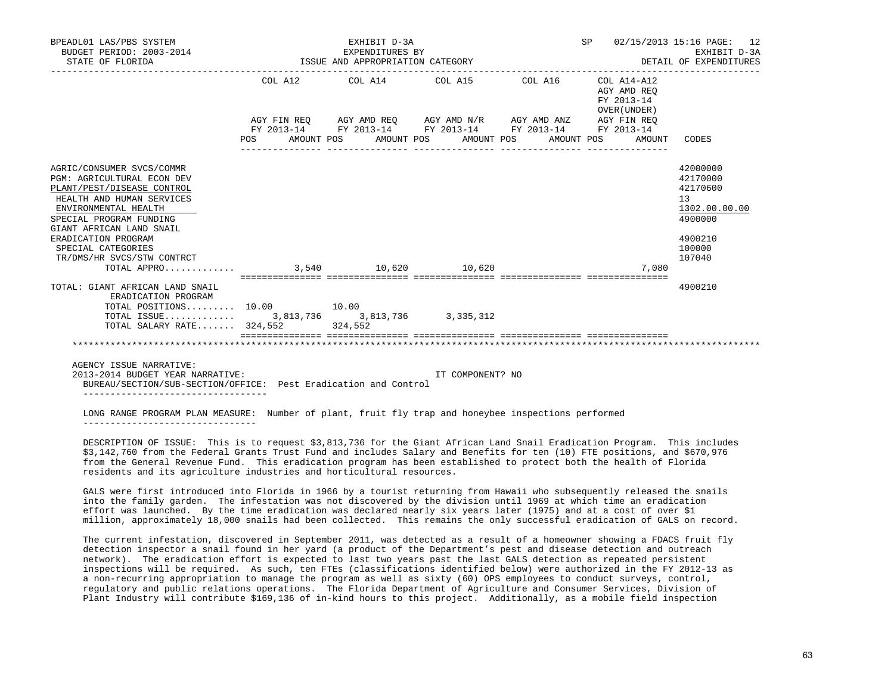| BPEADL01 LAS/PBS SYSTEM<br>BUDGET PERIOD: 2003-2014<br>STATE OF FLORIDA                                                                                                                                                                                                             |                                                 | EXHIBIT D-3A<br>EXPENDITURES BY<br>ISSUE AND APPROPRIATION CATEGORY<br>------------------------- | SP 02/15/2013 15:16 PAGE: 12<br>EXHIBIT D-3A<br>DETAIL OF EXPENDITURES |                                                          |                                                                                                   |
|-------------------------------------------------------------------------------------------------------------------------------------------------------------------------------------------------------------------------------------------------------------------------------------|-------------------------------------------------|--------------------------------------------------------------------------------------------------|------------------------------------------------------------------------|----------------------------------------------------------|---------------------------------------------------------------------------------------------------|
|                                                                                                                                                                                                                                                                                     |                                                 | COL A12 COL A14 COL A15 COL A16                                                                  |                                                                        | COL A14-A12<br>AGY AMD REO<br>FY 2013-14<br>OVER (UNDER) |                                                                                                   |
|                                                                                                                                                                                                                                                                                     |                                                 | AGY FIN REO AGY AMD REO AGY AMD N/R AGY AMD ANZ AGY FIN REO                                      |                                                                        |                                                          |                                                                                                   |
|                                                                                                                                                                                                                                                                                     | POS AMOUNT POS AMOUNT POS AMOUNT POS AMOUNT POS | FY 2013-14 FY 2013-14 FY 2013-14 FY 2013-14 FY 2013-14                                           |                                                                        | AMOUNT                                                   | CODES                                                                                             |
| AGRIC/CONSUMER SVCS/COMMR<br><b>PGM: AGRICULTURAL ECON DEV</b><br>PLANT/PEST/DISEASE CONTROL<br>HEALTH AND HUMAN SERVICES<br>ENVIRONMENTAL HEALTH<br>SPECIAL PROGRAM FUNDING<br>GIANT AFRICAN LAND SNAIL<br>ERADICATION PROGRAM<br>SPECIAL CATEGORIES<br>TR/DMS/HR SVCS/STW CONTRCT |                                                 |                                                                                                  |                                                                        | 7,080                                                    | 42000000<br>42170000<br>42170600<br>13<br>1302.00.00.00<br>4900000<br>4900210<br>100000<br>107040 |
| TOTAL: GIANT AFRICAN LAND SNAIL<br>ERADICATION PROGRAM                                                                                                                                                                                                                              |                                                 |                                                                                                  |                                                                        |                                                          | 4900210                                                                                           |
| $\texttt{TOTAL POSITIONS} \dots \dots \dots \quad \texttt{10.00} \quad \texttt{10.00}$<br>TOTAL ISSUE 3,813,736 3,813,736 3,335,312<br>TOTAL SALARY RATE $324.552$                                                                                                                  |                                                 | 324,552                                                                                          |                                                                        |                                                          |                                                                                                   |
|                                                                                                                                                                                                                                                                                     |                                                 |                                                                                                  |                                                                        |                                                          |                                                                                                   |

AGENCY ISSUE NARRATIVE:

 2013-2014 BUDGET YEAR NARRATIVE: IT COMPONENT? NO BUREAU/SECTION/SUB-SECTION/OFFICE: Pest Eradication and Control ----------------------------------

 LONG RANGE PROGRAM PLAN MEASURE: Number of plant, fruit fly trap and honeybee inspections performed --------------------------------

 DESCRIPTION OF ISSUE: This is to request \$3,813,736 for the Giant African Land Snail Eradication Program. This includes \$3,142,760 from the Federal Grants Trust Fund and includes Salary and Benefits for ten (10) FTE positions, and \$670,976 from the General Revenue Fund. This eradication program has been established to protect both the health of Florida residents and its agriculture industries and horticultural resources.

 GALS were first introduced into Florida in 1966 by a tourist returning from Hawaii who subsequently released the snails into the family garden. The infestation was not discovered by the division until 1969 at which time an eradication effort was launched. By the time eradication was declared nearly six years later (1975) and at a cost of over \$1 million, approximately 18,000 snails had been collected. This remains the only successful eradication of GALS on record.

 The current infestation, discovered in September 2011, was detected as a result of a homeowner showing a FDACS fruit fly detection inspector a snail found in her yard (a product of the Department's pest and disease detection and outreach network). The eradication effort is expected to last two years past the last GALS detection as repeated persistent inspections will be required. As such, ten FTEs (classifications identified below) were authorized in the FY 2012-13 as a non-recurring appropriation to manage the program as well as sixty (60) OPS employees to conduct surveys, control, regulatory and public relations operations. The Florida Department of Agriculture and Consumer Services, Division of Plant Industry will contribute \$169,136 of in-kind hours to this project. Additionally, as a mobile field inspection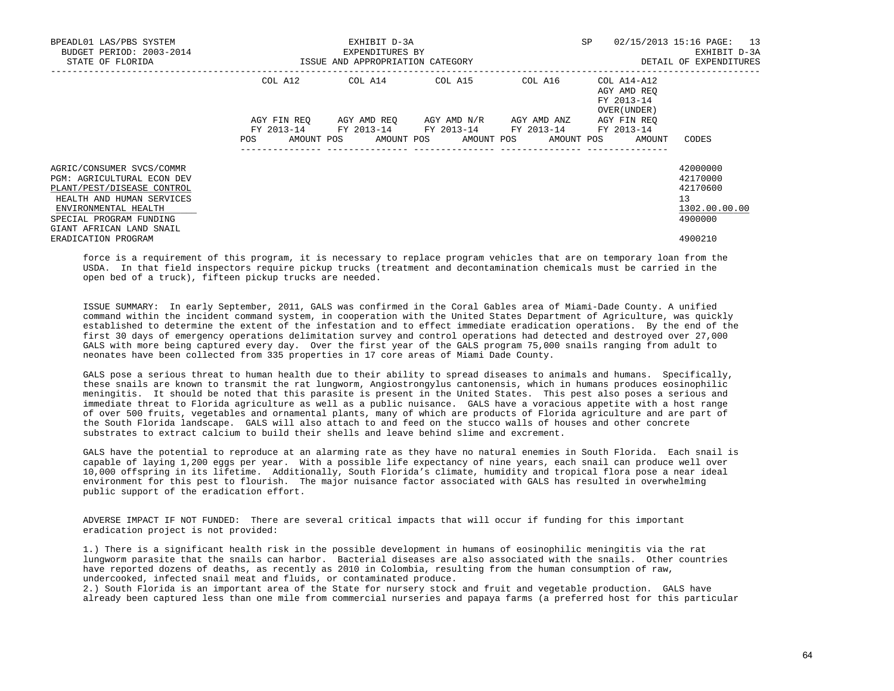| BPEADL01 LAS/PBS SYSTEM<br>BUDGET PERIOD: 2003-2014<br>STATE OF FLORIDA                                                                                                                                  | ISSUE AND APPROPRIATION CATEGORY | EXHIBIT D-3A<br>EXPENDITURES BY                        | <b>SP</b>                           | 02/15/2013 15:16 PAGE: 13<br>EXHIBIT D-3A<br>DETAIL OF EXPENDITURES |                                                                   |                                                                    |
|----------------------------------------------------------------------------------------------------------------------------------------------------------------------------------------------------------|----------------------------------|--------------------------------------------------------|-------------------------------------|---------------------------------------------------------------------|-------------------------------------------------------------------|--------------------------------------------------------------------|
|                                                                                                                                                                                                          | COL A12                          | COL A14 COL A15                                        |                                     | COL A16                                                             | COL A14-A12<br>AGY AMD REO<br>FY 2013-14<br>OVER (UNDER)          |                                                                    |
|                                                                                                                                                                                                          | AGY FIN REO<br>POS               | FY 2013-14 FY 2013-14 FY 2013-14 FY 2013-14 FY 2013-14 | AGY AMD REQ AGY AMD N/R AGY AMD ANZ | ---------------                                                     | AGY FIN REO<br>AMOUNT POS AMOUNT POS AMOUNT POS AMOUNT POS AMOUNT | CODES                                                              |
| AGRIC/CONSUMER SVCS/COMMR<br><b>PGM: AGRICULTURAL ECON DEV</b><br>PLANT/PEST/DISEASE CONTROL<br>HEALTH AND HUMAN SERVICES<br>ENVIRONMENTAL HEALTH<br>SPECIAL PROGRAM FUNDING<br>GIANT AFRICAN LAND SNAIL |                                  |                                                        |                                     |                                                                     |                                                                   | 42000000<br>42170000<br>42170600<br>13<br>1302.00.00.00<br>4900000 |
| ERADICATION PROGRAM                                                                                                                                                                                      |                                  |                                                        |                                     |                                                                     |                                                                   | 4900210                                                            |

 force is a requirement of this program, it is necessary to replace program vehicles that are on temporary loan from the USDA. In that field inspectors require pickup trucks (treatment and decontamination chemicals must be carried in the open bed of a truck), fifteen pickup trucks are needed.

 ISSUE SUMMARY: In early September, 2011, GALS was confirmed in the Coral Gables area of Miami-Dade County. A unified command within the incident command system, in cooperation with the United States Department of Agriculture, was quickly established to determine the extent of the infestation and to effect immediate eradication operations. By the end of the first 30 days of emergency operations delimitation survey and control operations had detected and destroyed over 27,000 GALS with more being captured every day. Over the first year of the GALS program 75,000 snails ranging from adult to neonates have been collected from 335 properties in 17 core areas of Miami Dade County.

 GALS pose a serious threat to human health due to their ability to spread diseases to animals and humans. Specifically, these snails are known to transmit the rat lungworm, Angiostrongylus cantonensis, which in humans produces eosinophilic meningitis. It should be noted that this parasite is present in the United States. This pest also poses a serious and immediate threat to Florida agriculture as well as a public nuisance. GALS have a voracious appetite with a host range of over 500 fruits, vegetables and ornamental plants, many of which are products of Florida agriculture and are part of the South Florida landscape. GALS will also attach to and feed on the stucco walls of houses and other concrete substrates to extract calcium to build their shells and leave behind slime and excrement.

 GALS have the potential to reproduce at an alarming rate as they have no natural enemies in South Florida. Each snail is capable of laying 1,200 eggs per year. With a possible life expectancy of nine years, each snail can produce well over 10,000 offspring in its lifetime. Additionally, South Florida's climate, humidity and tropical flora pose a near ideal environment for this pest to flourish. The major nuisance factor associated with GALS has resulted in overwhelming public support of the eradication effort.

 ADVERSE IMPACT IF NOT FUNDED: There are several critical impacts that will occur if funding for this important eradication project is not provided:

 1.) There is a significant health risk in the possible development in humans of eosinophilic meningitis via the rat lungworm parasite that the snails can harbor. Bacterial diseases are also associated with the snails. Other countries have reported dozens of deaths, as recently as 2010 in Colombia, resulting from the human consumption of raw, undercooked, infected snail meat and fluids, or contaminated produce.

 2.) South Florida is an important area of the State for nursery stock and fruit and vegetable production. GALS have already been captured less than one mile from commercial nurseries and papaya farms (a preferred host for this particular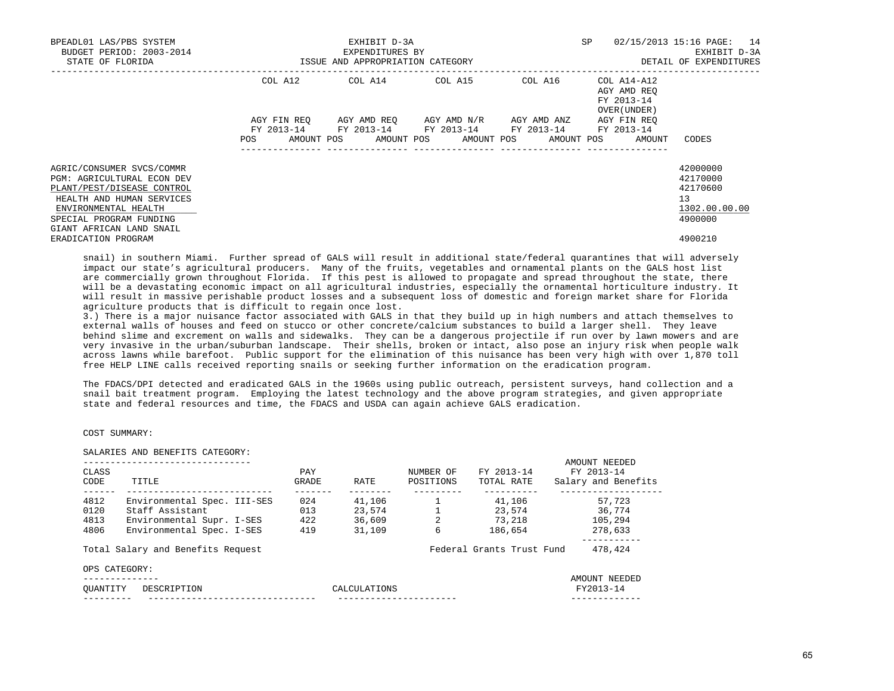| BPEADL01 LAS/PBS SYSTEM<br>BUDGET PERIOD: 2003-2014<br>STATE OF FLORIDA                                                                                                                                  | ISSUE AND APPROPRIATION CATEGORY | EXHIBIT D-3A<br>EXPENDITURES BY | SP<br>02/15/2013 15:16 PAGE: 14<br>DETAIL OF EXPENDITURES                                                                                                       |                                                          |                                                                    |
|----------------------------------------------------------------------------------------------------------------------------------------------------------------------------------------------------------|----------------------------------|---------------------------------|-----------------------------------------------------------------------------------------------------------------------------------------------------------------|----------------------------------------------------------|--------------------------------------------------------------------|
|                                                                                                                                                                                                          |                                  |                                 | COL A12 COL A14 COL A15 COL A16                                                                                                                                 | COL A14-A12<br>AGY AMD REO<br>FY 2013-14<br>OVER (UNDER) |                                                                    |
|                                                                                                                                                                                                          | POS                              |                                 | AGY FIN REQ AGY AMD REQ AGY AMD N/R AGY AMD ANZ<br>FY 2013-14 FY 2013-14 FY 2013-14 FY 2013-14 FY 2013-14<br>AMOUNT POS AMOUNT POS AMOUNT POS AMOUNT POS AMOUNT | AGY FIN REO                                              | CODES                                                              |
| AGRIC/CONSUMER SVCS/COMMR<br><b>PGM: AGRICULTURAL ECON DEV</b><br>PLANT/PEST/DISEASE CONTROL<br>HEALTH AND HUMAN SERVICES<br>ENVIRONMENTAL HEALTH<br>SPECIAL PROGRAM FUNDING<br>GIANT AFRICAN LAND SNAIL |                                  |                                 |                                                                                                                                                                 |                                                          | 42000000<br>42170000<br>42170600<br>13<br>1302.00.00.00<br>4900000 |
| ERADICATION PROGRAM                                                                                                                                                                                      |                                  |                                 |                                                                                                                                                                 |                                                          | 4900210                                                            |

 snail) in southern Miami. Further spread of GALS will result in additional state/federal quarantines that will adversely impact our state's agricultural producers. Many of the fruits, vegetables and ornamental plants on the GALS host list are commercially grown throughout Florida. If this pest is allowed to propagate and spread throughout the state, there will be a devastating economic impact on all agricultural industries, especially the ornamental horticulture industry. It will result in massive perishable product losses and a subsequent loss of domestic and foreign market share for Florida agriculture products that is difficult to regain once lost.

 3.) There is a major nuisance factor associated with GALS in that they build up in high numbers and attach themselves to external walls of houses and feed on stucco or other concrete/calcium substances to build a larger shell. They leave behind slime and excrement on walls and sidewalks. They can be a dangerous projectile if run over by lawn mowers and are very invasive in the urban/suburban landscape. Their shells, broken or intact, also pose an injury risk when people walk across lawns while barefoot. Public support for the elimination of this nuisance has been very high with over 1,870 toll free HELP LINE calls received reporting snails or seeking further information on the eradication program.

 The FDACS/DPI detected and eradicated GALS in the 1960s using public outreach, persistent surveys, hand collection and a snail bait treatment program. Employing the latest technology and the above program strategies, and given appropriate state and federal resources and time, the FDACS and USDA can again achieve GALS eradication.

# COST SUMMARY:

# SALARIES AND BENEFITS CATEGORY:

|          |                                   |       |              |           |                           | AMOUNT NEEDED       |
|----------|-----------------------------------|-------|--------------|-----------|---------------------------|---------------------|
| CLASS    |                                   | PAY   |              | NUMBER OF | FY 2013-14                | FY 2013-14          |
| CODE     | TITLE                             | GRADE | RATE         | POSITIONS | TOTAL RATE                | Salary and Benefits |
| 4812     | Environmental Spec. III-SES       | 024   | 41,106       |           | 41,106                    | 57,723              |
| 0120     | Staff Assistant                   | 013   | 23,574       |           | 23,574                    | 36,774              |
| 4813     | Environmental Supr. I-SES         | 422   | 36,609       |           | 73,218                    | 105,294             |
| 4806     | Environmental Spec. I-SES         | 419   | 31,109       | 6         | 186,654                   | 278,633             |
|          | Total Salary and Benefits Request |       |              |           | Federal Grants Trust Fund | 478,424             |
|          | OPS CATEGORY:                     |       |              |           |                           |                     |
|          | ----------                        |       |              |           |                           | AMOUNT NEEDED       |
| OUANTITY | DESCRIPTION                       |       | CALCULATIONS |           |                           | FY2013-14           |
|          |                                   |       |              |           |                           |                     |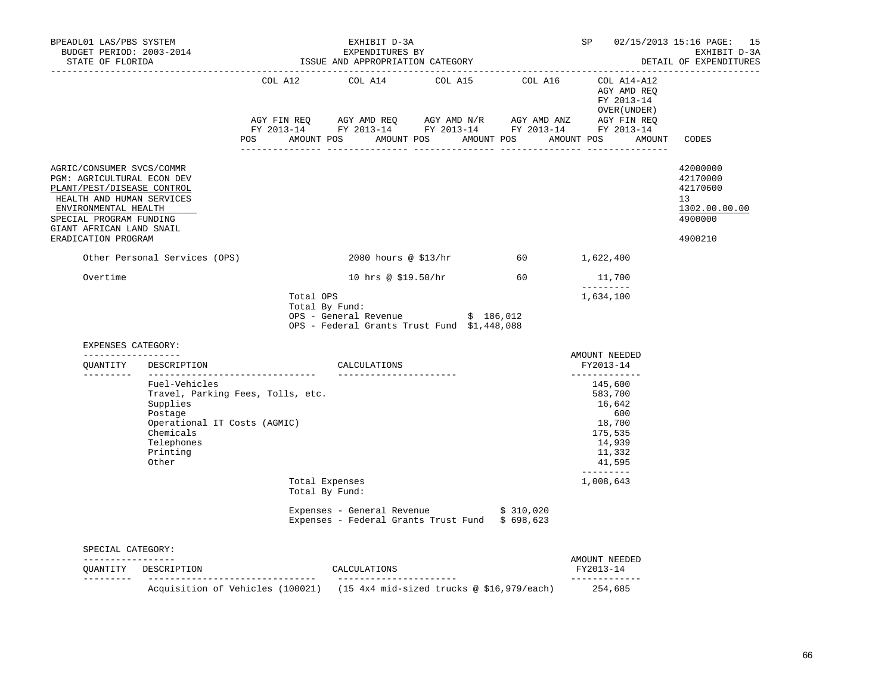| BPEADL01 LAS/PBS SYSTEM                                                                                                                                                                                                                                   | EXPENDITURES BY<br>BUDGET PERIOD: 2003-2014<br>STATE OF FLORIDA STATE OF STATE OF STATE OF STATE OF STATE OF STATE AND APPROPRIATION CATEGORY |                                                                       | EXHIBIT D-3A                                                                                                 |                      | SP and the set of the set of the set of the set of the set of the set of the set of the set of the set of the set of the set of the set of the set of the set of the set of the set of the set of the set of the set of the se<br>EXHIBIT D-3A<br>DETAIL OF EXPENDITURES | 02/15/2013 15:16 PAGE: 15<br>EXHIBIT D-3A                                                                                                                                                                                                                                                                   |                                                                               |
|-----------------------------------------------------------------------------------------------------------------------------------------------------------------------------------------------------------------------------------------------------------|-----------------------------------------------------------------------------------------------------------------------------------------------|-----------------------------------------------------------------------|--------------------------------------------------------------------------------------------------------------|----------------------|--------------------------------------------------------------------------------------------------------------------------------------------------------------------------------------------------------------------------------------------------------------------------|-------------------------------------------------------------------------------------------------------------------------------------------------------------------------------------------------------------------------------------------------------------------------------------------------------------|-------------------------------------------------------------------------------|
|                                                                                                                                                                                                                                                           |                                                                                                                                               |                                                                       |                                                                                                              |                      |                                                                                                                                                                                                                                                                          | COL A12 COL A14 COL A15 COL A16 COL A14-A12<br>COL A12 COL A14 COL A15 COL A16 COL A14-A12<br>FY 2013-14<br>OVER(UNDER)<br>AGYFINREQ AGYAMDREQ AGYAMDN/R AGYAMDANZ AGYFINREQ<br>FY2013-14 FY2013-14 FY2013-14 FY2013-14 FY2013-14 FY2013-14<br>POS AMOUNT POS AMOUNT POS AMOUNT POS AMOUNT POS AMOUNT CODES |                                                                               |
| AGRIC/CONSUMER SVCS/COMMR<br>PGM: AGRICULTURAL ECON DEV<br>PLANT/PEST/DISEASE CONTROL<br>HEALTH AND HUMAN SERVICES<br>ENVIRONMENTAL HEALTH<br>SPECIAL PROGRAM FUNDING<br>GIANT AFRICAN LAND SNAIL<br>ERADICATION PROGRAM<br>Other Personal Services (OPS) |                                                                                                                                               |                                                                       |                                                                                                              | 2080 hours @ \$13/hr | 60 1,622,400                                                                                                                                                                                                                                                             |                                                                                                                                                                                                                                                                                                             | 42000000<br>42170000<br>42170600<br>13<br>1302.00.00.00<br>4900000<br>4900210 |
| Overtime                                                                                                                                                                                                                                                  |                                                                                                                                               |                                                                       |                                                                                                              |                      | 10 hrs @ \$19.50/hr 60 11,700                                                                                                                                                                                                                                            |                                                                                                                                                                                                                                                                                                             |                                                                               |
| EXPENSES CATEGORY:                                                                                                                                                                                                                                        |                                                                                                                                               | Total OPS                                                             | Total By Fund:<br>OPS - General Revenue $\frac{1}{5}$ 186,012<br>OPS - Federal Grants Trust Fund \$1,448,088 |                      |                                                                                                                                                                                                                                                                          | 1,634,100                                                                                                                                                                                                                                                                                                   |                                                                               |
| ------------------                                                                                                                                                                                                                                        | QUANTITY DESCRIPTION                                                                                                                          |                                                                       | CALCULATIONS                                                                                                 |                      |                                                                                                                                                                                                                                                                          | AMOUNT NEEDED<br>FY2013-14                                                                                                                                                                                                                                                                                  |                                                                               |
|                                                                                                                                                                                                                                                           | Fuel-Vehicles<br>Supplies<br>Postage<br>Operational IT Costs (AGMIC)<br>Chemicals<br>Telephones<br>Printing<br>Other                          | Travel, Parking Fees, Tolls, etc.<br>Total Expenses<br>Total By Fund: | _________________________                                                                                    |                      |                                                                                                                                                                                                                                                                          | _____________<br>145,600<br>583,700<br>16,642<br>600<br>18,700<br>175,535<br>14,939<br>11,332<br>41,595<br>----------<br>1,008,643                                                                                                                                                                          |                                                                               |
|                                                                                                                                                                                                                                                           |                                                                                                                                               |                                                                       | Expenses - General Revenue $$310,020$<br>Expenses - Federal Grants Trust Fund \$ 698,623                     |                      |                                                                                                                                                                                                                                                                          |                                                                                                                                                                                                                                                                                                             |                                                                               |
| SPECIAL CATEGORY:                                                                                                                                                                                                                                         |                                                                                                                                               |                                                                       |                                                                                                              |                      |                                                                                                                                                                                                                                                                          |                                                                                                                                                                                                                                                                                                             |                                                                               |
| -----------------                                                                                                                                                                                                                                         |                                                                                                                                               |                                                                       |                                                                                                              |                      |                                                                                                                                                                                                                                                                          | AMOUNT NEEDED<br>FY2013-14                                                                                                                                                                                                                                                                                  |                                                                               |
|                                                                                                                                                                                                                                                           | Acquisition of Vehicles (100021) (15 4x4 mid-sized trucks @ \$16,979/each)                                                                    |                                                                       |                                                                                                              |                      |                                                                                                                                                                                                                                                                          | _____________<br>254,685                                                                                                                                                                                                                                                                                    |                                                                               |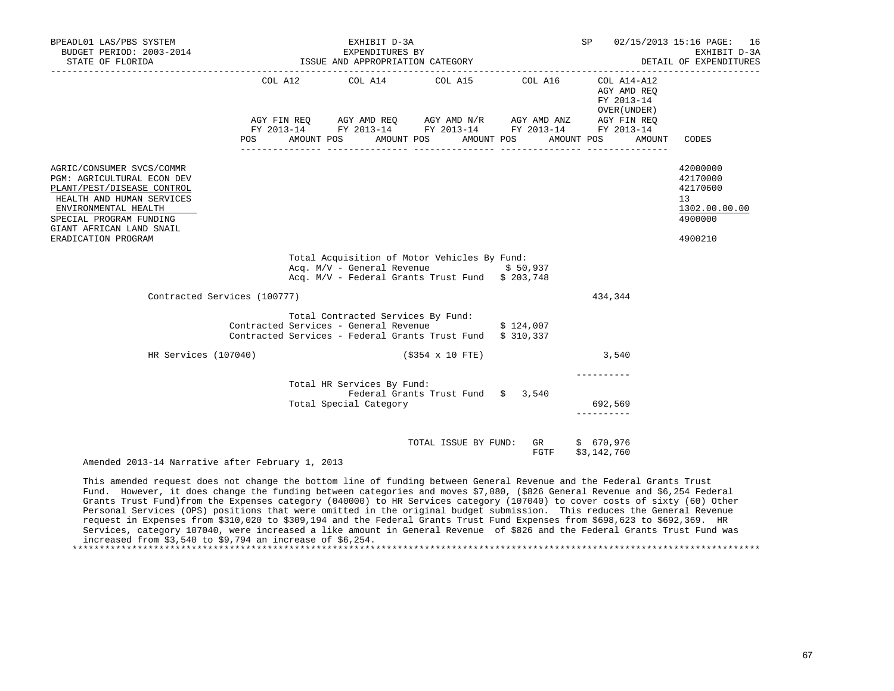| BPEADL01 LAS/PBS SYSTEM<br>BUDGET PERIOD: 2003-2014<br>STATE OF FLORIDA                                                                                                                                                  | 014<br>EXPENDITURES BY<br>ISSUE AND APPROPRIATION CATEGORY                                                    | EXHIBIT D-3A                                         | SP and the set of the set of the set of the set of the set of the set of the set of the set of the set of the set of the set of the set of the set of the set of the set of the set of the set of the set of the set of the se | 02/15/2013 15:16 PAGE: 16<br>EXHIBIT D-3A<br>DETAIL OF EXPENDITURES |                                                     |                                                                               |
|--------------------------------------------------------------------------------------------------------------------------------------------------------------------------------------------------------------------------|---------------------------------------------------------------------------------------------------------------|------------------------------------------------------|--------------------------------------------------------------------------------------------------------------------------------------------------------------------------------------------------------------------------------|---------------------------------------------------------------------|-----------------------------------------------------|-------------------------------------------------------------------------------|
|                                                                                                                                                                                                                          | FY 2013-14 FY 2013-14 FY 2013-14 FY 2013-14 FY 2013-14<br><b>POS</b>                                          |                                                      | COL A12 COL A14 COL A15 COL A16 COL A14-A12<br>AGY FIN REQ AGY AMD REQ AGY AMD N/R AGY AMD ANZ AGY FIN REQ<br>AMOUNT POS AMOUNT POS AMOUNT POS AMOUNT POS                                                                      |                                                                     | AGY AMD REO<br>FY 2013-14<br>OVER (UNDER)<br>AMOUNT | CODES                                                                         |
| AGRIC/CONSUMER SVCS/COMMR<br>PGM: AGRICULTURAL ECON DEV<br>PLANT/PEST/DISEASE CONTROL<br>HEALTH AND HUMAN SERVICES<br>ENVIRONMENTAL HEALTH<br>SPECIAL PROGRAM FUNDING<br>GIANT AFRICAN LAND SNAIL<br>ERADICATION PROGRAM |                                                                                                               |                                                      |                                                                                                                                                                                                                                |                                                                     |                                                     | 42000000<br>42170000<br>42170600<br>13<br>1302.00.00.00<br>4900000<br>4900210 |
|                                                                                                                                                                                                                          |                                                                                                               |                                                      | Total Acquisition of Motor Vehicles By Fund:<br>Acq. $M/V$ - General Revenue $$50,937$<br>Acq. M/V - Federal Grants Trust Fund \$ 203,748                                                                                      |                                                                     |                                                     |                                                                               |
| Contracted Services (100777)                                                                                                                                                                                             |                                                                                                               |                                                      |                                                                                                                                                                                                                                |                                                                     | 434,344                                             |                                                                               |
|                                                                                                                                                                                                                          | Contracted Services - General Revenue 3 124,007<br>Contracted Services - Federal Grants Trust Fund \$ 310,337 | Total Contracted Services By Fund:                   |                                                                                                                                                                                                                                |                                                                     |                                                     |                                                                               |
| HR Services (107040)                                                                                                                                                                                                     |                                                                                                               |                                                      | $(S354 \times 10$ FTE)                                                                                                                                                                                                         |                                                                     | 3,540                                               |                                                                               |
|                                                                                                                                                                                                                          |                                                                                                               | Total HR Services By Fund:<br>Total Special Category | Federal Grants Trust Fund \$ 3,540                                                                                                                                                                                             |                                                                     | 692,569<br>-----------                              |                                                                               |
| Amended 2013-14 Narrative after February 1, 2013                                                                                                                                                                         |                                                                                                               |                                                      | TOTAL ISSUE BY FUND: GR \$ 670,976                                                                                                                                                                                             | FGTF                                                                | \$3,142,760                                         |                                                                               |

 This amended request does not change the bottom line of funding between General Revenue and the Federal Grants Trust Fund. However, it does change the funding between categories and moves \$7,080, (\$826 General Revenue and \$6,254 Federal Grants Trust Fund)from the Expenses category (040000) to HR Services category (107040) to cover costs of sixty (60) Other Personal Services (OPS) positions that were omitted in the original budget submission. This reduces the General Revenue request in Expenses from \$310,020 to \$309,194 and the Federal Grants Trust Fund Expenses from \$698,623 to \$692,369. HR Services, category 107040, were increased a like amount in General Revenue of \$826 and the Federal Grants Trust Fund was increased from \$3,540 to \$9,794 an increase of \$6,254. \*\*\*\*\*\*\*\*\*\*\*\*\*\*\*\*\*\*\*\*\*\*\*\*\*\*\*\*\*\*\*\*\*\*\*\*\*\*\*\*\*\*\*\*\*\*\*\*\*\*\*\*\*\*\*\*\*\*\*\*\*\*\*\*\*\*\*\*\*\*\*\*\*\*\*\*\*\*\*\*\*\*\*\*\*\*\*\*\*\*\*\*\*\*\*\*\*\*\*\*\*\*\*\*\*\*\*\*\*\*\*\*\*\*\*\*\*\*\*\*\*\*\*\*\*\*\*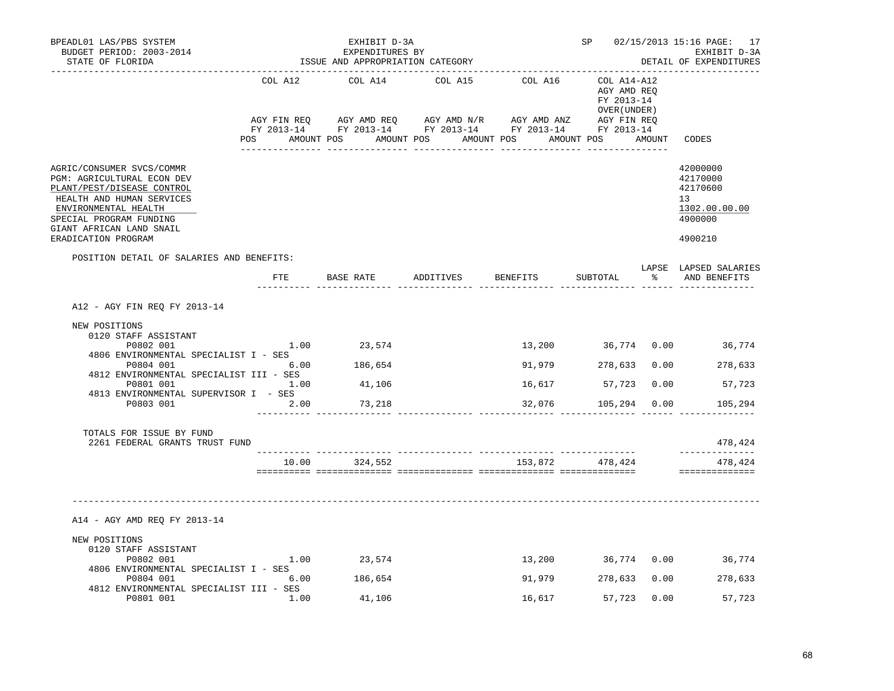| BPEADL01 LAS/PBS SYSTEM<br>BUDGET PERIOD: 2003-2014<br>STATE OF FLORIDA                                                                                                                                                  |         | EXHIBIT D-3A<br>EXPENDITURES BY<br>ISSUE AND APPROPRIATION CATEGORY |                     | SP <sub>2</sub>                                                         |        | 02/15/2013 15:16 PAGE: 17<br>EXHIBIT D-3A<br>DETAIL OF EXPENDITURES           |
|--------------------------------------------------------------------------------------------------------------------------------------------------------------------------------------------------------------------------|---------|---------------------------------------------------------------------|---------------------|-------------------------------------------------------------------------|--------|-------------------------------------------------------------------------------|
|                                                                                                                                                                                                                          | COL A12 | COL A14<br>POS AMOUNT POS AMOUNT POS AMOUNT POS<br>---------------  | COL A15 COL A16     | COL A14-A12<br>AGY AMD REQ<br>FY 2013-14<br>OVER (UNDER )<br>AMOUNT POS | AMOUNT | CODES                                                                         |
| AGRIC/CONSUMER SVCS/COMMR<br>PGM: AGRICULTURAL ECON DEV<br>PLANT/PEST/DISEASE CONTROL<br>HEALTH AND HUMAN SERVICES<br>ENVIRONMENTAL HEALTH<br>SPECIAL PROGRAM FUNDING<br>GIANT AFRICAN LAND SNAIL<br>ERADICATION PROGRAM |         |                                                                     |                     |                                                                         |        | 42000000<br>42170000<br>42170600<br>13<br>1302.00.00.00<br>4900000<br>4900210 |
| POSITION DETAIL OF SALARIES AND BENEFITS:                                                                                                                                                                                |         | FTE BASE RATE ADDITIVES BENEFITS                                    |                     |                                                                         |        | LAPSE LAPSED SALARIES<br>SUBTOTAL % AND BENEFITS                              |
| A12 - AGY FIN REQ FY 2013-14                                                                                                                                                                                             |         |                                                                     |                     |                                                                         |        |                                                                               |
| NEW POSITIONS<br>0120 STAFF ASSISTANT<br>P0802 001<br>4806 ENVIRONMENTAL SPECIALIST I - SES<br>P0804 001                                                                                                                 | 6.00    | $1.00$ 23,574<br>186,654                                            | 91,979 278,633 0.00 |                                                                         |        | 13,200 36,774 0.00 36,774<br>278,633                                          |
| 4812 ENVIRONMENTAL SPECIALIST III - SES<br>P0801 001<br>4813 ENVIRONMENTAL SUPERVISOR I - SES                                                                                                                            | 1.00    | 41,106                                                              | 16,617              | 57,723 0.00                                                             |        | 57,723                                                                        |
| P0803 001                                                                                                                                                                                                                | 2.00    | 73,218                                                              |                     | 32,076 105,294 0.00                                                     |        | 105,294                                                                       |
| TOTALS FOR ISSUE BY FUND<br>2261 FEDERAL GRANTS TRUST FUND                                                                                                                                                               |         |                                                                     |                     |                                                                         |        | 478,424<br>---------------                                                    |
|                                                                                                                                                                                                                          |         | 10.00 324,552                                                       | $153,872$ 478,424   |                                                                         |        | 478,424<br>==============                                                     |
| A14 - AGY AMD REQ FY 2013-14<br>NEW POSITIONS<br>0120 STAFF ASSISTANT<br>P0802 001<br>4806 ENVIRONMENTAL SPECIALIST I - SES<br>P0804 001<br>4812 ENVIRONMENTAL SPECIALIST III - SES                                      | 6.00    | 1.00 23,574<br>186,654                                              |                     | 91,979 278,633 0.00                                                     |        | 13,200 36,774 0.00 36,774<br>278,633                                          |
| P0801 001                                                                                                                                                                                                                | 1.00    | 41,106                                                              | 16,617              | 57,723                                                                  | 0.00   | 57,723                                                                        |